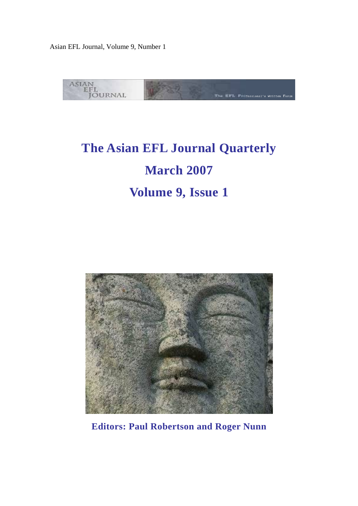

# **The Asian EFL Journal Quarterly March 2007 Volume 9, Issue 1**



**Editors: Paul Robertson and Roger Nunn**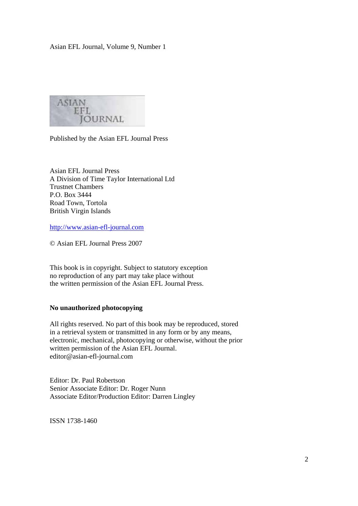**ASIAN** EFL **JOURNAL** 

Published by the Asian EFL Journal Press

Asian EFL Journal Press A Division of Time Taylor International Ltd Trustnet Chambers P.O. Box 3444 Road Town, Tortola British Virgin Islands

http://www.asian-efl-journal.com

© Asian EFL Journal Press 2007

This book is in copyright. Subject to statutory exception no reproduction of any part may take place without the written permission of the Asian EFL Journal Press.

#### **No unauthorized photocopying**

All rights reserved. No part of this book may be reproduced, stored in a retrieval system or transmitted in any form or by any means, electronic, mechanical, photocopying or otherwise, without the prior written permission of the Asian EFL Journal. editor@asian-efl-journal.com

Editor: Dr. Paul Robertson Senior Associate Editor: Dr. Roger Nunn Associate Editor/Production Editor: Darren Lingley

ISSN 1738-1460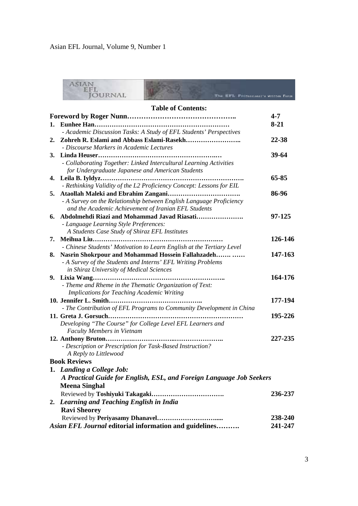|    | ASIAN<br><b>OURNAL</b><br><b>THE PHI fessional's Written Forum</b>                       |           |
|----|------------------------------------------------------------------------------------------|-----------|
|    | <b>Table of Contents:</b>                                                                |           |
|    |                                                                                          | $4 - 7$   |
|    |                                                                                          | $8-21$    |
|    | - Academic Discussion Tasks: A Study of EFL Students' Perspectives                       |           |
|    | - Discourse Markers in Academic Lectures                                                 | 22-38     |
|    |                                                                                          | $39 - 64$ |
|    | - Collaborating Together: Linked Intercultural Learning Activities                       |           |
|    | for Undergraduate Japanese and American Students                                         |           |
| 4. |                                                                                          | 65-85     |
|    | - Rethinking Validity of the L2 Proficiency Concept: Lessons for EIL                     |           |
| 5. |                                                                                          | 86-96     |
|    | - A Survey on the Relationship between English Language Proficiency                      |           |
|    | and the Academic Achievement of Iranian EFL Students                                     |           |
|    | 6. Abdolmehdi Riazi and Mohammad Javad Riasati                                           | 97-125    |
|    | - Language Learning Style Preferences:<br>A Students Case Study of Shiraz EFL Institutes |           |
|    |                                                                                          | 126-146   |
|    | - Chinese Students' Motivation to Learn English at the Tertiary Level                    |           |
| 8. | Nasrin Shokrpour and Mohammad Hossein Fallahzadeh                                        | 147-163   |
|    | - A Survey of the Students and Interns' EFL Writing Problems                             |           |
|    | in Shiraz University of Medical Sciences                                                 |           |
|    |                                                                                          | 164-176   |
|    | - Theme and Rheme in the Thematic Organization of Text:                                  |           |
|    | <b>Implications for Teaching Academic Writing</b>                                        |           |
|    |                                                                                          | 177-194   |
|    | - The Contribution of EFL Programs to Community Development in China                     |           |
|    |                                                                                          | 195-226   |
|    | Developing "The Course" for College Level EFL Learners and                               |           |
|    | <b>Faculty Members in Vietnam</b>                                                        |           |
|    |                                                                                          | 227-235   |
|    | - Description or Prescription for Task-Based Instruction?                                |           |
|    | A Reply to Littlewood                                                                    |           |
|    | <b>Book Reviews</b>                                                                      |           |
|    | 1. Landing a College Job:                                                                |           |
|    | A Practical Guide for English, ESL, and Foreign Language Job Seekers                     |           |
|    | <b>Meena Singhal</b>                                                                     |           |
|    |                                                                                          | 236-237   |
|    | 2. Learning and Teaching English in India                                                |           |
|    | <b>Ravi Sheorey</b>                                                                      |           |
|    |                                                                                          | 238-240   |
|    | Asian EFL Journal editorial information and guidelines                                   | 241-247   |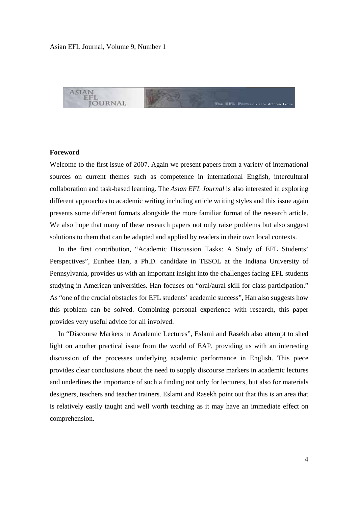

#### **Foreword**

Welcome to the first issue of 2007. Again we present papers from a variety of international sources on current themes such as competence in international English, intercultural collaboration and task-based learning. The *Asian EFL Journal* is also interested in exploring different approaches to academic writing including article writing styles and this issue again presents some different formats alongside the more familiar format of the research article. We also hope that many of these research papers not only raise problems but also suggest solutions to them that can be adapted and applied by readers in their own local contexts.

 In the first contribution, "Academic Discussion Tasks: A Study of EFL Students' Perspectives", Eunhee Han, a Ph.D. candidate in TESOL at the Indiana University of Pennsylvania, provides us with an important insight into the challenges facing EFL students studying in American universities. Han focuses on "oral/aural skill for class participation." As "one of the crucial obstacles for EFL students' academic success", Han also suggests how this problem can be solved. Combining personal experience with research, this paper provides very useful advice for all involved.

 In "Discourse Markers in Academic Lectures", Eslami and Rasekh also attempt to shed light on another practical issue from the world of EAP, providing us with an interesting discussion of the processes underlying academic performance in English. This piece provides clear conclusions about the need to supply discourse markers in academic lectures and underlines the importance of such a finding not only for lecturers, but also for materials designers, teachers and teacher trainers. Eslami and Rasekh point out that this is an area that is relatively easily taught and well worth teaching as it may have an immediate effect on comprehension.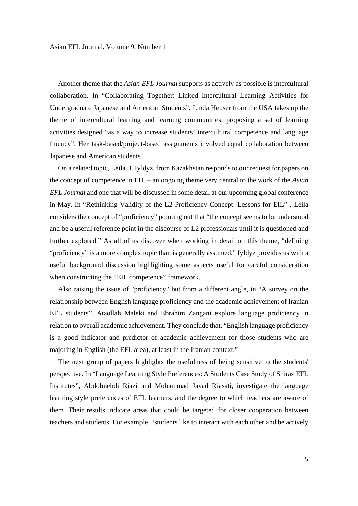Another theme that the *Asian EFL Journal* supports as actively as possible is intercultural collaboration. In "Collaborating Together: Linked Intercultural Learning Activities for Undergraduate Japanese and American Students", Linda Heuser from the USA takes up the theme of intercultural learning and learning communities, proposing a set of learning activities designed "as a way to increase students' intercultural competence and language fluency". Her task-based/project-based assignments involved equal collaboration between Japanese and American students.

 On a related topic, Leila B. Iyldyz, from Kazakhstan responds to our request for papers on the concept of competence in EIL – an ongoing theme very central to the work of the *Asian EFL Journal* and one that will be discussed in some detail at our upcoming global conference in May. In "Rethinking Validity of the L2 Proficiency Concept: Lessons for EIL" , Leila considers the concept of "proficiency" pointing out that "the concept seems to be understood and be a useful reference point in the discourse of L2 professionals until it is questioned and further explored." As all of us discover when working in detail on this theme, "defining "proficiency" is a more complex topic than is generally assumed." Iyldyz provides us with a useful background discussion highlighting some aspects useful for careful consideration when constructing the "EIL competence" framework.

 Also raising the issue of "proficiency" but from a different angle, in "A survey on the relationship between English language proficiency and the academic achievement of Iranian EFL students", Ataollah Maleki and Ebrahim Zangani explore language proficiency in relation to overall academic achievement. They conclude that, "English language proficiency is a good indicator and predictor of academic achievement for those students who are majoring in English (the EFL area), at least in the Iranian context."

 The next group of papers highlights the usefulness of being sensitive to the students' perspective. In "Language Learning Style Preferences: A Students Case Study of Shiraz EFL Institutes", Abdolmehdi Riazi and Mohammad Javad Riasati, investigate the language learning style preferences of EFL learners, and the degree to which teachers are aware of them. Their results indicate areas that could be targeted for closer cooperation between teachers and students. For example, "students like to interact with each other and be actively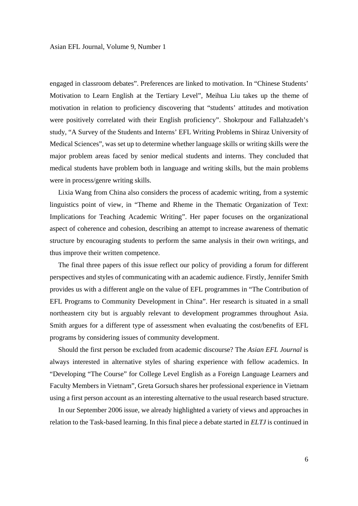engaged in classroom debates". Preferences are linked to motivation. In "Chinese Students' Motivation to Learn English at the Tertiary Level", Meihua Liu takes up the theme of motivation in relation to proficiency discovering that "students' attitudes and motivation were positively correlated with their English proficiency". Shokrpour and Fallahzadeh's study, "A Survey of the Students and Interns' EFL Writing Problems in Shiraz University of Medical Sciences", was set up to determine whether language skills or writing skills were the major problem areas faced by senior medical students and interns. They concluded that medical students have problem both in language and writing skills, but the main problems were in process/genre writing skills.

 Lixia Wang from China also considers the process of academic writing, from a systemic linguistics point of view, in "Theme and Rheme in the Thematic Organization of Text: Implications for Teaching Academic Writing". Her paper focuses on the organizational aspect of coherence and cohesion, describing an attempt to increase awareness of thematic structure by encouraging students to perform the same analysis in their own writings, and thus improve their written competence.

 The final three papers of this issue reflect our policy of providing a forum for different perspectives and styles of communicating with an academic audience. Firstly, Jennifer Smith provides us with a different angle on the value of EFL programmes in "The Contribution of EFL Programs to Community Development in China". Her research is situated in a small northeastern city but is arguably relevant to development programmes throughout Asia. Smith argues for a different type of assessment when evaluating the cost/benefits of EFL programs by considering issues of community development.

 Should the first person be excluded from academic discourse? The *Asian EFL Journal* is always interested in alternative styles of sharing experience with fellow academics. In "Developing "The Course" for College Level English as a Foreign Language Learners and Faculty Members in Vietnam", Greta Gorsuch shares her professional experience in Vietnam using a first person account as an interesting alternative to the usual research based structure.

 In our September 2006 issue, we already highlighted a variety of views and approaches in relation to the Task-based learning. In this final piece a debate started in *ELTJ* is continued in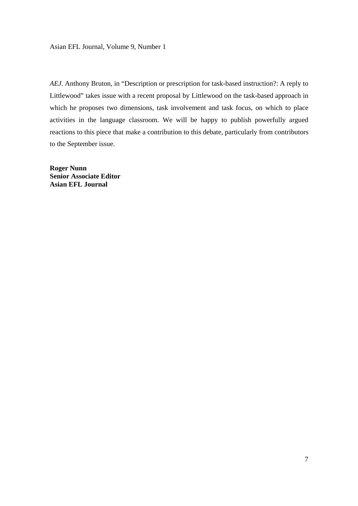*AEJ*. Anthony Bruton, in "Description or prescription for task-based instruction?: A reply to Littlewood" takes issue with a recent proposal by Littlewood on the task-based approach in which he proposes two dimensions, task involvement and task focus, on which to place activities in the language classroom. We will be happy to publish powerfully argued reactions to this piece that make a contribution to this debate, particularly from contributors to the September issue.

**Roger Nunn Senior Associate Editor Asian EFL Journal**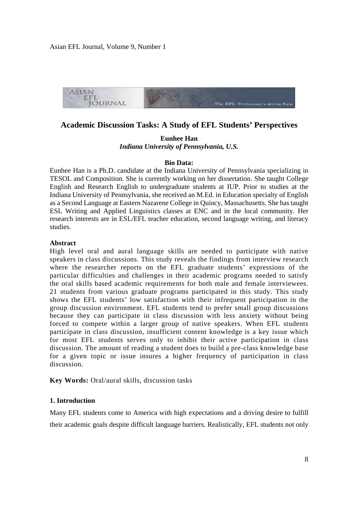

# **Academic Discussion Tasks: A Study of EFL Students' Perspectives**

**Eunhee Han**  *Indiana University of Pennsylvania, U.S.* 

#### **Bio Data:**

Eunhee Han is a Ph.D. candidate at the Indiana University of Pennsylvania specializing in TESOL and Composition. She is currently working on her dissertation. She taught College English and Research English to undergraduate students at IUP. Prior to studies at the Indiana University of Pennsylvania, she received an M.Ed. in Education specialty of English as a Second Language at Eastern Nazarene College in Quincy, Massachusetts. She has taught ESL Writing and Applied Linguistics classes at ENC and in the local community. Her research interests are in ESL/EFL teacher education, second language writing, and literacy studies.

#### **Abstract**

High level oral and aural language skills are needed to participate with native speakers in class discussions. This study reveals the findings from interview research where the researcher reports on the EFL graduate students' expressions of the particular difficulties and challenges in their academic programs needed to satisfy the oral skills based academic requirements for both male and female interviewees. 21 students from various graduate programs participated in this study. This study shows the EFL students' low satisfaction with their infrequent participation in the group discussion environment. EFL students tend to prefer small group discussions because they can participate in class discussion with less anxiety without being forced to compete within a larger group of native speakers. When EFL students participate in class discussion, insufficient content knowledge is a key issue which for most EFL students serves only to inhibit their active participation in class discussion. The amount of reading a student does to build a pre-class knowledge base for a given topic or issue insures a higher frequency of participation in class discussion.

**Key Words:** Oral/aural skills, discussion tasks

### **1. Introduction**

Many EFL students come to America with high expectations and a driving desire to fulfill their academic goals despite difficult language barriers. Realistically, EFL students not only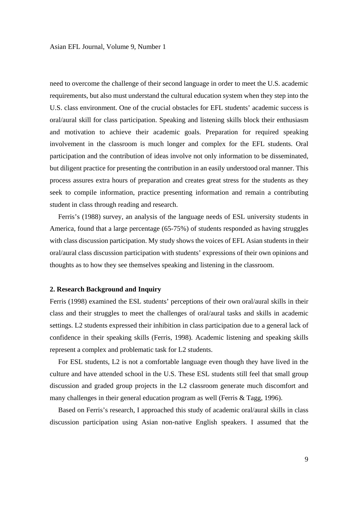need to overcome the challenge of their second language in order to meet the U.S. academic requirements, but also must understand the cultural education system when they step into the U.S. class environment. One of the crucial obstacles for EFL students' academic success is oral/aural skill for class participation. Speaking and listening skills block their enthusiasm and motivation to achieve their academic goals. Preparation for required speaking involvement in the classroom is much longer and complex for the EFL students. Oral participation and the contribution of ideas involve not only information to be disseminated, but diligent practice for presenting the contribution in an easily understood oral manner. This process assures extra hours of preparation and creates great stress for the students as they seek to compile information, practice presenting information and remain a contributing student in class through reading and research.

 Ferris's (1988) survey, an analysis of the language needs of ESL university students in America, found that a large percentage (65-75%) of students responded as having struggles with class discussion participation. My study shows the voices of EFL Asian students in their oral/aural class discussion participation with students' expressions of their own opinions and thoughts as to how they see themselves speaking and listening in the classroom.

#### **2. Research Background and Inquiry**

Ferris (1998) examined the ESL students' perceptions of their own oral/aural skills in their class and their struggles to meet the challenges of oral/aural tasks and skills in academic settings. L2 students expressed their inhibition in class participation due to a general lack of confidence in their speaking skills (Ferris, 1998). Academic listening and speaking skills represent a complex and problematic task for L2 students.

 For ESL students, L2 is not a comfortable language even though they have lived in the culture and have attended school in the U.S. These ESL students still feel that small group discussion and graded group projects in the L2 classroom generate much discomfort and many challenges in their general education program as well (Ferris & Tagg, 1996).

 Based on Ferris's research, I approached this study of academic oral/aural skills in class discussion participation using Asian non-native English speakers. I assumed that the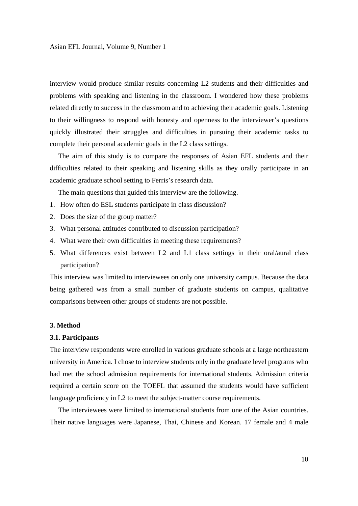interview would produce similar results concerning L2 students and their difficulties and problems with speaking and listening in the classroom. I wondered how these problems related directly to success in the classroom and to achieving their academic goals. Listening to their willingness to respond with honesty and openness to the interviewer's questions quickly illustrated their struggles and difficulties in pursuing their academic tasks to complete their personal academic goals in the L2 class settings.

 The aim of this study is to compare the responses of Asian EFL students and their difficulties related to their speaking and listening skills as they orally participate in an academic graduate school setting to Ferris's research data.

The main questions that guided this interview are the following.

- 1. How often do ESL students participate in class discussion?
- 2. Does the size of the group matter?
- 3. What personal attitudes contributed to discussion participation?
- 4. What were their own difficulties in meeting these requirements?
- 5. What differences exist between L2 and L1 class settings in their oral/aural class participation?

This interview was limited to interviewees on only one university campus. Because the data being gathered was from a small number of graduate students on campus, qualitative comparisons between other groups of students are not possible.

#### **3. Method**

#### **3.1. Participants**

The interview respondents were enrolled in various graduate schools at a large northeastern university in America. I chose to interview students only in the graduate level programs who had met the school admission requirements for international students. Admission criteria required a certain score on the TOEFL that assumed the students would have sufficient language proficiency in L2 to meet the subject-matter course requirements.

 The interviewees were limited to international students from one of the Asian countries. Their native languages were Japanese, Thai, Chinese and Korean. 17 female and 4 male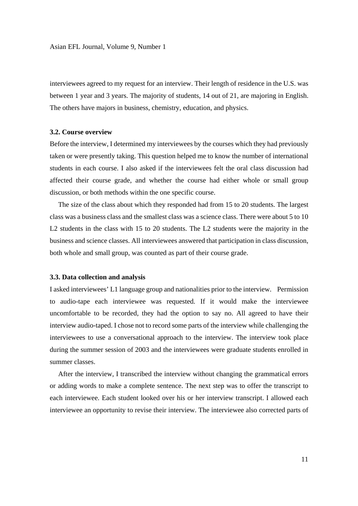interviewees agreed to my request for an interview. Their length of residence in the U.S. was between 1 year and 3 years. The majority of students, 14 out of 21, are majoring in English. The others have majors in business, chemistry, education, and physics.

#### **3.2. Course overview**

Before the interview, I determined my interviewees by the courses which they had previously taken or were presently taking. This question helped me to know the number of international students in each course. I also asked if the interviewees felt the oral class discussion had affected their course grade, and whether the course had either whole or small group discussion, or both methods within the one specific course.

 The size of the class about which they responded had from 15 to 20 students. The largest class was a business class and the smallest class was a science class. There were about 5 to 10 L2 students in the class with 15 to 20 students. The L2 students were the majority in the business and science classes. All interviewees answered that participation in class discussion, both whole and small group, was counted as part of their course grade.

#### **3.3. Data collection and analysis**

I asked interviewees' L1 language group and nationalities prior to the interview. Permission to audio-tape each interviewee was requested. If it would make the interviewee uncomfortable to be recorded, they had the option to say no. All agreed to have their interview audio-taped. I chose not to record some parts of the interview while challenging the interviewees to use a conversational approach to the interview. The interview took place during the summer session of 2003 and the interviewees were graduate students enrolled in summer classes.

 After the interview, I transcribed the interview without changing the grammatical errors or adding words to make a complete sentence. The next step was to offer the transcript to each interviewee. Each student looked over his or her interview transcript. I allowed each interviewee an opportunity to revise their interview. The interviewee also corrected parts of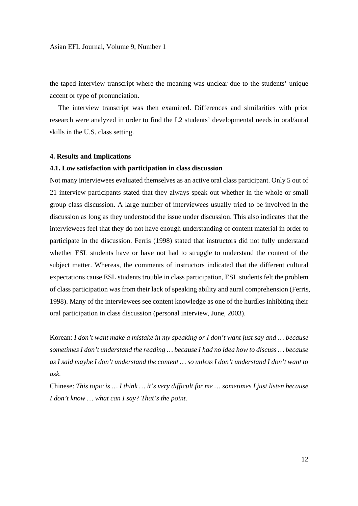the taped interview transcript where the meaning was unclear due to the students' unique accent or type of pronunciation.

 The interview transcript was then examined. Differences and similarities with prior research were analyzed in order to find the L2 students' developmental needs in oral/aural skills in the U.S. class setting.

#### **4. Results and Implications**

#### **4.1. Low satisfaction with participation in class discussion**

Not many interviewees evaluated themselves as an active oral class participant. Only 5 out of 21 interview participants stated that they always speak out whether in the whole or small group class discussion. A large number of interviewees usually tried to be involved in the discussion as long as they understood the issue under discussion. This also indicates that the interviewees feel that they do not have enough understanding of content material in order to participate in the discussion. Ferris (1998) stated that instructors did not fully understand whether ESL students have or have not had to struggle to understand the content of the subject matter. Whereas, the comments of instructors indicated that the different cultural expectations cause ESL students trouble in class participation, ESL students felt the problem of class participation was from their lack of speaking ability and aural comprehension (Ferris, 1998). Many of the interviewees see content knowledge as one of the hurdles inhibiting their oral participation in class discussion (personal interview, June, 2003).

Korean: *I don't want make a mistake in my speaking or I don't want just say and … because sometimes I don't understand the reading … because I had no idea how to discuss … because as I said maybe I don't understand the content … so unless I don't understand I don't want to ask.* 

Chinese: *This topic is … I think … it's very difficult for me … sometimes I just listen because I don't know … what can I say? That's the point.*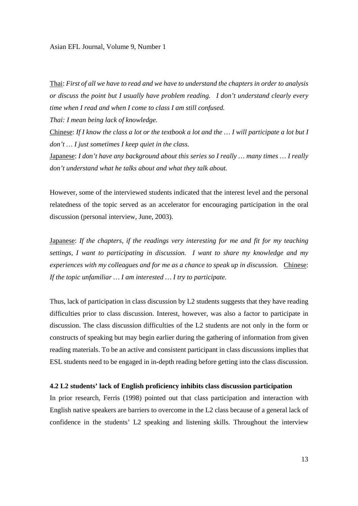Thai: *First of all we have to read and we have to understand the chapters in order to analysis or discuss the point but I usually have problem reading. I don't understand clearly every time when I read and when I come to class I am still confused.* 

*Thai: I mean being lack of knowledge.* 

Chinese: *If I know the class a lot or the textbook a lot and the … I will participate a lot but I don't … I just sometimes I keep quiet in the class.*

Japanese: *I don't have any background about this series so I really … many times … I really don't understand what he talks about and what they talk about.* 

However, some of the interviewed students indicated that the interest level and the personal relatedness of the topic served as an accelerator for encouraging participation in the oral discussion (personal interview, June, 2003).

Japanese: *If the chapters, if the readings very interesting for me and fit for my teaching settings, I want to participating in discussion. I want to share my knowledge and my experiences with my colleagues and for me as a chance to speak up in discussion.* Chinese: *If the topic unfamiliar … I am interested … I try to participate.* 

Thus, lack of participation in class discussion by L2 students suggests that they have reading difficulties prior to class discussion. Interest, however, was also a factor to participate in discussion. The class discussion difficulties of the L2 students are not only in the form or constructs of speaking but may begin earlier during the gathering of information from given reading materials. To be an active and consistent participant in class discussions implies that ESL students need to be engaged in in-depth reading before getting into the class discussion.

#### **4.2 L2 students' lack of English proficiency inhibits class discussion participation**

In prior research, Ferris (1998) pointed out that class participation and interaction with English native speakers are barriers to overcome in the L2 class because of a general lack of confidence in the students' L2 speaking and listening skills. Throughout the interview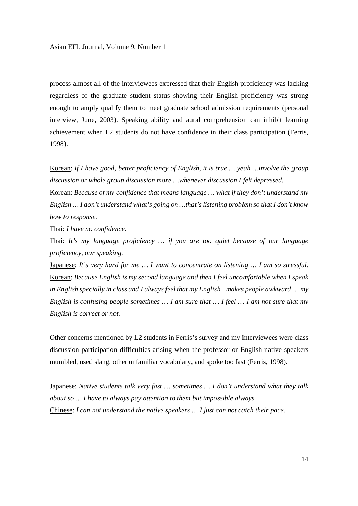process almost all of the interviewees expressed that their English proficiency was lacking regardless of the graduate student status showing their English proficiency was strong enough to amply qualify them to meet graduate school admission requirements (personal interview, June, 2003). Speaking ability and aural comprehension can inhibit learning achievement when L2 students do not have confidence in their class participation (Ferris, 1998).

Korean: *If I have good, better proficiency of English, it is true … yeah …involve the group discussion or whole group discussion more …whenever discussion I felt depressed.*

Korean: *Because of my confidence that means language … what if they don't understand my English … I don't understand what's going on …that's listening problem so that I don't know how to response.* 

Thai: *I have no confidence.*

Thai: *It's my language proficiency … if you are too quiet because of our language proficiency, our speaking.*

Japanese: *It's very hard for me … I want to concentrate on listening … I am so stressful.* Korean: *Because English is my second language and then I feel uncomfortable when I speak in English specially in class and I always feel that my English makes people awkward … my English is confusing people sometimes … I am sure that … I feel … I am not sure that my English is correct or not.* 

Other concerns mentioned by L2 students in Ferris's survey and my interviewees were class discussion participation difficulties arising when the professor or English native speakers mumbled, used slang, other unfamiliar vocabulary, and spoke too fast (Ferris, 1998).

Japanese: *Native students talk very fast … sometimes … I don't understand what they talk about so … I have to always pay attention to them but impossible always.*  Chinese: *I can not understand the native speakers … I just can not catch their pace.*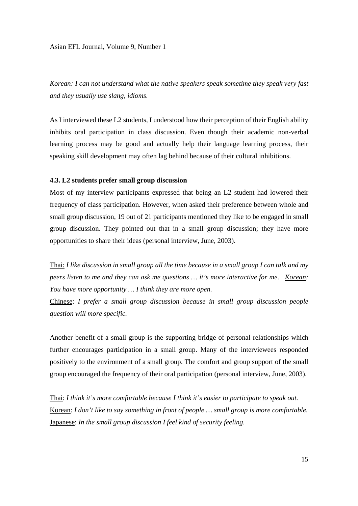*Korean: I can not understand what the native speakers speak sometime they speak very fast and they usually use slang, idioms.* 

As I interviewed these L2 students, I understood how their perception of their English ability inhibits oral participation in class discussion. Even though their academic non-verbal learning process may be good and actually help their language learning process, their speaking skill development may often lag behind because of their cultural inhibitions.

#### **4.3. L2 students prefer small group discussion**

Most of my interview participants expressed that being an L2 student had lowered their frequency of class participation. However, when asked their preference between whole and small group discussion, 19 out of 21 participants mentioned they like to be engaged in small group discussion. They pointed out that in a small group discussion; they have more opportunities to share their ideas (personal interview, June, 2003).

Thai: *I like discussion in small group all the time because in a small group I can talk and my peers listen to me and they can ask me questions … it's more interactive for me. Korean: You have more opportunity … I think they are more open.* 

Chinese: *I prefer a small group discussion because in small group discussion people question will more specific.* 

Another benefit of a small group is the supporting bridge of personal relationships which further encourages participation in a small group. Many of the interviewees responded positively to the environment of a small group. The comfort and group support of the small group encouraged the frequency of their oral participation (personal interview, June, 2003).

Thai: *I think it's more comfortable because I think it's easier to participate to speak out.*  Korean: *I don't like to say something in front of people … small group is more comfortable.*  Japanese: *In the small group discussion I feel kind of security feeling.*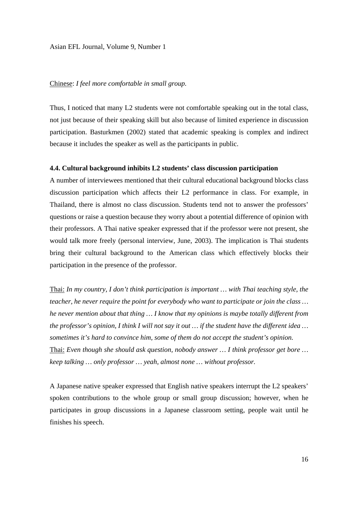# Chinese: *I feel more comfortable in small group.*

Thus, I noticed that many L2 students were not comfortable speaking out in the total class, not just because of their speaking skill but also because of limited experience in discussion participation. Basturkmen (2002) stated that academic speaking is complex and indirect because it includes the speaker as well as the participants in public.

#### **4.4. Cultural background inhibits L2 students' class discussion participation**

A number of interviewees mentioned that their cultural educational background blocks class discussion participation which affects their L2 performance in class. For example, in Thailand, there is almost no class discussion. Students tend not to answer the professors' questions or raise a question because they worry about a potential difference of opinion with their professors. A Thai native speaker expressed that if the professor were not present, she would talk more freely (personal interview, June, 2003). The implication is Thai students bring their cultural background to the American class which effectively blocks their participation in the presence of the professor.

Thai: *In my country, I don't think participation is important … with Thai teaching style, the teacher, he never require the point for everybody who want to participate or join the class … he never mention about that thing … I know that my opinions is maybe totally different from the professor's opinion, I think I will not say it out … if the student have the different idea … sometimes it's hard to convince him, some of them do not accept the student's opinion.*  Thai: *Even though she should ask question, nobody answer … I think professor get bore … keep talking … only professor … yeah, almost none … without professor.* 

A Japanese native speaker expressed that English native speakers interrupt the L2 speakers' spoken contributions to the whole group or small group discussion; however, when he participates in group discussions in a Japanese classroom setting, people wait until he finishes his speech.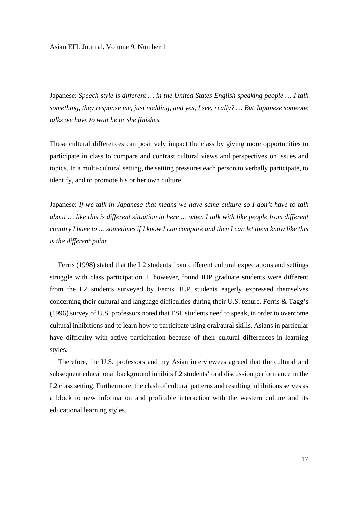Japanese: *Speech style is different … in the United States English speaking people … I talk something, they response me, just nodding, and yes, I see, really? … But Japanese someone talks we have to wait he or she finishes.* 

These cultural differences can positively impact the class by giving more opportunities to participate in class to compare and contrast cultural views and perspectives on issues and topics. In a multi-cultural setting, the setting pressures each person to verbally participate, to identify, and to promote his or her own culture.

Japanese: *If we talk in Japanese that means we have same culture so I don't have to talk about … like this is different situation in here … when I talk with like people from different country I have to … sometimes if I know I can compare and then I can let them know like this is the different point.* 

 Ferris (1998) stated that the L2 students from different cultural expectations and settings struggle with class participation. I, however, found IUP graduate students were different from the L2 students surveyed by Ferris. IUP students eagerly expressed themselves concerning their cultural and language difficulties during their U.S. tenure. Ferris & Tagg's (1996) survey of U.S. professors noted that ESL students need to speak, in order to overcome cultural inhibitions and to learn how to participate using oral/aural skills. Asians in particular have difficulty with active participation because of their cultural differences in learning styles.

 Therefore, the U.S. professors and my Asian interviewees agreed that the cultural and subsequent educational background inhibits L2 students' oral discussion performance in the L2 class setting. Furthermore, the clash of cultural patterns and resulting inhibitions serves as a block to new information and profitable interaction with the western culture and its educational learning styles.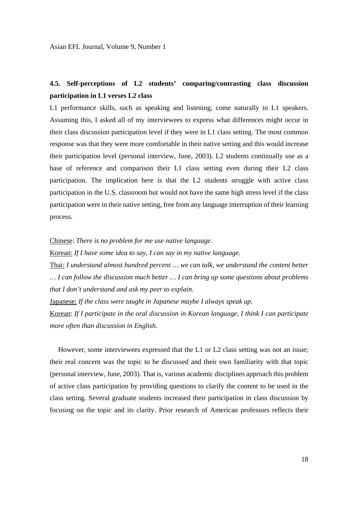# **4.5. Self-perceptions of L2 students' comparing/contrasting class discussion participation in L1 verses L2 class**

L1 performance skills, such as speaking and listening, come naturally to L1 speakers. Assuming this, I asked all of my interviewees to express what differences might occur in their class discussion participation level if they were in L1 class setting. The most common response was that they were more comfortable in their native setting and this would increase their participation level (personal interview, June, 2003). L2 students continually use as a base of reference and comparison their L1 class setting even during their L2 class participation. The implication here is that the L2 students struggle with active class participation in the U.S. classroom but would not have the same high stress level if the class participation were in their native setting, free from any language interruption of their learning process.

Chinese: *There is no problem for me use native language.*

Korean: *If I have some idea to say, I can say in my native language.* 

Thai: *I understand almost hundred percent … we can talk, we understand the content better … I can follow the discussion much better … I can bring up some questions about problems that I don't understand and ask my peer to explain.* 

Japanese: *If the class were taught in Japanese maybe I always speak up.* 

Korean: *If I participate in the oral discussion in Korean language, I think I can participate more often than discussion in English.* 

 However, some interviewees expressed that the L1 or L2 class setting was not an issue; their real concern was the topic to be discussed and their own familiarity with that topic (personal interview, June, 2003). That is, various academic disciplines approach this problem of active class participation by providing questions to clarify the content to be used in the class setting. Several graduate students increased their participation in class discussion by focusing on the topic and its clarity. Prior research of American professors reflects their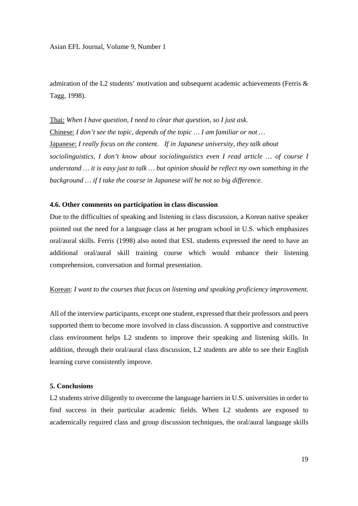admiration of the L2 students' motivation and subsequent academic achievements (Ferris & Tagg, 1998).

Thai: *When I have question, I need to clear that question, so I just ask.*  Chinese: *I don't see the topic, depends of the topic … I am familiar or not …*  Japanese: *I really focus on the content. If in Japanese university, they talk about sociolinguistics, I don't know about sociolinguistics even I read article … of course I understand … it is easy just to talk … but opinion should be reflect my own something in the background … if I take the course in Japanese will be not so big difference.* 

#### **4.6. Other comments on participation in class discussion**

Due to the difficulties of speaking and listening in class discussion, a Korean native speaker pointed out the need for a language class at her program school in U.S. which emphasizes oral/aural skills. Ferris (1998) also noted that ESL students expressed the need to have an additional oral/aural skill training course which would enhance their listening comprehension, conversation and formal presentation.

#### Korean: *I want to the courses that focus on listening and speaking proficiency improvement.*

All of the interview participants, except one student, expressed that their professors and peers supported them to become more involved in class discussion. A supportive and constructive class environment helps L2 students to improve their speaking and listening skills. In addition, through their oral/aural class discussion, L2 students are able to see their English learning curve consistently improve.

#### **5. Conclusions**

L2 students strive diligently to overcome the language barriers in U.S. universities in order to find success in their particular academic fields. When L2 students are exposed to academically required class and group discussion techniques, the oral/aural language skills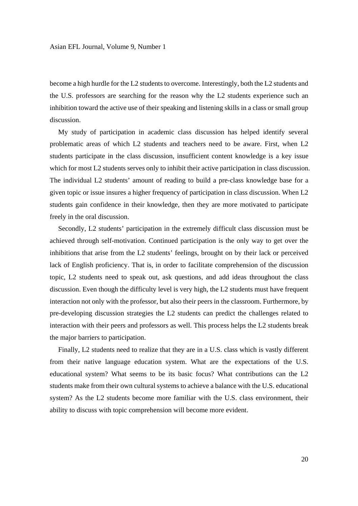become a high hurdle for the L2 students to overcome. Interestingly, both the L2 students and the U.S. professors are searching for the reason why the L2 students experience such an inhibition toward the active use of their speaking and listening skills in a class or small group discussion.

 My study of participation in academic class discussion has helped identify several problematic areas of which L2 students and teachers need to be aware. First, when L2 students participate in the class discussion, insufficient content knowledge is a key issue which for most L2 students serves only to inhibit their active participation in class discussion. The individual L2 students' amount of reading to build a pre-class knowledge base for a given topic or issue insures a higher frequency of participation in class discussion. When L2 students gain confidence in their knowledge, then they are more motivated to participate freely in the oral discussion.

 Secondly, L2 students' participation in the extremely difficult class discussion must be achieved through self-motivation. Continued participation is the only way to get over the inhibitions that arise from the L2 students' feelings, brought on by their lack or perceived lack of English proficiency. That is, in order to facilitate comprehension of the discussion topic, L2 students need to speak out, ask questions, and add ideas throughout the class discussion. Even though the difficulty level is very high, the L2 students must have frequent interaction not only with the professor, but also their peers in the classroom. Furthermore, by pre-developing discussion strategies the L2 students can predict the challenges related to interaction with their peers and professors as well. This process helps the L2 students break the major barriers to participation.

 Finally, L2 students need to realize that they are in a U.S. class which is vastly different from their native language education system. What are the expectations of the U.S. educational system? What seems to be its basic focus? What contributions can the L2 students make from their own cultural systems to achieve a balance with the U.S. educational system? As the L2 students become more familiar with the U.S. class environment, their ability to discuss with topic comprehension will become more evident.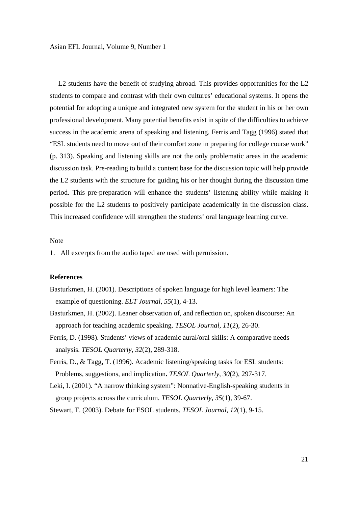L2 students have the benefit of studying abroad. This provides opportunities for the L2 students to compare and contrast with their own cultures' educational systems. It opens the potential for adopting a unique and integrated new system for the student in his or her own professional development. Many potential benefits exist in spite of the difficulties to achieve success in the academic arena of speaking and listening. Ferris and Tagg (1996) stated that "ESL students need to move out of their comfort zone in preparing for college course work" (p. 313). Speaking and listening skills are not the only problematic areas in the academic discussion task. Pre-reading to build a content base for the discussion topic will help provide the L2 students with the structure for guiding his or her thought during the discussion time period. This pre-preparation will enhance the students' listening ability while making it possible for the L2 students to positively participate academically in the discussion class. This increased confidence will strengthen the students' oral language learning curve.

#### Note

1. All excerpts from the audio taped are used with permission.

#### **References**

- Basturkmen, H. (2001). Descriptions of spoken language for high level learners: The example of questioning. *ELT Journal*, *55*(1), 4-13.
- Basturkmen, H. (2002). Leaner observation of, and reflection on, spoken discourse: An approach for teaching academic speaking. *TESOL Journal, 11*(2), 26-30.
- Ferris, D. (1998). Students' views of academic aural/oral skills: A comparative needs analysis. *TESOL Quarterly*, *32*(2), 289-318.
- Ferris, D., & Tagg, T. (1996). Academic listening/speaking tasks for ESL students: Problems, suggestions, and implication**.** *TESOL Quarterly*, *30*(2), 297-317.
- Leki, I. (2001). "A narrow thinking system": Nonnative-English-speaking students in group projects across the curriculum. *TESOL Quarterly*, *35*(1), 39-67.
- Stewart, T. (2003). Debate for ESOL students. *TESOL Journal*, *12*(1), 9-15.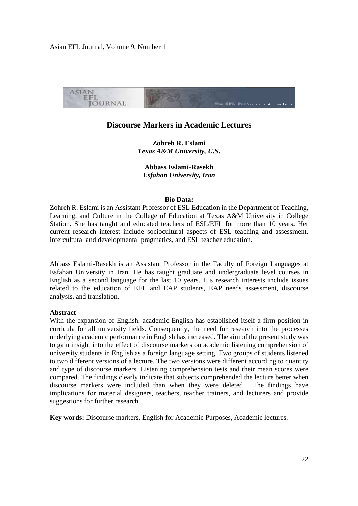

# **Discourse Markers in Academic Lectures**

**Zohreh R. Eslami**  *Texas A&M University, U.S.* 

**Abbass Eslami-Rasekh**  *Esfahan University, Iran* 

#### **Bio Data:**

Zohreh R. Eslami is an Assistant Professor of ESL Education in the Department of Teaching, Learning, and Culture in the College of Education at Texas A&M University in College Station. She has taught and educated teachers of ESL/EFL for more than 10 years. Her current research interest include sociocultural aspects of ESL teaching and assessment, intercultural and developmental pragmatics, and ESL teacher education.

Abbass Eslami-Rasekh is an Assistant Professor in the Faculty of Foreign Languages at Esfahan University in Iran. He has taught graduate and undergraduate level courses in English as a second language for the last 10 years. His research interests include issues related to the education of EFL and EAP students, EAP needs assessment, discourse analysis, and translation.

#### **Abstract**

With the expansion of English, academic English has established itself a firm position in curricula for all university fields. Consequently, the need for research into the processes underlying academic performance in English has increased. The aim of the present study was to gain insight into the effect of discourse markers on academic listening comprehension of university students in English as a foreign language setting. Two groups of students listened to two different versions of a lecture. The two versions were different according to quantity and type of discourse markers. Listening comprehension tests and their mean scores were compared. The findings clearly indicate that subjects comprehended the lecture better when discourse markers were included than when they were deleted. The findings have implications for material designers, teachers, teacher trainers, and lecturers and provide suggestions for further research.

**Key words:** Discourse markers, English for Academic Purposes, Academic lectures.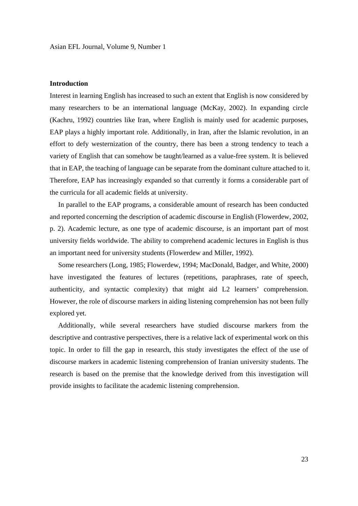### **Introduction**

Interest in learning English has increased to such an extent that English is now considered by many researchers to be an international language (McKay, 2002). In expanding circle (Kachru, 1992) countries like Iran, where English is mainly used for academic purposes, EAP plays a highly important role. Additionally, in Iran, after the Islamic revolution, in an effort to defy westernization of the country, there has been a strong tendency to teach a variety of English that can somehow be taught/learned as a value-free system. It is believed that in EAP, the teaching of language can be separate from the dominant culture attached to it. Therefore, EAP has increasingly expanded so that currently it forms a considerable part of the curricula for all academic fields at university.

 In parallel to the EAP programs, a considerable amount of research has been conducted and reported concerning the description of academic discourse in English (Flowerdew, 2002, p. 2). Academic lecture, as one type of academic discourse, is an important part of most university fields worldwide. The ability to comprehend academic lectures in English is thus an important need for university students (Flowerdew and Miller, 1992).

 Some researchers (Long, 1985; Flowerdew, 1994; MacDonald, Badger, and White, 2000) have investigated the features of lectures (repetitions, paraphrases, rate of speech, authenticity, and syntactic complexity) that might aid L2 learners' comprehension. However, the role of discourse markers in aiding listening comprehension has not been fully explored yet.

 Additionally, while several researchers have studied discourse markers from the descriptive and contrastive perspectives, there is a relative lack of experimental work on this topic. In order to fill the gap in research, this study investigates the effect of the use of discourse markers in academic listening comprehension of Iranian university students. The research is based on the premise that the knowledge derived from this investigation will provide insights to facilitate the academic listening comprehension.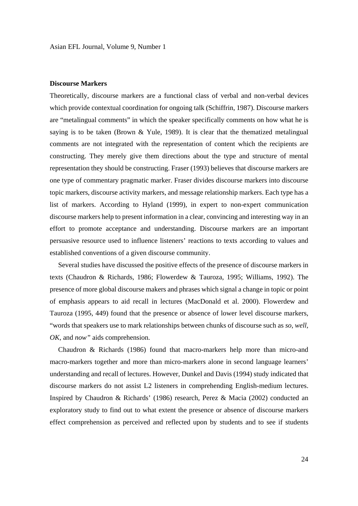# **Discourse Markers**

Theoretically, discourse markers are a functional class of verbal and non-verbal devices which provide contextual coordination for ongoing talk (Schiffrin, 1987). Discourse markers are "metalingual comments" in which the speaker specifically comments on how what he is saying is to be taken (Brown  $& Y$ ule, 1989). It is clear that the thematized metalingual comments are not integrated with the representation of content which the recipients are constructing. They merely give them directions about the type and structure of mental representation they should be constructing. Fraser (1993) believes that discourse markers are one type of commentary pragmatic marker. Fraser divides discourse markers into discourse topic markers, discourse activity markers, and message relationship markers. Each type has a list of markers. According to Hyland (1999), in expert to non-expert communication discourse markers help to present information in a clear, convincing and interesting way in an effort to promote acceptance and understanding. Discourse markers are an important persuasive resource used to influence listeners' reactions to texts according to values and established conventions of a given discourse community.

 Several studies have discussed the positive effects of the presence of discourse markers in texts (Chaudron & Richards, 1986; Flowerdew & Tauroza, 1995; Williams, 1992). The presence of more global discourse makers and phrases which signal a change in topic or point of emphasis appears to aid recall in lectures (MacDonald et al. 2000). Flowerdew and Tauroza (1995, 449) found that the presence or absence of lower level discourse markers, "words that speakers use to mark relationships between chunks of discourse such as *so, well, OK,* and *now"* aids comprehension.

 Chaudron & Richards (1986) found that macro-markers help more than micro-and macro-markers together and more than micro-markers alone in second language learners' understanding and recall of lectures. However, Dunkel and Davis (1994) study indicated that discourse markers do not assist L2 listeners in comprehending English-medium lectures. Inspired by Chaudron & Richards' (1986) research, Perez & Macia (2002) conducted an exploratory study to find out to what extent the presence or absence of discourse markers effect comprehension as perceived and reflected upon by students and to see if students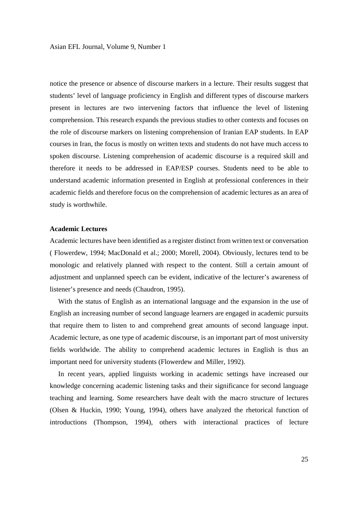notice the presence or absence of discourse markers in a lecture. Their results suggest that students' level of language proficiency in English and different types of discourse markers present in lectures are two intervening factors that influence the level of listening comprehension. This research expands the previous studies to other contexts and focuses on the role of discourse markers on listening comprehension of Iranian EAP students. In EAP courses in Iran, the focus is mostly on written texts and students do not have much access to spoken discourse. Listening comprehension of academic discourse is a required skill and therefore it needs to be addressed in EAP/ESP courses. Students need to be able to understand academic information presented in English at professional conferences in their academic fields and therefore focus on the comprehension of academic lectures as an area of study is worthwhile.

#### **Academic Lectures**

Academic lectures have been identified as a register distinct from written text or conversation ( Flowerdew, 1994; MacDonald et al.; 2000; Morell, 2004). Obviously, lectures tend to be monologic and relatively planned with respect to the content. Still a certain amount of adjustment and unplanned speech can be evident, indicative of the lecturer's awareness of listener's presence and needs (Chaudron, 1995).

 With the status of English as an international language and the expansion in the use of English an increasing number of second language learners are engaged in academic pursuits that require them to listen to and comprehend great amounts of second language input. Academic lecture, as one type of academic discourse, is an important part of most university fields worldwide. The ability to comprehend academic lectures in English is thus an important need for university students (Flowerdew and Miller, 1992).

 In recent years, applied linguists working in academic settings have increased our knowledge concerning academic listening tasks and their significance for second language teaching and learning. Some researchers have dealt with the macro structure of lectures (Olsen & Huckin, 1990; Young, 1994), others have analyzed the rhetorical function of introductions (Thompson, 1994), others with interactional practices of lecture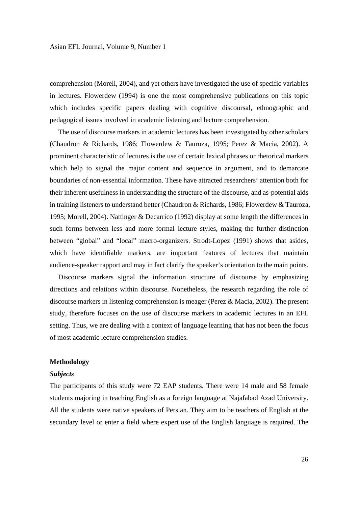comprehension (Morell, 2004), and yet others have investigated the use of specific variables in lectures. Flowerdew (1994) is one the most comprehensive publications on this topic which includes specific papers dealing with cognitive discoursal, ethnographic and pedagogical issues involved in academic listening and lecture comprehension.

 The use of discourse markers in academic lectures has been investigated by other scholars (Chaudron & Richards, 1986; Flowerdew & Tauroza, 1995; Perez & Macia, 2002). A prominent characteristic of lectures is the use of certain lexical phrases or rhetorical markers which help to signal the major content and sequence in argument, and to demarcate boundaries of non-essential information. These have attracted researchers' attention both for their inherent usefulness in understanding the structure of the discourse, and as-potential aids in training listeners to understand better (Chaudron & Richards, 1986; Flowerdew & Tauroza, 1995; Morell, 2004). Nattinger & Decarrico (1992) display at some length the differences in such forms between less and more formal lecture styles, making the further distinction between "global" and "local" macro-organizers. Strodt-Lopez (1991) shows that asides, which have identifiable markers, are important features of lectures that maintain audience-speaker rapport and may in fact clarify the speaker's orientation to the main points.

 Discourse markers signal the information structure of discourse by emphasizing directions and relations within discourse. Nonetheless, the research regarding the role of discourse markers in listening comprehension is meager (Perez & Macia, 2002). The present study, therefore focuses on the use of discourse markers in academic lectures in an EFL setting. Thus, we are dealing with a context of language learning that has not been the focus of most academic lecture comprehension studies.

#### **Methodology**

#### *Subjects*

The participants of this study were 72 EAP students. There were 14 male and 58 female students majoring in teaching English as a foreign language at Najafabad Azad University. All the students were native speakers of Persian. They aim to be teachers of English at the secondary level or enter a field where expert use of the English language is required. The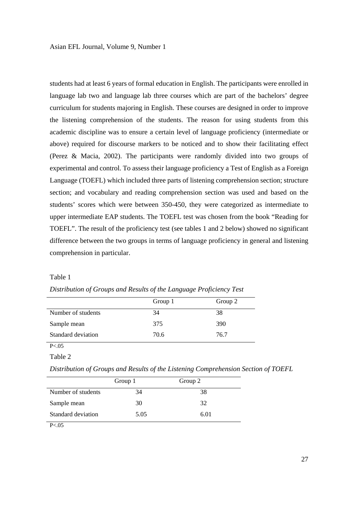students had at least 6 years of formal education in English. The participants were enrolled in language lab two and language lab three courses which are part of the bachelors' degree curriculum for students majoring in English. These courses are designed in order to improve the listening comprehension of the students. The reason for using students from this academic discipline was to ensure a certain level of language proficiency (intermediate or above) required for discourse markers to be noticed and to show their facilitating effect (Perez & Macia, 2002). The participants were randomly divided into two groups of experimental and control. To assess their language proficiency a Test of English as a Foreign Language (TOEFL) which included three parts of listening comprehension section; structure section; and vocabulary and reading comprehension section was used and based on the students' scores which were between 350-450, they were categorized as intermediate to upper intermediate EAP students. The TOEFL test was chosen from the book "Reading for TOEFL". The result of the proficiency test (see tables 1 and 2 below) showed no significant difference between the two groups in terms of language proficiency in general and listening comprehension in particular.

#### Table 1

|                    | Group 1 | Group 2 |
|--------------------|---------|---------|
| Number of students | 34      | 38      |
| Sample mean        | 375     | 390     |
| Standard deviation | 70.6    | 76.7    |

*Distribution of Groups and Results of the Language Proficiency Test* 

 $P < 0.05$ Table 2

*Distribution of Groups and Results of the Listening Comprehension Section of TOEFL* 

|                    | Group 1 | Group 2 |  |
|--------------------|---------|---------|--|
| Number of students | 34      | 38      |  |
| Sample mean        | 30      | 32      |  |
| Standard deviation | 5.05    | 6.01    |  |
| _ _ _              |         |         |  |

 $P < .05$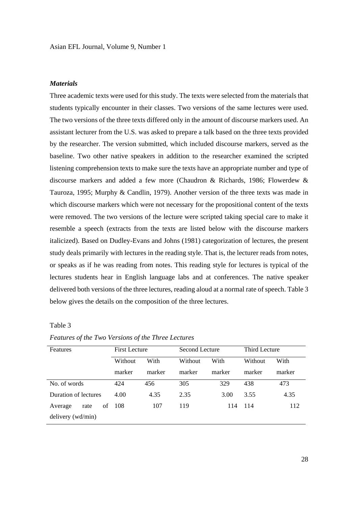## *Materials*

Three academic texts were used for this study. The texts were selected from the materials that students typically encounter in their classes. Two versions of the same lectures were used. The two versions of the three texts differed only in the amount of discourse markers used. An assistant lecturer from the U.S. was asked to prepare a talk based on the three texts provided by the researcher. The version submitted, which included discourse markers, served as the baseline. Two other native speakers in addition to the researcher examined the scripted listening comprehension texts to make sure the texts have an appropriate number and type of discourse markers and added a few more (Chaudron & Richards, 1986; Flowerdew & Tauroza, 1995; Murphy & Candlin, 1979). Another version of the three texts was made in which discourse markers which were not necessary for the propositional content of the texts were removed. The two versions of the lecture were scripted taking special care to make it resemble a speech (extracts from the texts are listed below with the discourse markers italicized). Based on Dudley-Evans and Johns (1981) categorization of lectures, the present study deals primarily with lectures in the reading style. That is, the lecturer reads from notes, or speaks as if he was reading from notes. This reading style for lectures is typical of the lectures students hear in English language labs and at conferences. The native speaker delivered both versions of the three lectures, reading aloud at a normal rate of speech. Table 3 below gives the details on the composition of the three lectures.

# Table 3

| Features              | <b>First Lecture</b> |        | Second Lecture |        | Third Lecture |        |
|-----------------------|----------------------|--------|----------------|--------|---------------|--------|
|                       | Without              | With   | Without        | With   | Without       | With   |
|                       | marker               | marker | marker         | marker | marker        | marker |
| No. of words          | 424                  | 456    | 305            | 329    | 438           | 473    |
| Duration of lectures  | 4.00                 | 4.35   | 2.35           | 3.00   | 3.55          | 4.35   |
| οf<br>Average<br>rate | -108                 | 107    | 119            | 114    | -114          | 112    |
| delivery (wd/min)     |                      |        |                |        |               |        |

*Features of the Two Versions of the Three Lectures*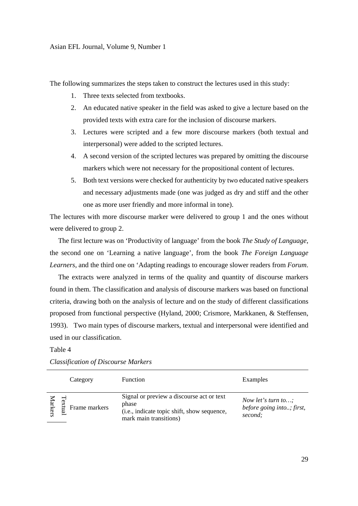The following summarizes the steps taken to construct the lectures used in this study:

- 1. Three texts selected from textbooks.
- 2. An educated native speaker in the field was asked to give a lecture based on the provided texts with extra care for the inclusion of discourse markers.
- 3. Lectures were scripted and a few more discourse markers (both textual and interpersonal) were added to the scripted lectures.
- 4. A second version of the scripted lectures was prepared by omitting the discourse markers which were not necessary for the propositional content of lectures.
- 5. Both text versions were checked for authenticity by two educated native speakers and necessary adjustments made (one was judged as dry and stiff and the other one as more user friendly and more informal in tone).

The lectures with more discourse marker were delivered to group 1 and the ones without were delivered to group 2.

 The first lecture was on 'Productivity of language' from the book *The Study of Language*, the second one on 'Learning a native language', from the book *The Foreign Language Learners*, and the third one on 'Adapting readings to encourage slower readers from *Forum*.

 The extracts were analyzed in terms of the quality and quantity of discourse markers found in them. The classification and analysis of discourse markers was based on functional criteria, drawing both on the analysis of lecture and on the study of different classifications proposed from functional perspective (Hyland, 2000; Crismore, Markkanen, & Steffensen, 1993). Two main types of discourse markers, textual and interpersonal were identified and used in our classification.

### Table 4

|                | Category      | <b>Function</b>                                                                                                             | Examples                                                   |
|----------------|---------------|-----------------------------------------------------------------------------------------------------------------------------|------------------------------------------------------------|
| <b>farkers</b> | Frame markers | Signal or preview a discourse act or text<br>phase<br>(i.e., indicate topic shift, show sequence,<br>mark main transitions) | Now let's turn to;<br>before going into; first,<br>second; |

*Classification of Discourse Markers*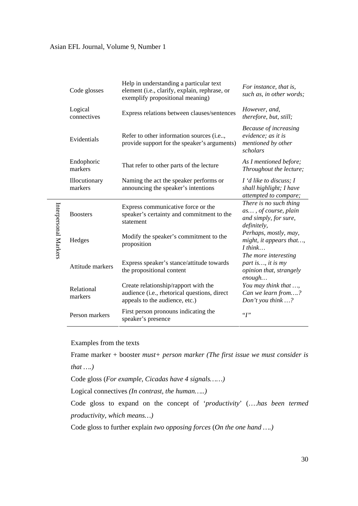| Code glosses             | Help in understanding a particular text<br>element (i.e., clarify, explain, rephrase, or<br>exemplify propositional meaning) | For instance, that is,<br>such as, in other words;                                     |
|--------------------------|------------------------------------------------------------------------------------------------------------------------------|----------------------------------------------------------------------------------------|
| Logical<br>connectives   | Express relations between clauses/sentences                                                                                  | However, and,<br>therefore, but, still;                                                |
| Evidentials              | Refer to other information sources (i.e,<br>provide support for the speaker's arguments)                                     | Because of increasing<br>evidence; as it is<br>mentioned by other<br>scholars          |
| Endophoric<br>markers    | That refer to other parts of the lecture                                                                                     | As I mentioned before;<br>Throughout the lecture;                                      |
| Illocutionary<br>markers | Naming the act the speaker performs or<br>announcing the speaker's intentions                                                | $I'$ d like to discuss; I<br>shall highlight; I have<br>attempted to compare;          |
| <b>Boosters</b>          | Express communicative force or the<br>speaker's certainty and commitment to the<br>statement                                 | There is no such thing<br>as, of course, plain<br>and simply, for sure,<br>definitely, |
| Hedges                   | Modify the speaker's commitment to the<br>proposition                                                                        | Perhaps, mostly, may,<br>might, it appears that,<br>$I$ think                          |
| Attitude markers         | Express speaker's stance/attitude towards<br>the propositional content                                                       | The more interesting<br>part is, it is my<br>opinion that, strangely<br>enough         |
| Relational<br>markers    | Create relationship/rapport with the<br>audience (i.e., rhetorical questions, direct<br>appeals to the audience, etc.)       | You may think that ,<br>Can we learn from?<br>Don't you think ?                        |
| Person markers           | First person pronouns indicating the<br>speaker's presence                                                                   | $~\lq\lq T$                                                                            |

Examples from the texts

Interpersonal Markers

Interpersonal Markers

Frame marker + booster *must+ person marker (The first issue we must consider is that ….)*

Code gloss (*For example, Cicadas have 4 signals……)* 

Logical connectives *(In contrast, the human…..)* 

Code gloss to expand on the concept of '*productivity*' (….*has been termed productivity, which means…)*

Code gloss to further explain *two opposing forces* (*On the one hand ….)*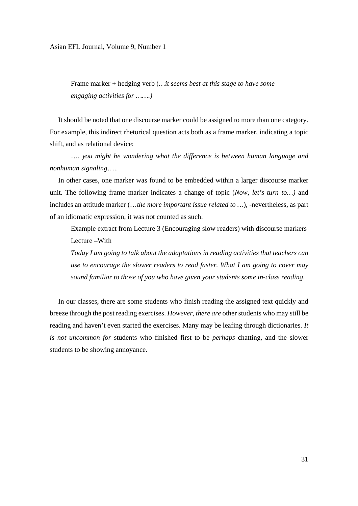Frame marker + hedging verb (*…it seems best at this stage to have some engaging activities for …….)* 

 It should be noted that one discourse marker could be assigned to more than one category. For example, this indirect rhetorical question acts both as a frame marker, indicating a topic shift, and as relational device:

…. *you might be wondering what the difference is between human language and nonhuman signaling*…..

 In other cases, one marker was found to be embedded within a larger discourse marker unit. The following frame marker indicates a change of topic (*Now, let's turn to…)* and includes an attitude marker (…*the more important issue related to …*), -nevertheless, as part of an idiomatic expression, it was not counted as such.

Example extract from Lecture 3 (Encouraging slow readers) with discourse markers Lecture –With

*Today I am going to talk about the adaptations in reading activities that teachers can use to encourage the slower readers to read faster. What I am going to cover may sound familiar to those of you who have given your students some in-class reading.* 

 In our classes, there are some students who finish reading the assigned text quickly and breeze through the post reading exercises. *However, there are* other students who may still be reading and haven't even started the exercises. Many may be leafing through dictionaries. *It is not uncommon for* students who finished first to be *perhaps* chatting, and the slower students to be showing annoyance.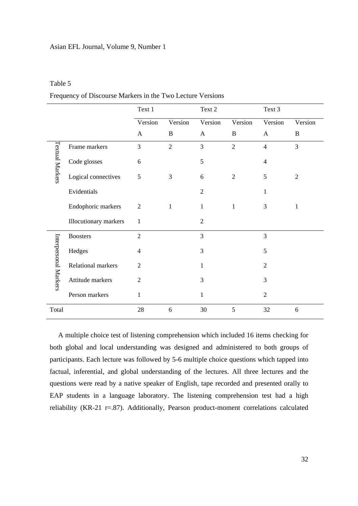#### Table 5

| Frequency of Discourse Markers in the Two Lecture Versions |  |  |  |
|------------------------------------------------------------|--|--|--|
|------------------------------------------------------------|--|--|--|

|                        |                       | Text 1         |                | Text 2         |                | Text 3         |                |
|------------------------|-----------------------|----------------|----------------|----------------|----------------|----------------|----------------|
|                        |                       | Version        | Version        | Version        | Version        | Version        | Version        |
|                        |                       | $\mathbf{A}$   | B              | $\mathbf{A}$   | B              | $\mathbf{A}$   | B              |
|                        | Frame markers         | $\overline{3}$ | $\overline{2}$ | 3              | $\overline{2}$ | $\overline{4}$ | 3              |
| <b>Textual Markers</b> | Code glosses          | 6              |                | 5              |                | $\overline{4}$ |                |
|                        | Logical connectives   | 5              | 3              | 6              | $\overline{2}$ | 5              | $\overline{2}$ |
|                        | Evidentials           |                |                | $\overline{2}$ |                | 1              |                |
|                        | Endophoric markers    | $\mathbf{2}$   | 1              | $\mathbf{1}$   | $\mathbf{1}$   | 3              | $\mathbf{1}$   |
|                        | Illocutionary markers | 1              |                | $\overline{2}$ |                |                |                |
|                        | <b>Boosters</b>       | $\overline{2}$ |                | 3              |                | 3              |                |
| Interpersonal Markers  | Hedges                | $\overline{4}$ |                | 3              |                | 5              |                |
|                        | Relational markers    | $\overline{2}$ |                | 1              |                | $\overline{2}$ |                |
|                        | Attitude markers      | $\overline{2}$ |                | 3              |                | 3              |                |
|                        | Person markers        | 1              |                | 1              |                | $\overline{2}$ |                |
| Total                  |                       | $28\,$         | 6              | 30             | 5              | 32             | 6              |

 A multiple choice test of listening comprehension which included 16 items checking for both global and local understanding was designed and administered to both groups of participants. Each lecture was followed by 5-6 multiple choice questions which tapped into factual, inferential, and global understanding of the lectures. All three lectures and the questions were read by a native speaker of English, tape recorded and presented orally to EAP students in a language laboratory. The listening comprehension test had a high reliability (KR-21 r=.87). Additionally, Pearson product-moment correlations calculated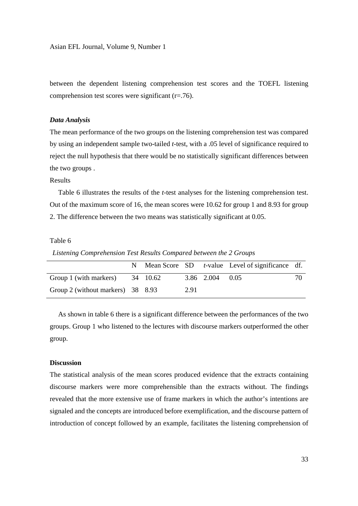between the dependent listening comprehension test scores and the TOEFL listening comprehension test scores were significant (r=.76).

#### *Data Analysis*

The mean performance of the two groups on the listening comprehension test was compared by using an independent sample two-tailed *t*-test, with a .05 level of significance required to reject the null hypothesis that there would be no statistically significant differences between the two groups .

# Results

 Table 6 illustrates the results of the *t*-test analyses for the listening comprehension test. Out of the maximum score of 16, the mean scores were 10.62 for group 1 and 8.93 for group 2. The difference between the two means was statistically significant at 0.05.

#### Table 6

 *Listening Comprehension Test Results Compared between the 2 Groups* 

|                                   |  |      |                 | N Mean Score $SD$ <i>t</i> -value Level of significance df. |    |
|-----------------------------------|--|------|-----------------|-------------------------------------------------------------|----|
| Group 1 (with markers) 34 10.62   |  |      | 3.86 2.004 0.05 |                                                             | 70 |
| Group 2 (without markers) 38 8.93 |  | 2.91 |                 |                                                             |    |

 As shown in table 6 there is a significant difference between the performances of the two groups. Group 1 who listened to the lectures with discourse markers outperformed the other group.

#### **Discussion**

The statistical analysis of the mean scores produced evidence that the extracts containing discourse markers were more comprehensible than the extracts without. The findings revealed that the more extensive use of frame markers in which the author's intentions are signaled and the concepts are introduced before exemplification, and the discourse pattern of introduction of concept followed by an example, facilitates the listening comprehension of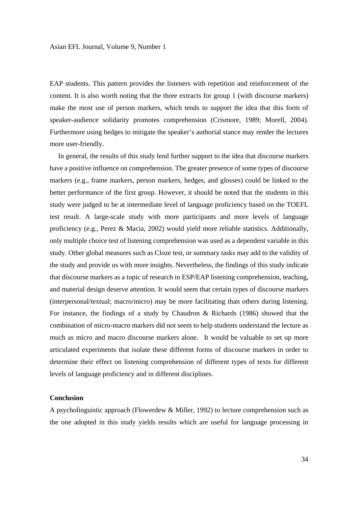EAP students. This pattern provides the listeners with repetition and reinforcement of the content. It is also worth noting that the three extracts for group 1 (with discourse markers) make the most use of person markers, which tends to support the idea that this form of speaker-audience solidarity promotes comprehension (Crismore, 1989; Morell, 2004). Furthermore using hedges to mitigate the speaker's authorial stance may render the lectures more user-friendly.

 In general, the results of this study lend further support to the idea that discourse markers have a positive influence on comprehension. The greater presence of some types of discourse markers (e.g., frame markers, person markers, hedges, and glosses) could be linked to the better performance of the first group. However, it should be noted that the students in this study were judged to be at intermediate level of language proficiency based on the TOEFL test result. A large-scale study with more participants and more levels of language proficiency (e.g., Perez & Macia, 2002) would yield more reliable statistics. Additionally, only multiple choice test of listening comprehension was used as a dependent variable in this study. Other global measures such as Cloze test, or summary tasks may add to the validity of the study and provide us with more insights. Nevertheless, the findings of this study indicate that discourse markers as a topic of research in ESP/EAP listening comprehension, teaching, and material design deserve attention. It would seem that certain types of discourse markers (interpersonal/textual; macro/micro) may be more facilitating than others during listening. For instance, the findings of a study by Chaudron & Richards (1986) showed that the combination of micro-macro markers did not seem to help students understand the lecture as much as micro and macro discourse markers alone. It would be valuable to set up more articulated experiments that isolate these different forms of discourse markers in order to determine their effect on listening comprehension of different types of texts for different levels of language proficiency and in different disciplines.

#### **Conclusion**

A psycholinguistic approach (Flowerdew & Miller, 1992) to lecture comprehension such as the one adopted in this study yields results which are useful for language processing in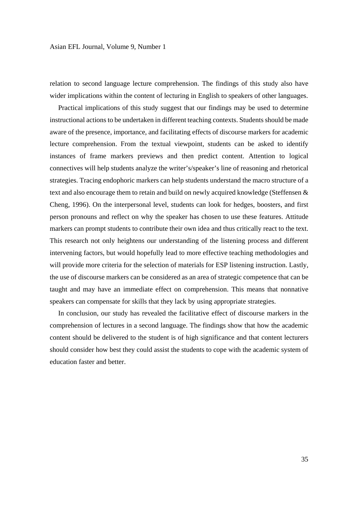relation to second language lecture comprehension. The findings of this study also have wider implications within the content of lecturing in English to speakers of other languages.

 Practical implications of this study suggest that our findings may be used to determine instructional actions to be undertaken in different teaching contexts. Students should be made aware of the presence, importance, and facilitating effects of discourse markers for academic lecture comprehension. From the textual viewpoint, students can be asked to identify instances of frame markers previews and then predict content. Attention to logical connectives will help students analyze the writer's/speaker's line of reasoning and rhetorical strategies. Tracing endophoric markers can help students understand the macro structure of a text and also encourage them to retain and build on newly acquired knowledge (Steffensen & Cheng, 1996). On the interpersonal level, students can look for hedges, boosters, and first person pronouns and reflect on why the speaker has chosen to use these features. Attitude markers can prompt students to contribute their own idea and thus critically react to the text. This research not only heightens our understanding of the listening process and different intervening factors, but would hopefully lead to more effective teaching methodologies and will provide more criteria for the selection of materials for ESP listening instruction. Lastly, the use of discourse markers can be considered as an area of strategic competence that can be taught and may have an immediate effect on comprehension. This means that nonnative speakers can compensate for skills that they lack by using appropriate strategies.

 In conclusion, our study has revealed the facilitative effect of discourse markers in the comprehension of lectures in a second language. The findings show that how the academic content should be delivered to the student is of high significance and that content lecturers should consider how best they could assist the students to cope with the academic system of education faster and better.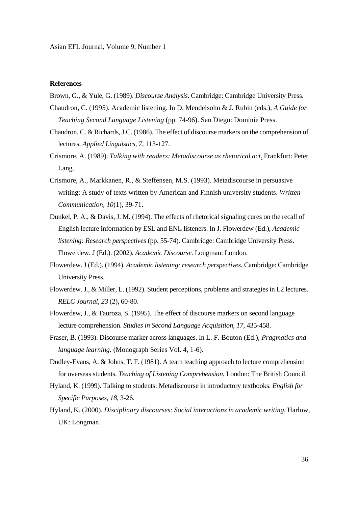## **References**

- Brown, G., & Yule, G. (1989). *Discourse Analysis*. Cambridge: Cambridge University Press.
- Chaudron, C. (1995). Academic listening. In D. Mendelsohn & J. Rubin (eds.), *A Guide for Teaching Second Language Listening* (pp. 74-96). San Diego: Dominie Press.
- Chaudron, C. & Richards, J.C. (1986). The effect of discourse markers on the comprehension of lectures. *Applied Linguistics, 7,* 113-127.
- Crismore, A. (1989). *Talking with readers: Metadiscourse as rhetorical act*. Frankfurt: Peter Lang.
- Crismore, A., Markkanen, R., & Steffensen, M.S. (1993). Metadiscourse in persuasive writing: A study of texts written by American and Finnish university students. *Written Communication, 10*(1)*,* 39-71.
- Dunkel, P. A., & Davis, J. M. (1994). The effects of rhetorical signaling cures on the recall of English lecture information by ESL and ENL listeners. In J. Flowerdew (Ed.), *Academic listening: Research perspectives* (pp. 55-74). Cambridge: Cambridge University Press. Flowerdew. J (Ed.). (2002). *Academic Discourse.* Longman: London.
- Flowerdew. J (Ed.). (1994). *Academic listening: research perspectives.* Cambridge: Cambridge University Press.
- Flowerdew. J., & Miller, L. (1992). Student perceptions, problems and strategies in L2 lectures. *RELC Journal, 23* (2), 60-80.
- Flowerdew, J., & Tauroza, S. (1995). The effect of discourse markers on second language lecture comprehension. *Studies in Second Language Acquisition, 17,* 435-458.
- Fraser, B. (1993). Discourse marker across languages. In L. F. Bouton (Ed.), *Pragmatics and language learning.* (Monograph Series Vol. 4, 1-6).
- Dudley-Evans, A. & Johns, T. F. (1981). A team teaching approach to lecture comprehension for overseas students. *Teaching of Listening Comprehension.* London: The British Council.
- Hyland, K. (1999). Talking to students: Metadiscourse in introductory textbooks. *English for Specific Purposes, 18,* 3-26.
- Hyland, K. (2000). *Disciplinary discourses: Social interactions in academic writing.* Harlow, UK: Longman.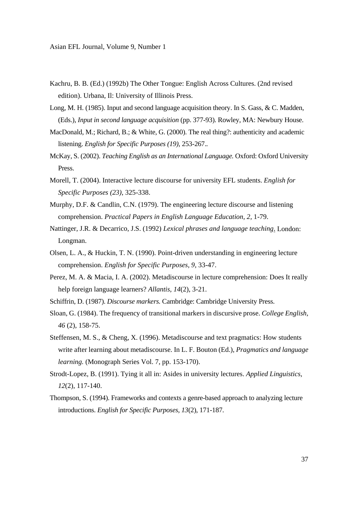- Kachru, B. B. (Ed.) (1992b) The Other Tongue: English Across Cultures. (2nd revised edition). Urbana, Il: University of Illinois Press.
- Long, M. H. (1985). Input and second language acquisition theory. In S. Gass, & C. Madden, (Eds.), *Input in second language acquisition* (pp. 377-93). Rowley, MA: Newbury House.
- MacDonald, M.; Richard, B.; & White, G. (2000). The real thing?: authenticity and academic listening. *English for Specific Purposes (19),* 253-267.*.*
- McKay, S. (2002). *Teaching English as an International Language.* Oxford: Oxford University Press.
- Morell, T. (2004). Interactive lecture discourse for university EFL students. *English for Specific Purposes (23)*, 325-338.
- Murphy, D.F. & Candlin, C.N. (1979). The engineering lecture discourse and listening comprehension. *Practical Papers in English Language Education, 2,* 1-79.
- Nattinger, J.R. & Decarrico, J.S. (1992) *Lexical phrases and language teaching*. London: Longman.
- Olsen, L. A., & Huckin, T. N. (1990). Point-driven understanding in engineering lecture comprehension. *English for Specific Purposes, 9,* 33-47.
- Perez, M. A. & Macia, I. A. (2002). Metadiscourse in lecture comprehension: Does It really help foreign language learners? *Allantis, 14*(2), 3-21.
- Schiffrin, D. (1987). *Discourse markers.* Cambridge: Cambridge University Press.
- Sloan, G. (1984). The frequency of transitional markers in discursive prose. *College English, 46* (2), 158-75.
- Steffensen, M. S., & Cheng, X. (1996). Metadiscourse and text pragmatics: How students write after learning about metadiscourse. In L. F. Bouton (Ed.), *Pragmatics and language learning.* (Monograph Series Vol. 7, pp. 153-170).
- Strodt-Lopez, B. (1991). Tying it all in: Asides in university lectures. *Applied Linguistics, 12*(2)*,* 117-140.
- Thompson, S. (1994). Frameworks and contexts a genre-based approach to analyzing lecture introductions. *English for Specific Purposes, 13*(2), 171-187.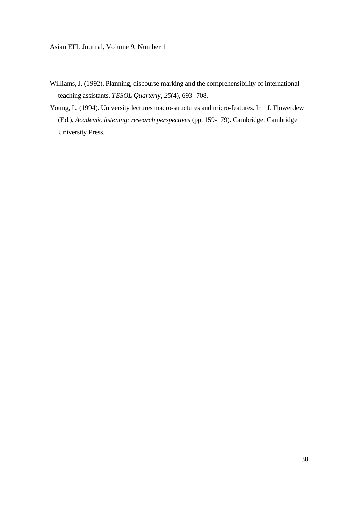- Williams, J. (1992). Planning, discourse marking and the comprehensibility of international teaching assistants. *TESOL Quarterly, 25*(4)*,* 693- 708.
- Young, L. (1994). University lectures macro-structures and micro-features. In J. Flowerdew (Ed.), *Academic listening: research perspectives* (pp. 159-179). Cambridge: Cambridge University Press.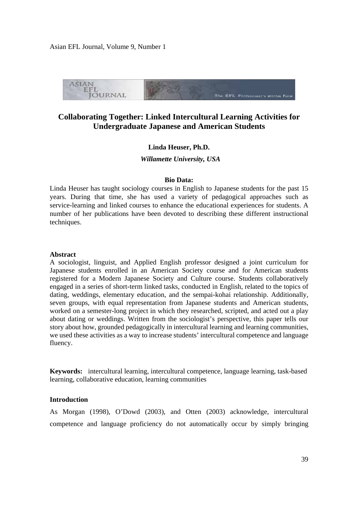

# **Collaborating Together: Linked Intercultural Learning Activities for Undergraduate Japanese and American Students**

# **Linda Heuser, Ph.D.**

 *Willamette University, USA* 

#### **Bio Data:**

Linda Heuser has taught sociology courses in English to Japanese students for the past 15 years. During that time, she has used a variety of pedagogical approaches such as service-learning and linked courses to enhance the educational experiences for students. A number of her publications have been devoted to describing these different instructional techniques.

#### **Abstract**

A sociologist, linguist, and Applied English professor designed a joint curriculum for Japanese students enrolled in an American Society course and for American students registered for a Modern Japanese Society and Culture course. Students collaboratively engaged in a series of short-term linked tasks, conducted in English, related to the topics of dating, weddings, elementary education, and the sempai-kohai relationship. Additionally, seven groups, with equal representation from Japanese students and American students, worked on a semester-long project in which they researched, scripted, and acted out a play about dating or weddings. Written from the sociologist's perspective, this paper tells our story about how, grounded pedagogically in intercultural learning and learning communities, we used these activities as a way to increase students' intercultural competence and language fluency.

**Keywords:** intercultural learning, intercultural competence, language learning, task-based learning, collaborative education, learning communities

# **Introduction**

As Morgan (1998), O'Dowd (2003), and Otten (2003) acknowledge, intercultural competence and language proficiency do not automatically occur by simply bringing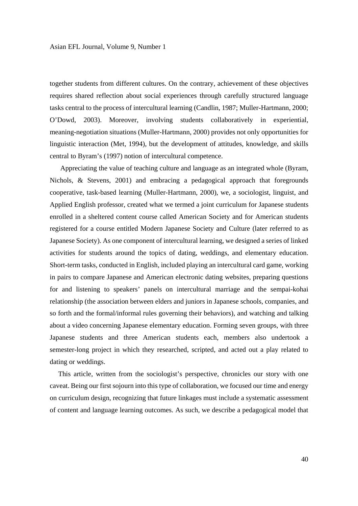together students from different cultures. On the contrary, achievement of these objectives requires shared reflection about social experiences through carefully structured language tasks central to the process of intercultural learning (Candlin, 1987; Muller-Hartmann, 2000; O'Dowd, 2003). Moreover, involving students collaboratively in experiential, meaning-negotiation situations (Muller-Hartmann, 2000) provides not only opportunities for linguistic interaction (Met, 1994), but the development of attitudes, knowledge, and skills central to Byram's (1997) notion of intercultural competence.

Appreciating the value of teaching culture and language as an integrated whole (Byram, Nichols, & Stevens, 2001) and embracing a pedagogical approach that foregrounds cooperative, task-based learning (Muller-Hartmann, 2000), we, a sociologist, linguist, and Applied English professor, created what we termed a joint curriculum for Japanese students enrolled in a sheltered content course called American Society and for American students registered for a course entitled Modern Japanese Society and Culture (later referred to as Japanese Society). As one component of intercultural learning, we designed a series of linked activities for students around the topics of dating, weddings, and elementary education. Short-term tasks, conducted in English, included playing an intercultural card game, working in pairs to compare Japanese and American electronic dating websites, preparing questions for and listening to speakers' panels on intercultural marriage and the sempai-kohai relationship (the association between elders and juniors in Japanese schools, companies, and so forth and the formal/informal rules governing their behaviors), and watching and talking about a video concerning Japanese elementary education. Forming seven groups, with three Japanese students and three American students each, members also undertook a semester-long project in which they researched, scripted, and acted out a play related to dating or weddings.

 This article, written from the sociologist's perspective, chronicles our story with one caveat. Being our first sojourn into this type of collaboration, we focused our time and energy on curriculum design, recognizing that future linkages must include a systematic assessment of content and language learning outcomes. As such, we describe a pedagogical model that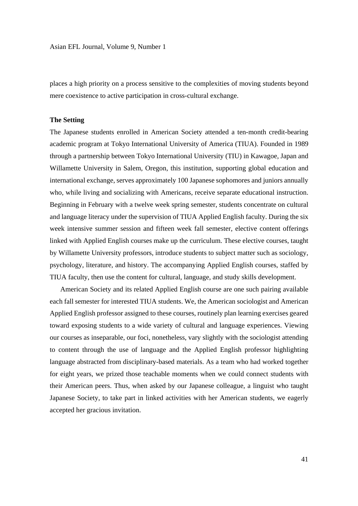places a high priority on a process sensitive to the complexities of moving students beyond mere coexistence to active participation in cross-cultural exchange.

#### **The Setting**

The Japanese students enrolled in American Society attended a ten-month credit-bearing academic program at Tokyo International University of America (TIUA). Founded in 1989 through a partnership between Tokyo International University (TIU) in Kawagoe, Japan and Willamette University in Salem, Oregon, this institution, supporting global education and international exchange, serves approximately 100 Japanese sophomores and juniors annually who, while living and socializing with Americans, receive separate educational instruction. Beginning in February with a twelve week spring semester, students concentrate on cultural and language literacy under the supervision of TIUA Applied English faculty. During the six week intensive summer session and fifteen week fall semester, elective content offerings linked with Applied English courses make up the curriculum. These elective courses, taught by Willamette University professors, introduce students to subject matter such as sociology, psychology, literature, and history. The accompanying Applied English courses, staffed by TIUA faculty, then use the content for cultural, language, and study skills development.

American Society and its related Applied English course are one such pairing available each fall semester for interested TIUA students. We, the American sociologist and American Applied English professor assigned to these courses, routinely plan learning exercises geared toward exposing students to a wide variety of cultural and language experiences. Viewing our courses as inseparable, our foci, nonetheless, vary slightly with the sociologist attending to content through the use of language and the Applied English professor highlighting language abstracted from disciplinary-based materials. As a team who had worked together for eight years, we prized those teachable moments when we could connect students with their American peers. Thus, when asked by our Japanese colleague, a linguist who taught Japanese Society, to take part in linked activities with her American students, we eagerly accepted her gracious invitation.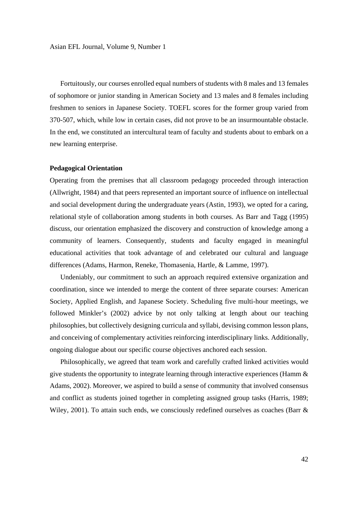Fortuitously, our courses enrolled equal numbers of students with 8 males and 13 females of sophomore or junior standing in American Society and 13 males and 8 females including freshmen to seniors in Japanese Society. TOEFL scores for the former group varied from 370-507, which, while low in certain cases, did not prove to be an insurmountable obstacle. In the end, we constituted an intercultural team of faculty and students about to embark on a new learning enterprise.

## **Pedagogical Orientation**

Operating from the premises that all classroom pedagogy proceeded through interaction (Allwright, 1984) and that peers represented an important source of influence on intellectual and social development during the undergraduate years (Astin, 1993), we opted for a caring, relational style of collaboration among students in both courses. As Barr and Tagg (1995) discuss, our orientation emphasized the discovery and construction of knowledge among a community of learners. Consequently, students and faculty engaged in meaningful educational activities that took advantage of and celebrated our cultural and language differences (Adams, Harmon, Reneke, Thomasenia, Hartle, & Lamme, 1997).

Undeniably, our commitment to such an approach required extensive organization and coordination, since we intended to merge the content of three separate courses: American Society, Applied English, and Japanese Society. Scheduling five multi-hour meetings, we followed Minkler's (2002) advice by not only talking at length about our teaching philosophies, but collectively designing curricula and syllabi, devising common lesson plans, and conceiving of complementary activities reinforcing interdisciplinary links. Additionally, ongoing dialogue about our specific course objectives anchored each session.

Philosophically, we agreed that team work and carefully crafted linked activities would give students the opportunity to integrate learning through interactive experiences (Hamm  $\&$ Adams, 2002). Moreover, we aspired to build a sense of community that involved consensus and conflict as students joined together in completing assigned group tasks (Harris, 1989; Wiley, 2001). To attain such ends, we consciously redefined ourselves as coaches (Barr &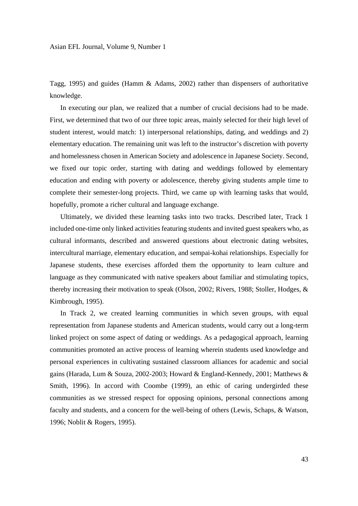Tagg, 1995) and guides (Hamm & Adams, 2002) rather than dispensers of authoritative knowledge.

In executing our plan, we realized that a number of crucial decisions had to be made. First, we determined that two of our three topic areas, mainly selected for their high level of student interest, would match: 1) interpersonal relationships, dating, and weddings and 2) elementary education. The remaining unit was left to the instructor's discretion with poverty and homelessness chosen in American Society and adolescence in Japanese Society. Second, we fixed our topic order, starting with dating and weddings followed by elementary education and ending with poverty or adolescence, thereby giving students ample time to complete their semester-long projects. Third, we came up with learning tasks that would, hopefully, promote a richer cultural and language exchange.

Ultimately, we divided these learning tasks into two tracks. Described later, Track 1 included one-time only linked activities featuring students and invited guest speakers who, as cultural informants, described and answered questions about electronic dating websites, intercultural marriage, elementary education, and sempai-kohai relationships. Especially for Japanese students, these exercises afforded them the opportunity to learn culture and language as they communicated with native speakers about familiar and stimulating topics, thereby increasing their motivation to speak (Olson, 2002; Rivers, 1988; Stoller, Hodges, & Kimbrough, 1995).

In Track 2, we created learning communities in which seven groups, with equal representation from Japanese students and American students, would carry out a long-term linked project on some aspect of dating or weddings. As a pedagogical approach, learning communities promoted an active process of learning wherein students used knowledge and personal experiences in cultivating sustained classroom alliances for academic and social gains (Harada, Lum & Souza, 2002-2003; Howard & England-Kennedy, 2001; Matthews & Smith, 1996). In accord with Coombe (1999), an ethic of caring undergirded these communities as we stressed respect for opposing opinions, personal connections among faculty and students, and a concern for the well-being of others (Lewis, Schaps, & Watson, 1996; Noblit & Rogers, 1995).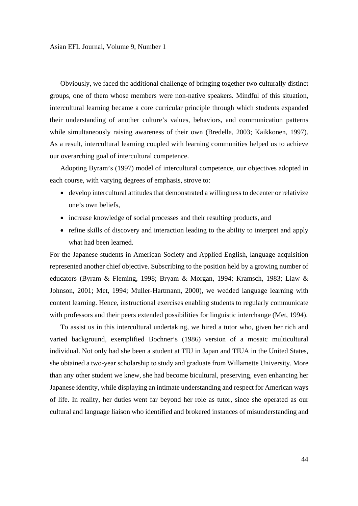Obviously, we faced the additional challenge of bringing together two culturally distinct groups, one of them whose members were non-native speakers. Mindful of this situation, intercultural learning became a core curricular principle through which students expanded their understanding of another culture's values, behaviors, and communication patterns while simultaneously raising awareness of their own (Bredella, 2003; Kaikkonen, 1997). As a result, intercultural learning coupled with learning communities helped us to achieve our overarching goal of intercultural competence.

Adopting Byram's (1997) model of intercultural competence, our objectives adopted in each course, with varying degrees of emphasis, strove to:

- develop intercultural attitudes that demonstrated a willingness to decenter or relativize one's own beliefs,
- increase knowledge of social processes and their resulting products, and
- refine skills of discovery and interaction leading to the ability to interpret and apply what had been learned.

For the Japanese students in American Society and Applied English, language acquisition represented another chief objective. Subscribing to the position held by a growing number of educators (Byram & Fleming, 1998; Bryam & Morgan, 1994; Kramsch, 1983; Liaw & Johnson, 2001; Met, 1994; Muller-Hartmann, 2000), we wedded language learning with content learning. Hence, instructional exercises enabling students to regularly communicate with professors and their peers extended possibilities for linguistic interchange (Met, 1994).

To assist us in this intercultural undertaking, we hired a tutor who, given her rich and varied background, exemplified Bochner's (1986) version of a mosaic multicultural individual. Not only had she been a student at TIU in Japan and TIUA in the United States, she obtained a two-year scholarship to study and graduate from Willamette University. More than any other student we knew, she had become bicultural, preserving, even enhancing her Japanese identity, while displaying an intimate understanding and respect for American ways of life. In reality, her duties went far beyond her role as tutor, since she operated as our cultural and language liaison who identified and brokered instances of misunderstanding and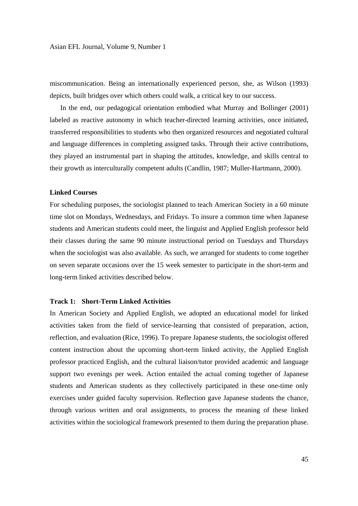miscommunication. Being an internationally experienced person, she, as Wilson (1993) depicts, built bridges over which others could walk, a critical key to our success.

In the end, our pedagogical orientation embodied what Murray and Bollinger (2001) labeled as reactive autonomy in which teacher-directed learning activities, once initiated, transferred responsibilities to students who then organized resources and negotiated cultural and language differences in completing assigned tasks. Through their active contributions, they played an instrumental part in shaping the attitudes, knowledge, and skills central to their growth as interculturally competent adults (Candlin, 1987; Muller-Hartmann, 2000).

# **Linked Courses**

For scheduling purposes, the sociologist planned to teach American Society in a 60 minute time slot on Mondays, Wednesdays, and Fridays. To insure a common time when Japanese students and American students could meet, the linguist and Applied English professor held their classes during the same 90 minute instructional period on Tuesdays and Thursdays when the sociologist was also available. As such, we arranged for students to come together on seven separate occasions over the 15 week semester to participate in the short-term and long-term linked activities described below.

## **Track 1: Short-Term Linked Activities**

In American Society and Applied English, we adopted an educational model for linked activities taken from the field of service-learning that consisted of preparation, action, reflection, and evaluation (Rice, 1996). To prepare Japanese students, the sociologist offered content instruction about the upcoming short-term linked activity, the Applied English professor practiced English, and the cultural liaison/tutor provided academic and language support two evenings per week. Action entailed the actual coming together of Japanese students and American students as they collectively participated in these one-time only exercises under guided faculty supervision. Reflection gave Japanese students the chance, through various written and oral assignments, to process the meaning of these linked activities within the sociological framework presented to them during the preparation phase.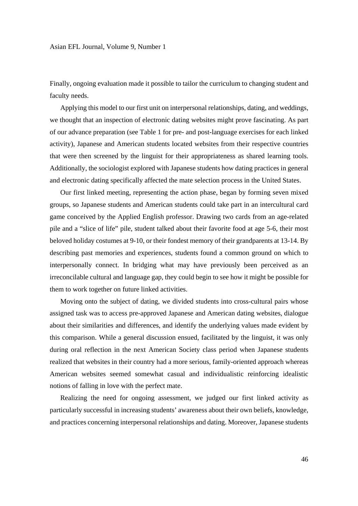Finally, ongoing evaluation made it possible to tailor the curriculum to changing student and faculty needs.

Applying this model to our first unit on interpersonal relationships, dating, and weddings, we thought that an inspection of electronic dating websites might prove fascinating. As part of our advance preparation (see Table 1 for pre- and post-language exercises for each linked activity), Japanese and American students located websites from their respective countries that were then screened by the linguist for their appropriateness as shared learning tools. Additionally, the sociologist explored with Japanese students how dating practices in general and electronic dating specifically affected the mate selection process in the United States.

Our first linked meeting, representing the action phase, began by forming seven mixed groups, so Japanese students and American students could take part in an intercultural card game conceived by the Applied English professor. Drawing two cards from an age-related pile and a "slice of life" pile, student talked about their favorite food at age 5-6, their most beloved holiday costumes at 9-10, or their fondest memory of their grandparents at 13-14. By describing past memories and experiences, students found a common ground on which to interpersonally connect. In bridging what may have previously been perceived as an irreconcilable cultural and language gap, they could begin to see how it might be possible for them to work together on future linked activities.

Moving onto the subject of dating, we divided students into cross-cultural pairs whose assigned task was to access pre-approved Japanese and American dating websites, dialogue about their similarities and differences, and identify the underlying values made evident by this comparison. While a general discussion ensued, facilitated by the linguist, it was only during oral reflection in the next American Society class period when Japanese students realized that websites in their country had a more serious, family-oriented approach whereas American websites seemed somewhat casual and individualistic reinforcing idealistic notions of falling in love with the perfect mate.

Realizing the need for ongoing assessment, we judged our first linked activity as particularly successful in increasing students' awareness about their own beliefs, knowledge, and practices concerning interpersonal relationships and dating. Moreover, Japanese students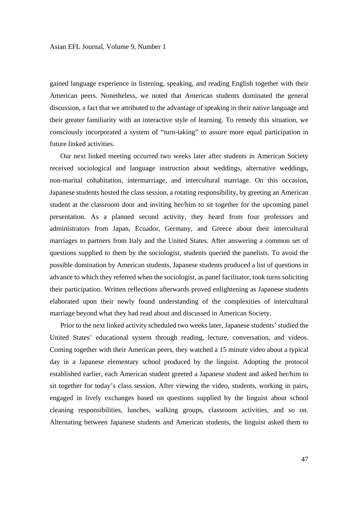gained language experience in listening, speaking, and reading English together with their American peers. Nonetheless, we noted that American students dominated the general discussion, a fact that we attributed to the advantage of speaking in their native language and their greater familiarity with an interactive style of learning. To remedy this situation, we consciously incorporated a system of "turn-taking" to assure more equal participation in future linked activities.

Our next linked meeting occurred two weeks later after students in American Society received sociological and language instruction about weddings, alternative weddings, non-marital cohabitation, intermarriage, and intercultural marriage. On this occasion, Japanese students hosted the class session, a rotating responsibility, by greeting an American student at the classroom door and inviting her/him to sit together for the upcoming panel presentation. As a planned second activity, they heard from four professors and administrators from Japan, Ecuador, Germany, and Greece about their intercultural marriages to partners from Italy and the United States. After answering a common set of questions supplied to them by the sociologist, students queried the panelists. To avoid the possible domination by American students, Japanese students produced a list of questions in advance to which they referred when the sociologist, as panel facilitator, took turns soliciting their participation. Written reflections afterwards proved enlightening as Japanese students elaborated upon their newly found understanding of the complexities of intercultural marriage beyond what they had read about and discussed in American Society.

Prior to the next linked activity scheduled two weeks later, Japanese students' studied the United States' educational system through reading, lecture, conversation, and videos. Coming together with their American peers, they watched a 15 minute video about a typical day in a Japanese elementary school produced by the linguist. Adopting the protocol established earlier, each American student greeted a Japanese student and asked her/him to sit together for today's class session. After viewing the video, students, working in pairs, engaged in lively exchanges based on questions supplied by the linguist about school cleaning responsibilities, lunches, walking groups, classroom activities, and so on. Alternating between Japanese students and American students, the linguist asked them to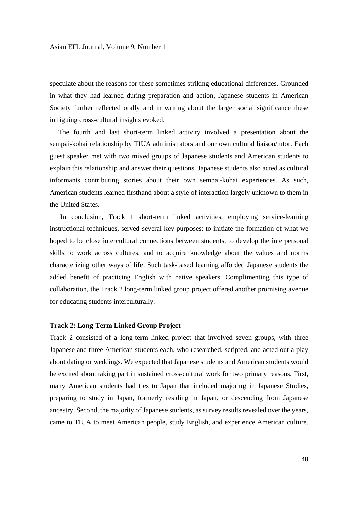speculate about the reasons for these sometimes striking educational differences. Grounded in what they had learned during preparation and action, Japanese students in American Society further reflected orally and in writing about the larger social significance these intriguing cross-cultural insights evoked.

 The fourth and last short-term linked activity involved a presentation about the sempai-kohai relationship by TIUA administrators and our own cultural liaison/tutor. Each guest speaker met with two mixed groups of Japanese students and American students to explain this relationship and answer their questions. Japanese students also acted as cultural informants contributing stories about their own sempai-kohai experiences. As such, American students learned firsthand about a style of interaction largely unknown to them in the United States.

In conclusion, Track 1 short-term linked activities, employing service-learning instructional techniques, served several key purposes: to initiate the formation of what we hoped to be close intercultural connections between students, to develop the interpersonal skills to work across cultures, and to acquire knowledge about the values and norms characterizing other ways of life. Such task-based learning afforded Japanese students the added benefit of practicing English with native speakers. Complimenting this type of collaboration, the Track 2 long-term linked group project offered another promising avenue for educating students interculturally.

# **Track 2: Long-Term Linked Group Project**

Track 2 consisted of a long-term linked project that involved seven groups, with three Japanese and three American students each, who researched, scripted, and acted out a play about dating or weddings. We expected that Japanese students and American students would be excited about taking part in sustained cross-cultural work for two primary reasons. First, many American students had ties to Japan that included majoring in Japanese Studies, preparing to study in Japan, formerly residing in Japan, or descending from Japanese ancestry. Second, the majority of Japanese students, as survey results revealed over the years, came to TIUA to meet American people, study English, and experience American culture.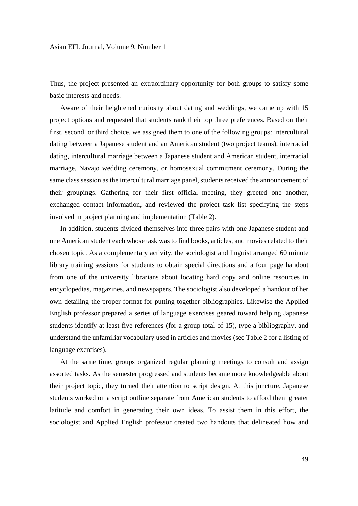Thus, the project presented an extraordinary opportunity for both groups to satisfy some basic interests and needs.

Aware of their heightened curiosity about dating and weddings, we came up with 15 project options and requested that students rank their top three preferences. Based on their first, second, or third choice, we assigned them to one of the following groups: intercultural dating between a Japanese student and an American student (two project teams), interracial dating, intercultural marriage between a Japanese student and American student, interracial marriage, Navajo wedding ceremony, or homosexual commitment ceremony. During the same class session as the intercultural marriage panel, students received the announcement of their groupings. Gathering for their first official meeting, they greeted one another, exchanged contact information, and reviewed the project task list specifying the steps involved in project planning and implementation (Table 2).

In addition, students divided themselves into three pairs with one Japanese student and one American student each whose task was to find books, articles, and movies related to their chosen topic. As a complementary activity, the sociologist and linguist arranged 60 minute library training sessions for students to obtain special directions and a four page handout from one of the university librarians about locating hard copy and online resources in encyclopedias, magazines, and newspapers. The sociologist also developed a handout of her own detailing the proper format for putting together bibliographies. Likewise the Applied English professor prepared a series of language exercises geared toward helping Japanese students identify at least five references (for a group total of 15), type a bibliography, and understand the unfamiliar vocabulary used in articles and movies (see Table 2 for a listing of language exercises).

At the same time, groups organized regular planning meetings to consult and assign assorted tasks. As the semester progressed and students became more knowledgeable about their project topic, they turned their attention to script design. At this juncture, Japanese students worked on a script outline separate from American students to afford them greater latitude and comfort in generating their own ideas. To assist them in this effort, the sociologist and Applied English professor created two handouts that delineated how and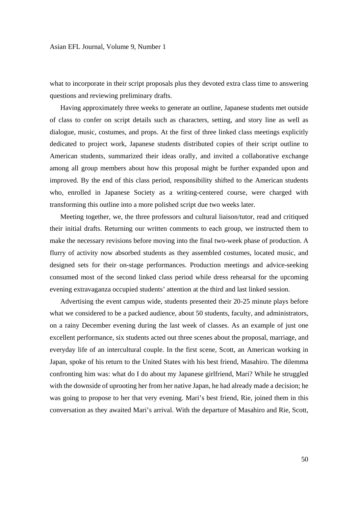what to incorporate in their script proposals plus they devoted extra class time to answering questions and reviewing preliminary drafts.

Having approximately three weeks to generate an outline, Japanese students met outside of class to confer on script details such as characters, setting, and story line as well as dialogue, music, costumes, and props. At the first of three linked class meetings explicitly dedicated to project work, Japanese students distributed copies of their script outline to American students, summarized their ideas orally, and invited a collaborative exchange among all group members about how this proposal might be further expanded upon and improved. By the end of this class period, responsibility shifted to the American students who, enrolled in Japanese Society as a writing-centered course, were charged with transforming this outline into a more polished script due two weeks later.

Meeting together, we, the three professors and cultural liaison/tutor, read and critiqued their initial drafts. Returning our written comments to each group, we instructed them to make the necessary revisions before moving into the final two-week phase of production. A flurry of activity now absorbed students as they assembled costumes, located music, and designed sets for their on-stage performances. Production meetings and advice-seeking consumed most of the second linked class period while dress rehearsal for the upcoming evening extravaganza occupied students' attention at the third and last linked session.

Advertising the event campus wide, students presented their 20-25 minute plays before what we considered to be a packed audience, about 50 students, faculty, and administrators, on a rainy December evening during the last week of classes. As an example of just one excellent performance, six students acted out three scenes about the proposal, marriage, and everyday life of an intercultural couple. In the first scene, Scott, an American working in Japan, spoke of his return to the United States with his best friend, Masahiro. The dilemma confronting him was: what do I do about my Japanese girlfriend, Mari? While he struggled with the downside of uprooting her from her native Japan, he had already made a decision; he was going to propose to her that very evening. Mari's best friend, Rie, joined them in this conversation as they awaited Mari's arrival. With the departure of Masahiro and Rie, Scott,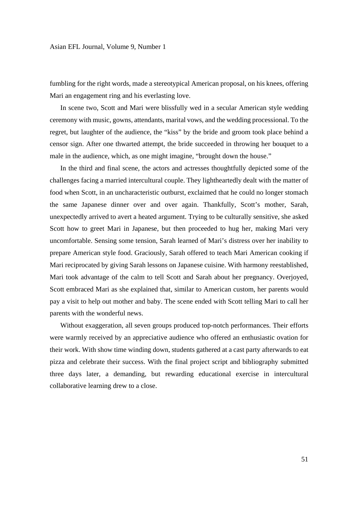fumbling for the right words, made a stereotypical American proposal, on his knees, offering Mari an engagement ring and his everlasting love.

In scene two, Scott and Mari were blissfully wed in a secular American style wedding ceremony with music, gowns, attendants, marital vows, and the wedding processional. To the regret, but laughter of the audience, the "kiss" by the bride and groom took place behind a censor sign. After one thwarted attempt, the bride succeeded in throwing her bouquet to a male in the audience, which, as one might imagine, "brought down the house."

In the third and final scene, the actors and actresses thoughtfully depicted some of the challenges facing a married intercultural couple. They lightheartedly dealt with the matter of food when Scott, in an uncharacteristic outburst, exclaimed that he could no longer stomach the same Japanese dinner over and over again. Thankfully, Scott's mother, Sarah, unexpectedly arrived to avert a heated argument. Trying to be culturally sensitive, she asked Scott how to greet Mari in Japanese, but then proceeded to hug her, making Mari very uncomfortable. Sensing some tension, Sarah learned of Mari's distress over her inability to prepare American style food. Graciously, Sarah offered to teach Mari American cooking if Mari reciprocated by giving Sarah lessons on Japanese cuisine. With harmony reestablished, Mari took advantage of the calm to tell Scott and Sarah about her pregnancy. Overjoyed, Scott embraced Mari as she explained that, similar to American custom, her parents would pay a visit to help out mother and baby. The scene ended with Scott telling Mari to call her parents with the wonderful news.

Without exaggeration, all seven groups produced top-notch performances. Their efforts were warmly received by an appreciative audience who offered an enthusiastic ovation for their work. With show time winding down, students gathered at a cast party afterwards to eat pizza and celebrate their success. With the final project script and bibliography submitted three days later, a demanding, but rewarding educational exercise in intercultural collaborative learning drew to a close.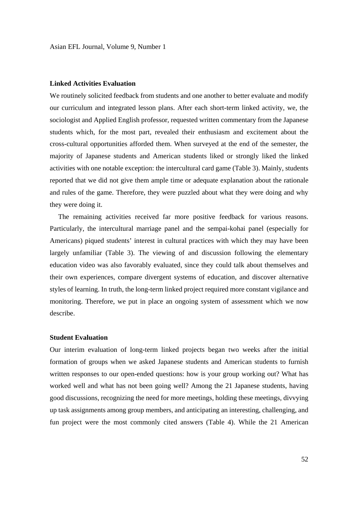# **Linked Activities Evaluation**

We routinely solicited feedback from students and one another to better evaluate and modify our curriculum and integrated lesson plans. After each short-term linked activity, we, the sociologist and Applied English professor, requested written commentary from the Japanese students which, for the most part, revealed their enthusiasm and excitement about the cross-cultural opportunities afforded them. When surveyed at the end of the semester, the majority of Japanese students and American students liked or strongly liked the linked activities with one notable exception: the intercultural card game (Table 3). Mainly, students reported that we did not give them ample time or adequate explanation about the rationale and rules of the game. Therefore, they were puzzled about what they were doing and why they were doing it.

 The remaining activities received far more positive feedback for various reasons. Particularly, the intercultural marriage panel and the sempai-kohai panel (especially for Americans) piqued students' interest in cultural practices with which they may have been largely unfamiliar (Table 3). The viewing of and discussion following the elementary education video was also favorably evaluated, since they could talk about themselves and their own experiences, compare divergent systems of education, and discover alternative styles of learning. In truth, the long-term linked project required more constant vigilance and monitoring. Therefore, we put in place an ongoing system of assessment which we now describe.

#### **Student Evaluation**

Our interim evaluation of long-term linked projects began two weeks after the initial formation of groups when we asked Japanese students and American students to furnish written responses to our open-ended questions: how is your group working out? What has worked well and what has not been going well? Among the 21 Japanese students, having good discussions, recognizing the need for more meetings, holding these meetings, divvying up task assignments among group members, and anticipating an interesting, challenging, and fun project were the most commonly cited answers (Table 4). While the 21 American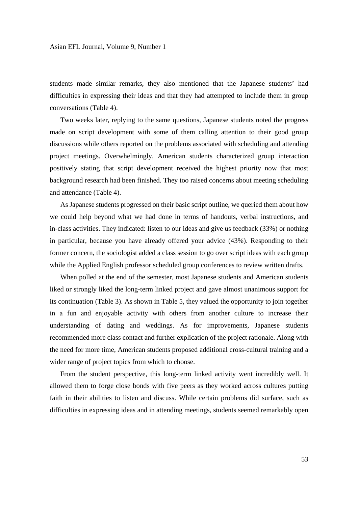students made similar remarks, they also mentioned that the Japanese students' had difficulties in expressing their ideas and that they had attempted to include them in group conversations (Table 4).

Two weeks later, replying to the same questions, Japanese students noted the progress made on script development with some of them calling attention to their good group discussions while others reported on the problems associated with scheduling and attending project meetings. Overwhelmingly, American students characterized group interaction positively stating that script development received the highest priority now that most background research had been finished. They too raised concerns about meeting scheduling and attendance (Table 4).

As Japanese students progressed on their basic script outline, we queried them about how we could help beyond what we had done in terms of handouts, verbal instructions, and in-class activities. They indicated: listen to our ideas and give us feedback (33%) or nothing in particular, because you have already offered your advice (43%). Responding to their former concern, the sociologist added a class session to go over script ideas with each group while the Applied English professor scheduled group conferences to review written drafts.

When polled at the end of the semester, most Japanese students and American students liked or strongly liked the long-term linked project and gave almost unanimous support for its continuation (Table 3). As shown in Table 5, they valued the opportunity to join together in a fun and enjoyable activity with others from another culture to increase their understanding of dating and weddings. As for improvements, Japanese students recommended more class contact and further explication of the project rationale. Along with the need for more time, American students proposed additional cross-cultural training and a wider range of project topics from which to choose.

From the student perspective, this long-term linked activity went incredibly well. It allowed them to forge close bonds with five peers as they worked across cultures putting faith in their abilities to listen and discuss. While certain problems did surface, such as difficulties in expressing ideas and in attending meetings, students seemed remarkably open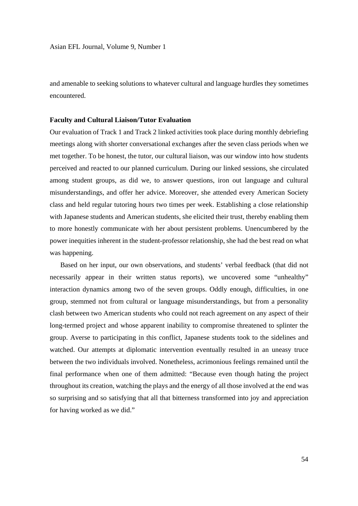and amenable to seeking solutions to whatever cultural and language hurdles they sometimes encountered.

#### **Faculty and Cultural Liaison/Tutor Evaluation**

Our evaluation of Track 1 and Track 2 linked activities took place during monthly debriefing meetings along with shorter conversational exchanges after the seven class periods when we met together. To be honest, the tutor, our cultural liaison, was our window into how students perceived and reacted to our planned curriculum. During our linked sessions, she circulated among student groups, as did we, to answer questions, iron out language and cultural misunderstandings, and offer her advice. Moreover, she attended every American Society class and held regular tutoring hours two times per week. Establishing a close relationship with Japanese students and American students, she elicited their trust, thereby enabling them to more honestly communicate with her about persistent problems. Unencumbered by the power inequities inherent in the student-professor relationship, she had the best read on what was happening.

Based on her input, our own observations, and students' verbal feedback (that did not necessarily appear in their written status reports), we uncovered some "unhealthy" interaction dynamics among two of the seven groups. Oddly enough, difficulties, in one group, stemmed not from cultural or language misunderstandings, but from a personality clash between two American students who could not reach agreement on any aspect of their long-termed project and whose apparent inability to compromise threatened to splinter the group. Averse to participating in this conflict, Japanese students took to the sidelines and watched. Our attempts at diplomatic intervention eventually resulted in an uneasy truce between the two individuals involved. Nonetheless, acrimonious feelings remained until the final performance when one of them admitted: "Because even though hating the project throughout its creation, watching the plays and the energy of all those involved at the end was so surprising and so satisfying that all that bitterness transformed into joy and appreciation for having worked as we did."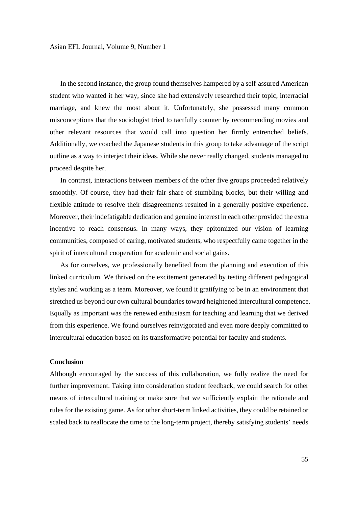In the second instance, the group found themselves hampered by a self-assured American student who wanted it her way, since she had extensively researched their topic, interracial marriage, and knew the most about it. Unfortunately, she possessed many common misconceptions that the sociologist tried to tactfully counter by recommending movies and other relevant resources that would call into question her firmly entrenched beliefs. Additionally, we coached the Japanese students in this group to take advantage of the script outline as a way to interject their ideas. While she never really changed, students managed to proceed despite her.

In contrast, interactions between members of the other five groups proceeded relatively smoothly. Of course, they had their fair share of stumbling blocks, but their willing and flexible attitude to resolve their disagreements resulted in a generally positive experience. Moreover, their indefatigable dedication and genuine interest in each other provided the extra incentive to reach consensus. In many ways, they epitomized our vision of learning communities, composed of caring, motivated students, who respectfully came together in the spirit of intercultural cooperation for academic and social gains.

As for ourselves, we professionally benefited from the planning and execution of this linked curriculum. We thrived on the excitement generated by testing different pedagogical styles and working as a team. Moreover, we found it gratifying to be in an environment that stretched us beyond our own cultural boundaries toward heightened intercultural competence. Equally as important was the renewed enthusiasm for teaching and learning that we derived from this experience. We found ourselves reinvigorated and even more deeply committed to intercultural education based on its transformative potential for faculty and students.

# **Conclusion**

Although encouraged by the success of this collaboration, we fully realize the need for further improvement. Taking into consideration student feedback, we could search for other means of intercultural training or make sure that we sufficiently explain the rationale and rules for the existing game. As for other short-term linked activities, they could be retained or scaled back to reallocate the time to the long-term project, thereby satisfying students' needs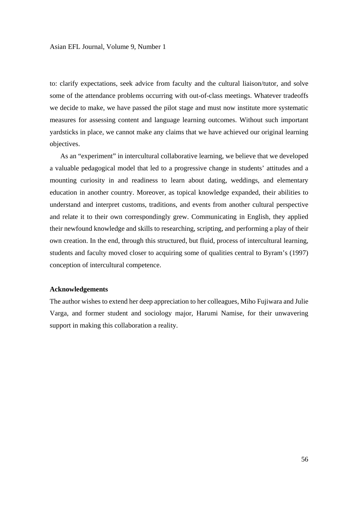to: clarify expectations, seek advice from faculty and the cultural liaison/tutor, and solve some of the attendance problems occurring with out-of-class meetings. Whatever tradeoffs we decide to make, we have passed the pilot stage and must now institute more systematic measures for assessing content and language learning outcomes. Without such important yardsticks in place, we cannot make any claims that we have achieved our original learning objectives.

As an "experiment" in intercultural collaborative learning, we believe that we developed a valuable pedagogical model that led to a progressive change in students' attitudes and a mounting curiosity in and readiness to learn about dating, weddings, and elementary education in another country. Moreover, as topical knowledge expanded, their abilities to understand and interpret customs, traditions, and events from another cultural perspective and relate it to their own correspondingly grew. Communicating in English, they applied their newfound knowledge and skills to researching, scripting, and performing a play of their own creation. In the end, through this structured, but fluid, process of intercultural learning, students and faculty moved closer to acquiring some of qualities central to Byram's (1997) conception of intercultural competence.

# **Acknowledgements**

The author wishes to extend her deep appreciation to her colleagues, Miho Fujiwara and Julie Varga, and former student and sociology major, Harumi Namise, for their unwavering support in making this collaboration a reality.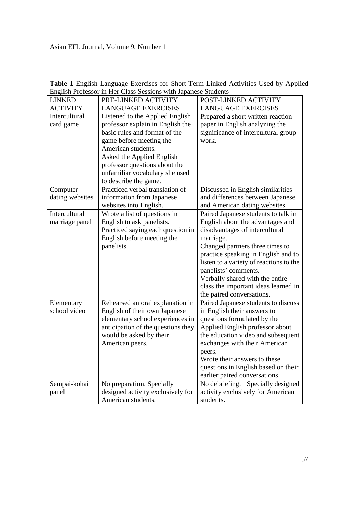| <b>LINKED</b>   | PRE-LINKED ACTIVITY                | POST-LINKED ACTIVITY                    |
|-----------------|------------------------------------|-----------------------------------------|
| <b>ACTIVITY</b> | <b>LANGUAGE EXERCISES</b>          | <b>LANGUAGE EXERCISES</b>               |
| Intercultural   | Listened to the Applied English    | Prepared a short written reaction       |
| card game       | professor explain in English the   | paper in English analyzing the          |
|                 | basic rules and format of the      | significance of intercultural group     |
|                 | game before meeting the            | work.                                   |
|                 | American students.                 |                                         |
|                 | Asked the Applied English          |                                         |
|                 | professor questions about the      |                                         |
|                 | unfamiliar vocabulary she used     |                                         |
|                 | to describe the game.              |                                         |
| Computer        | Practiced verbal translation of    | Discussed in English similarities       |
| dating websites | information from Japanese          | and differences between Japanese        |
|                 | websites into English.             | and American dating websites.           |
| Intercultural   | Wrote a list of questions in       | Paired Japanese students to talk in     |
| marriage panel  | English to ask panelists.          | English about the advantages and        |
|                 | Practiced saying each question in  | disadvantages of intercultural          |
|                 | English before meeting the         | marriage.                               |
|                 | panelists.                         | Changed partners three times to         |
|                 |                                    | practice speaking in English and to     |
|                 |                                    | listen to a variety of reactions to the |
|                 |                                    | panelists' comments.                    |
|                 |                                    | Verbally shared with the entire         |
|                 |                                    | class the important ideas learned in    |
|                 |                                    | the paired conversations.               |
| Elementary      | Rehearsed an oral explanation in   | Paired Japanese students to discuss     |
| school video    | English of their own Japanese      | in English their answers to             |
|                 | elementary school experiences in   | questions formulated by the             |
|                 | anticipation of the questions they | Applied English professor about         |
|                 | would be asked by their            | the education video and subsequent      |
|                 | American peers.                    | exchanges with their American           |
|                 |                                    | peers.                                  |
|                 |                                    | Wrote their answers to these            |
|                 |                                    | questions in English based on their     |
|                 |                                    | earlier paired conversations.           |
| Sempai-kohai    | No preparation. Specially          | No debriefing. Specially designed       |
| panel           | designed activity exclusively for  | activity exclusively for American       |
|                 | American students.                 | students.                               |

**Table 1** English Language Exercises for Short-Term Linked Activities Used by Applied English Professor in Her Class Sessions with Japanese Students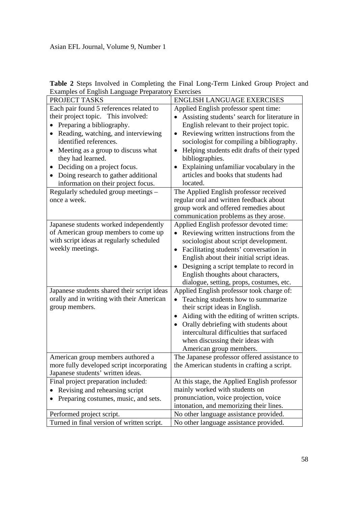| <b>Table 2</b> Steps Involved in Completing the Final Long-Term Linked Group Project and |  |  |
|------------------------------------------------------------------------------------------|--|--|
| Examples of English Language Preparatory Exercises                                       |  |  |

| PROJECT TASKS                                    | <b>ENGLISH LANGUAGE EXERCISES</b>                        |
|--------------------------------------------------|----------------------------------------------------------|
| Each pair found 5 references related to          | Applied English professor spent time:                    |
| their project topic. This involved:              | Assisting students' search for literature in             |
| Preparing a bibliography.                        | English relevant to their project topic.                 |
| Reading, watching, and interviewing<br>$\bullet$ | Reviewing written instructions from the<br>$\bullet$     |
| identified references.                           | sociologist for compiling a bibliography.                |
| Meeting as a group to discuss what               | Helping students edit drafts of their typed<br>$\bullet$ |
| they had learned.                                | bibliographies.                                          |
| Deciding on a project focus.<br>$\bullet$        | Explaining unfamiliar vocabulary in the<br>$\bullet$     |
| Doing research to gather additional              | articles and books that students had                     |
| information on their project focus.              | located.                                                 |
| Regularly scheduled group meetings -             | The Applied English professor received                   |
| once a week.                                     | regular oral and written feedback about                  |
|                                                  | group work and offered remedies about                    |
|                                                  | communication problems as they arose.                    |
| Japanese students worked independently           | Applied English professor devoted time:                  |
| of American group members to come up             | Reviewing written instructions from the                  |
| with script ideas at regularly scheduled         | sociologist about script development.                    |
| weekly meetings.                                 | Facilitating students' conversation in                   |
|                                                  | English about their initial script ideas.                |
|                                                  | Designing a script template to record in                 |
|                                                  | English thoughts about characters,                       |
|                                                  | dialogue, setting, props, costumes, etc.                 |
| Japanese students shared their script ideas      | Applied English professor took charge of:                |
| orally and in writing with their American        | Teaching students how to summarize<br>$\bullet$          |
| group members.                                   | their script ideas in English.                           |
|                                                  | Aiding with the editing of written scripts.<br>$\bullet$ |
|                                                  | Orally debriefing with students about<br>$\bullet$       |
|                                                  | intercultural difficulties that surfaced                 |
|                                                  | when discussing their ideas with                         |
|                                                  | American group members.                                  |
| American group members authored a                | The Japanese professor offered assistance to             |
| more fully developed script incorporating        | the American students in crafting a script.              |
| Japanese students' written ideas.                |                                                          |
| Final project preparation included:              | At this stage, the Applied English professor             |
| Revising and rehearsing script                   | mainly worked with students on                           |
| Preparing costumes, music, and sets.             | pronunciation, voice projection, voice                   |
|                                                  | intonation, and memorizing their lines.                  |
| Performed project script.                        | No other language assistance provided.                   |
| Turned in final version of written script.       | No other language assistance provided.                   |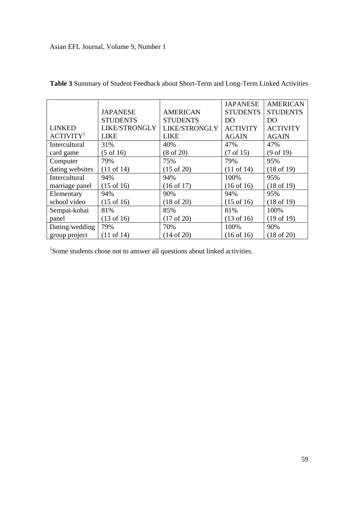|                       |                       |                       | <b>JAPANESE</b>       | <b>AMERICAN</b>       |
|-----------------------|-----------------------|-----------------------|-----------------------|-----------------------|
|                       | <b>JAPANESE</b>       | <b>AMERICAN</b>       | <b>STUDENTS</b>       | <b>STUDENTS</b>       |
|                       | <b>STUDENTS</b>       | <b>STUDENTS</b>       | DO                    | DO                    |
| <b>LINKED</b>         | LIKE/STRONGLY         | LIKE/STRONGLY         | <b>ACTIVITY</b>       | <b>ACTIVITY</b>       |
| ACTIVITY <sup>1</sup> | <b>LIKE</b>           | <b>LIKE</b>           | <b>AGAIN</b>          | <b>AGAIN</b>          |
| Intercultural         | 31%                   | 40%                   | 47%                   | 47%                   |
| card game             | $(5 \text{ of } 16)$  | $(8 \text{ of } 20)$  | $(7 \text{ of } 15)$  | $(9 \text{ of } 19)$  |
| Computer              | 79%                   | 75%                   | 79%                   | 95%                   |
| dating websites       | $(11$ of 14)          | $(15 \text{ of } 20)$ | $(11$ of 14)          | $(18 \text{ of } 19)$ |
| Intercultural         | 94%                   | 94%                   | 100%                  | 95%                   |
| marriage panel        | $(15 \text{ of } 16)$ | (16 of 17)            | $(16$ of $16)$        | $(18 \text{ of } 19)$ |
| Elementary            | 94%                   | 90%                   | 94%                   | 95%                   |
| school video          | $(15 \text{ of } 16)$ | $(18 \text{ of } 20)$ | $(15 \text{ of } 16)$ | $(18 \text{ of } 19)$ |
| Sempai-kohai          | 81%                   | 85%                   | 81%                   | 100%                  |
| panel                 | $(13 \text{ of } 16)$ | $(17 \text{ of } 20)$ | $(13 \text{ of } 16)$ | $(19 \text{ of } 19)$ |
| Dating/wedding        | 79%                   | 70%                   | 100%                  | 90%                   |
| group project         | $(11 \text{ of } 14)$ | $(14 \text{ of } 20)$ | $(16$ of $16)$        | $(18$ of 20)          |

**Table 3** Summary of Student Feedback about Short-Term and Long-Term Linked Activities

<sup>1</sup>Some students chose not to answer all questions about linked activities.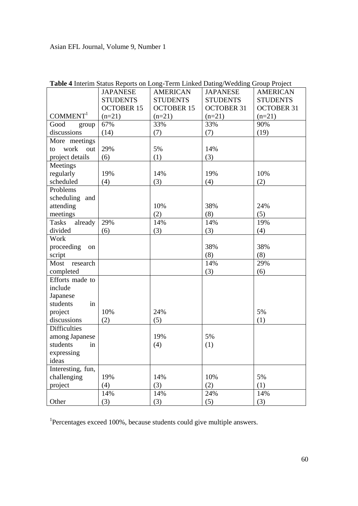|                         | <b>JAPANESE</b>   | <b>AMERICAN</b>   | <b>JAPANESE</b>   | <b>AMERICAN</b>   |
|-------------------------|-------------------|-------------------|-------------------|-------------------|
|                         | <b>STUDENTS</b>   | <b>STUDENTS</b>   | <b>STUDENTS</b>   | <b>STUDENTS</b>   |
|                         | <b>OCTOBER 15</b> | <b>OCTOBER 15</b> | <b>OCTOBER 31</b> | <b>OCTOBER 31</b> |
| COMMENT <sup>1</sup>    | $(n=21)$          | $(n=21)$          | $(n=21)$          | $(n=21)$          |
| Good<br>group           | 67%               | 33%               | 33%               | 90%               |
| discussions             | (14)              | (7)               | (7)               | (19)              |
| More meetings           |                   |                   |                   |                   |
| work<br>out<br>to       | 29%               | 5%                | 14%               |                   |
| project details         | (6)               | (1)               | (3)               |                   |
| Meetings                |                   |                   |                   |                   |
| regularly               | 19%               | 14%               | 19%               | 10%               |
| scheduled               | (4)               | (3)               | (4)               | (2)               |
| Problems                |                   |                   |                   |                   |
| scheduling and          |                   |                   |                   |                   |
| attending               |                   | 10%               | 38%               | 24%               |
| meetings                |                   | (2)               | (8)               | (5)               |
| <b>Tasks</b><br>already | 29%               | 14%               | 14%               | 19%               |
| divided                 | (6)               | (3)               | (3)               | (4)               |
| Work                    |                   |                   |                   |                   |
| proceeding<br>on        |                   |                   | 38%               | 38%               |
| script                  |                   |                   | (8)               | (8)               |
| Most research           |                   |                   | 14%               | 29%               |
| completed               |                   |                   | (3)               | (6)               |
| Efforts made to         |                   |                   |                   |                   |
| include                 |                   |                   |                   |                   |
| Japanese                |                   |                   |                   |                   |
| students<br>in          |                   |                   |                   |                   |
| project                 | 10%               | 24%               |                   | 5%                |
| discussions             | (2)               | (5)               |                   | (1)               |
| <b>Difficulties</b>     |                   |                   |                   |                   |
| among Japanese          |                   | 19%               | 5%                |                   |
| students<br>in          |                   | (4)               | (1)               |                   |
| expressing              |                   |                   |                   |                   |
| ideas                   |                   |                   |                   |                   |
| Interesting, fun,       |                   |                   |                   |                   |
| challenging             | 19%               | 14%               | 10%               | 5%                |
| project                 | (4)               | (3)               | (2)               | (1)               |
|                         | 14%               | 14%               | 24%               | 14%               |
| Other                   | (3)               | (3)               | (5)               | (3)               |

| Table 4 Interim Status Reports on Long-Term Linked Dating/Wedding Group Project |  |  |
|---------------------------------------------------------------------------------|--|--|
|                                                                                 |  |  |

<sup>1</sup>Percentages exceed 100%, because students could give multiple answers.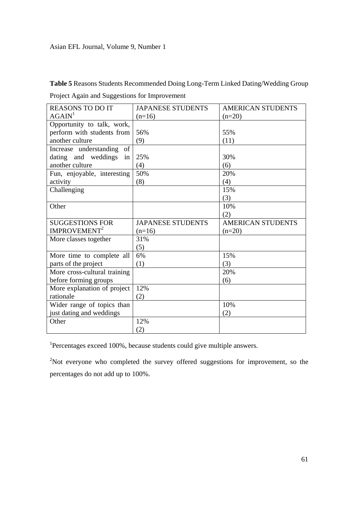**Table 5** Reasons Students Recommended Doing Long-Term Linked Dating/Wedding Group Project Again and Suggestions for Improvement

| <b>REASONS TO DO IT</b>      | <b>JAPANESE STUDENTS</b> | <b>AMERICAN STUDENTS</b> |
|------------------------------|--------------------------|--------------------------|
| AGAIN <sup>1</sup>           | $(n=16)$                 | $(n=20)$                 |
| Opportunity to talk, work,   |                          |                          |
| perform with students from   | 56%                      | 55%                      |
| another culture              | (9)                      | (11)                     |
| Increase understanding<br>of |                          |                          |
| dating and weddings<br>in    | 25%                      | 30%                      |
| another culture              | (4)                      | (6)                      |
| Fun, enjoyable, interesting  | 50%                      | 20%                      |
| activity                     | (8)                      | (4)                      |
| Challenging                  |                          | 15%                      |
|                              |                          | (3)                      |
| Other                        |                          | 10%                      |
|                              |                          | (2)                      |
|                              |                          |                          |
| <b>SUGGESTIONS FOR</b>       | <b>JAPANESE STUDENTS</b> | <b>AMERICAN STUDENTS</b> |
| IMPROVEMENT <sup>2</sup>     | $(n=16)$                 | $(n=20)$                 |
| More classes together        | 31%                      |                          |
|                              | (5)                      |                          |
| More time to complete all    | 6%                       | 15%                      |
| parts of the project         | (1)                      | (3)                      |
| More cross-cultural training |                          | 20%                      |
| before forming groups        |                          | (6)                      |
| More explanation of project  | 12%                      |                          |
| rationale                    | (2)                      |                          |
| Wider range of topics than   |                          | 10%                      |
| just dating and weddings     |                          | (2)                      |
| Other                        | 12%                      |                          |

<sup>1</sup>Percentages exceed 100%, because students could give multiple answers.

 $2$ Not everyone who completed the survey offered suggestions for improvement, so the percentages do not add up to 100%.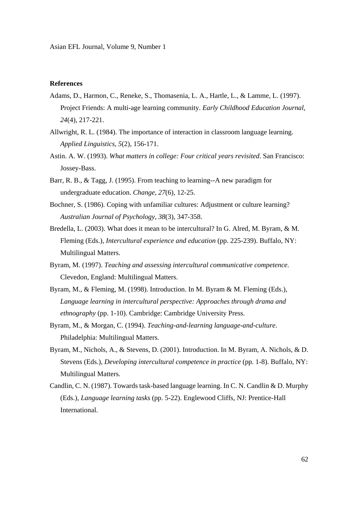# **References**

- Adams, D., Harmon, C., Reneke, S., Thomasenia, L. A., Hartle, L., & Lamme, L. (1997). Project Friends: A multi-age learning community. *Early Childhood Education Journal, 24*(4), 217-221.
- Allwright, R. L. (1984). The importance of interaction in classroom language learning. *Applied Linguistics, 5*(2), 156-171.
- Astin. A. W. (1993). *What matters in college: Four critical years revisited*. San Francisco: Jossey-Bass.
- Barr, R. B., & Tagg, J. (1995). From teaching to learning--A new paradigm for undergraduate education. *Change, 27*(6), 12-25.
- Bochner, S. (1986). Coping with unfamiliar cultures: Adjustment or culture learning? *Australian Journal of Psychology, 38*(3), 347-358.
- Bredella, L. (2003). What does it mean to be intercultural? In G. Alred, M. Byram, & M. Fleming (Eds.), *Intercultural experience and education* (pp. 225-239). Buffalo, NY: Multilingual Matters.
- Byram, M. (1997). *Teaching and assessing intercultural communicative competence.*  Clevedon, England: Multilingual Matters.
- Byram, M., & Fleming, M. (1998). Introduction. In M. Byram & M. Fleming (Eds.), *Language learning in intercultural perspective: Approaches through drama and ethnography* (pp. 1-10). Cambridge: Cambridge University Press.
- Byram, M., & Morgan, C. (1994). *Teaching-and-learning language-and-culture*. Philadelphia: Multilingual Matters.
- Byram, M., Nichols, A., & Stevens, D. (2001). Introduction. In M. Byram, A. Nichols, & D. Stevens (Eds.), *Developing intercultural competence in practice* (pp. 1-8). Buffalo, NY: Multilingual Matters.
- Candlin, C. N. (1987). Towards task-based language learning. In C. N. Candlin & D. Murphy (Eds.), *Language learning tasks* (pp. 5-22). Englewood Cliffs, NJ: Prentice-Hall International.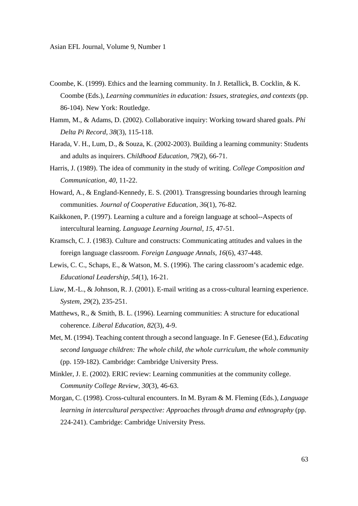- Coombe, K. (1999). Ethics and the learning community. In J. Retallick, B. Cocklin, & K. Coombe (Eds.), *Learning communities in education: Issues, strategies, and contexts* (pp. 86-104). New York: Routledge.
- Hamm, M., & Adams, D. (2002). Collaborative inquiry: Working toward shared goals. *Phi Delta Pi Record, 38*(3), 115-118.
- Harada, V. H., Lum, D., & Souza, K. (2002-2003). Building a learning community: Students and adults as inquirers. *Childhood Education, 79*(2), 66-71.
- Harris, J. (1989). The idea of community in the study of writing. *College Composition and Communication, 40*, 11-22.
- Howard, A., & England-Kennedy, E. S. (2001). Transgressing boundaries through learning communities. *Journal of Cooperative Education, 36*(1), 76-82.
- Kaikkonen, P. (1997). Learning a culture and a foreign language at school--Aspects of intercultural learning. *Language Learning Journal, 15*, 47-51.
- Kramsch, C. J. (1983). Culture and constructs: Communicating attitudes and values in the foreign language classroom. *Foreign Language Annals, 16*(6), 437-448.
- Lewis, C. C., Schaps, E., & Watson, M. S. (1996). The caring classroom's academic edge. *Educational Leadership, 54*(1), 16-21.
- Liaw, M.-L., & Johnson, R. J. (2001). E-mail writing as a cross-cultural learning experience. *System, 29*(2), 235-251.
- Matthews, R., & Smith, B. L. (1996). Learning communities: A structure for educational coherence. *Liberal Education, 82*(3), 4-9.
- Met, M. (1994). Teaching content through a second language. In F. Genesee (Ed.), *Educating second language children: The whole child, the whole curriculum, the whole community*  (pp. 159-182). Cambridge: Cambridge University Press.
- Minkler, J. E. (2002). ERIC review: Learning communities at the community college. *Community College Review, 30*(3), 46-63.
- Morgan, C. (1998). Cross-cultural encounters. In M. Byram & M. Fleming (Eds.), *Language learning in intercultural perspective: Approaches through drama and ethnography (pp.* 224-241). Cambridge: Cambridge University Press.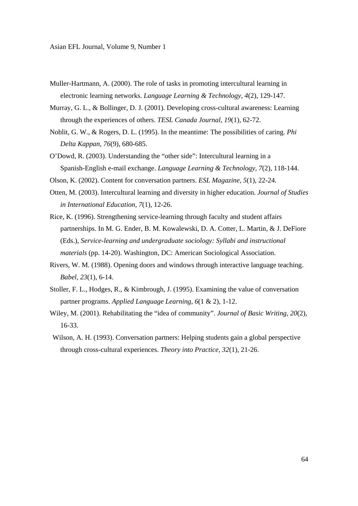- Muller-Hartmann, A. (2000). The role of tasks in promoting intercultural learning in electronic learning networks. *Language Learning & Technology, 4*(2), 129-147.
- Murray, G. L., & Bollinger, D. J. (2001). Developing cross-cultural awareness: Learning through the experiences of others. *TESL Canada Journal, 19*(1), 62-72.
- Noblit, G. W., & Rogers, D. L. (1995). In the meantime: The possibilities of caring. *Phi Delta Kappan, 76*(9), 680-685.
- O'Dowd, R. (2003). Understanding the "other side": Intercultural learning in a Spanish-English e-mail exchange. *Language Learning & Technology, 7*(2), 118-144.
- Olson, K. (2002). Content for conversation partners. *ESL Magazine, 5*(1), 22-24.
- Otten, M. (2003). Intercultural learning and diversity in higher education. *Journal of Studies in International Education, 7*(1), 12-26.
- Rice, K. (1996). Strengthening service-learning through faculty and student affairs partnerships. In M. G. Ender, B. M. Kowalewski, D. A. Cotter, L. Martin, & J. DeFiore (Eds.), *Service-learning and undergraduate sociology: Syllabi and instructional materials* (pp. 14-20). Washington, DC: American Sociological Association.
- Rivers, W. M. (1988). Opening doors and windows through interactive language teaching. *Babel, 23*(1), 6-14.
- Stoller, F. L., Hodges, R., & Kimbrough, J. (1995). Examining the value of conversation partner programs. *Applied Language Learning, 6*(1 & 2), 1-12.
- Wiley, M. (2001). Rehabilitating the "idea of community". *Journal of Basic Writing, 20*(2), 16-33.
- Wilson, A. H. (1993). Conversation partners: Helping students gain a global perspective through cross-cultural experiences. *Theory into Practice, 32*(1), 21-26.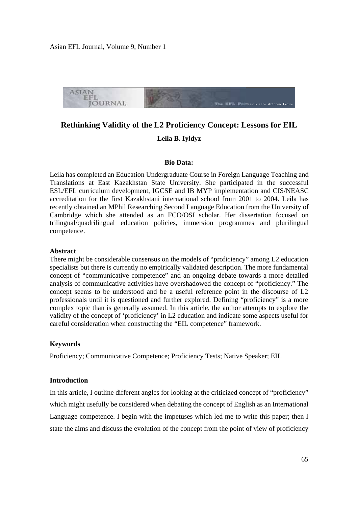

# **Rethinking Validity of the L2 Proficiency Concept: Lessons for EIL**

# **Leila B. Iyldyz**

#### **Bio Data:**

Leila has completed an Education Undergraduate Course in Foreign Language Teaching and Translations at East Kazakhstan State University. She participated in the successful ESL/EFL curriculum development, IGCSE and IB MYP implementation and CIS/NEASC accreditation for the first Kazakhstani international school from 2001 to 2004. Leila has recently obtained an MPhil Researching Second Language Education from the University of Cambridge which she attended as an FCO/OSI scholar. Her dissertation focused on trilingual/quadrilingual education policies, immersion programmes and plurilingual competence.

#### **Abstract**

There might be considerable consensus on the models of "proficiency" among L2 education specialists but there is currently no empirically validated description. The more fundamental concept of "communicative competence" and an ongoing debate towards a more detailed analysis of communicative activities have overshadowed the concept of "proficiency." The concept seems to be understood and be a useful reference point in the discourse of L2 professionals until it is questioned and further explored. Defining "proficiency" is a more complex topic than is generally assumed. In this article, the author attempts to explore the validity of the concept of 'proficiency' in L2 education and indicate some aspects useful for careful consideration when constructing the "EIL competence" framework.

#### **Keywords**

Proficiency; Communicative Competence; Proficiency Tests; Native Speaker; EIL

# **Introduction**

In this article, I outline different angles for looking at the criticized concept of "proficiency" which might usefully be considered when debating the concept of English as an International Language competence. I begin with the impetuses which led me to write this paper; then I state the aims and discuss the evolution of the concept from the point of view of proficiency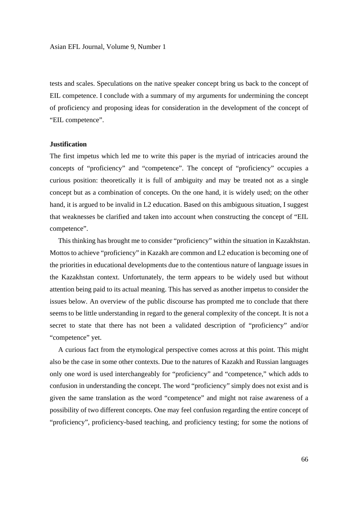tests and scales. Speculations on the native speaker concept bring us back to the concept of EIL competence. I conclude with a summary of my arguments for undermining the concept of proficiency and proposing ideas for consideration in the development of the concept of "EIL competence".

#### **Justification**

The first impetus which led me to write this paper is the myriad of intricacies around the concepts of "proficiency" and "competence". The concept of "proficiency" occupies a curious position: theoretically it is full of ambiguity and may be treated not as a single concept but as a combination of concepts. On the one hand, it is widely used; on the other hand, it is argued to be invalid in L2 education. Based on this ambiguous situation, I suggest that weaknesses be clarified and taken into account when constructing the concept of "EIL competence".

 This thinking has brought me to consider "proficiency" within the situation in Kazakhstan. Mottos to achieve "proficiency" in Kazakh are common and L2 education is becoming one of the priorities in educational developments due to the contentious nature of language issues in the Kazakhstan context. Unfortunately, the term appears to be widely used but without attention being paid to its actual meaning. This has served as another impetus to consider the issues below. An overview of the public discourse has prompted me to conclude that there seems to be little understanding in regard to the general complexity of the concept. It is not a secret to state that there has not been a validated description of "proficiency" and/or "competence" yet.

 A curious fact from the etymological perspective comes across at this point. This might also be the case in some other contexts. Due to the natures of Kazakh and Russian languages only one word is used interchangeably for "proficiency" and "competence," which adds to confusion in understanding the concept. The word "proficiency" simply does not exist and is given the same translation as the word "competence" and might not raise awareness of a possibility of two different concepts. One may feel confusion regarding the entire concept of "proficiency", proficiency-based teaching, and proficiency testing; for some the notions of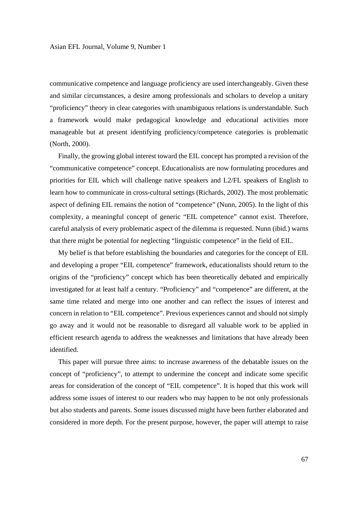communicative competence and language proficiency are used interchangeably. Given these and similar circumstances, a desire among professionals and scholars to develop a unitary "proficiency" theory in clear categories with unambiguous relations is understandable. Such a framework would make pedagogical knowledge and educational activities more manageable but at present identifying proficiency/competence categories is problematic (North, 2000).

 Finally, the growing global interest toward the EIL concept has prompted a revision of the "communicative competence" concept. Educationalists are now formulating procedures and priorities for EIL which will challenge native speakers and L2/FL speakers of English to learn how to communicate in cross-cultural settings (Richards, 2002). The most problematic aspect of defining EIL remains the notion of "competence" (Nunn, 2005). In the light of this complexity, a meaningful concept of generic "EIL competence" cannot exist. Therefore, careful analysis of every problematic aspect of the dilemma is requested. Nunn (ibid.) warns that there might be potential for neglecting "linguistic competence" in the field of EIL.

 My belief is that before establishing the boundaries and categories for the concept of EIL and developing a proper "EIL competence" framework, educationalists should return to the origins of the "proficiency" concept which has been theoretically debated and empirically investigated for at least half a century. "Proficiency" and "competence" are different, at the same time related and merge into one another and can reflect the issues of interest and concern in relation to "EIL competence". Previous experiences cannot and should not simply go away and it would not be reasonable to disregard all valuable work to be applied in efficient research agenda to address the weaknesses and limitations that have already been identified.

 This paper will pursue three aims: to increase awareness of the debatable issues on the concept of "proficiency", to attempt to undermine the concept and indicate some specific areas for consideration of the concept of "EIL competence". It is hoped that this work will address some issues of interest to our readers who may happen to be not only professionals but also students and parents. Some issues discussed might have been further elaborated and considered in more depth. For the present purpose, however, the paper will attempt to raise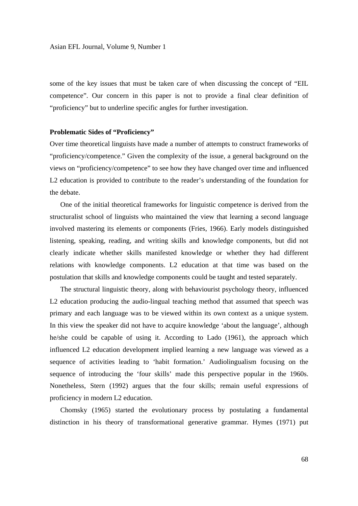some of the key issues that must be taken care of when discussing the concept of "EIL competence". Our concern in this paper is not to provide a final clear definition of "proficiency" but to underline specific angles for further investigation.

#### **Problematic Sides of "Proficiency"**

Over time theoretical linguists have made a number of attempts to construct frameworks of "proficiency/competence." Given the complexity of the issue, a general background on the views on "proficiency/competence" to see how they have changed over time and influenced L2 education is provided to contribute to the reader's understanding of the foundation for the debate.

 One of the initial theoretical frameworks for linguistic competence is derived from the structuralist school of linguists who maintained the view that learning a second language involved mastering its elements or components (Fries, 1966). Early models distinguished listening, speaking, reading, and writing skills and knowledge components, but did not clearly indicate whether skills manifested knowledge or whether they had different relations with knowledge components. L2 education at that time was based on the postulation that skills and knowledge components could be taught and tested separately.

 The structural linguistic theory, along with behaviourist psychology theory, influenced L2 education producing the audio-lingual teaching method that assumed that speech was primary and each language was to be viewed within its own context as a unique system. In this view the speaker did not have to acquire knowledge 'about the language', although he/she could be capable of using it. According to Lado (1961), the approach which influenced L2 education development implied learning a new language was viewed as a sequence of activities leading to 'habit formation.' Audiolingualism focusing on the sequence of introducing the 'four skills' made this perspective popular in the 1960s. Nonetheless, Stern (1992) argues that the four skills; remain useful expressions of proficiency in modern L2 education.

 Chomsky (1965) started the evolutionary process by postulating a fundamental distinction in his theory of transformational generative grammar. Hymes (1971) put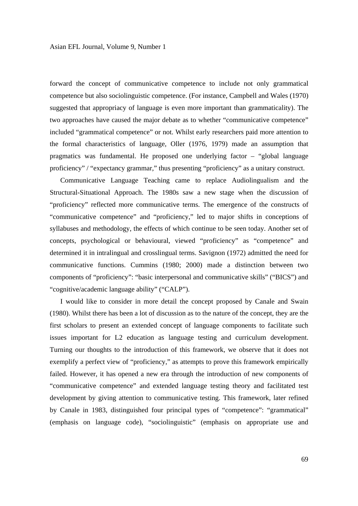forward the concept of communicative competence to include not only grammatical competence but also sociolinguistic competence. (For instance, Campbell and Wales (1970) suggested that appropriacy of language is even more important than grammaticality). The two approaches have caused the major debate as to whether "communicative competence" included "grammatical competence" or not. Whilst early researchers paid more attention to the formal characteristics of language, Oller (1976, 1979) made an assumption that pragmatics was fundamental. He proposed one underlying factor – "global language proficiency" / "expectancy grammar," thus presenting "proficiency" as a unitary construct.

 Communicative Language Teaching came to replace Audiolingualism and the Structural-Situational Approach. The 1980s saw a new stage when the discussion of "proficiency" reflected more communicative terms. The emergence of the constructs of "communicative competence" and "proficiency," led to major shifts in conceptions of syllabuses and methodology, the effects of which continue to be seen today. Another set of concepts, psychological or behavioural, viewed "proficiency" as "competence" and determined it in intralingual and crosslingual terms. Savignon (1972) admitted the need for communicative functions. Cummins (1980; 2000) made a distinction between two components of "proficiency": "basic interpersonal and communicative skills" ("BICS") and "cognitive/academic language ability" ("CALP").

 I would like to consider in more detail the concept proposed by Canale and Swain (1980). Whilst there has been a lot of discussion as to the nature of the concept, they are the first scholars to present an extended concept of language components to facilitate such issues important for L2 education as language testing and curriculum development. Turning our thoughts to the introduction of this framework, we observe that it does not exemplify a perfect view of "proficiency," as attempts to prove this framework empirically failed. However, it has opened a new era through the introduction of new components of "communicative competence" and extended language testing theory and facilitated test development by giving attention to communicative testing. This framework, later refined by Canale in 1983, distinguished four principal types of "competence": "grammatical" (emphasis on language code), "sociolinguistic" (emphasis on appropriate use and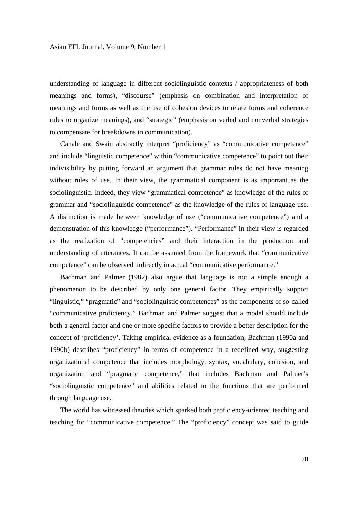understanding of language in different sociolinguistic contexts / appropriateness of both meanings and forms), "discourse" (emphasis on combination and interpretation of meanings and forms as well as the use of cohesion devices to relate forms and coherence rules to organize meanings), and "strategic" (emphasis on verbal and nonverbal strategies to compensate for breakdowns in communication).

 Canale and Swain abstractly interpret "proficiency" as "communicative competence" and include "linguistic competence" within "communicative competence" to point out their indivisibility by putting forward an argument that grammar rules do not have meaning without rules of use. In their view, the grammatical component is as important as the sociolinguistic. Indeed, they view "grammatical competence" as knowledge of the rules of grammar and "sociolinguistic competence" as the knowledge of the rules of language use. A distinction is made between knowledge of use ("communicative competence") and a demonstration of this knowledge ("performance"). "Performance" in their view is regarded as the realization of "competencies" and their interaction in the production and understanding of utterances. It can be assumed from the framework that "communicative competence" can be observed indirectly in actual "communicative performance."

 Bachman and Palmer (1982) also argue that language is not a simple enough a phenomenon to be described by only one general factor. They empirically support "linguistic," "pragmatic" and "sociolinguistic competences" as the components of so-called "communicative proficiency." Bachman and Palmer suggest that a model should include both a general factor and one or more specific factors to provide a better description for the concept of 'proficiency'. Taking empirical evidence as a foundation, Bachman (1990a and 1990b) describes "proficiency" in terms of competence in a redefined way, suggesting organizational competence that includes morphology, syntax, vocabulary, cohesion, and organization and "pragmatic competence," that includes Bachman and Palmer's "sociolinguistic competence" and abilities related to the functions that are performed through language use.

 The world has witnessed theories which sparked both proficiency-oriented teaching and teaching for "communicative competence." The "proficiency" concept was said to guide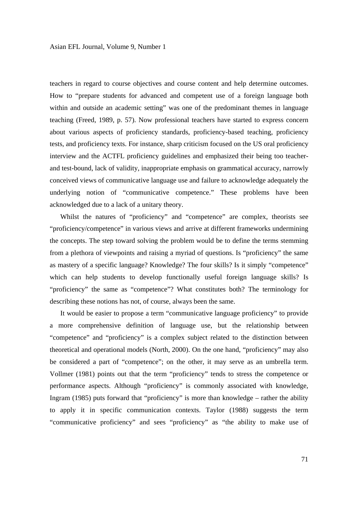teachers in regard to course objectives and course content and help determine outcomes. How to "prepare students for advanced and competent use of a foreign language both within and outside an academic setting" was one of the predominant themes in language teaching (Freed, 1989, p. 57). Now professional teachers have started to express concern about various aspects of proficiency standards, proficiency-based teaching, proficiency tests, and proficiency texts. For instance, sharp criticism focused on the US oral proficiency interview and the ACTFL proficiency guidelines and emphasized their being too teacherand test-bound, lack of validity, inappropriate emphasis on grammatical accuracy, narrowly conceived views of communicative language use and failure to acknowledge adequately the underlying notion of "communicative competence." These problems have been acknowledged due to a lack of a unitary theory.

 Whilst the natures of "proficiency" and "competence" are complex, theorists see "proficiency/competence" in various views and arrive at different frameworks undermining the concepts. The step toward solving the problem would be to define the terms stemming from a plethora of viewpoints and raising a myriad of questions. Is "proficiency" the same as mastery of a specific language? Knowledge? The four skills? Is it simply "competence" which can help students to develop functionally useful foreign language skills? Is "proficiency" the same as "competence"? What constitutes both? The terminology for describing these notions has not, of course, always been the same.

 It would be easier to propose a term "communicative language proficiency" to provide a more comprehensive definition of language use, but the relationship between "competence" and "proficiency" is a complex subject related to the distinction between theoretical and operational models (North, 2000). On the one hand, "proficiency" may also be considered a part of "competence"; on the other, it may serve as an umbrella term. Vollmer (1981) points out that the term "proficiency" tends to stress the competence or performance aspects. Although "proficiency" is commonly associated with knowledge, Ingram (1985) puts forward that "proficiency" is more than knowledge – rather the ability to apply it in specific communication contexts. Taylor (1988) suggests the term "communicative proficiency" and sees "proficiency" as "the ability to make use of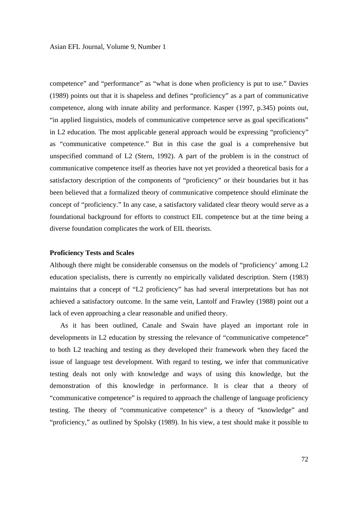competence" and "performance" as "what is done when proficiency is put to use." Davies (1989) points out that it is shapeless and defines "proficiency" as a part of communicative competence, along with innate ability and performance. Kasper (1997, p.345) points out, "in applied linguistics, models of communicative competence serve as goal specifications" in L2 education. The most applicable general approach would be expressing "proficiency" as "communicative competence." But in this case the goal is a comprehensive but unspecified command of L2 (Stern, 1992). A part of the problem is in the construct of communicative competence itself as theories have not yet provided a theoretical basis for a satisfactory description of the components of "proficiency" or their boundaries but it has been believed that a formalized theory of communicative competence should eliminate the concept of "proficiency." In any case, a satisfactory validated clear theory would serve as a foundational background for efforts to construct EIL competence but at the time being a diverse foundation complicates the work of EIL theorists.

## **Proficiency Tests and Scales**

Although there might be considerable consensus on the models of "proficiency' among L2 education specialists, there is currently no empirically validated description. Stern (1983) maintains that a concept of "L2 proficiency" has had several interpretations but has not achieved a satisfactory outcome. In the same vein, Lantolf and Frawley (1988) point out a lack of even approaching a clear reasonable and unified theory.

 As it has been outlined, Canale and Swain have played an important role in developments in L2 education by stressing the relevance of "communicative competence" to both L2 teaching and testing as they developed their framework when they faced the issue of language test development. With regard to testing, we infer that communicative testing deals not only with knowledge and ways of using this knowledge, but the demonstration of this knowledge in performance. It is clear that a theory of "communicative competence" is required to approach the challenge of language proficiency testing. The theory of "communicative competence" is a theory of "knowledge" and "proficiency," as outlined by Spolsky (1989). In his view, a test should make it possible to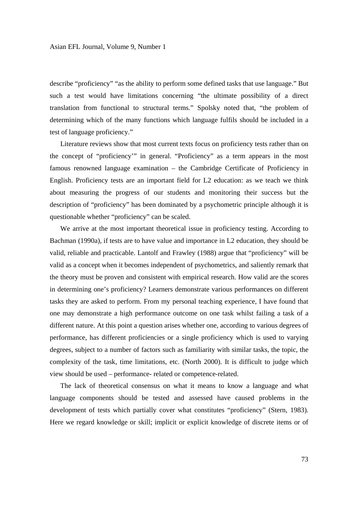describe "proficiency" "as the ability to perform some defined tasks that use language." But such a test would have limitations concerning "the ultimate possibility of a direct translation from functional to structural terms." Spolsky noted that, "the problem of determining which of the many functions which language fulfils should be included in a test of language proficiency."

 Literature reviews show that most current texts focus on proficiency tests rather than on the concept of "proficiency'" in general. "Proficiency" as a term appears in the most famous renowned language examination – the Cambridge Certificate of Proficiency in English. Proficiency tests are an important field for L2 education: as we teach we think about measuring the progress of our students and monitoring their success but the description of "proficiency" has been dominated by a psychometric principle although it is questionable whether "proficiency" can be scaled.

 We arrive at the most important theoretical issue in proficiency testing. According to Bachman (1990a), if tests are to have value and importance in L2 education, they should be valid, reliable and practicable. Lantolf and Frawley (1988) argue that "proficiency" will be valid as a concept when it becomes independent of psychometrics, and saliently remark that the theory must be proven and consistent with empirical research. How valid are the scores in determining one's proficiency? Learners demonstrate various performances on different tasks they are asked to perform. From my personal teaching experience, I have found that one may demonstrate a high performance outcome on one task whilst failing a task of a different nature. At this point a question arises whether one, according to various degrees of performance, has different proficiencies or a single proficiency which is used to varying degrees, subject to a number of factors such as familiarity with similar tasks, the topic, the complexity of the task, time limitations, etc. (North 2000). It is difficult to judge which view should be used – performance- related or competence-related.

 The lack of theoretical consensus on what it means to know a language and what language components should be tested and assessed have caused problems in the development of tests which partially cover what constitutes "proficiency" (Stern, 1983). Here we regard knowledge or skill; implicit or explicit knowledge of discrete items or of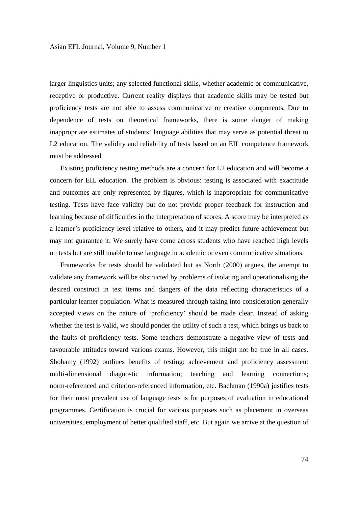larger linguistics units; any selected functional skills, whether academic or communicative, receptive or productive. Current reality displays that academic skills may be tested but proficiency tests are not able to assess communicative or creative components. Due to dependence of tests on theoretical frameworks, there is some danger of making inappropriate estimates of students' language abilities that may serve as potential threat to L2 education. The validity and reliability of tests based on an EIL competence framework must be addressed.

 Existing proficiency testing methods are a concern for L2 education and will become a concern for EIL education. The problem is obvious: testing is associated with exactitude and outcomes are only represented by figures, which is inappropriate for communicative testing. Tests have face validity but do not provide proper feedback for instruction and learning because of difficulties in the interpretation of scores. A score may be interpreted as a learner's proficiency level relative to others, and it may predict future achievement but may not guarantee it. We surely have come across students who have reached high levels on tests but are still unable to use language in academic or even communicative situations.

 Frameworks for tests should be validated but as North (2000) argues, the attempt to validate any framework will be obstructed by problems of isolating and operationalising the desired construct in test items and dangers of the data reflecting characteristics of a particular learner population. What is measured through taking into consideration generally accepted views on the nature of 'proficiency' should be made clear. Instead of asking whether the test is valid, we should ponder the utility of such a test, which brings us back to the faults of proficiency tests. Some teachers demonstrate a negative view of tests and favourable attitudes toward various exams. However, this might not be true in all cases. Shohamy (1992) outlines benefits of testing: achievement and proficiency assessment multi-dimensional diagnostic information; teaching and learning connections; norm-referenced and criterion-referenced information, etc. Bachman (1990a) justifies tests for their most prevalent use of language tests is for purposes of evaluation in educational programmes. Certification is crucial for various purposes such as placement in overseas universities, employment of better qualified staff, etc. But again we arrive at the question of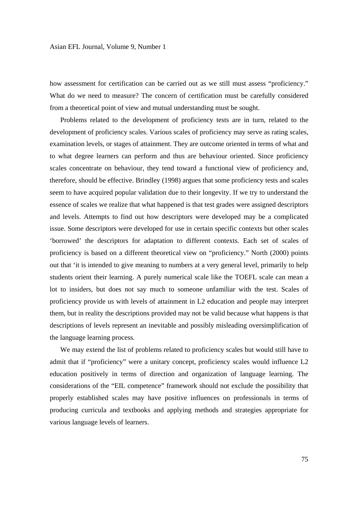how assessment for certification can be carried out as we still must assess "proficiency." What do we need to measure? The concern of certification must be carefully considered from a theoretical point of view and mutual understanding must be sought.

 Problems related to the development of proficiency tests are in turn, related to the development of proficiency scales. Various scales of proficiency may serve as rating scales, examination levels, or stages of attainment. They are outcome oriented in terms of what and to what degree learners can perform and thus are behaviour oriented. Since proficiency scales concentrate on behaviour, they tend toward a functional view of proficiency and, therefore, should be effective. Brindley (1998) argues that some proficiency tests and scales seem to have acquired popular validation due to their longevity. If we try to understand the essence of scales we realize that what happened is that test grades were assigned descriptors and levels. Attempts to find out how descriptors were developed may be a complicated issue. Some descriptors were developed for use in certain specific contexts but other scales 'borrowed' the descriptors for adaptation to different contexts. Each set of scales of proficiency is based on a different theoretical view on "proficiency." North (2000) points out that 'it is intended to give meaning to numbers at a very general level, primarily to help students orient their learning. A purely numerical scale like the TOEFL scale can mean a lot to insiders, but does not say much to someone unfamiliar with the test. Scales of proficiency provide us with levels of attainment in L2 education and people may interpret them, but in reality the descriptions provided may not be valid because what happens is that descriptions of levels represent an inevitable and possibly misleading oversimplification of the language learning process.

 We may extend the list of problems related to proficiency scales but would still have to admit that if "proficiency" were a unitary concept, proficiency scales would influence L2 education positively in terms of direction and organization of language learning. The considerations of the "EIL competence" framework should not exclude the possibility that properly established scales may have positive influences on professionals in terms of producing curricula and textbooks and applying methods and strategies appropriate for various language levels of learners.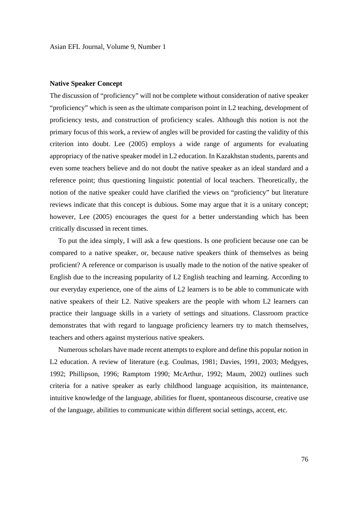## **Native Speaker Concept**

The discussion of "proficiency" will not be complete without consideration of native speaker "proficiency" which is seen as the ultimate comparison point in L2 teaching, development of proficiency tests, and construction of proficiency scales. Although this notion is not the primary focus of this work, a review of angles will be provided for casting the validity of this criterion into doubt. Lee (2005) employs a wide range of arguments for evaluating appropriacy of the native speaker model in L2 education. In Kazakhstan students, parents and even some teachers believe and do not doubt the native speaker as an ideal standard and a reference point; thus questioning linguistic potential of local teachers. Theoretically, the notion of the native speaker could have clarified the views on "proficiency" but literature reviews indicate that this concept is dubious. Some may argue that it is a unitary concept; however, Lee (2005) encourages the quest for a better understanding which has been critically discussed in recent times.

 To put the idea simply, I will ask a few questions. Is one proficient because one can be compared to a native speaker, or, because native speakers think of themselves as being proficient? A reference or comparison is usually made to the notion of the native speaker of English due to the increasing popularity of L2 English teaching and learning. According to our everyday experience, one of the aims of L2 learners is to be able to communicate with native speakers of their L2. Native speakers are the people with whom L2 learners can practice their language skills in a variety of settings and situations. Classroom practice demonstrates that with regard to language proficiency learners try to match themselves, teachers and others against mysterious native speakers.

 Numerous scholars have made recent attempts to explore and define this popular notion in L2 education. A review of literature (e.g. Coulmas, 1981; Davies, 1991, 2003; Medgyes, 1992; Phillipson, 1996; Ramptom 1990; McArthur, 1992; Maum, 2002) outlines such criteria for a native speaker as early childhood language acquisition, its maintenance, intuitive knowledge of the language, abilities for fluent, spontaneous discourse, creative use of the language, abilities to communicate within different social settings, accent, etc.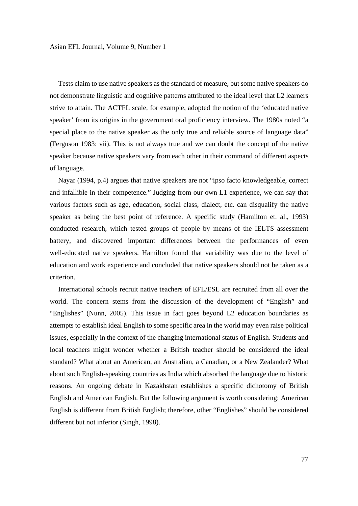Tests claim to use native speakers as the standard of measure, but some native speakers do not demonstrate linguistic and cognitive patterns attributed to the ideal level that L2 learners strive to attain. The ACTFL scale, for example, adopted the notion of the 'educated native speaker' from its origins in the government oral proficiency interview. The 1980s noted "a special place to the native speaker as the only true and reliable source of language data" (Ferguson 1983: vii). This is not always true and we can doubt the concept of the native speaker because native speakers vary from each other in their command of different aspects of language.

 Nayar (1994, p.4) argues that native speakers are not "ipso facto knowledgeable, correct and infallible in their competence." Judging from our own L1 experience, we can say that various factors such as age, education, social class, dialect, etc. can disqualify the native speaker as being the best point of reference. A specific study (Hamilton et. al., 1993) conducted research, which tested groups of people by means of the IELTS assessment battery, and discovered important differences between the performances of even well-educated native speakers. Hamilton found that variability was due to the level of education and work experience and concluded that native speakers should not be taken as a criterion.

 International schools recruit native teachers of EFL/ESL are recruited from all over the world. The concern stems from the discussion of the development of "English" and "Englishes" (Nunn, 2005). This issue in fact goes beyond L2 education boundaries as attempts to establish ideal English to some specific area in the world may even raise political issues, especially in the context of the changing international status of English. Students and local teachers might wonder whether a British teacher should be considered the ideal standard? What about an American, an Australian, a Canadian, or a New Zealander? What about such English-speaking countries as India which absorbed the language due to historic reasons. An ongoing debate in Kazakhstan establishes a specific dichotomy of British English and American English. But the following argument is worth considering: American English is different from British English; therefore, other "Englishes" should be considered different but not inferior (Singh, 1998).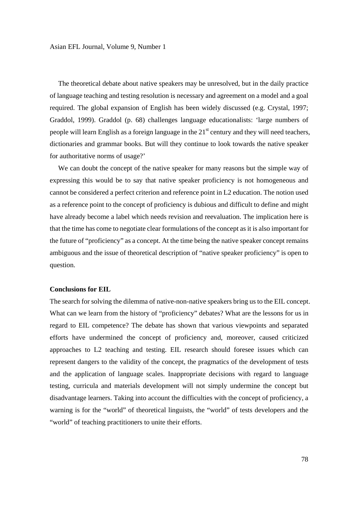The theoretical debate about native speakers may be unresolved, but in the daily practice of language teaching and testing resolution is necessary and agreement on a model and a goal required. The global expansion of English has been widely discussed (e.g. Crystal, 1997; Graddol, 1999). Graddol (p. 68) challenges language educationalists: 'large numbers of people will learn English as a foreign language in the  $21<sup>st</sup>$  century and they will need teachers, dictionaries and grammar books. But will they continue to look towards the native speaker for authoritative norms of usage?'

 We can doubt the concept of the native speaker for many reasons but the simple way of expressing this would be to say that native speaker proficiency is not homogeneous and cannot be considered a perfect criterion and reference point in L2 education. The notion used as a reference point to the concept of proficiency is dubious and difficult to define and might have already become a label which needs revision and reevaluation. The implication here is that the time has come to negotiate clear formulations of the concept as it is also important for the future of "proficiency" as a concept. At the time being the native speaker concept remains ambiguous and the issue of theoretical description of "native speaker proficiency" is open to question.

## **Conclusions for EIL**

The search for solving the dilemma of native-non-native speakers bring us to the EIL concept. What can we learn from the history of "proficiency" debates? What are the lessons for us in regard to EIL competence? The debate has shown that various viewpoints and separated efforts have undermined the concept of proficiency and, moreover, caused criticized approaches to L2 teaching and testing. EIL research should foresee issues which can represent dangers to the validity of the concept, the pragmatics of the development of tests and the application of language scales. Inappropriate decisions with regard to language testing, curricula and materials development will not simply undermine the concept but disadvantage learners. Taking into account the difficulties with the concept of proficiency, a warning is for the "world" of theoretical linguists, the "world" of tests developers and the "world" of teaching practitioners to unite their efforts.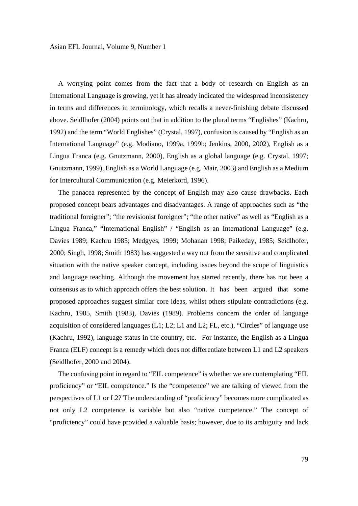A worrying point comes from the fact that a body of research on English as an International Language is growing, yet it has already indicated the widespread inconsistency in terms and differences in terminology, which recalls a never-finishing debate discussed above. Seidlhofer (2004) points out that in addition to the plural terms "Englishes" (Kachru, 1992) and the term "World Englishes" (Crystal, 1997), confusion is caused by "English as an International Language" (e.g. Modiano, 1999a, 1999b; Jenkins, 2000, 2002), English as a Lingua Franca (e.g. Gnutzmann, 2000), English as a global language (e.g. Crystal, 1997; Gnutzmann, 1999), English as a World Language (e.g. Mair, 2003) and English as a Medium for Intercultural Communication (e.g. Meierkord, 1996).

 The panacea represented by the concept of English may also cause drawbacks. Each proposed concept bears advantages and disadvantages. A range of approaches such as "the traditional foreigner"; "the revisionist foreigner"; "the other native" as well as "English as a Lingua Franca," "International English" / "English as an International Language" (e.g. Davies 1989; Kachru 1985; Medgyes, 1999; Mohanan 1998; Paikeday, 1985; Seidlhofer, 2000; Singh, 1998; Smith 1983) has suggested a way out from the sensitive and complicated situation with the native speaker concept, including issues beyond the scope of linguistics and language teaching. Although the movement has started recently, there has not been a consensus as to which approach offers the best solution. It has been argued that some proposed approaches suggest similar core ideas, whilst others stipulate contradictions (e.g. Kachru, 1985, Smith (1983), Davies (1989). Problems concern the order of language acquisition of considered languages  $(L1; L2; L1$  and  $L2; FL$ , etc.), "Circles" of language use (Kachru, 1992), language status in the country, etc. For instance, the English as a Lingua Franca (ELF) concept is a remedy which does not differentiate between L1 and L2 speakers (Seidlhofer, 2000 and 2004).

 The confusing point in regard to "EIL competence" is whether we are contemplating "EIL proficiency" or "EIL competence." Is the "competence" we are talking of viewed from the perspectives of L1 or L2? The understanding of "proficiency" becomes more complicated as not only L2 competence is variable but also "native competence." The concept of "proficiency" could have provided a valuable basis; however, due to its ambiguity and lack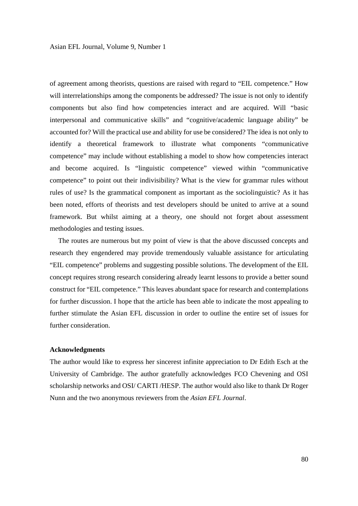of agreement among theorists, questions are raised with regard to "EIL competence." How will interrelationships among the components be addressed? The issue is not only to identify components but also find how competencies interact and are acquired. Will *"*basic interpersonal and communicative skills" and "cognitive/academic language ability" be accounted for? Will the practical use and ability for use be considered? The idea is not only to identify a theoretical framework to illustrate what components "communicative competence" may include without establishing a model to show how competencies interact and become acquired. Is "linguistic competence" viewed within "communicative competence" to point out their indivisibility? What is the view for grammar rules without rules of use? Is the grammatical component as important as the sociolinguistic? As it has been noted, efforts of theorists and test developers should be united to arrive at a sound framework. But whilst aiming at a theory, one should not forget about assessment methodologies and testing issues.

 The routes are numerous but my point of view is that the above discussed concepts and research they engendered may provide tremendously valuable assistance for articulating "EIL competence" problems and suggesting possible solutions. The development of the EIL concept requires strong research considering already learnt lessons to provide a better sound construct for "EIL competence." This leaves abundant space for research and contemplations for further discussion. I hope that the article has been able to indicate the most appealing to further stimulate the Asian EFL discussion in order to outline the entire set of issues for further consideration.

#### **Acknowledgments**

The author would like to express her sincerest infinite appreciation to Dr Edith Esch at the University of Cambridge. The author gratefully acknowledges FCO Chevening and OSI scholarship networks and OSI/ CARTI /HESP. The author would also like to thank Dr Roger Nunn and the two anonymous reviewers from the *Asian EFL Journal*.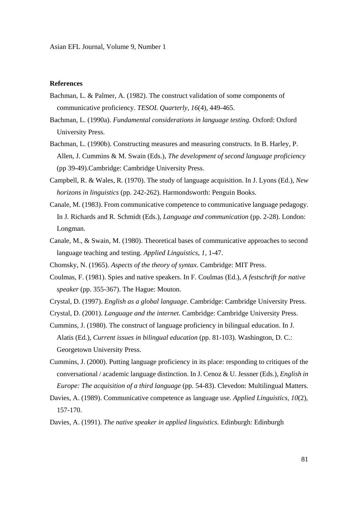# **References**

- Bachman, L. & Palmer, A. (1982). The construct validation of some components of communicative proficiency. *TESOL Quarterly*, *16*(4), 449-465.
- Bachman, L. (1990a). *Fundamental considerations in language testing.* Oxford: Oxford University Press.
- Bachman, L. (1990b). Constructing measures and measuring constructs. In B. Harley, P. Allen, J. Cummins & M. Swain (Eds.), *The development of second language proficiency*  (pp 39-49).Cambridge: Cambridge University Press.
- Campbell, R. & Wales, R. (1970). The study of language acquisition. In J. Lyons (Ed.), *New horizons in linguistics* (pp. 242-262). Harmondsworth: Penguin Books.
- Canale, M. (1983). From communicative competence to communicative language pedagogy. In J. Richards and R. Schmidt (Eds.), *Language and communication* (pp. 2-28). London: Longman.
- Canale, M., & Swain, M. (1980). Theoretical bases of communicative approaches to second language teaching and testing. *Applied Linguistics*, *1*, 1-47.
- Chomsky, N. (1965). *Aspects of the theory of syntax*. Cambridge: MIT Press.
- Coulmas, F. (1981). Spies and native speakers. In F. Coulmas (Ed.), *A festschrift for native speaker* (pp. 355-367). The Hague: Mouton.
- Crystal, D. (1997). *English as a global language*. Cambridge: Cambridge University Press.
- Crystal, D. (2001). *Language and the internet*. Cambridge: Cambridge University Press.
- Cummins, J. (1980). The construct of language proficiency in bilingual education. In J. Alatis (Ed.), *Current issues in bilingual education* (pp. 81-103). Washington, D. C.: Georgetown University Press.
- Cummins, J. (2000). Putting language proficiency in its place: responding to critiques of the conversational / academic language distinction. In J. Cenoz & U. Jessner (Eds.), *English in Europe: The acquisition of a third language* (pp. 54-83). Clevedon: Multilingual Matters.
- Davies, A. (1989). Communicative competence as language use. *Applied Linguistics, 10*(2), 157-170.
- Davies, A. (1991). *The native speaker in applied linguistics*. Edinburgh: Edinburgh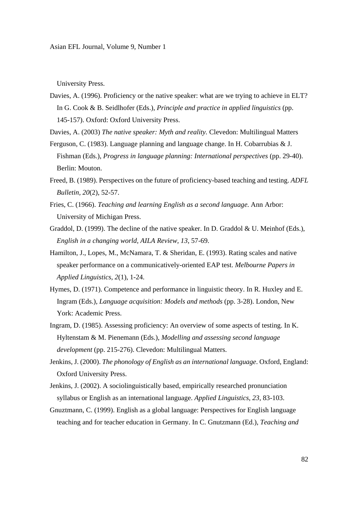Asian EFL Journal, Volume 9, Number 1

University Press.

Davies, A. (1996). Proficiency or the native speaker: what are we trying to achieve in ELT? In G. Cook & B. Seidlhofer (Eds.), *Principle and practice in applied linguistics* (pp. 145-157). Oxford: Oxford University Press.

Davies, A. (2003) *The native speaker: Myth and reality.* Clevedon: Multilingual Matters

- Ferguson, C. (1983). Language planning and language change. In H. Cobarrubias & J. Fishman (Eds.), *Progress in language planning: International perspectives* (pp. 29-40). Berlin: Mouton.
- Freed, B. (1989). Perspectives on the future of proficiency-based teaching and testing. *ADFL Bulletin, 20*(2), 52-57.
- Fries, C. (1966). *Teaching and learning English as a second language.* Ann Arbor: University of Michigan Press.
- Graddol, D. (1999). The decline of the native speaker. In D. Graddol & U. Meinhof (Eds.), *English in a changing world, AILA Review, 13*, 57-69.
- Hamilton, J., Lopes, M., McNamara, T. & Sheridan, E. (1993). Rating scales and native speaker performance on a communicatively-oriented EAP test. *Melbourne Papers in Applied Linguistics, 2*(1), 1-24.
- Hymes, D. (1971). Competence and performance in linguistic theory. In R. Huxley and E. Ingram (Eds.), *Language acquisition: Models and methods* (pp. 3-28). London, New York: Academic Press.
- Ingram, D. (1985). Assessing proficiency: An overview of some aspects of testing. In K. Hyltenstam & M. Pienemann (Eds.), *Modelling and assessing second language development* (pp. 215-276). Clevedon: Multilingual Matters.
- Jenkins, J. (2000). *The phonology of English as an international language*. Oxford, England: Oxford University Press.
- Jenkins, J. (2002). A sociolinguistically based, empirically researched pronunciation syllabus or English as an international language. *Applied Linguistics*, *23*, 83-103.
- Gnuztmann, C. (1999). English as a global language: Perspectives for English language teaching and for teacher education in Germany. In C. Gnutzmann (Ed.), *Teaching and*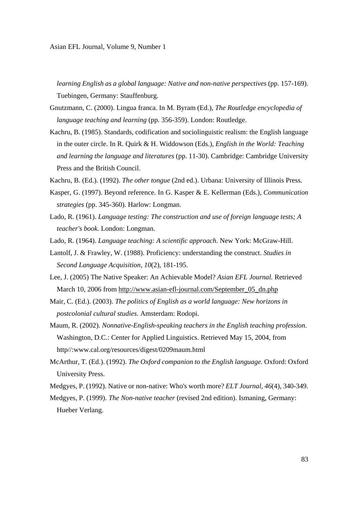*learning English as a global language: Native and non-native perspectives (pp. 157-169).* Tuebingen, Germany: Stauffenburg.

- Gnutzmann, C. (2000). Lingua franca. In M. Byram (Ed.), *The Routledge encyclopedia of language teaching and learning* (pp. 356-359). London: Routledge.
- Kachru, B. (1985). Standards, codification and sociolinguistic realism: the English language in the outer circle. In R. Quirk & H. Widdowson (Eds.), *English in the World: Teaching and learning the language and literatures* (pp. 11-30). Cambridge: Cambridge University Press and the British Council.
- Kachru, B. (Ed.). (1992). *The other tongue* (2nd ed.). Urbana: University of Illinois Press.
- Kasper, G. (1997). Beyond reference. In G. Kasper & E. Kellerman (Eds.), *Communication strategies* (pp. 345-360). Harlow: Longman.
- Lado, R. (1961). *Language testing: The construction and use of foreign language tests; A teacher's book.* London: Longman.
- Lado, R. (1964). *Language teaching: A scientific approach.* New York: McGraw-Hill.
- Lantolf, J. & Frawley, W. (1988). Proficiency: understanding the construct. *Studies in Second Language Acquisition, 10*(2)*,* 181-195.
- Lee, J. (2005) The Native Speaker: An Achievable Model? *Asian EFL Journal.* Retrieved March 10, 2006 from http://www.asian-efl-journal.com/September\_05\_dn.php
- Mair, C. (Ed.). (2003). *The politics of English as a world language: New horizons in postcolonial cultural studies*. Amsterdam: Rodopi.
- Maum, R. (2002). *Nonnative-English-speaking teachers in the English teaching profession*. Washington, D.C.: Center for Applied Linguistics. Retrieved May 15, 2004, from http//:www.cal.org/resources/digest/0209maum.html
- McArthur, T. (Ed.). (1992). *The Oxford companion to the English language.* Oxford: Oxford University Press.
- Medgyes, P. (1992). Native or non-native: Who's worth more? *ELT Journal*, *46*(4), 340-349.
- Medgyes, P. (1999). *The Non-native teacher* (revised 2nd edition). Ismaning, Germany: Hueber Verlang.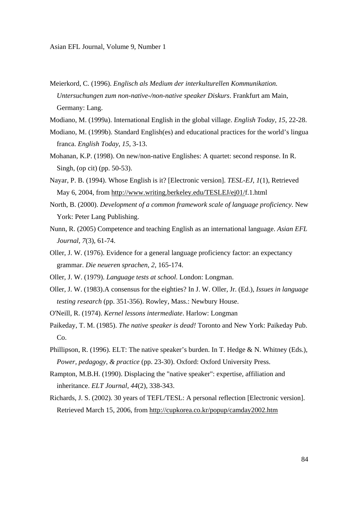- Meierkord, C. (1996). *Englisch als Medium der interkulturellen Kommunikation. Untersuchungen zum non-native-/non-native speaker Diskurs*. Frankfurt am Main, Germany: Lang.
- Modiano, M. (1999a). International English in the global village. *English Today*, *15*, 22-28.
- Modiano, M. (1999b). Standard English(es) and educational practices for the world's lingua franca. *English Today*, *15*, 3-13.
- Mohanan, K.P. (1998). On new/non-native Englishes: A quartet: second response. In R. Singh, (op cit) (pp. 50-53).
- Nayar, P. B. (1994). Whose English is it? [Electronic version]. *TESL-EJ*, *1*(1), Retrieved May 6, 2004, from http://www.writing.berkeley.edu/TESLEJ/ej01/f.1.html
- North, B. (2000). *Development of a common framework scale of language proficiency.* New York: Peter Lang Publishing.
- Nunn, R. (2005) Competence and teaching English as an international language. *Asian EFL Journal, 7*(3), 61-74.
- Oller, J. W. (1976). Evidence for a general language proficiency factor: an expectancy grammar. *Die neueren sprachen, 2,* 165-174.
- Oller, J. W. (1979). *Language tests at school.* London: Longman.
- Oller, J. W. (1983).A consensus for the eighties? In J. W. Oller, Jr. (Ed.), *Issues in language testing research* (pp. 351-356). Rowley, Mass.: Newbury House.
- O'Neill, R. (1974). *Kernel lessons intermediate*. Harlow: Longman
- Paikeday, T. M. (1985). *The native speaker is dead!* Toronto and New York: Paikeday Pub. Co.
- Phillipson, R. (1996). ELT: The native speaker's burden. In T. Hedge & N. Whitney (Eds.), *Power, pedagogy, & practice* (pp. 23-30). Oxford: Oxford University Press.
- Rampton, M.B.H. (1990). Displacing the "native speaker": expertise, affiliation and inheritance. *ELT Journal, 44*(2)*,* 338-343.
- Richards, J. S. (2002). 30 years of TEFL/TESL: A personal reflection [Electronic version]. Retrieved March 15, 2006, from http://cupkorea.co.kr/popup/camday2002.htm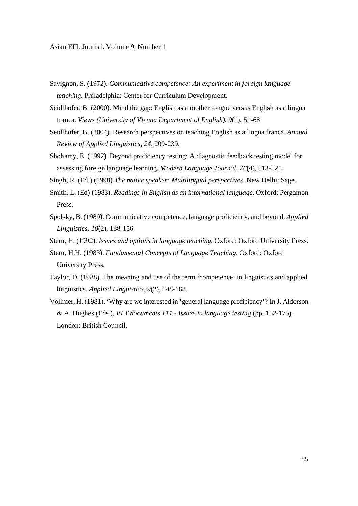Asian EFL Journal, Volume 9, Number 1

- Savignon, S. (1972). *Communicative competence: An experiment in foreign language teaching.* Philadelphia: Center for Curriculum Development.
- Seidlhofer, B. (2000). Mind the gap: English as a mother tongue versus English as a lingua franca. *Views (University of Vienna Department of English), 9*(1)*,* 51-68
- Seidlhofer, B. (2004). Research perspectives on teaching English as a lingua franca. *Annual Review of Applied Linguistics*, *24*, 209-239.
- Shohamy, E. (1992). Beyond proficiency testing: A diagnostic feedback testing model for assessing foreign language learning. *Modern Language Journal, 76*(4)*,* 513-521.
- Singh, R. (Ed.) (1998) *The native speaker: Multilingual perspectives.* New Delhi: Sage.
- Smith, L. (Ed) (1983). *Readings in English as an international language.* Oxford: Pergamon Press.
- Spolsky, B. (1989). Communicative competence, language proficiency, and beyond. *Applied Linguistics, 10*(2), 138-156.
- Stern, H. (1992). *Issues and options in language teaching.* Oxford: Oxford University Press.
- Stern, H.H. (1983). *Fundamental Concepts of Language Teaching*. Oxford: Oxford University Press.
- Taylor, D. (1988). The meaning and use of the term 'competence' in linguistics and applied linguistics. *Applied Linguistics, 9*(2), 148-168.
- Vollmer, H. (1981). 'Why are we interested in 'general language proficiency'? In J. Alderson & A. Hughes (Eds.), *ELT documents 111 - Issues in language testing* (pp. 152-175). London: British Council.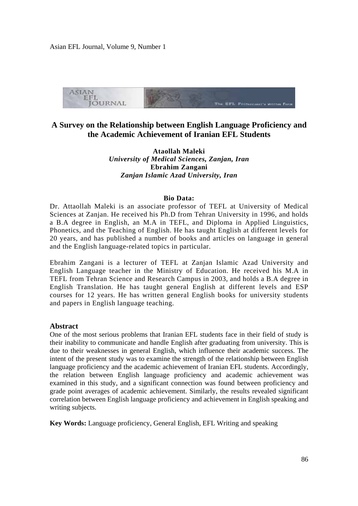Asian EFL Journal, Volume 9, Number 1



# **A Survey on the Relationship between English Language Proficiency and the Academic Achievement of Iranian EFL Students**

**Ataollah Maleki**  *University of Medical Sciences, Zanjan, Iran*  **Ebrahim Zangani**  *Zanjan Islamic Azad University, Iran* 

#### **Bio Data:**

Dr. Attaollah Maleki is an associate professor of TEFL at University of Medical Sciences at Zanjan. He received his Ph.D from Tehran University in 1996, and holds a B.A degree in English, an M.A in TEFL, and Diploma in Applied Linguistics, Phonetics, and the Teaching of English. He has taught English at different levels for 20 years, and has published a number of books and articles on language in general and the English language-related topics in particular.

Ebrahim Zangani is a lecturer of TEFL at Zanjan Islamic Azad University and English Language teacher in the Ministry of Education. He received his M.A in TEFL from Tehran Science and Research Campus in 2003, and holds a B.A degree in English Translation. He has taught general English at different levels and ESP courses for 12 years. He has written general English books for university students and papers in English language teaching.

# **Abstract**

One of the most serious problems that Iranian EFL students face in their field of study is their inability to communicate and handle English after graduating from university. This is due to their weaknesses in general English, which influence their academic success. The intent of the present study was to examine the strength of the relationship between English language proficiency and the academic achievement of Iranian EFL students. Accordingly, the relation between English language proficiency and academic achievement was examined in this study, and a significant connection was found between proficiency and grade point averages of academic achievement. Similarly, the results revealed significant correlation between English language proficiency and achievement in English speaking and writing subjects.

**Key Words:** Language proficiency, General English, EFL Writing and speaking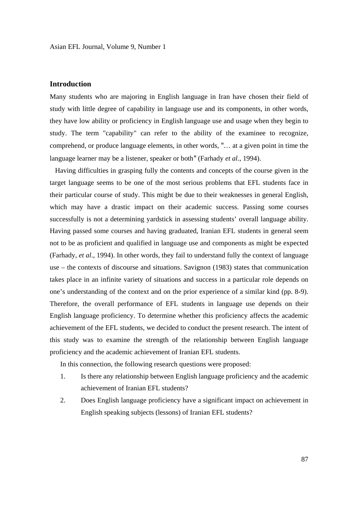# **Introduction**

Many students who are majoring in English language in Iran have chosen their field of study with little degree of capability in language use and its components, in other words, they have low ability or proficiency in English language use and usage when they begin to study. The term "capability" can refer to the ability of the examinee to recognize, comprehend, or produce language elements, in other words, "… at a given point in time the language learner may be a listener, speaker or both" (Farhady *et al.*, 1994).

 Having difficulties in grasping fully the contents and concepts of the course given in the target language seems to be one of the most serious problems that EFL students face in their particular course of study. This might be due to their weaknesses in general English, which may have a drastic impact on their academic success. Passing some courses successfully is not a determining yardstick in assessing students' overall language ability. Having passed some courses and having graduated, Iranian EFL students in general seem not to be as proficient and qualified in language use and components as might be expected (Farhady, *et al*., 1994). In other words, they fail to understand fully the context of language use – the contexts of discourse and situations. Savignon (1983) states that communication takes place in an infinite variety of situations and success in a particular role depends on one's understanding of the context and on the prior experience of a similar kind (pp. 8-9). Therefore, the overall performance of EFL students in language use depends on their English language proficiency. To determine whether this proficiency affects the academic achievement of the EFL students, we decided to conduct the present research. The intent of this study was to examine the strength of the relationship between English language proficiency and the academic achievement of Iranian EFL students.

In this connection, the following research questions were proposed:

- 1. Is there any relationship between English language proficiency and the academic achievement of Iranian EFL students?
- 2. Does English language proficiency have a significant impact on achievement in English speaking subjects (lessons) of Iranian EFL students?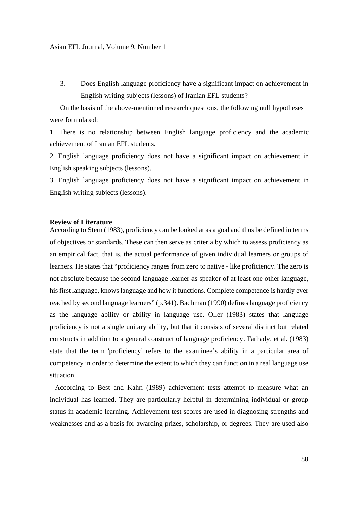3. Does English language proficiency have a significant impact on achievement in English writing subjects (lessons) of Iranian EFL students?

On the basis of the above-mentioned research questions, the following null hypotheses were formulated:

1. There is no relationship between English language proficiency and the academic achievement of Iranian EFL students.

2. English language proficiency does not have a significant impact on achievement in English speaking subjects (lessons).

3. English language proficiency does not have a significant impact on achievement in English writing subjects (lessons).

# **Review of Literature**

According to Stern (1983), proficiency can be looked at as a goal and thus be defined in terms of objectives or standards. These can then serve as criteria by which to assess proficiency as an empirical fact, that is, the actual performance of given individual learners or groups of learners. He states that "proficiency ranges from zero to native - like proficiency. The zero is not absolute because the second language learner as speaker of at least one other language, his first language, knows language and how it functions. Complete competence is hardly ever reached by second language learners" (p.341). Bachman (1990) defines language proficiency as the language ability or ability in language use. Oller (1983) states that language proficiency is not a single unitary ability, but that it consists of several distinct but related constructs in addition to a general construct of language proficiency. Farhady, et al. (1983) state that the term 'proficiency' refers to the examinee's ability in a particular area of competency in order to determine the extent to which they can function in a real language use situation.

 According to Best and Kahn (1989) achievement tests attempt to measure what an individual has learned. They are particularly helpful in determining individual or group status in academic learning. Achievement test scores are used in diagnosing strengths and weaknesses and as a basis for awarding prizes, scholarship, or degrees. They are used also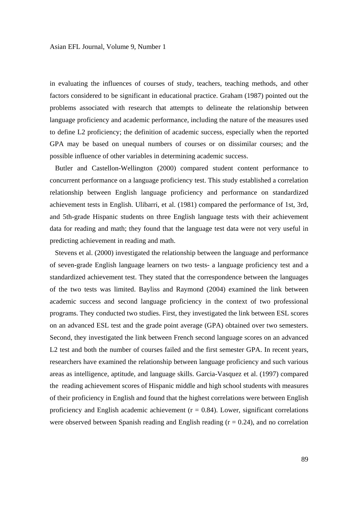in evaluating the influences of courses of study, teachers, teaching methods, and other factors considered to be significant in educational practice. Graham (1987) pointed out the problems associated with research that attempts to delineate the relationship between language proficiency and academic performance, including the nature of the measures used to define L2 proficiency; the definition of academic success, especially when the reported GPA may be based on unequal numbers of courses or on dissimilar courses; and the possible influence of other variables in determining academic success.

 Butler and Castellon-Wellington (2000) compared student content performance to concurrent performance on a language proficiency test. This study established a correlation relationship between English language proficiency and performance on standardized achievement tests in English. Ulibarri, et al. (1981) compared the performance of 1st, 3rd, and 5th-grade Hispanic students on three English language tests with their achievement data for reading and math; they found that the language test data were not very useful in predicting achievement in reading and math.

 Stevens et al. (2000) investigated the relationship between the language and performance of seven-grade English language learners on two tests- a language proficiency test and a standardized achievement test. They stated that the correspondence between the languages of the two tests was limited. Bayliss and Raymond (2004) examined the link between academic success and second language proficiency in the context of two professional programs. They conducted two studies. First, they investigated the link between ESL scores on an advanced ESL test and the grade point average (GPA) obtained over two semesters. Second, they investigated the link between French second language scores on an advanced L<sub>2</sub> test and both the number of courses failed and the first semester GPA. In recent years, researchers have examined the relationship between language proficiency and such various areas as intelligence, aptitude, and language skills. Garcia-Vasquez et al. (1997) compared the reading achievement scores of Hispanic middle and high school students with measures of their proficiency in English and found that the highest correlations were between English proficiency and English academic achievement  $(r = 0.84)$ . Lower, significant correlations were observed between Spanish reading and English reading  $(r = 0.24)$ , and no correlation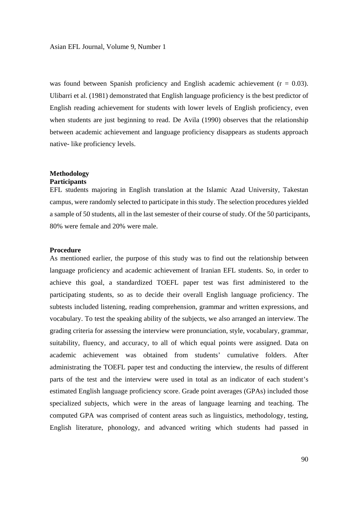was found between Spanish proficiency and English academic achievement ( $r = 0.03$ ). Ulibarri et al. (1981) demonstrated that English language proficiency is the best predictor of English reading achievement for students with lower levels of English proficiency, even when students are just beginning to read. De Avila (1990) observes that the relationship between academic achievement and language proficiency disappears as students approach native- like proficiency levels.

#### **Methodology Participants**

EFL students majoring in English translation at the Islamic Azad University, Takestan campus, were randomly selected to participate in this study. The selection procedures yielded a sample of 50 students, all in the last semester of their course of study. Of the 50 participants, 80% were female and 20% were male.

### **Procedure**

As mentioned earlier, the purpose of this study was to find out the relationship between language proficiency and academic achievement of Iranian EFL students. So, in order to achieve this goal, a standardized TOEFL paper test was first administered to the participating students, so as to decide their overall English language proficiency. The subtests included listening, reading comprehension, grammar and written expressions, and vocabulary. To test the speaking ability of the subjects, we also arranged an interview. The grading criteria for assessing the interview were pronunciation, style, vocabulary, grammar, suitability, fluency, and accuracy, to all of which equal points were assigned. Data on academic achievement was obtained from students' cumulative folders. After administrating the TOEFL paper test and conducting the interview, the results of different parts of the test and the interview were used in total as an indicator of each student's estimated English language proficiency score. Grade point averages (GPAs) included those specialized subjects, which were in the areas of language learning and teaching. The computed GPA was comprised of content areas such as linguistics, methodology, testing, English literature, phonology, and advanced writing which students had passed in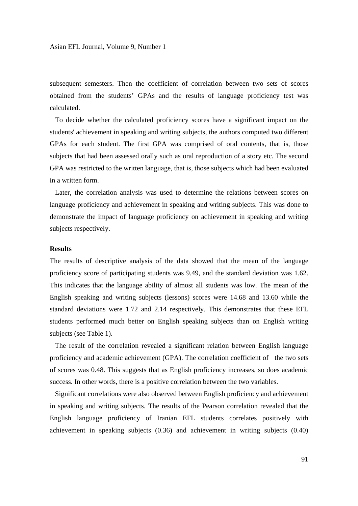subsequent semesters. Then the coefficient of correlation between two sets of scores obtained from the students' GPAs and the results of language proficiency test was calculated.

 To decide whether the calculated proficiency scores have a significant impact on the students' achievement in speaking and writing subjects, the authors computed two different GPAs for each student. The first GPA was comprised of oral contents, that is, those subjects that had been assessed orally such as oral reproduction of a story etc. The second GPA was restricted to the written language, that is, those subjects which had been evaluated in a written form.

 Later, the correlation analysis was used to determine the relations between scores on language proficiency and achievement in speaking and writing subjects. This was done to demonstrate the impact of language proficiency on achievement in speaking and writing subjects respectively.

# **Results**

The results of descriptive analysis of the data showed that the mean of the language proficiency score of participating students was 9.49, and the standard deviation was 1.62. This indicates that the language ability of almost all students was low. The mean of the English speaking and writing subjects (lessons) scores were 14.68 and 13.60 while the standard deviations were 1.72 and 2.14 respectively. This demonstrates that these EFL students performed much better on English speaking subjects than on English writing subjects (see Table 1).

 The result of the correlation revealed a significant relation between English language proficiency and academic achievement (GPA). The correlation coefficient of the two sets of scores was 0.48. This suggests that as English proficiency increases, so does academic success. In other words, there is a positive correlation between the two variables.

 Significant correlations were also observed between English proficiency and achievement in speaking and writing subjects. The results of the Pearson correlation revealed that the English language proficiency of Iranian EFL students correlates positively with achievement in speaking subjects (0.36) and achievement in writing subjects (0.40)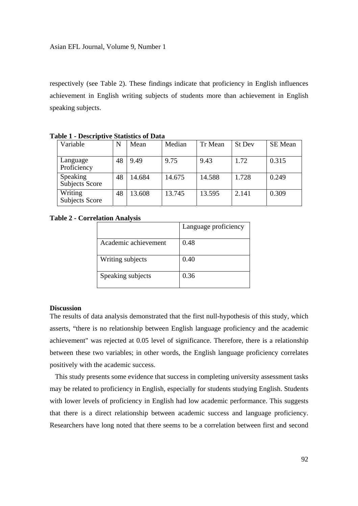respectively (see Table 2). These findings indicate that proficiency in English influences achievement in English writing subjects of students more than achievement in English speaking subjects.

| Variable                          | N  | Mean   | Median | Tr Mean | St Dev | <b>SE</b> Mean |
|-----------------------------------|----|--------|--------|---------|--------|----------------|
| Language<br>Proficiency           | 48 | 9.49   | 9.75   | 9.43    | 1.72   | 0.315          |
| Speaking<br><b>Subjects Score</b> | 48 | 14.684 | 14.675 | 14.588  | 1.728  | 0.249          |
| Writing<br><b>Subjects Score</b>  | 48 | 13.608 | 13.745 | 13.595  | 2.141  | 0.309          |

**Table 1 - Descriptive Statistics of Data** 

#### **Table 2 - Correlation Analysis**

|                      | Language proficiency |
|----------------------|----------------------|
| Academic achievement | 0.48                 |
| Writing subjects     | 0.40                 |
| Speaking subjects    | 0.36                 |

#### **Discussion**

The results of data analysis demonstrated that the first null-hypothesis of this study, which asserts, "there is no relationship between English language proficiency and the academic achievement" was rejected at 0.05 level of significance. Therefore, there is a relationship between these two variables; in other words, the English language proficiency correlates positively with the academic success.

 This study presents some evidence that success in completing university assessment tasks may be related to proficiency in English, especially for students studying English. Students with lower levels of proficiency in English had low academic performance. This suggests that there is a direct relationship between academic success and language proficiency. Researchers have long noted that there seems to be a correlation between first and second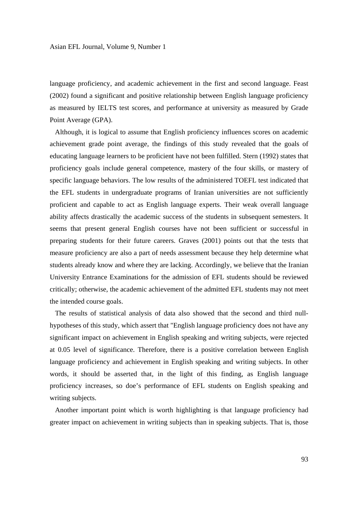language proficiency, and academic achievement in the first and second language. Feast (2002) found a significant and positive relationship between English language proficiency as measured by IELTS test scores, and performance at university as measured by Grade Point Average (GPA).

 Although, it is logical to assume that English proficiency influences scores on academic achievement grade point average, the findings of this study revealed that the goals of educating language learners to be proficient have not been fulfilled. Stern (1992) states that proficiency goals include general competence, mastery of the four skills, or mastery of specific language behaviors. The low results of the administered TOEFL test indicated that the EFL students in undergraduate programs of Iranian universities are not sufficiently proficient and capable to act as English language experts. Their weak overall language ability affects drastically the academic success of the students in subsequent semesters. It seems that present general English courses have not been sufficient or successful in preparing students for their future careers. Graves (2001) points out that the tests that measure proficiency are also a part of needs assessment because they help determine what students already know and where they are lacking. Accordingly, we believe that the Iranian University Entrance Examinations for the admission of EFL students should be reviewed critically; otherwise, the academic achievement of the admitted EFL students may not meet the intended course goals.

 The results of statistical analysis of data also showed that the second and third nullhypotheses of this study, which assert that "English language proficiency does not have any significant impact on achievement in English speaking and writing subjects, were rejected at 0.05 level of significance. Therefore, there is a positive correlation between English language proficiency and achievement in English speaking and writing subjects. In other words, it should be asserted that, in the light of this finding, as English language proficiency increases, so doe's performance of EFL students on English speaking and writing subjects.

 Another important point which is worth highlighting is that language proficiency had greater impact on achievement in writing subjects than in speaking subjects. That is, those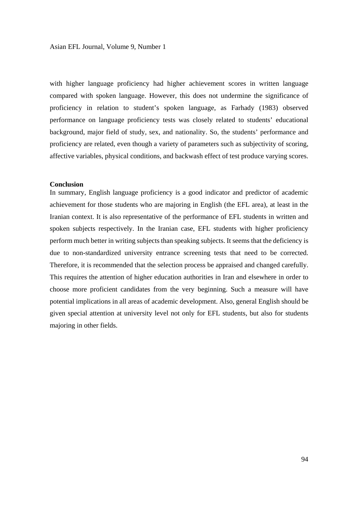with higher language proficiency had higher achievement scores in written language compared with spoken language. However, this does not undermine the significance of proficiency in relation to student's spoken language, as Farhady (1983) observed performance on language proficiency tests was closely related to students' educational background, major field of study, sex, and nationality. So, the students' performance and proficiency are related, even though a variety of parameters such as subjectivity of scoring, affective variables, physical conditions, and backwash effect of test produce varying scores.

#### **Conclusion**

In summary, English language proficiency is a good indicator and predictor of academic achievement for those students who are majoring in English (the EFL area), at least in the Iranian context. It is also representative of the performance of EFL students in written and spoken subjects respectively. In the Iranian case, EFL students with higher proficiency perform much better in writing subjects than speaking subjects. It seems that the deficiency is due to non-standardized university entrance screening tests that need to be corrected. Therefore, it is recommended that the selection process be appraised and changed carefully. This requires the attention of higher education authorities in Iran and elsewhere in order to choose more proficient candidates from the very beginning. Such a measure will have potential implications in all areas of academic development. Also, general English should be given special attention at university level not only for EFL students, but also for students majoring in other fields.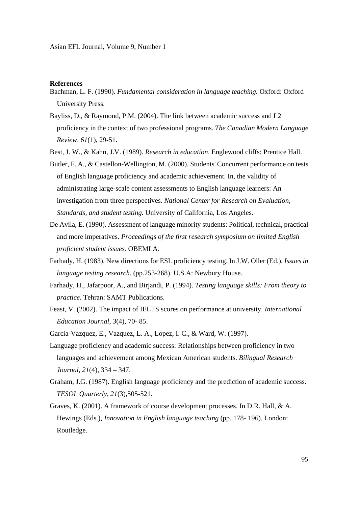## **References**

- Bachman, L. F. (1990). *Fundamental consideration in language teaching.* Oxford: Oxford University Press.
- Bayliss, D., & Raymond, P.M. (2004). The link between academic success and L2 proficiency in the context of two professional programs. *The Canadian Modern Language Review, 61*(1), 29-51.
- Best, J. W., & Kahn, J.V. (1989). *Research in education*. Englewood cliffs: Prentice Hall.
- Butler, F. A., & Castellon-Wellington, M. (2000). Students' Concurrent performance on tests of English language proficiency and academic achievement. In, the validity of administrating large-scale content assessments to English language learners: An investigation from three perspectives. *National Center for Research on Evaluation, Standards, and student testing.* University of California, Los Angeles.
- De Avila, E. (1990). Assessment of language minority students: Political, technical, practical and more imperatives. *Proceedings of the first research symposium on limited English proficient student issues.* OBEMLA.
- Farhady, H. (1983). New directions for ESL proficiency testing. In J.W. Oller (Ed.), *Issues in language testing research.* (pp.253-268). U.S.A: Newbury House.
- Farhady, H., Jafarpoor, A., and Birjandi, P. (1994). *Testing language skills: From theory to practice.* Tehran: SAMT Publications.
- Feast, V. (2002). The impact of IELTS scores on performance at university. *International Education Journal, 3*(4), 70- 85.
- Garcia-Vazquez, E., Vazquez, L. A., Lopez, I. C., & Ward, W. (1997).
- Language proficiency and academic success: Relationships between proficiency in two languages and achievement among Mexican American students. *Bilingual Research Journal, 21*(4), 334 – 347.
- Graham, J.G. (1987). English language proficiency and the prediction of academic success. *TESOL Quarterly, 21*(3),505-521.
- Graves, K. (2001). A framework of course development processes. In D.R. Hall, & A. Hewings (Eds.), *Innovation in English language teaching* (pp. 178- 196). London: Routledge.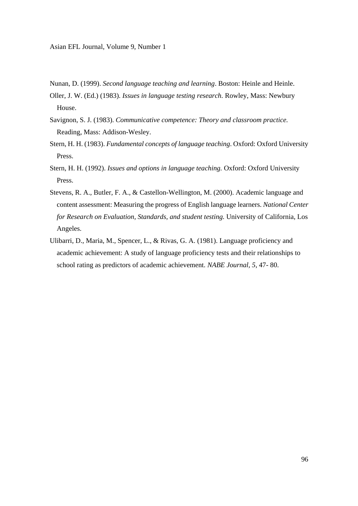- Nunan, D. (1999). *Second language teaching and learning*. Boston: Heinle and Heinle.
- Oller, J. W. (Ed.) (1983). *Issues in language testing research.* Rowley, Mass: Newbury House.
- Savignon, S. J. (1983). *Communicative competence: Theory and classroom practice.* Reading, Mass: Addison-Wesley.
- Stern, H. H. (1983). *Fundamental concepts of language teaching*. Oxford: Oxford University Press.
- Stern, H. H. (1992). *Issues and options in language teaching.* Oxford: Oxford University Press.
- Stevens, R. A., Butler, F. A., & Castellon-Wellington, M. (2000). Academic language and content assessment: Measuring the progress of English language learners. *National Center for Research on Evaluation, Standards, and student testing.* University of California, Los Angeles.
- Ulibarri, D., Maria, M., Spencer, L., & Rivas, G. A. (1981). Language proficiency and academic achievement: A study of language proficiency tests and their relationships to school rating as predictors of academic achievement. *NABE Journal, 5*, 47- 80.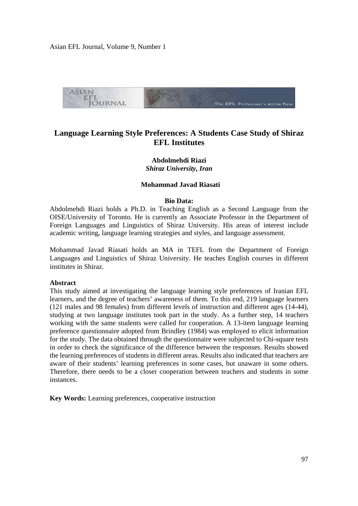Asian EFL Journal, Volume 9, Number 1



# **Language Learning Style Preferences: A Students Case Study of Shiraz EFL Institutes**

# **Abdolmehdi Riazi**  *Shiraz University, Iran*

## **Mohammad Javad Riasati**

#### **Bio Data:**

Abdolmehdi Riazi holds a Ph.D. in Teaching English as a Second Language from the OISE/University of Toronto. He is currently an Associate Professor in the Department of Foreign Languages and Linguistics of Shiraz University. His areas of interest include academic writing, language learning strategies and styles, and language assessment.

Mohammad Javad Riasati holds an MA in TEFL from the Department of Foreign Languages and Linguistics of Shiraz University. He teaches English courses in different institutes in Shiraz.

#### **Abstract**

This study aimed at investigating the language learning style preferences of Iranian EFL learners, and the degree of teachers' awareness of them. To this end, 219 language learners (121 males and 98 females) from different levels of instruction and different ages (14-44), studying at two language institutes took part in the study. As a further step, 14 teachers working with the same students were called for cooperation. A 13-item language learning preference questionnaire adopted from Brindley (1984) was employed to elicit information for the study. The data obtained through the questionnaire were subjected to Chi-square tests in order to check the significance of the difference between the responses. Results showed the learning preferences of students in different areas. Results also indicated that teachers are aware of their students' learning preferences in some cases, but unaware in some others. Therefore, there needs to be a closer cooperation between teachers and students in some instances.

**Key Words:** Learning preferences, cooperative instruction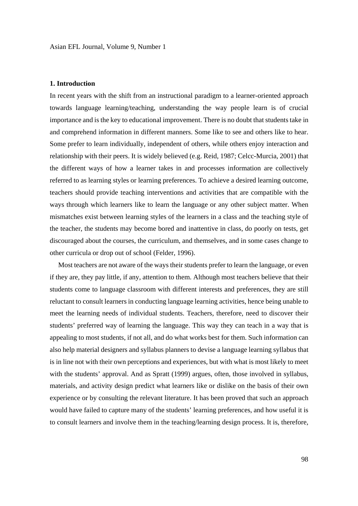#### **1. Introduction**

In recent years with the shift from an instructional paradigm to a learner-oriented approach towards language learning/teaching, understanding the way people learn is of crucial importance and is the key to educational improvement. There is no doubt that students take in and comprehend information in different manners. Some like to see and others like to hear. Some prefer to learn individually, independent of others, while others enjoy interaction and relationship with their peers. It is widely believed (e.g. Reid, 1987; Celcc-Murcia, 2001) that the different ways of how a learner takes in and processes information are collectively referred to as learning styles or learning preferences. To achieve a desired learning outcome, teachers should provide teaching interventions and activities that are compatible with the ways through which learners like to learn the language or any other subject matter. When mismatches exist between learning styles of the learners in a class and the teaching style of the teacher, the students may become bored and inattentive in class, do poorly on tests, get discouraged about the courses, the curriculum, and themselves, and in some cases change to other curricula or drop out of school (Felder, 1996).

 Most teachers are not aware of the ways their students prefer to learn the language, or even if they are, they pay little, if any, attention to them. Although most teachers believe that their students come to language classroom with different interests and preferences, they are still reluctant to consult learners in conducting language learning activities, hence being unable to meet the learning needs of individual students. Teachers, therefore, need to discover their students' preferred way of learning the language. This way they can teach in a way that is appealing to most students, if not all, and do what works best for them. Such information can also help material designers and syllabus planners to devise a language learning syllabus that is in line not with their own perceptions and experiences, but with what is most likely to meet with the students' approval. And as Spratt (1999) argues, often, those involved in syllabus, materials, and activity design predict what learners like or dislike on the basis of their own experience or by consulting the relevant literature. It has been proved that such an approach would have failed to capture many of the students' learning preferences, and how useful it is to consult learners and involve them in the teaching/learning design process. It is, therefore,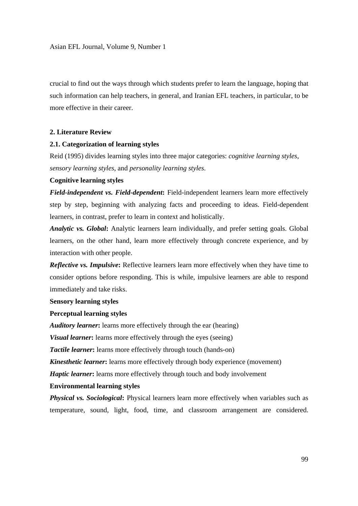crucial to find out the ways through which students prefer to learn the language, hoping that such information can help teachers, in general, and Iranian EFL teachers, in particular, to be more effective in their career.

# **2. Literature Review**

## **2.1. Categorization of learning styles**

Reid (1995) divides learning styles into three major categories: *cognitive learning styles*, *sensory learning styles*, and *personality learning styles*.

# **Cognitive learning styles**

*Field-independent vs. Field-dependent***:** Field-independent learners learn more effectively step by step, beginning with analyzing facts and proceeding to ideas. Field-dependent learners, in contrast, prefer to learn in context and holistically.

*Analytic vs. Global*: Analytic learners learn individually, and prefer setting goals. Global learners, on the other hand, learn more effectively through concrete experience, and by interaction with other people.

*Reflective vs. Impulsive***:** Reflective learners learn more effectively when they have time to consider options before responding. This is while, impulsive learners are able to respond immediately and take risks.

## **Sensory learning styles**

# **Perceptual learning styles**

*Auditory learner***:** learns more effectively through the ear (hearing)

*Visual learner*: learns more effectively through the eyes (seeing)

**Tactile learner:** learns more effectively through touch (hands-on)

*Kinesthetic learner***:** learns more effectively through body experience (movement)

*Haptic learner*: learns more effectively through touch and body involvement

## **Environmental learning styles**

*Physical vs. Sociological*: Physical learners learn more effectively when variables such as temperature, sound, light, food, time, and classroom arrangement are considered.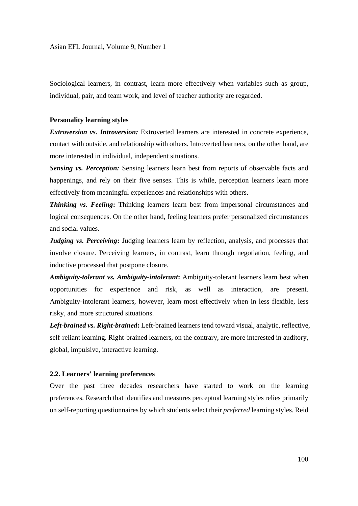Sociological learners, in contrast, learn more effectively when variables such as group, individual, pair, and team work, and level of teacher authority are regarded.

#### **Personality learning styles**

*Extroversion vs. Introversion:* Extroverted learners are interested in concrete experience, contact with outside, and relationship with others. Introverted learners, on the other hand, are more interested in individual, independent situations.

*Sensing vs. Perception:* Sensing learners learn best from reports of observable facts and happenings, and rely on their five senses. This is while, perception learners learn more effectively from meaningful experiences and relationships with others.

*Thinking vs. Feeling***:** Thinking learners learn best from impersonal circumstances and logical consequences. On the other hand, feeling learners prefer personalized circumstances and social values.

*Judging vs. Perceiving***:** Judging learners learn by reflection, analysis, and processes that involve closure. Perceiving learners, in contrast, learn through negotiation, feeling, and inductive processed that postpone closure.

*Ambiguity-tolerant vs. Ambiguity-intolerant***:** Ambiguity-tolerant learners learn best when opportunities for experience and risk, as well as interaction, are present. Ambiguity-intolerant learners, however, learn most effectively when in less flexible, less risky, and more structured situations.

*Left-brained vs. Right-brained***:** Left-brained learners tend toward visual, analytic, reflective, self-reliant learning. Right-brained learners, on the contrary, are more interested in auditory, global, impulsive, interactive learning.

## **2.2. Learners' learning preferences**

Over the past three decades researchers have started to work on the learning preferences. Research that identifies and measures perceptual learning styles relies primarily on self-reporting questionnaires by which students select their *preferred* learning styles. Reid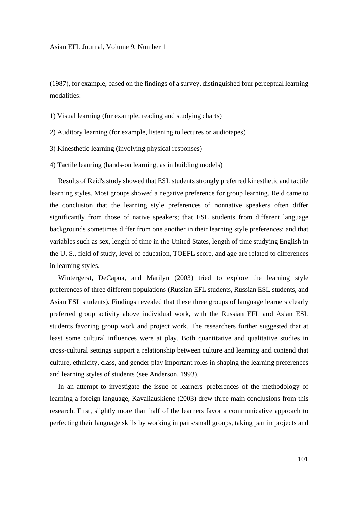(1987), for example, based on the findings of a survey, distinguished four perceptual learning modalities:

1) Visual learning (for example, reading and studying charts)

- 2) Auditory learning (for example, listening to lectures or audiotapes)
- 3) Kinesthetic learning (involving physical responses)
- 4) Tactile learning (hands-on learning, as in building models)

 Results of Reid's study showed that ESL students strongly preferred kinesthetic and tactile learning styles. Most groups showed a negative preference for group learning. Reid came to the conclusion that the learning style preferences of nonnative speakers often differ significantly from those of native speakers; that ESL students from different language backgrounds sometimes differ from one another in their learning style preferences; and that variables such as sex, length of time in the United States, length of time studying English in the U. S., field of study, level of education, TOEFL score, and age are related to differences in learning styles.

 Wintergerst, DeCapua, and Marilyn (2003) tried to explore the learning style preferences of three different populations (Russian EFL students, Russian ESL students, and Asian ESL students). Findings revealed that these three groups of language learners clearly preferred group activity above individual work, with the Russian EFL and Asian ESL students favoring group work and project work. The researchers further suggested that at least some cultural influences were at play. Both quantitative and qualitative studies in cross-cultural settings support a relationship between culture and learning and contend that culture, ethnicity, class, and gender play important roles in shaping the learning preferences and learning styles of students (see Anderson, 1993).

 In an attempt to investigate the issue of learners' preferences of the methodology of learning a foreign language, Kavaliauskiene (2003) drew three main conclusions from this research. First, slightly more than half of the learners favor a communicative approach to perfecting their language skills by working in pairs/small groups, taking part in projects and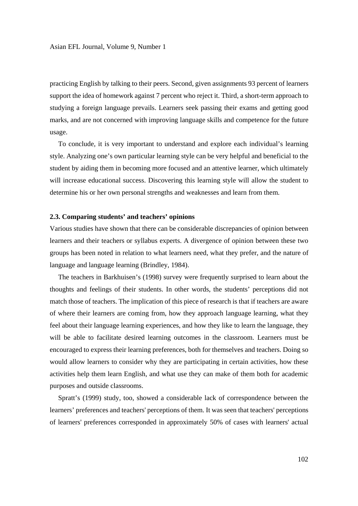practicing English by talking to their peers. Second, given assignments 93 percent of learners support the idea of homework against 7 percent who reject it. Third, a short-term approach to studying a foreign language prevails. Learners seek passing their exams and getting good marks, and are not concerned with improving language skills and competence for the future usage.

 To conclude, it is very important to understand and explore each individual's learning style. Analyzing one's own particular learning style can be very helpful and beneficial to the student by aiding them in becoming more focused and an attentive learner, which ultimately will increase educational success. Discovering this learning style will allow the student to determine his or her own personal strengths and weaknesses and learn from them.

#### **2.3. Comparing students' and teachers' opinions**

Various studies have shown that there can be considerable discrepancies of opinion between learners and their teachers or syllabus experts. A divergence of opinion between these two groups has been noted in relation to what learners need, what they prefer, and the nature of language and language learning (Brindley, 1984).

 The teachers in Barkhuisen's (1998) survey were frequently surprised to learn about the thoughts and feelings of their students. In other words, the students' perceptions did not match those of teachers. The implication of this piece of research is that if teachers are aware of where their learners are coming from, how they approach language learning, what they feel about their language learning experiences, and how they like to learn the language, they will be able to facilitate desired learning outcomes in the classroom. Learners must be encouraged to express their learning preferences, both for themselves and teachers. Doing so would allow learners to consider why they are participating in certain activities, how these activities help them learn English, and what use they can make of them both for academic purposes and outside classrooms.

 Spratt's (1999) study, too, showed a considerable lack of correspondence between the learners' preferences and teachers' perceptions of them. It was seen that teachers' perceptions of learners' preferences corresponded in approximately 50% of cases with learners' actual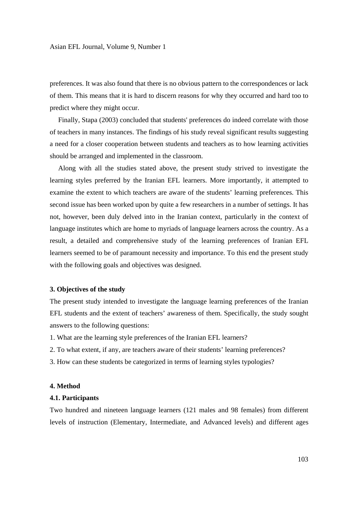preferences. It was also found that there is no obvious pattern to the correspondences or lack of them. This means that it is hard to discern reasons for why they occurred and hard too to predict where they might occur.

 Finally, Stapa (2003) concluded that students' preferences do indeed correlate with those of teachers in many instances. The findings of his study reveal significant results suggesting a need for a closer cooperation between students and teachers as to how learning activities should be arranged and implemented in the classroom.

 Along with all the studies stated above, the present study strived to investigate the learning styles preferred by the Iranian EFL learners. More importantly, it attempted to examine the extent to which teachers are aware of the students' learning preferences. This second issue has been worked upon by quite a few researchers in a number of settings. It has not, however, been duly delved into in the Iranian context, particularly in the context of language institutes which are home to myriads of language learners across the country. As a result, a detailed and comprehensive study of the learning preferences of Iranian EFL learners seemed to be of paramount necessity and importance. To this end the present study with the following goals and objectives was designed.

## **3. Objectives of the study**

The present study intended to investigate the language learning preferences of the Iranian EFL students and the extent of teachers' awareness of them. Specifically, the study sought answers to the following questions:

- 1. What are the learning style preferences of the Iranian EFL learners?
- 2. To what extent, if any, are teachers aware of their students' learning preferences?
- 3. How can these students be categorized in terms of learning styles typologies?

## **4. Method**

#### **4.1. Participants**

Two hundred and nineteen language learners (121 males and 98 females) from different levels of instruction (Elementary, Intermediate, and Advanced levels) and different ages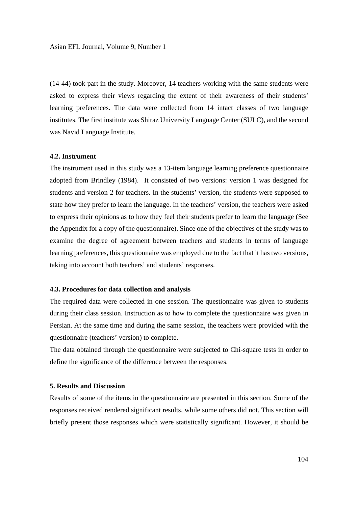(14-44) took part in the study. Moreover, 14 teachers working with the same students were asked to express their views regarding the extent of their awareness of their students' learning preferences. The data were collected from 14 intact classes of two language institutes. The first institute was Shiraz University Language Center (SULC), and the second was Navid Language Institute.

# **4.2. Instrument**

The instrument used in this study was a 13-item language learning preference questionnaire adopted from Brindley (1984). It consisted of two versions: version 1 was designed for students and version 2 for teachers. In the students' version, the students were supposed to state how they prefer to learn the language. In the teachers' version, the teachers were asked to express their opinions as to how they feel their students prefer to learn the language (See the Appendix for a copy of the questionnaire). Since one of the objectives of the study was to examine the degree of agreement between teachers and students in terms of language learning preferences, this questionnaire was employed due to the fact that it has two versions, taking into account both teachers' and students' responses.

## **4.3. Procedures for data collection and analysis**

The required data were collected in one session. The questionnaire was given to students during their class session. Instruction as to how to complete the questionnaire was given in Persian. At the same time and during the same session, the teachers were provided with the questionnaire (teachers' version) to complete.

The data obtained through the questionnaire were subjected to Chi-square tests in order to define the significance of the difference between the responses.

## **5. Results and Discussion**

Results of some of the items in the questionnaire are presented in this section. Some of the responses received rendered significant results, while some others did not. This section will briefly present those responses which were statistically significant. However, it should be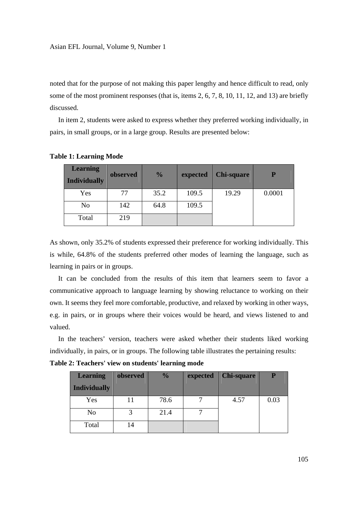noted that for the purpose of not making this paper lengthy and hence difficult to read, only some of the most prominent responses (that is, items 2, 6, 7, 8, 10, 11, 12, and 13) are briefly discussed.

 In item 2, students were asked to express whether they preferred working individually, in pairs, in small groups, or in a large group. Results are presented below:

| <b>Learning</b><br><b>Individually</b> | observed | $\frac{0}{0}$ | expected | <b>Chi-square</b> | P      |
|----------------------------------------|----------|---------------|----------|-------------------|--------|
| Yes                                    | 77       | 35.2          | 109.5    | 19.29             | 0.0001 |
| No                                     | 142      | 64.8          | 109.5    |                   |        |
| Total                                  | 219      |               |          |                   |        |

**Table 1: Learning Mode** 

As shown, only 35.2% of students expressed their preference for working individually. This is while, 64.8% of the students preferred other modes of learning the language, such as learning in pairs or in groups.

 It can be concluded from the results of this item that learners seem to favor a communicative approach to language learning by showing reluctance to working on their own. It seems they feel more comfortable, productive, and relaxed by working in other ways, e.g. in pairs, or in groups where their voices would be heard, and views listened to and valued.

 In the teachers' version, teachers were asked whether their students liked working individually, in pairs, or in groups. The following table illustrates the pertaining results:

**Table 2: Teachers' view on students' learning mode** 

| <b>Learning</b>     | observed | $\frac{0}{0}$ | expected | <b>Chi-square</b> | P    |
|---------------------|----------|---------------|----------|-------------------|------|
| <b>Individually</b> |          |               |          |                   |      |
| Yes                 |          | 78.6          |          | 4.57              | 0.03 |
| N <sub>o</sub>      |          | 21.4          |          |                   |      |
| Total               | 14       |               |          |                   |      |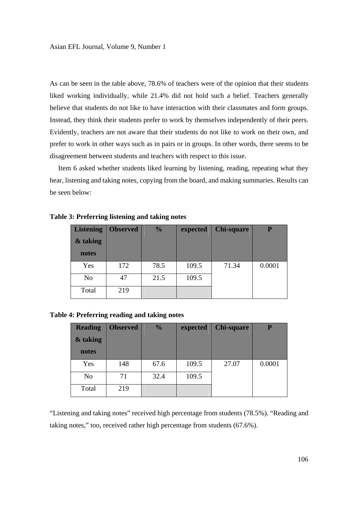As can be seen in the table above, 78.6% of teachers were of the opinion that their students liked working individually, while 21.4% did not hold such a belief. Teachers generally believe that students do not like to have interaction with their classmates and form groups. Instead, they think their students prefer to work by themselves independently of their peers. Evidently, teachers are not aware that their students do not like to work on their own, and prefer to work in other ways such as in pairs or in groups. In other words, there seems to be disagreement between students and teachers with respect to this issue.

 Item 6 asked whether students liked learning by listening, reading, repeating what they hear, listening and taking notes, copying from the board, and making summaries. Results can be seen below:

| <b>Listening</b> | <b>Observed</b> | $\frac{1}{2}$ | expected | <b>Chi-square</b> | P      |
|------------------|-----------------|---------------|----------|-------------------|--------|
| & taking         |                 |               |          |                   |        |
| notes            |                 |               |          |                   |        |
| Yes              | 172             | 78.5          | 109.5    | 71.34             | 0.0001 |
| No               | 47              | 21.5          | 109.5    |                   |        |
| Total            | 219             |               |          |                   |        |

**Table 3: Preferring listening and taking notes** 

**Table 4: Preferring reading and taking notes** 

| <b>Reading</b> | <b>Observed</b> | $\frac{0}{0}$ | expected | <b>Chi-square</b> | D      |
|----------------|-----------------|---------------|----------|-------------------|--------|
| & taking       |                 |               |          |                   |        |
| notes          |                 |               |          |                   |        |
| Yes            | 148             | 67.6          | 109.5    | 27.07             | 0.0001 |
| N <sub>0</sub> | 71              | 32.4          | 109.5    |                   |        |
| Total          | 219             |               |          |                   |        |

"Listening and taking notes" received high percentage from students (78.5%). "Reading and taking notes," too, received rather high percentage from students (67.6%).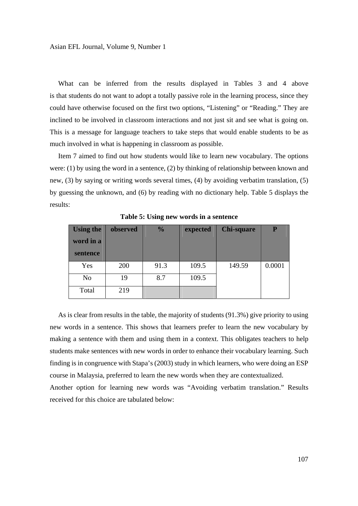What can be inferred from the results displayed in Tables 3 and 4 above is that students do not want to adopt a totally passive role in the learning process, since they could have otherwise focused on the first two options, "Listening" or "Reading." They are inclined to be involved in classroom interactions and not just sit and see what is going on. This is a message for language teachers to take steps that would enable students to be as much involved in what is happening in classroom as possible.

 Item 7 aimed to find out how students would like to learn new vocabulary. The options were: (1) by using the word in a sentence, (2) by thinking of relationship between known and new, (3) by saying or writing words several times, (4) by avoiding verbatim translation, (5) by guessing the unknown, and (6) by reading with no dictionary help. Table 5 displays the results:

| <b>Using the</b><br>word in a<br>sentence | observed | $\frac{0}{0}$ | expected | <b>Chi-square</b> | P      |
|-------------------------------------------|----------|---------------|----------|-------------------|--------|
| Yes                                       | 200      | 91.3          | 109.5    | 149.59            | 0.0001 |
| N <sub>o</sub>                            | 19       | 8.7           | 109.5    |                   |        |
| Total                                     | 219      |               |          |                   |        |

**Table 5: Using new words in a sentence** 

 As is clear from results in the table, the majority of students (91.3%) give priority to using new words in a sentence. This shows that learners prefer to learn the new vocabulary by making a sentence with them and using them in a context. This obligates teachers to help students make sentences with new words in order to enhance their vocabulary learning. Such finding is in congruence with Stapa's (2003) study in which learners, who were doing an ESP course in Malaysia, preferred to learn the new words when they are contextualized.

Another option for learning new words was "Avoiding verbatim translation." Results received for this choice are tabulated below: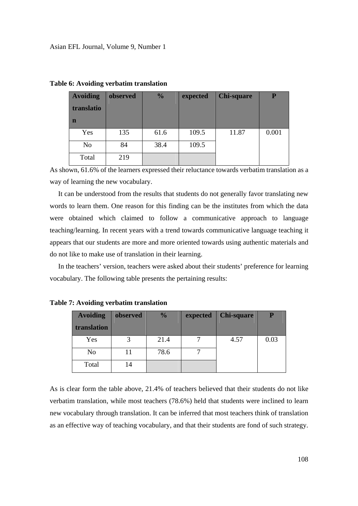| <b>Avoiding</b> | observed | $\frac{1}{2}$ | expected | <b>Chi-square</b> | P     |
|-----------------|----------|---------------|----------|-------------------|-------|
| translatio      |          |               |          |                   |       |
| n               |          |               |          |                   |       |
| Yes             | 135      | 61.6          | 109.5    | 11.87             | 0.001 |
| No              | 84       | 38.4          | 109.5    |                   |       |
| Total           | 219      |               |          |                   |       |

**Table 6: Avoiding verbatim translation** 

As shown, 61.6% of the learners expressed their reluctance towards verbatim translation as a way of learning the new vocabulary.

 It can be understood from the results that students do not generally favor translating new words to learn them. One reason for this finding can be the institutes from which the data were obtained which claimed to follow a communicative approach to language teaching/learning. In recent years with a trend towards communicative language teaching it appears that our students are more and more oriented towards using authentic materials and do not like to make use of translation in their learning.

 In the teachers' version, teachers were asked about their students' preference for learning vocabulary. The following table presents the pertaining results:

| <b>Avoiding</b> | observed | $\frac{0}{0}$ | expected | <b>Chi-square</b> |      |
|-----------------|----------|---------------|----------|-------------------|------|
| translation     |          |               |          |                   |      |
| Yes             |          | 21.4          |          | 4.57              | 0.03 |
| N <sub>o</sub>  | 11       | 78.6          |          |                   |      |
| Total           | 14       |               |          |                   |      |

**Table 7: Avoiding verbatim translation** 

As is clear form the table above, 21.4% of teachers believed that their students do not like verbatim translation, while most teachers (78.6%) held that students were inclined to learn new vocabulary through translation. It can be inferred that most teachers think of translation as an effective way of teaching vocabulary, and that their students are fond of such strategy.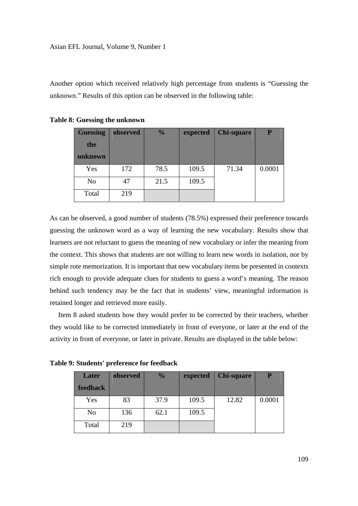Another option which received relatively high percentage from students is "Guessing the unknown." Results of this option can be observed in the following table:

| <b>Guessing</b> | observed | $\frac{0}{0}$ | expected | <b>Chi-square</b> | D      |
|-----------------|----------|---------------|----------|-------------------|--------|
| the             |          |               |          |                   |        |
| unknown         |          |               |          |                   |        |
| Yes             | 172      | 78.5          | 109.5    | 71.34             | 0.0001 |
| No              | 47       | 21.5          | 109.5    |                   |        |
| Total           | 219      |               |          |                   |        |

**Table 8: Guessing the unknown** 

As can be observed, a good number of students (78.5%) expressed their preference towards guessing the unknown word as a way of learning the new vocabulary. Results show that learners are not reluctant to guess the meaning of new vocabulary or infer the meaning from the context. This shows that students are not willing to learn new words in isolation, nor by simple rote memorization. It is important that new vocabulary items be presented in contexts rich enough to provide adequate clues for students to guess a word's meaning. The reason behind such tendency may be the fact that in students' view, meaningful information is retained longer and retrieved more easily.

 Item 8 asked students how they would prefer to be corrected by their teachers, whether they would like to be corrected immediately in front of everyone, or later at the end of the activity in front of everyone, or later in private. Results are displayed in the table below:

**Table 9: Students' preference for feedback** 

| Later           | observed | $\frac{0}{0}$ | expected | <b>Chi-square</b> |        |
|-----------------|----------|---------------|----------|-------------------|--------|
| <b>feedback</b> |          |               |          |                   |        |
| Yes             | 83       | 37.9          | 109.5    | 12.82             | 0.0001 |
| N <sub>o</sub>  | 136      | 62.1          | 109.5    |                   |        |
| Total           | 219      |               |          |                   |        |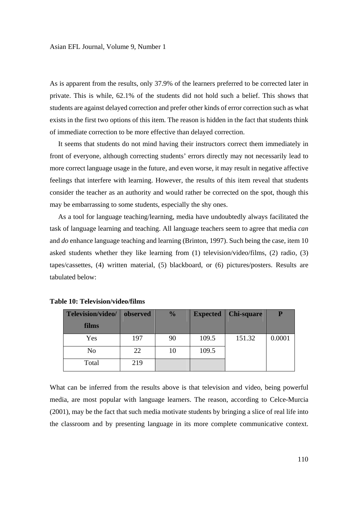As is apparent from the results, only 37.9% of the learners preferred to be corrected later in private. This is while, 62.1% of the students did not hold such a belief. This shows that students are against delayed correction and prefer other kinds of error correction such as what exists in the first two options of this item. The reason is hidden in the fact that students think of immediate correction to be more effective than delayed correction.

 It seems that students do not mind having their instructors correct them immediately in front of everyone, although correcting students' errors directly may not necessarily lead to more correct language usage in the future, and even worse, it may result in negative affective feelings that interfere with learning. However, the results of this item reveal that students consider the teacher as an authority and would rather be corrected on the spot, though this may be embarrassing to some students, especially the shy ones.

 As a tool for language teaching/learning, media have undoubtedly always facilitated the task of language learning and teaching. All language teachers seem to agree that media *can* and *do* enhance language teaching and learning (Brinton, 1997). Such being the case, item 10 asked students whether they like learning from (1) television/video/films, (2) radio, (3) tapes/cassettes, (4) written material, (5) blackboard, or (6) pictures/posters. Results are tabulated below:

| Television/video/ | observed | $\frac{0}{0}$ | <b>Expected</b> | <b>Chi-square</b> | P      |
|-------------------|----------|---------------|-----------------|-------------------|--------|
| films             |          |               |                 |                   |        |
| Yes               | 197      | 90            | 109.5           | 151.32            | 0.0001 |
| N <sub>o</sub>    | 22       | 10            | 109.5           |                   |        |
| Total             | 219      |               |                 |                   |        |

| <b>Table 10: Television/video/films</b> |  |
|-----------------------------------------|--|
|-----------------------------------------|--|

What can be inferred from the results above is that television and video, being powerful media, are most popular with language learners. The reason, according to Celce-Murcia (2001), may be the fact that such media motivate students by bringing a slice of real life into the classroom and by presenting language in its more complete communicative context.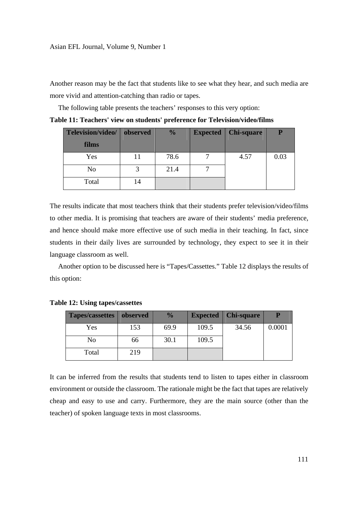Another reason may be the fact that students like to see what they hear, and such media are more vivid and attention-catching than radio or tapes.

The following table presents the teachers' responses to this very option:

| Television/video/ | observed | $\frac{0}{0}$ | Expected   Chi-square | P    |
|-------------------|----------|---------------|-----------------------|------|
| films             |          |               |                       |      |
| Yes               | 11       | 78.6          | 4.57                  | 0.03 |
| No                |          | 21.4          |                       |      |
| Total             | 14       |               |                       |      |

**Table 11: Teachers' view on students' preference for Television/video/films** 

The results indicate that most teachers think that their students prefer television/video/films to other media. It is promising that teachers are aware of their students' media preference, and hence should make more effective use of such media in their teaching. In fact, since students in their daily lives are surrounded by technology, they expect to see it in their language classroom as well.

 Another option to be discussed here is "Tapes/Cassettes." Table 12 displays the results of this option:

| <b>Tapes/cassettes</b> | observed | $\frac{6}{6}$ | <b>Expected</b> | <b>Chi-square</b> | P      |
|------------------------|----------|---------------|-----------------|-------------------|--------|
| Yes                    | 153      | 69.9          | 109.5           | 34.56             | 0.0001 |
| No                     | 66       | 30.1          | 109.5           |                   |        |
| Total                  | 219      |               |                 |                   |        |

**Table 12: Using tapes/cassettes** 

It can be inferred from the results that students tend to listen to tapes either in classroom environment or outside the classroom. The rationale might be the fact that tapes are relatively cheap and easy to use and carry. Furthermore, they are the main source (other than the teacher) of spoken language texts in most classrooms.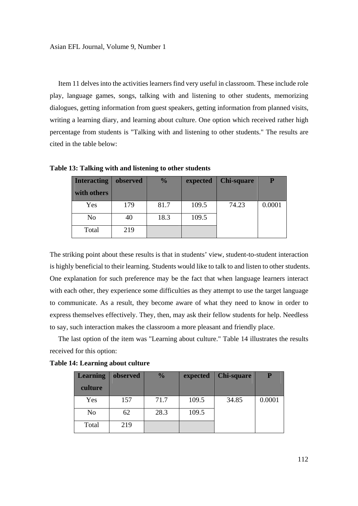Item 11 delves into the activities learners find very useful in classroom. These include role play, language games, songs, talking with and listening to other students, memorizing dialogues, getting information from guest speakers, getting information from planned visits, writing a learning diary, and learning about culture. One option which received rather high percentage from students is "Talking with and listening to other students." The results are cited in the table below:

| <b>Interacting</b> | observed | $\frac{0}{0}$ | expected | <b>Chi-square</b> | P      |
|--------------------|----------|---------------|----------|-------------------|--------|
| with others        |          |               |          |                   |        |
| Yes                | 179      | 81.7          | 109.5    | 74.23             | 0.0001 |
| N <sub>o</sub>     | 40       | 18.3          | 109.5    |                   |        |
| Total              | 219      |               |          |                   |        |

**Table 13: Talking with and listening to other students** 

The striking point about these results is that in students' view, student-to-student interaction is highly beneficial to their learning. Students would like to talk to and listen to other students. One explanation for such preference may be the fact that when language learners interact with each other, they experience some difficulties as they attempt to use the target language to communicate. As a result, they become aware of what they need to know in order to express themselves effectively. They, then, may ask their fellow students for help. Needless to say, such interaction makes the classroom a more pleasant and friendly place.

 The last option of the item was "Learning about culture." Table 14 illustrates the results received for this option:

| <b>Learning</b> | observed | $\frac{0}{0}$ | expected | <b>Chi-square</b> |        |
|-----------------|----------|---------------|----------|-------------------|--------|
| culture         |          |               |          |                   |        |
| Yes             | 157      | 71.7          | 109.5    | 34.85             | 0.0001 |
| No              | 62       | 28.3          | 109.5    |                   |        |
| Total           | 219      |               |          |                   |        |

**Table 14: Learning about culture**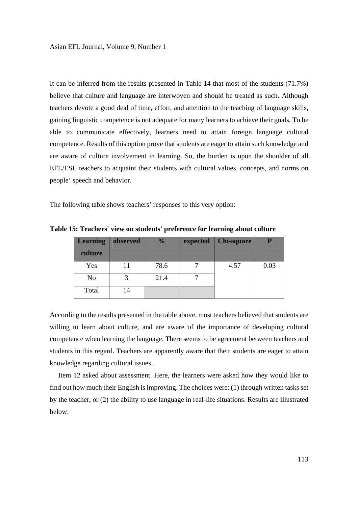It can be inferred from the results presented in Table 14 that most of the students (71.7%) believe that culture and language are interwoven and should be treated as such. Although teachers devote a good deal of time, effort, and attention to the teaching of language skills, gaining linguistic competence is not adequate for many learners to achieve their goals. To be able to communicate effectively, learners need to attain foreign language cultural competence. Results of this option prove that students are eager to attain such knowledge and are aware of culture involvement in learning. So, the burden is upon the shoulder of all EFL/ESL teachers to acquaint their students with cultural values, concepts, and norms on people' speech and behavior.

The following table shows teachers' responses to this very option:

| <b>Learning</b> | observed | $\frac{0}{0}$ | expected | <b>Chi-square</b> |      |
|-----------------|----------|---------------|----------|-------------------|------|
| culture         |          |               |          |                   |      |
| Yes             |          | 78.6          |          | 4.57              | 0.03 |
| No              |          | 21.4          |          |                   |      |
| Total           | 14       |               |          |                   |      |

**Table 15: Teachers' view on students' preference for learning about culture** 

According to the results presented in the table above, most teachers believed that students are willing to learn about culture, and are aware of the importance of developing cultural competence when learning the language. There seems to be agreement between teachers and students in this regard. Teachers are apparently aware that their students are eager to attain knowledge regarding cultural issues.

 Item 12 asked about assessment. Here, the learners were asked how they would like to find out how much their English is improving. The choices were: (1) through written tasks set by the teacher, or (2) the ability to use language in real-life situations. Results are illustrated below: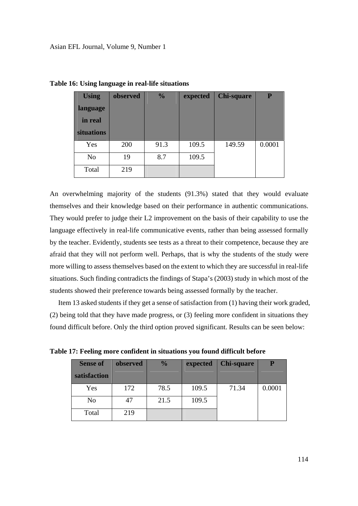| <b>Using</b> | observed | $\frac{0}{0}$ | expected | <b>Chi-square</b> | P      |
|--------------|----------|---------------|----------|-------------------|--------|
| language     |          |               |          |                   |        |
| in real      |          |               |          |                   |        |
| situations   |          |               |          |                   |        |
| Yes          | 200      | 91.3          | 109.5    | 149.59            | 0.0001 |
| No           | 19       | 8.7           | 109.5    |                   |        |
| Total        | 219      |               |          |                   |        |

**Table 16: Using language in real-life situations** 

An overwhelming majority of the students (91.3%) stated that they would evaluate themselves and their knowledge based on their performance in authentic communications. They would prefer to judge their L2 improvement on the basis of their capability to use the language effectively in real-life communicative events, rather than being assessed formally by the teacher. Evidently, students see tests as a threat to their competence, because they are afraid that they will not perform well. Perhaps, that is why the students of the study were more willing to assess themselves based on the extent to which they are successful in real-life situations. Such finding contradicts the findings of Stapa's (2003) study in which most of the students showed their preference towards being assessed formally by the teacher.

 Item 13 asked students if they get a sense of satisfaction from (1) having their work graded, (2) being told that they have made progress, or (3) feeling more confident in situations they found difficult before. Only the third option proved significant. Results can be seen below:

**Table 17: Feeling more confident in situations you found difficult before** 

| <b>Sense of</b> | observed | $\frac{0}{0}$ | expected | <b>Chi-square</b> | P      |
|-----------------|----------|---------------|----------|-------------------|--------|
| satisfaction    |          |               |          |                   |        |
| Yes             | 172      | 78.5          | 109.5    | 71.34             | 0.0001 |
| N <sub>o</sub>  | 47       | 21.5          | 109.5    |                   |        |
| Total           | 219      |               |          |                   |        |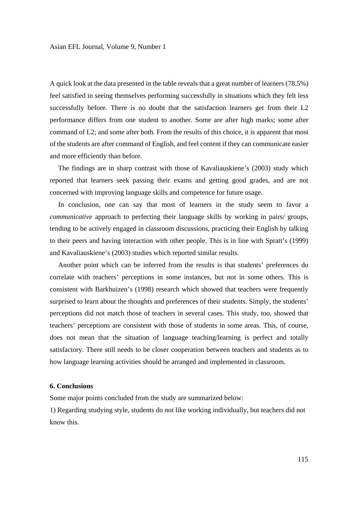A quick look at the data presented in the table reveals that a great number of learners (78.5%) feel satisfied in seeing themselves performing successfully in situations which they felt less successfully before. There is no doubt that the satisfaction learners get from their L2 performance differs from one student to another. Some are after high marks; some after command of L2; and some after both. From the results of this choice, it is apparent that most of the students are after command of English, and feel content if they can communicate easier and more efficiently than before.

 The findings are in sharp contrast with those of Kavaliauskiene's (2003) study which reported that learners seek passing their exams and getting good grades, and are not concerned with improving language skills and competence for future usage.

 In conclusion, one can say that most of learners in the study seem to favor a *communicative* approach to perfecting their language skills by working in pairs/ groups, tending to be actively engaged in classroom discussions, practicing their English by talking to their peers and having interaction with other people. This is in line with Spratt's (1999) and Kavaliauskiene's (2003) studies which reported similar results.

 Another point which can be inferred from the results is that students' preferences do correlate with teachers' perceptions in some instances, but not in some others. This is consistent with Barkhuizen's (1998) research which showed that teachers were frequently surprised to learn about the thoughts and preferences of their students. Simply, the students' perceptions did not match those of teachers in several cases. This study, too, showed that teachers' perceptions are consistent with those of students in some areas. This, of course, does not mean that the situation of language teaching/learning is perfect and totally satisfactory. There still needs to be closer cooperation between teachers and students as to how language learning activities should be arranged and implemented in classroom.

#### **6. Conclusions**

Some major points concluded from the study are summarized below:

1) Regarding studying style, students do not like working individually, but teachers did not know this.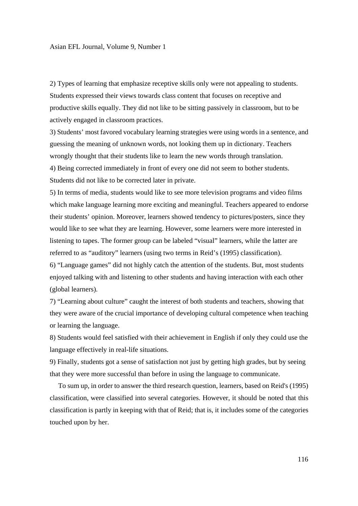2) Types of learning that emphasize receptive skills only were not appealing to students. Students expressed their views towards class content that focuses on receptive and productive skills equally. They did not like to be sitting passively in classroom, but to be actively engaged in classroom practices.

3) Students' most favored vocabulary learning strategies were using words in a sentence, and guessing the meaning of unknown words, not looking them up in dictionary. Teachers wrongly thought that their students like to learn the new words through translation. 4) Being corrected immediately in front of every one did not seem to bother students. Students did not like to be corrected later in private.

5) In terms of media, students would like to see more television programs and video films which make language learning more exciting and meaningful. Teachers appeared to endorse their students' opinion. Moreover, learners showed tendency to pictures/posters, since they would like to see what they are learning. However, some learners were more interested in listening to tapes. The former group can be labeled "visual" learners, while the latter are referred to as "auditory" learners (using two terms in Reid's (1995) classification).

6) "Language games" did not highly catch the attention of the students. But, most students enjoyed talking with and listening to other students and having interaction with each other (global learners).

7) "Learning about culture" caught the interest of both students and teachers, showing that they were aware of the crucial importance of developing cultural competence when teaching or learning the language.

8) Students would feel satisfied with their achievement in English if only they could use the language effectively in real-life situations.

9) Finally, students got a sense of satisfaction not just by getting high grades, but by seeing that they were more successful than before in using the language to communicate.

 To sum up, in order to answer the third research question, learners, based on Reid's (1995) classification, were classified into several categories. However, it should be noted that this classification is partly in keeping with that of Reid; that is, it includes some of the categories touched upon by her.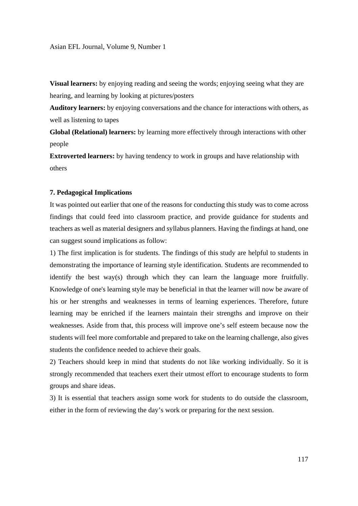**Visual learners:** by enjoying reading and seeing the words; enjoying seeing what they are hearing, and learning by looking at pictures/posters

**Auditory learners:** by enjoying conversations and the chance for interactions with others, as well as listening to tapes

**Global (Relational) learners:** by learning more effectively through interactions with other people

**Extroverted learners:** by having tendency to work in groups and have relationship with others

#### **7. Pedagogical Implications**

It was pointed out earlier that one of the reasons for conducting this study was to come across findings that could feed into classroom practice, and provide guidance for students and teachers as well as material designers and syllabus planners. Having the findings at hand, one can suggest sound implications as follow:

1) The first implication is for students. The findings of this study are helpful to students in demonstrating the importance of learning style identification. Students are recommended to identify the best way(s) through which they can learn the language more fruitfully. Knowledge of one's learning style may be beneficial in that the learner will now be aware of his or her strengths and weaknesses in terms of learning experiences. Therefore, future learning may be enriched if the learners maintain their strengths and improve on their weaknesses. Aside from that, this process will improve one's self esteem because now the students will feel more comfortable and prepared to take on the learning challenge, also gives students the confidence needed to achieve their goals.

2) Teachers should keep in mind that students do not like working individually. So it is strongly recommended that teachers exert their utmost effort to encourage students to form groups and share ideas.

3) It is essential that teachers assign some work for students to do outside the classroom, either in the form of reviewing the day's work or preparing for the next session.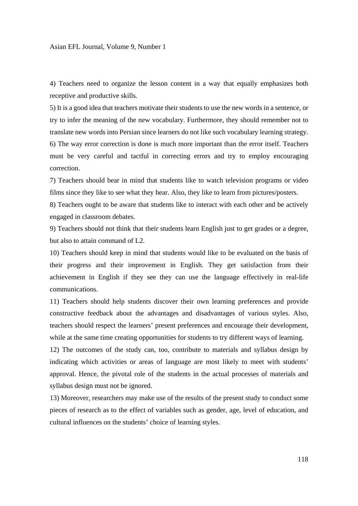4) Teachers need to organize the lesson content in a way that equally emphasizes both receptive and productive skills.

5) It is a good idea that teachers motivate their students to use the new words in a sentence, or try to infer the meaning of the new vocabulary. Furthermore, they should remember not to translate new words into Persian since learners do not like such vocabulary learning strategy. 6) The way error correction is done is much more important than the error itself. Teachers must be very careful and tactful in correcting errors and try to employ encouraging correction.

7) Teachers should bear in mind that students like to watch television programs or video films since they like to see what they hear. Also, they like to learn from pictures/posters.

8) Teachers ought to be aware that students like to interact with each other and be actively engaged in classroom debates.

9) Teachers should not think that their students learn English just to get grades or a degree, but also to attain command of L2.

10) Teachers should keep in mind that students would like to be evaluated on the basis of their progress and their improvement in English. They get satisfaction from their achievement in English if they see they can use the language effectively in real-life communications.

11) Teachers should help students discover their own learning preferences and provide constructive feedback about the advantages and disadvantages of various styles. Also, teachers should respect the learners' present preferences and encourage their development, while at the same time creating opportunities for students to try different ways of learning.

12) The outcomes of the study can, too, contribute to materials and syllabus design by indicating which activities or areas of language are most likely to meet with students' approval. Hence, the pivotal role of the students in the actual processes of materials and syllabus design must not be ignored.

13) Moreover, researchers may make use of the results of the present study to conduct some pieces of research as to the effect of variables such as gender, age, level of education, and cultural influences on the students' choice of learning styles.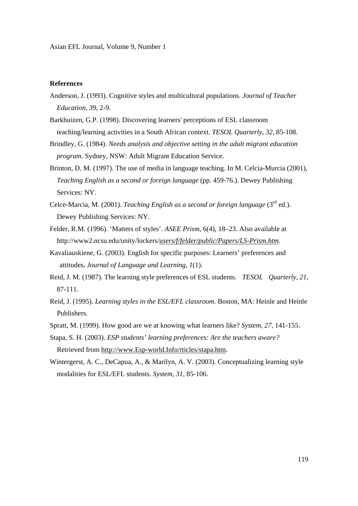Asian EFL Journal, Volume 9, Number 1

## **References**

- Anderson, J. (1993). Cognitive styles and multicultural populations. *Journal of Teacher Education, 39,* 2-9.
- Barkhuizen, G.P. (1998). Discovering learners' perceptions of ESL classroom teaching/learning activities in a South African context. *TESOL Quarterly, 32,* 85-108.
- Brindley, G. (1984). *Needs analysis and objective setting in the adult migrant education program.* Sydney, NSW: Adult Migrant Education Service.
- Brinton, D. M. (1997). The use of media in language teaching. In M. Celcia-Murcia (2001), *Teaching English as a second or foreign language* (pp. 459-76.). Dewey Publishing Services: NY.
- Celce-Marcia, M. (2001). *Teaching English as a second or foreign language* (3rd ed.). Dewey Publishing Services: NY.
- Felder, R.M. (1996). 'Matters of styles'. *ASEE Prism*, 6(4), 18–23. Also available at http://www2.ncsu.edu/unity/lockers/*users/f/felder/public/Papers/LS-Prism.htm*.
- Kavaliauskiene, G. (2003). English for specific purposes: Learners' preferences and attitudes**.** *Journal of Language and Learning*, *1*(1).
- Reid, J. M. (1987). The learning style preferences of ESL students. *TESOL Quarterly, 21,*  87-111.
- Reid, J. (1995). *Learning styles in the ESL/EFL classroom*. Boston, MA: Heinle and Heinle Publishers.
- Spratt, M. (1999). How good are we at knowing what learners like? *System*, *27,* 141-155.
- Stapa, S. H. (2003). *ESP students' learning preferences: Are the teachers aware?* Retrieved from http://www.Esp-world.Info/rticles/stapa.htm.
- Wintergerst, A. C., DeCapua, A., & Marilyn, A. V. (2003). Conceptualizing learning style modalities for ESL/EFL students. *System, 31,* 85-106.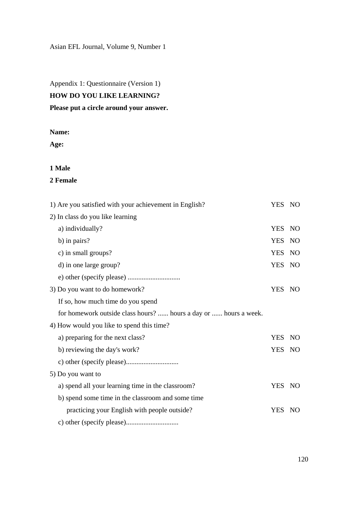Asian EFL Journal, Volume 9, Number 1

Appendix 1: Questionnaire (Version 1)

# **HOW DO YOU LIKE LEARNING?**

# **Please put a circle around your answer.**

# **Name:**

**Age:** 

# **1 Male**

## **2 Female**

| 1) Are you satisfied with your achievement in English?           | YES NO     |           |
|------------------------------------------------------------------|------------|-----------|
| 2) In class do you like learning                                 |            |           |
| a) individually?                                                 | <b>YES</b> | NO        |
| b) in pairs?                                                     | <b>YES</b> | <b>NO</b> |
| c) in small groups?                                              | <b>YES</b> | NO        |
| d) in one large group?                                           | YES NO     |           |
|                                                                  |            |           |
| 3) Do you want to do homework?                                   | YES NO     |           |
| If so, how much time do you spend                                |            |           |
| for homework outside class hours?  hours a day or  hours a week. |            |           |
| 4) How would you like to spend this time?                        |            |           |
| a) preparing for the next class?                                 | <b>YES</b> | NO        |
| b) reviewing the day's work?                                     | YES NO     |           |
|                                                                  |            |           |
| 5) Do you want to                                                |            |           |
| a) spend all your learning time in the classroom?                | YES NO     |           |
| b) spend some time in the classroom and some time                |            |           |
| practicing your English with people outside?                     | YES NO     |           |
|                                                                  |            |           |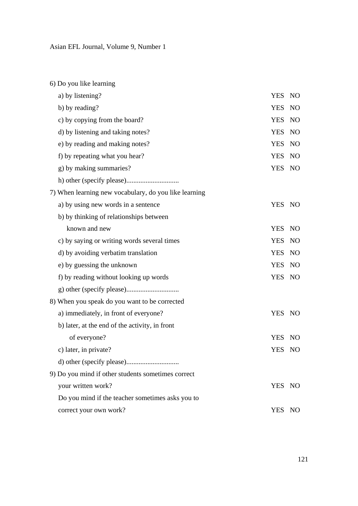6) Do you like learning a) by listening? YES NO b) by reading? YES NO c) by copying from the board? YES NO d) by listening and taking notes? YES NO e) by reading and making notes? YES NO f) by repeating what you hear? YES NO g) by making summaries? YES NO h) other (specify please).............................. 7) When learning new vocabulary, do you like learning a) by using new words in a sentence YES NO b) by thinking of relationships between known and new YES NO c) by saying or writing words several times YES NO d) by avoiding verbatim translation YES NO e) by guessing the unknown YES NO f) by reading without looking up words YES NO g) other (specify please).............................. 8) When you speak do you want to be corrected a) immediately, in front of everyone? YES NO b) later, at the end of the activity, in front of everyone? YES NO c) later, in private? YES NO d) other (specify please).............................. 9) Do you mind if other students sometimes correct your written work? YES NO Do you mind if the teacher sometimes asks you to correct your own work? YES NO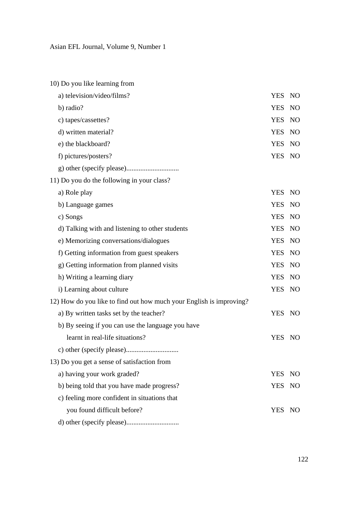| 10) Do you like learning from                                       |            |                 |
|---------------------------------------------------------------------|------------|-----------------|
| a) television/video/films?                                          | <b>YES</b> | NO              |
| b) radio?                                                           | <b>YES</b> | NO              |
| c) tapes/cassettes?                                                 | <b>YES</b> | NO <sub>1</sub> |
| d) written material?                                                | <b>YES</b> | <b>NO</b>       |
| e) the blackboard?                                                  | <b>YES</b> | <b>NO</b>       |
| f) pictures/posters?                                                | YES NO     |                 |
|                                                                     |            |                 |
| 11) Do you do the following in your class?                          |            |                 |
| a) Role play                                                        | <b>YES</b> | NO              |
| b) Language games                                                   | <b>YES</b> | N <sub>O</sub>  |
| c) Songs                                                            | <b>YES</b> | <b>NO</b>       |
| d) Talking with and listening to other students                     | <b>YES</b> | <b>NO</b>       |
| e) Memorizing conversations/dialogues                               | <b>YES</b> | <b>NO</b>       |
| f) Getting information from guest speakers                          | <b>YES</b> | N <sub>O</sub>  |
| g) Getting information from planned visits                          | <b>YES</b> | NO              |
| h) Writing a learning diary                                         | <b>YES</b> | NO              |
| i) Learning about culture                                           | <b>YES</b> | NO              |
| 12) How do you like to find out how much your English is improving? |            |                 |
| a) By written tasks set by the teacher?                             | YES NO     |                 |
| b) By seeing if you can use the language you have                   |            |                 |
| learnt in real-life situations?                                     | <b>YES</b> | NO              |
|                                                                     |            |                 |
| 13) Do you get a sense of satisfaction from                         |            |                 |
| a) having your work graded?                                         | <b>YES</b> | NO.             |
| b) being told that you have made progress?                          | <b>YES</b> | NO <sub>1</sub> |
| c) feeling more confident in situations that                        |            |                 |
| you found difficult before?                                         | YES NO     |                 |
|                                                                     |            |                 |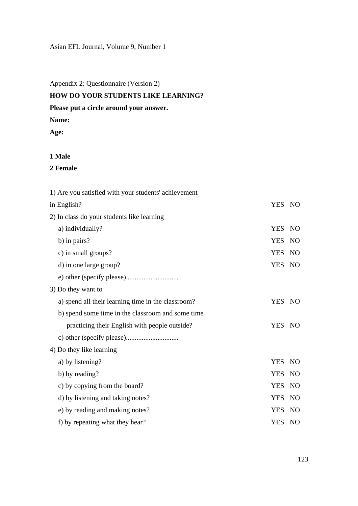# Asian EFL Journal, Volume 9, Number 1

Appendix 2: Questionnaire (Version 2)

# **HOW DO YOUR STUDENTS LIKE LEARNING?**

# **Please put a circle around your answer.**

**Name:** 

**Age:** 

# **1 Male**

**2 Female** 

| 1) Are you satisfied with your students' achievement |            |                 |
|------------------------------------------------------|------------|-----------------|
| in English?                                          | YES NO     |                 |
| 2) In class do your students like learning           |            |                 |
| a) individually?                                     | <b>YES</b> | NO              |
| b) in pairs?                                         | <b>YES</b> | N <sub>O</sub>  |
| c) in small groups?                                  | <b>YES</b> | NO              |
| d) in one large group?                               | YES NO     |                 |
|                                                      |            |                 |
| 3) Do they want to                                   |            |                 |
| a) spend all their learning time in the classroom?   | YES NO     |                 |
| b) spend some time in the classroom and some time    |            |                 |
| practicing their English with people outside?        | YES NO     |                 |
|                                                      |            |                 |
| 4) Do they like learning                             |            |                 |
| a) by listening?                                     | YES NO     |                 |
| b) by reading?                                       | <b>YES</b> | <b>NO</b>       |
| c) by copying from the board?                        | <b>YES</b> | N <sub>O</sub>  |
| d) by listening and taking notes?                    | <b>YES</b> | NO <sub>1</sub> |
| e) by reading and making notes?                      | <b>YES</b> | <b>NO</b>       |
| f) by repeating what they hear?                      | YES NO     |                 |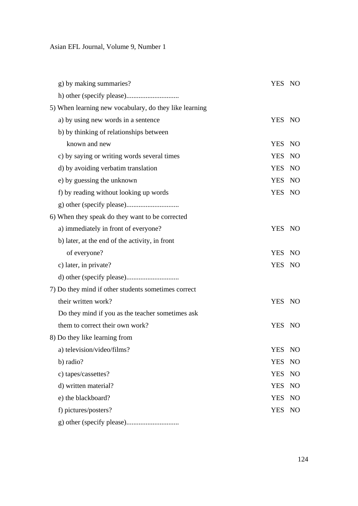| g) by making summaries?                                | YES NO     |                |
|--------------------------------------------------------|------------|----------------|
|                                                        |            |                |
| 5) When learning new vocabulary, do they like learning |            |                |
| a) by using new words in a sentence                    | YES NO     |                |
| b) by thinking of relationships between                |            |                |
| known and new                                          | <b>YES</b> | <b>NO</b>      |
| c) by saying or writing words several times            | <b>YES</b> | <b>NO</b>      |
| d) by avoiding verbatim translation                    | <b>YES</b> | NO             |
| e) by guessing the unknown                             | <b>YES</b> | NO             |
| f) by reading without looking up words                 | <b>YES</b> | NO             |
|                                                        |            |                |
| 6) When they speak do they want to be corrected        |            |                |
| a) immediately in front of everyone?                   | YES NO     |                |
| b) later, at the end of the activity, in front         |            |                |
| of everyone?                                           | YES NO     |                |
| c) later, in private?                                  | YES NO     |                |
|                                                        |            |                |
| 7) Do they mind if other students sometimes correct    |            |                |
| their written work?                                    | YES NO     |                |
| Do they mind if you as the teacher sometimes ask       |            |                |
| them to correct their own work?                        | YES NO     |                |
| 8) Do they like learning from                          |            |                |
| a) television/video/films?                             | YES        | NO             |
| b) radio?                                              | <b>YES</b> | N <sub>O</sub> |
| c) tapes/cassettes?                                    | <b>YES</b> | N <sub>O</sub> |
| d) written material?                                   | <b>YES</b> | N <sub>O</sub> |
| e) the blackboard?                                     | <b>YES</b> | N <sub>O</sub> |
| f) pictures/posters?                                   | <b>YES</b> | NO             |
|                                                        |            |                |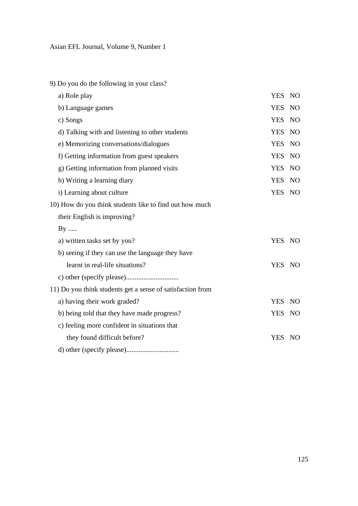9) Do you do the following in your class?

| a) Role play                                               | <b>YES</b> | <b>NO</b>       |
|------------------------------------------------------------|------------|-----------------|
| b) Language games                                          | <b>YES</b> | N <sub>O</sub>  |
| c) Songs                                                   | <b>YES</b> | N <sub>O</sub>  |
| d) Talking with and listening to other students            | <b>YES</b> | <b>NO</b>       |
| e) Memorizing conversations/dialogues                      | <b>YES</b> | N <sub>O</sub>  |
| f) Getting information from guest speakers                 | <b>YES</b> | N <sub>O</sub>  |
| g) Getting information from planned visits                 | <b>YES</b> | N <sub>O</sub>  |
| h) Writing a learning diary                                | <b>YES</b> | <b>NO</b>       |
| i) Learning about culture                                  | <b>YES</b> | <b>NO</b>       |
| 10) How do you think students like to find out how much    |            |                 |
| their English is improving?                                |            |                 |
| $By$                                                       |            |                 |
| a) written tasks set by you?                               | YES NO     |                 |
| b) seeing if they can use the language they have           |            |                 |
| learnt in real-life situations?                            | YES NO     |                 |
|                                                            |            |                 |
| 11) Do you think students get a sense of satisfaction from |            |                 |
| a) having their work graded?                               | <b>YES</b> | NO <sub>1</sub> |
| b) being told that they have made progress?                | <b>YES</b> | NO              |
| c) feeling more confident in situations that               |            |                 |
| they found difficult before?                               | <b>YES</b> | NO              |
|                                                            |            |                 |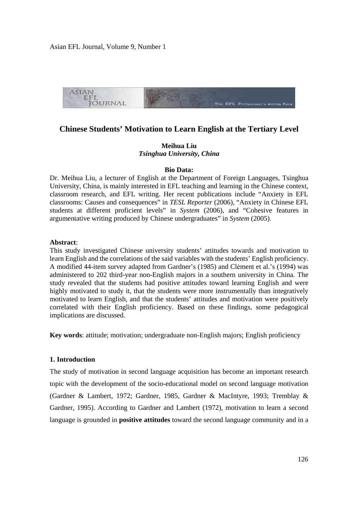Asian EFL Journal, Volume 9, Number 1



# **Chinese Students' Motivation to Learn English at the Tertiary Level**

# **Meihua Liu**  *Tsinghua University, China*

#### **Bio Data:**

Dr. Meihua Liu, a lecturer of English at the Department of Foreign Languages, Tsinghua University, China, is mainly interested in EFL teaching and learning in the Chinese context, classroom research, and EFL writing. Her recent publications include "Anxiety in EFL classrooms: Causes and consequences" in *TESL Reporter* (2006), "Anxiety in Chinese EFL students at different proficient levels" in *System* (2006), and "Cohesive features in argumentative writing produced by Chinese undergraduates" in *System* (2005).

#### **Abstract**:

This study investigated Chinese university students' attitudes towards and motivation to learn English and the correlations of the said variables with the students' English proficiency. A modified 44-item survey adapted from Gardner's (1985) and Clėment et al.'s (1994) was administered to 202 third-year non-English majors in a southern university in China. The study revealed that the students had positive attitudes toward learning English and were highly motivated to study it, that the students were more instrumentally than integratively motivated to learn English, and that the students' attitudes and motivation were positively correlated with their English proficiency. Based on these findings, some pedagogical implications are discussed.

**Key words**: attitude; motivation; undergraduate non-English majors; English proficiency

## **1. Introduction**

The study of motivation in second language acquisition has become an important research topic with the development of the socio-educational model on second language motivation (Gardner & Lambert, 1972; Gardner, 1985, Gardner & MacIntyre, 1993; Tremblay & Gardner, 1995). According to Gardner and Lambert (1972), motivation to learn a second language is grounded in **positive attitudes** toward the second language community and in a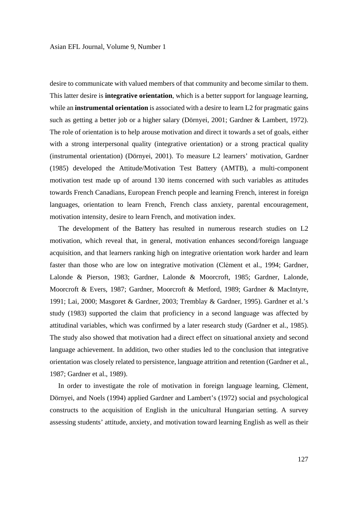desire to communicate with valued members of that community and become similar to them. This latter desire is **integrative orientation**, which is a better support for language learning, while an **instrumental orientation** is associated with a desire to learn L2 for pragmatic gains such as getting a better job or a higher salary (Dörnyei, 2001; Gardner & Lambert, 1972). The role of orientation is to help arouse motivation and direct it towards a set of goals, either with a strong interpersonal quality (integrative orientation) or a strong practical quality (instrumental orientation) (Dörnyei, 2001). To measure L2 learners' motivation, Gardner (1985) developed the Attitude/Motivation Test Battery (AMTB), a multi-component motivation test made up of around 130 items concerned with such variables as attitudes towards French Canadians, European French people and learning French, interest in foreign languages, orientation to learn French, French class anxiety, parental encouragement, motivation intensity, desire to learn French, and motivation index.

 The development of the Battery has resulted in numerous research studies on L2 motivation, which reveal that, in general, motivation enhances second/foreign language acquisition, and that learners ranking high on integrative orientation work harder and learn faster than those who are low on integrative motivation (Clėment et al., 1994; Gardner, Lalonde & Pierson, 1983; Gardner, Lalonde & Moorcroft, 1985; Gardner, Lalonde, Moorcroft & Evers, 1987; Gardner, Moorcroft & Metford, 1989; Gardner & MacIntyre, 1991; Lai, 2000; Masgoret & Gardner, 2003; Tremblay & Gardner, 1995). Gardner et al.'s study (1983) supported the claim that proficiency in a second language was affected by attitudinal variables, which was confirmed by a later research study (Gardner et al., 1985). The study also showed that motivation had a direct effect on situational anxiety and second language achievement. In addition, two other studies led to the conclusion that integrative orientation was closely related to persistence, language attrition and retention (Gardner et al., 1987; Gardner et al., 1989).

 In order to investigate the role of motivation in foreign language learning, Clėment, Dörnyei, and Noels (1994) applied Gardner and Lambert's (1972) social and psychological constructs to the acquisition of English in the unicultural Hungarian setting. A survey assessing students' attitude, anxiety, and motivation toward learning English as well as their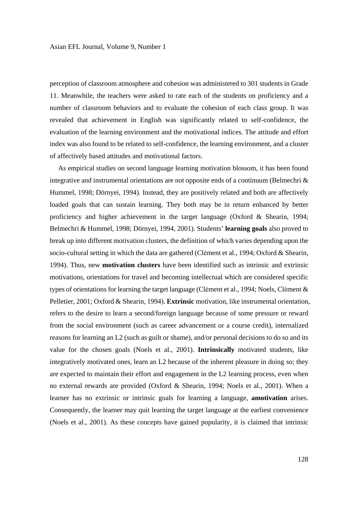perception of classroom atmosphere and cohesion was administered to 301 students in Grade 11. Meanwhile, the teachers were asked to rate each of the students on proficiency and a number of classroom behaviors and to evaluate the cohesion of each class group. It was revealed that achievement in English was significantly related to self-confidence, the evaluation of the learning environment and the motivational indices. The attitude and effort index was also found to be related to self-confidence, the learning environment, and a cluster of affectively based attitudes and motivational factors.

 As empirical studies on second language learning motivation blossom, it has been found integrative and instrumental orientations are not opposite ends of a continuum (Belmechri & Hummel, 1998; Dörnyei, 1994). Instead, they are positively related and both are affectively loaded goals that can sustain learning. They both may be in return enhanced by better proficiency and higher achievement in the target language (Oxford & Shearin, 1994; Belmechri & Hummel, 1998; Dörnyei, 1994, 2001). Students' **learning goals** also proved to break up into different motivation clusters, the definition of which varies depending upon the socio-cultural setting in which the data are gathered (Clėment et al., 1994; Oxford & Shearin, 1994). Thus, new **motivation clusters** have been identified such as intrinsic and extrinsic motivations, orientations for travel and becoming intellectual which are considered specific types of orientations for learning the target language (Clėment et al., 1994; Noels, Clėment & Pelletier, 2001; Oxford & Shearin, 1994). **Extrinsic** motivation, like instrumental orientation, refers to the desire to learn a second/foreign language because of some pressure or reward from the social environment (such as career advancement or a course credit), internalized reasons for learning an L2 (such as guilt or shame), and/or personal decisions to do so and its value for the chosen goals (Noels et al., 2001). **Intrinsically** motivated students, like integratively motivated ones, learn an L2 because of the inherent pleasure in doing so; they are expected to maintain their effort and engagement in the L2 learning process, even when no external rewards are provided (Oxford & Shearin, 1994; Noels et al., 2001). When a learner has no extrinsic or intrinsic goals for learning a language, **amotivation** arises. Consequently, the learner may quit learning the target language at the earliest convenience (Noels et al., 2001). As these concepts have gained popularity, it is claimed that intrinsic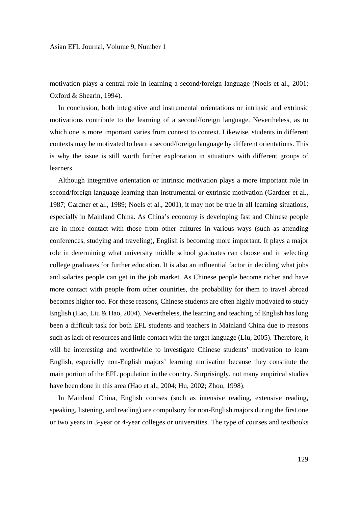motivation plays a central role in learning a second/foreign language (Noels et al., 2001; Oxford & Shearin, 1994).

 In conclusion, both integrative and instrumental orientations or intrinsic and extrinsic motivations contribute to the learning of a second/foreign language. Nevertheless, as to which one is more important varies from context to context. Likewise, students in different contexts may be motivated to learn a second/foreign language by different orientations. This is why the issue is still worth further exploration in situations with different groups of learners.

 Although integrative orientation or intrinsic motivation plays a more important role in second/foreign language learning than instrumental or extrinsic motivation (Gardner et al., 1987; Gardner et al., 1989; Noels et al., 2001), it may not be true in all learning situations, especially in Mainland China. As China's economy is developing fast and Chinese people are in more contact with those from other cultures in various ways (such as attending conferences, studying and traveling), English is becoming more important. It plays a major role in determining what university middle school graduates can choose and in selecting college graduates for further education. It is also an influential factor in deciding what jobs and salaries people can get in the job market. As Chinese people become richer and have more contact with people from other countries, the probability for them to travel abroad becomes higher too. For these reasons, Chinese students are often highly motivated to study English (Hao, Liu & Hao, 2004). Nevertheless, the learning and teaching of English has long been a difficult task for both EFL students and teachers in Mainland China due to reasons such as lack of resources and little contact with the target language (Liu, 2005). Therefore, it will be interesting and worthwhile to investigate Chinese students' motivation to learn English, especially non-English majors' learning motivation because they constitute the main portion of the EFL population in the country. Surprisingly, not many empirical studies have been done in this area (Hao et al., 2004; Hu, 2002; Zhou, 1998).

 In Mainland China, English courses (such as intensive reading, extensive reading, speaking, listening, and reading) are compulsory for non-English majors during the first one or two years in 3-year or 4-year colleges or universities. The type of courses and textbooks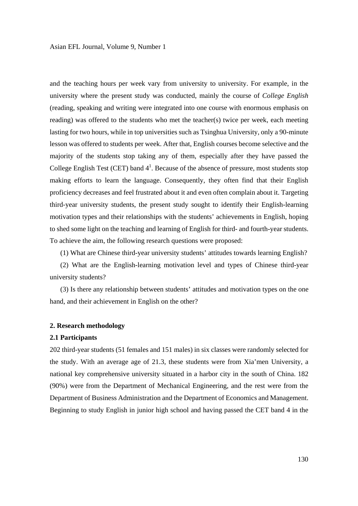and the teaching hours per week vary from university to university. For example, in the university where the present study was conducted, mainly the course of *College English* (reading, speaking and writing were integrated into one course with enormous emphasis on reading) was offered to the students who met the teacher(s) twice per week, each meeting lasting for two hours, while in top universities such as Tsinghua University, only a 90-minute lesson was offered to students per week. After that, English courses become selective and the majority of the students stop taking any of them, especially after they have passed the College English Test (CET) band  $4<sup>1</sup>$ . Because of the absence of pressure, most students stop making efforts to learn the language. Consequently, they often find that their English proficiency decreases and feel frustrated about it and even often complain about it. Targeting third-year university students, the present study sought to identify their English-learning motivation types and their relationships with the students' achievements in English, hoping to shed some light on the teaching and learning of English for third- and fourth-year students. To achieve the aim, the following research questions were proposed:

(1) What are Chinese third-year university students' attitudes towards learning English?

(2) What are the English-learning motivation level and types of Chinese third-year university students?

(3) Is there any relationship between students' attitudes and motivation types on the one hand, and their achievement in English on the other?

## **2. Research methodology**

## **2.1 Participants**

202 third-year students (51 females and 151 males) in six classes were randomly selected for the study. With an average age of 21.3, these students were from Xia'men University, a national key comprehensive university situated in a harbor city in the south of China. 182 (90%) were from the Department of Mechanical Engineering, and the rest were from the Department of Business Administration and the Department of Economics and Management. Beginning to study English in junior high school and having passed the CET band 4 in the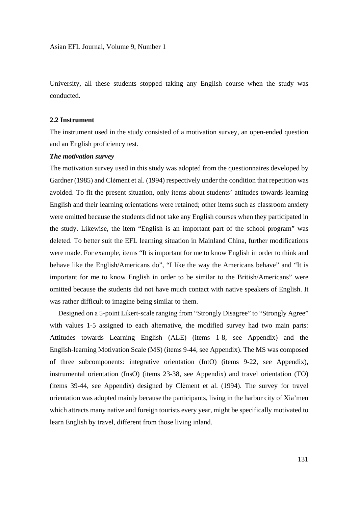University, all these students stopped taking any English course when the study was conducted.

#### **2.2 Instrument**

The instrument used in the study consisted of a motivation survey, an open-ended question and an English proficiency test.

## *The motivation survey*

The motivation survey used in this study was adopted from the questionnaires developed by Gardner (1985) and Clėment et al. (1994) respectively under the condition that repetition was avoided. To fit the present situation, only items about students' attitudes towards learning English and their learning orientations were retained; other items such as classroom anxiety were omitted because the students did not take any English courses when they participated in the study. Likewise, the item "English is an important part of the school program" was deleted. To better suit the EFL learning situation in Mainland China, further modifications were made. For example, items "It is important for me to know English in order to think and behave like the English/Americans do", "I like the way the Americans behave" and "It is important for me to know English in order to be similar to the British/Americans" were omitted because the students did not have much contact with native speakers of English. It was rather difficult to imagine being similar to them.

 Designed on a 5-point Likert-scale ranging from "Strongly Disagree" to "Strongly Agree" with values 1-5 assigned to each alternative, the modified survey had two main parts: Attitudes towards Learning English (ALE) (items 1-8, see Appendix) and the English-learning Motivation Scale (MS) (items 9-44, see Appendix). The MS was composed of three subcomponents: integrative orientation (IntO) (items 9-22, see Appendix), instrumental orientation (InsO) (items 23-38, see Appendix) and travel orientation (TO) (items 39-44, see Appendix) designed by Clėment et al. (1994). The survey for travel orientation was adopted mainly because the participants, living in the harbor city of Xia'men which attracts many native and foreign tourists every year, might be specifically motivated to learn English by travel, different from those living inland.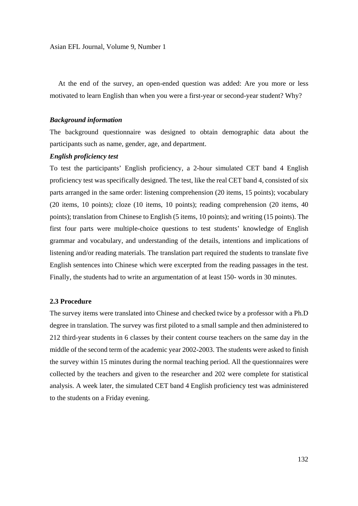At the end of the survey, an open-ended question was added: Are you more or less motivated to learn English than when you were a first-year or second-year student? Why?

#### *Background information*

The background questionnaire was designed to obtain demographic data about the participants such as name, gender, age, and department.

## *English proficiency test*

To test the participants' English proficiency, a 2-hour simulated CET band 4 English proficiency test was specifically designed. The test, like the real CET band 4, consisted of six parts arranged in the same order: listening comprehension (20 items, 15 points); vocabulary (20 items, 10 points); cloze (10 items, 10 points); reading comprehension (20 items, 40 points); translation from Chinese to English (5 items, 10 points); and writing (15 points). The first four parts were multiple-choice questions to test students' knowledge of English grammar and vocabulary, and understanding of the details, intentions and implications of listening and/or reading materials. The translation part required the students to translate five English sentences into Chinese which were excerpted from the reading passages in the test. Finally, the students had to write an argumentation of at least 150- words in 30 minutes.

# **2.3 Procedure**

The survey items were translated into Chinese and checked twice by a professor with a Ph.D degree in translation. The survey was first piloted to a small sample and then administered to 212 third-year students in 6 classes by their content course teachers on the same day in the middle of the second term of the academic year 2002-2003. The students were asked to finish the survey within 15 minutes during the normal teaching period. All the questionnaires were collected by the teachers and given to the researcher and 202 were complete for statistical analysis. A week later, the simulated CET band 4 English proficiency test was administered to the students on a Friday evening.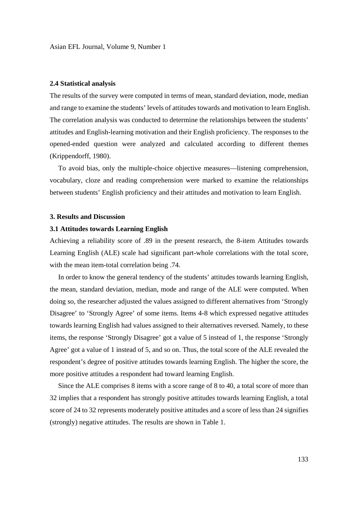Asian EFL Journal, Volume 9, Number 1

### **2.4 Statistical analysis**

The results of the survey were computed in terms of mean, standard deviation, mode, median and range to examine the students' levels of attitudes towards and motivation to learn English. The correlation analysis was conducted to determine the relationships between the students' attitudes and English-learning motivation and their English proficiency. The responses to the opened-ended question were analyzed and calculated according to different themes (Krippendorff, 1980).

 To avoid bias, only the multiple-choice objective measures—listening comprehension, vocabulary, cloze and reading comprehension were marked to examine the relationships between students' English proficiency and their attitudes and motivation to learn English.

#### **3. Results and Discussion**

#### **3.1 Attitudes towards Learning English**

Achieving a reliability score of .89 in the present research, the 8-item Attitudes towards Learning English (ALE) scale had significant part-whole correlations with the total score, with the mean item-total correlation being .74.

 In order to know the general tendency of the students' attitudes towards learning English, the mean, standard deviation, median, mode and range of the ALE were computed. When doing so, the researcher adjusted the values assigned to different alternatives from 'Strongly Disagree' to 'Strongly Agree' of some items. Items 4-8 which expressed negative attitudes towards learning English had values assigned to their alternatives reversed. Namely, to these items, the response 'Strongly Disagree' got a value of 5 instead of 1, the response 'Strongly Agree' got a value of 1 instead of 5, and so on. Thus, the total score of the ALE revealed the respondent's degree of positive attitudes towards learning English. The higher the score, the more positive attitudes a respondent had toward learning English.

 Since the ALE comprises 8 items with a score range of 8 to 40, a total score of more than 32 implies that a respondent has strongly positive attitudes towards learning English, a total score of 24 to 32 represents moderately positive attitudes and a score of less than 24 signifies (strongly) negative attitudes. The results are shown in Table 1.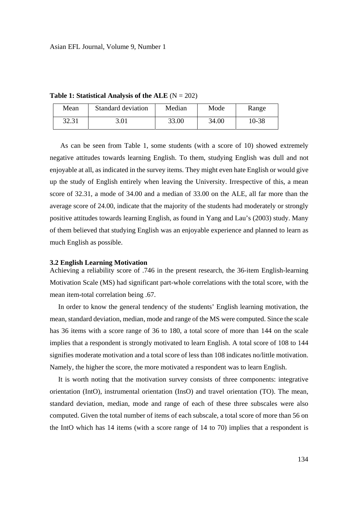**Table 1: Statistical Analysis of the ALE**  $(N = 202)$ 

| Mean  | Standard deviation | Median | Mode  | Range |
|-------|--------------------|--------|-------|-------|
| 32.31 | 3.01               | 33.00  | 34.00 | 10-38 |

As can be seen from Table 1, some students (with a score of 10) showed extremely negative attitudes towards learning English. To them, studying English was dull and not enjoyable at all, as indicated in the survey items. They might even hate English or would give up the study of English entirely when leaving the University. Irrespective of this, a mean score of 32.31, a mode of 34.00 and a median of 33.00 on the ALE, all far more than the average score of 24.00, indicate that the majority of the students had moderately or strongly positive attitudes towards learning English, as found in Yang and Lau's (2003) study. Many of them believed that studying English was an enjoyable experience and planned to learn as much English as possible.

#### **3.2 English Learning Motivation**

Achieving a reliability score of .746 in the present research, the 36-item English-learning Motivation Scale (MS) had significant part-whole correlations with the total score, with the mean item-total correlation being .67.

 In order to know the general tendency of the students' English learning motivation, the mean, standard deviation, median, mode and range of the MS were computed. Since the scale has 36 items with a score range of 36 to 180, a total score of more than 144 on the scale implies that a respondent is strongly motivated to learn English. A total score of 108 to 144 signifies moderate motivation and a total score of less than 108 indicates no/little motivation. Namely, the higher the score, the more motivated a respondent was to learn English.

 It is worth noting that the motivation survey consists of three components: integrative orientation (IntO), instrumental orientation (InsO) and travel orientation (TO). The mean, standard deviation, median, mode and range of each of these three subscales were also computed. Given the total number of items of each subscale, a total score of more than 56 on the IntO which has 14 items (with a score range of 14 to 70) implies that a respondent is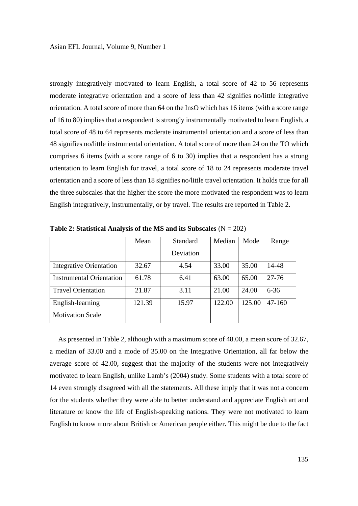strongly integratively motivated to learn English, a total score of 42 to 56 represents moderate integrative orientation and a score of less than 42 signifies no/little integrative orientation. A total score of more than 64 on the InsO which has 16 items (with a score range of 16 to 80) implies that a respondent is strongly instrumentally motivated to learn English, a total score of 48 to 64 represents moderate instrumental orientation and a score of less than 48 signifies no/little instrumental orientation. A total score of more than 24 on the TO which comprises 6 items (with a score range of 6 to 30) implies that a respondent has a strong orientation to learn English for travel, a total score of 18 to 24 represents moderate travel orientation and a score of less than 18 signifies no/little travel orientation. It holds true for all the three subscales that the higher the score the more motivated the respondent was to learn English integratively, instrumentally, or by travel. The results are reported in Table 2.

|                                 | Mean   | Standard  | Median | Mode   | Range      |
|---------------------------------|--------|-----------|--------|--------|------------|
|                                 |        | Deviation |        |        |            |
| Integrative Orientation         | 32.67  | 4.54      | 33.00  | 35.00  | 14-48      |
| <b>Instrumental Orientation</b> | 61.78  | 6.41      | 63.00  | 65.00  | $27 - 76$  |
| <b>Travel Orientation</b>       | 21.87  | 3.11      | 21.00  | 24.00  | $6 - 36$   |
| English-learning                | 121.39 | 15.97     | 122.00 | 125.00 | $47 - 160$ |
| <b>Motivation Scale</b>         |        |           |        |        |            |

**Table 2: Statistical Analysis of the MS and its Subscales** (N = 202)

 As presented in Table 2, although with a maximum score of 48.00, a mean score of 32.67, a median of 33.00 and a mode of 35.00 on the Integrative Orientation, all far below the average score of 42.00, suggest that the majority of the students were not integratively motivated to learn English, unlike Lamb's (2004) study. Some students with a total score of 14 even strongly disagreed with all the statements. All these imply that it was not a concern for the students whether they were able to better understand and appreciate English art and literature or know the life of English-speaking nations. They were not motivated to learn English to know more about British or American people either. This might be due to the fact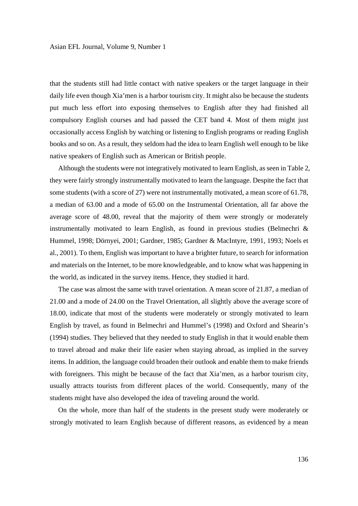that the students still had little contact with native speakers or the target language in their daily life even though Xia'men is a harbor tourism city. It might also be because the students put much less effort into exposing themselves to English after they had finished all compulsory English courses and had passed the CET band 4. Most of them might just occasionally access English by watching or listening to English programs or reading English books and so on. As a result, they seldom had the idea to learn English well enough to be like native speakers of English such as American or British people.

 Although the students were not integratively motivated to learn English, as seen in Table 2, they were fairly strongly instrumentally motivated to learn the language. Despite the fact that some students (with a score of 27) were not instrumentally motivated, a mean score of 61.78, a median of 63.00 and a mode of 65.00 on the Instrumental Orientation, all far above the average score of 48.00, reveal that the majority of them were strongly or moderately instrumentally motivated to learn English, as found in previous studies (Belmechri  $\&$ Hummel, 1998; Dörnyei, 2001; Gardner, 1985; Gardner & MacIntyre, 1991, 1993; Noels et al., 2001). To them, English was important to have a brighter future, to search for information and materials on the Internet, to be more knowledgeable, and to know what was happening in the world, as indicated in the survey items. Hence, they studied it hard.

 The case was almost the same with travel orientation. A mean score of 21.87, a median of 21.00 and a mode of 24.00 on the Travel Orientation, all slightly above the average score of 18.00, indicate that most of the students were moderately or strongly motivated to learn English by travel, as found in Belmechri and Hummel's (1998) and Oxford and Shearin's (1994) studies. They believed that they needed to study English in that it would enable them to travel abroad and make their life easier when staying abroad, as implied in the survey items. In addition, the language could broaden their outlook and enable them to make friends with foreigners. This might be because of the fact that Xia'men, as a harbor tourism city, usually attracts tourists from different places of the world. Consequently, many of the students might have also developed the idea of traveling around the world.

 On the whole, more than half of the students in the present study were moderately or strongly motivated to learn English because of different reasons, as evidenced by a mean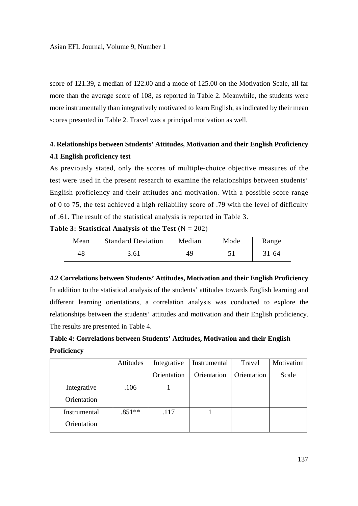score of 121.39, a median of 122.00 and a mode of 125.00 on the Motivation Scale, all far more than the average score of 108, as reported in Table 2. Meanwhile, the students were more instrumentally than integratively motivated to learn English, as indicated by their mean scores presented in Table 2. Travel was a principal motivation as well.

# **4. Relationships between Students' Attitudes, Motivation and their English Proficiency 4.1 English proficiency test**

As previously stated, only the scores of multiple-choice objective measures of the test were used in the present research to examine the relationships between students' English proficiency and their attitudes and motivation. With a possible score range of 0 to 75, the test achieved a high reliability score of .79 with the level of difficulty of .61. The result of the statistical analysis is reported in Table 3.

**Table 3: Statistical Analysis of the Test**  $(N = 202)$ 

| Mean | <b>Standard Deviation</b> | Median | Mode | Range     |
|------|---------------------------|--------|------|-----------|
| 48   | 3.61                      | 49     |      | $31 - 64$ |

**4.2 Correlations between Students' Attitudes, Motivation and their English Proficiency**  In addition to the statistical analysis of the students' attitudes towards English learning and different learning orientations, a correlation analysis was conducted to explore the relationships between the students' attitudes and motivation and their English proficiency. The results are presented in Table 4.

|                    | Table 4: Correlations between Students' Attitudes, Motivation and their English |
|--------------------|---------------------------------------------------------------------------------|
| <b>Proficiency</b> |                                                                                 |

|              | Attitudes | Integrative | Instrumental | Travel      | Motivation |
|--------------|-----------|-------------|--------------|-------------|------------|
|              |           | Orientation | Orientation  | Orientation | Scale      |
| Integrative  | .106      |             |              |             |            |
| Orientation  |           |             |              |             |            |
| Instrumental | $.851**$  | .117        |              |             |            |
| Orientation  |           |             |              |             |            |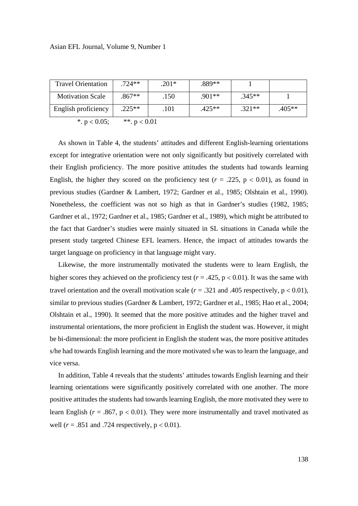| Asian EFL Journal, Volume 9, Number 1 |  |  |
|---------------------------------------|--|--|
|---------------------------------------|--|--|

| <b>Travel Orientation</b> | $.724**$       | $.201*$ | .889**   |          |        |
|---------------------------|----------------|---------|----------|----------|--------|
| <b>Motivation Scale</b>   | $.867**$       | .150    | $.901**$ | $.345**$ |        |
| English proficiency       | $.225**$       | .101    | $.425**$ | $.321**$ | .405** |
| *. $p < 0.05$ ;           | **. $p < 0.01$ |         |          |          |        |

 As shown in Table 4, the students' attitudes and different English-learning orientations except for integrative orientation were not only significantly but positively correlated with their English proficiency. The more positive attitudes the students had towards learning English, the higher they scored on the proficiency test  $(r = .225, p < 0.01)$ , as found in previous studies (Gardner & Lambert, 1972; Gardner et al., 1985; Olshtain et al., 1990). Nonetheless, the coefficient was not so high as that in Gardner's studies (1982, 1985; Gardner et al., 1972; Gardner et al., 1985; Gardner et al., 1989), which might be attributed to the fact that Gardner's studies were mainly situated in SL situations in Canada while the present study targeted Chinese EFL learners. Hence, the impact of attitudes towards the target language on proficiency in that language might vary.

 Likewise, the more instrumentally motivated the students were to learn English, the higher scores they achieved on the proficiency test ( $r = .425$ ,  $p < 0.01$ ). It was the same with travel orientation and the overall motivation scale  $(r = .321$  and .405 respectively,  $p < 0.01$ ), similar to previous studies (Gardner & Lambert, 1972; Gardner et al., 1985; Hao et al., 2004; Olshtain et al., 1990). It seemed that the more positive attitudes and the higher travel and instrumental orientations, the more proficient in English the student was. However, it might be bi-dimensional: the more proficient in English the student was, the more positive attitudes s/he had towards English learning and the more motivated s/he was to learn the language, and vice versa.

 In addition, Table 4 reveals that the students' attitudes towards English learning and their learning orientations were significantly positively correlated with one another. The more positive attitudes the students had towards learning English, the more motivated they were to learn English ( $r = .867$ ,  $p < 0.01$ ). They were more instrumentally and travel motivated as well ( $r = .851$  and .724 respectively,  $p < 0.01$ ).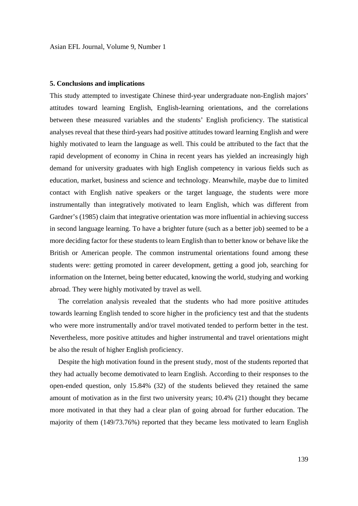#### **5. Conclusions and implications**

This study attempted to investigate Chinese third-year undergraduate non-English majors' attitudes toward learning English, English-learning orientations, and the correlations between these measured variables and the students' English proficiency. The statistical analyses reveal that these third-years had positive attitudes toward learning English and were highly motivated to learn the language as well. This could be attributed to the fact that the rapid development of economy in China in recent years has yielded an increasingly high demand for university graduates with high English competency in various fields such as education, market, business and science and technology. Meanwhile, maybe due to limited contact with English native speakers or the target language, the students were more instrumentally than integratively motivated to learn English, which was different from Gardner's (1985) claim that integrative orientation was more influential in achieving success in second language learning. To have a brighter future (such as a better job) seemed to be a more deciding factor for these students to learn English than to better know or behave like the British or American people. The common instrumental orientations found among these students were: getting promoted in career development, getting a good job, searching for information on the Internet, being better educated, knowing the world, studying and working abroad. They were highly motivated by travel as well.

 The correlation analysis revealed that the students who had more positive attitudes towards learning English tended to score higher in the proficiency test and that the students who were more instrumentally and/or travel motivated tended to perform better in the test. Nevertheless, more positive attitudes and higher instrumental and travel orientations might be also the result of higher English proficiency.

 Despite the high motivation found in the present study, most of the students reported that they had actually become demotivated to learn English. According to their responses to the open-ended question, only 15.84% (32) of the students believed they retained the same amount of motivation as in the first two university years; 10.4% (21) thought they became more motivated in that they had a clear plan of going abroad for further education. The majority of them (149/73.76%) reported that they became less motivated to learn English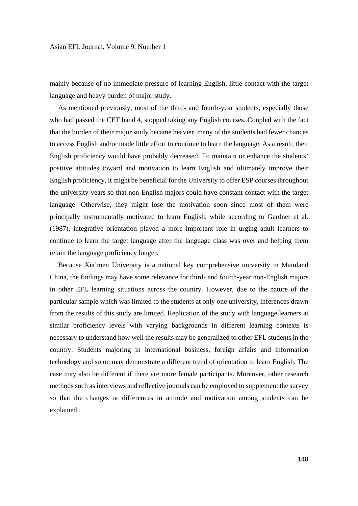mainly because of no immediate pressure of learning English, little contact with the target language and heavy burden of major study.

 As mentioned previously, most of the third- and fourth-year students, especially those who had passed the CET band 4, stopped taking any English courses. Coupled with the fact that the burden of their major study became heavier, many of the students had fewer chances to access English and/or made little effort to continue to learn the language. As a result, their English proficiency would have probably decreased. To maintain or enhance the students' positive attitudes toward and motivation to learn English and ultimately improve their English proficiency, it might be beneficial for the University to offer ESP courses throughout the university years so that non-English majors could have constant contact with the target language. Otherwise, they might lose the motivation soon since most of them were principally instrumentally motivated to learn English, while according to Gardner et al. (1987), integrative orientation played a more important role in urging adult learners to continue to learn the target language after the language class was over and helping them retain the language proficiency longer.

 Because Xia'men University is a national key comprehensive university in Mainland China, the findings may have some relevance for third- and fourth-year non-English majors in other EFL learning situations across the country. However, due to the nature of the particular sample which was limited to the students at only one university, inferences drawn from the results of this study are limited. Replication of the study with language learners at similar proficiency levels with varying backgrounds in different learning contexts is necessary to understand how well the results may be generalized to other EFL students in the country. Students majoring in international business, foreign affairs and information technology and so on may demonstrate a different trend of orientation to learn English. The case may also be different if there are more female participants. Moreover, other research methods such as interviews and reflective journals can be employed to supplement the survey so that the changes or differences in attitude and motivation among students can be explained.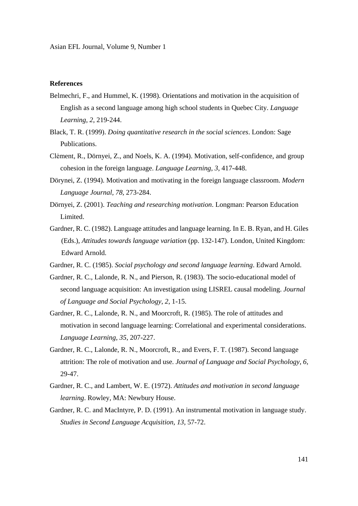# **References**

- Belmechri, F., and Hummel, K. (1998). Orientations and motivation in the acquisition of English as a second language among high school students in Quebec City. *Language Learning*, *2*, 219-244.
- Black, T. R. (1999). *Doing quantitative research in the social sciences*. London: Sage Publications.
- Clėment, R., Dörnyei, Z., and Noels, K. A. (1994). Motivation, self-confidence, and group cohesion in the foreign language. *Language Learning*, *3*, 417-448.
- Dörynei, Z. (1994). Motivation and motivating in the foreign language classroom. *Modern Language Journal, 78,* 273-284.
- Dörnyei, Z. (2001). *Teaching and researching motivation*. Longman: Pearson Education Limited.
- Gardner, R. C. (1982). Language attitudes and language learning. In E. B. Ryan, and H. Giles (Eds.), *Attitudes towards language variation* (pp. 132-147). London, United Kingdom: Edward Arnold.
- Gardner, R. C. (1985). *Social psychology and second language learning*. Edward Arnold.
- Gardner, R. C., Lalonde, R. N., and Pierson, R. (1983). The socio-educational model of second language acquisition: An investigation using LISREL causal modeling. *Journal of Language and Social Psychology*, *2*, 1-15.
- Gardner, R. C., Lalonde, R. N., and Moorcroft, R. (1985). The role of attitudes and motivation in second language learning: Correlational and experimental considerations. *Language Learning*, *35*, 207-227.
- Gardner, R. C., Lalonde, R. N., Moorcroft, R., and Evers, F. T. (1987). Second language attrition: The role of motivation and use. *Journal of Language and Social Psychology*, *6,*  29-47.
- Gardner, R. C., and Lambert, W. E. (1972). *Attitudes and motivation in second language learning*. Rowley, MA: Newbury House.
- Gardner, R. C. and MacIntyre, P. D. (1991). An instrumental motivation in language study. *Studies in Second Language Acquisition, 13,* 57-72.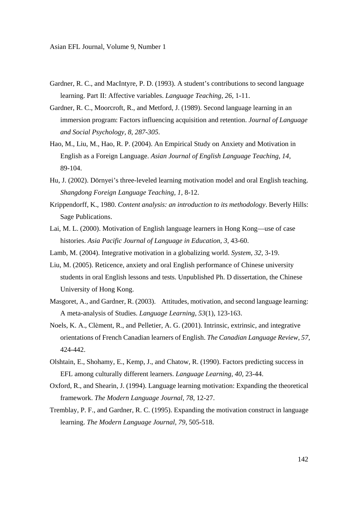Asian EFL Journal, Volume 9, Number 1

- Gardner, R. C., and MacIntyre, P. D. (1993). A student's contributions to second language learning. Part II: Affective variables. *Language Teaching, 26,* 1-11.
- Gardner, R. C., Moorcroft, R., and Metford, J. (1989). Second language learning in an immersion program: Factors influencing acquisition and retention. *Journal of Language and Social Psychology, 8, 287-305*.
- Hao, M., Liu, M., Hao, R. P. (2004). An Empirical Study on Anxiety and Motivation in English as a Foreign Language. *Asian Journal of English Language Teaching, 14,*  89-104.
- Hu, J. (2002). Dörnyei's three-leveled learning motivation model and oral English teaching. *Shangdong Foreign Language Teaching, 1,* 8-12.
- Krippendorff, K., 1980. *Content analysis: an introduction to its methodology*. Beverly Hills: Sage Publications.
- Lai, M. L. (2000). Motivation of English language learners in Hong Kong—use of case histories. *Asia Pacific Journal of Language in Education, 3,* 43-60.
- Lamb, M. (2004). Integrative motivation in a globalizing world. *System, 32,* 3-19.
- Liu, M. (2005). Reticence, anxiety and oral English performance of Chinese university students in oral English lessons and tests. Unpublished Ph. D dissertation, the Chinese University of Hong Kong.
- Masgoret, A., and Gardner, R. (2003). Attitudes, motivation, and second language learning: A meta-analysis of Studies. *Language Learning*, *53*(1), 123-163.
- Noels, K. A., Clėment, R., and Pelletier, A. G. (2001). Intrinsic, extrinsic, and integrative orientations of French Canadian learners of English. *The Canadian Language Review, 57,*  424-442.
- Olshtain, E., Shohamy, E., Kemp, J., and Chatow, R. (1990). Factors predicting success in EFL among culturally different learners. *Language Learning, 40,* 23-44.
- Oxford, R., and Shearin, J. (1994). Language learning motivation: Expanding the theoretical framework. *The Modern Language Journal, 78,* 12-27.
- Tremblay, P. F., and Gardner, R. C. (1995). Expanding the motivation construct in language learning. *The Modern Language Journal, 79,* 505-518.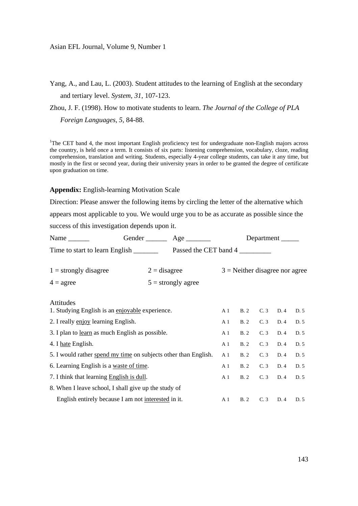Yang, A., and Lau, L. (2003). Student attitudes to the learning of English at the secondary and tertiary level. *System, 31,* 107-123.

Zhou, J. F. (1998). How to motivate students to learn. *The Journal of the College of PLA Foreign Languages, 5,* 84-88.

<sup>1</sup>The CET band 4, the most important English proficiency test for undergraduate non-English majors across the country, is held once a term. It consists of six parts: listening comprehension, vocabulary, cloze, reading comprehension, translation and writing. Students, especially 4-year college students, can take it any time, but mostly in the first or second year, during their university years in order to be granted the degree of certificate upon graduation on time.

#### **Appendix:** English-learning Motivation Scale

Direction: Please answer the following items by circling the letter of the alternative which appears most applicable to you. We would urge you to be as accurate as possible since the

success of this investigation depends upon it.

| Name $\frac{ }{ }$                                              |  |                      |                |                                  |                |      |      |
|-----------------------------------------------------------------|--|----------------------|----------------|----------------------------------|----------------|------|------|
|                                                                 |  |                      |                |                                  |                |      |      |
| $1 =$ strongly disagree                                         |  | $2 =$ disagree       |                | $3$ = Neither disagree nor agree |                |      |      |
| $4 = \text{agree}$                                              |  | $5 =$ strongly agree |                |                                  |                |      |      |
| Attitudes<br>1. Studying English is an enjoyable experience.    |  |                      | A <sub>1</sub> |                                  | B. 2 C. 3 D. 4 |      | D. 5 |
| 2. I really enjoy learning English.                             |  |                      | A <sub>1</sub> | B.2                              | C.3            | D.4  | D. 5 |
| 3. I plan to learn as much English as possible.                 |  | A <sub>1</sub>       | B.2            | C.3                              | D.4            | D. 5 |      |
| 4. I hate English.                                              |  |                      | A <sub>1</sub> | B.2                              | C.3            | D.4  | D. 5 |
| 5. I would rather spend my time on subjects other than English. |  |                      | A <sub>1</sub> | <b>B.2</b>                       | C.3            | D.4  | D. 5 |
| 6. Learning English is a waste of time.                         |  |                      | A <sub>1</sub> | B.2                              | C.3            | D. 4 | D. 5 |
| 7. I think that learning English is dull.                       |  |                      | A <sub>1</sub> | B.2                              | C.3            | D.4  | D. 5 |
| 8. When I leave school, I shall give up the study of            |  |                      |                |                                  |                |      |      |
| English entirely because I am not interested in it.             |  |                      | A <sub>1</sub> | B.2                              | C.3            | D.4  | D.5  |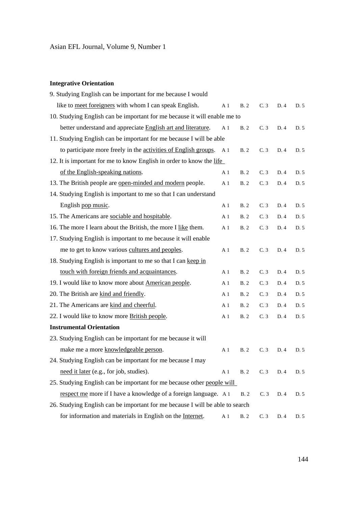# **Integrative Orientation**

| 9. Studying English can be important for me because I would                   |                |            |     |      |      |
|-------------------------------------------------------------------------------|----------------|------------|-----|------|------|
| like to meet foreigners with whom I can speak English.                        | A <sub>1</sub> | <b>B.2</b> | C.3 | D. 4 | D. 5 |
| 10. Studying English can be important for me because it will enable me to     |                |            |     |      |      |
| better understand and appreciate English art and literature.                  | A <sub>1</sub> | <b>B.2</b> | C.3 | D. 4 | D. 5 |
| 11. Studying English can be important for me because I will be able           |                |            |     |      |      |
| to participate more freely in the activities of English groups.               | A 1            | B.2        | C.3 | D. 4 | D. 5 |
| 12. It is important for me to know English in order to know the life          |                |            |     |      |      |
| of the English-speaking nations.                                              | A <sub>1</sub> | B.2        | C.3 | D. 4 | D. 5 |
| 13. The British people are open-minded and modern people.                     | A <sub>1</sub> | B.2        | C.3 | D. 4 | D. 5 |
| 14. Studying English is important to me so that I can understand              |                |            |     |      |      |
| English pop music.                                                            | A <sub>1</sub> | <b>B.2</b> | C.3 | D. 4 | D. 5 |
| 15. The Americans are sociable and hospitable.                                | A <sub>1</sub> | B.2        | C.3 | D. 4 | D. 5 |
| 16. The more I learn about the British, the more I like them.                 | A <sub>1</sub> | B. 2       | C.3 | D. 4 | D. 5 |
| 17. Studying English is important to me because it will enable                |                |            |     |      |      |
| me to get to know various cultures and peoples.                               | A <sub>1</sub> | B.2        | C.3 | D. 4 | D. 5 |
| 18. Studying English is important to me so that I can keep in                 |                |            |     |      |      |
| touch with foreign friends and acquaintances.                                 | A <sub>1</sub> | B.2        | C.3 | D. 4 | D. 5 |
| 19. I would like to know more about American people.                          | A <sub>1</sub> | B. 2       | C.3 | D.4  | D. 5 |
| 20. The British are kind and friendly.                                        | A <sub>1</sub> | B.2        | C.3 | D.4  | D. 5 |
| 21. The Americans are kind and cheerful.                                      | A <sub>1</sub> | B.2        | C.3 | D. 4 | D. 5 |
| 22. I would like to know more <b>British people</b> .                         | $\mathbf{A}$ 1 | <b>B.2</b> | C.3 | D. 4 | D. 5 |
| <b>Instrumental Orientation</b>                                               |                |            |     |      |      |
| 23. Studying English can be important for me because it will                  |                |            |     |      |      |
| make me a more knowledgeable person.                                          | A <sub>1</sub> | B. 2       | C.3 | D. 4 | D. 5 |
| 24. Studying English can be important for me because I may                    |                |            |     |      |      |
| need it later (e.g., for job, studies).                                       | A <sub>1</sub> | <b>B.2</b> | C.3 | D.4  | D. 5 |
| 25. Studying English can be important for me because other people will        |                |            |     |      |      |
| respect me more if I have a knowledge of a foreign language. A 1              |                | B.2        | C.3 | D.4  | D. 5 |
| 26. Studying English can be important for me because I will be able to search |                |            |     |      |      |
| for information and materials in English on the Internet.                     | A <sub>1</sub> | <b>B.2</b> | C.3 | D.4  | D. 5 |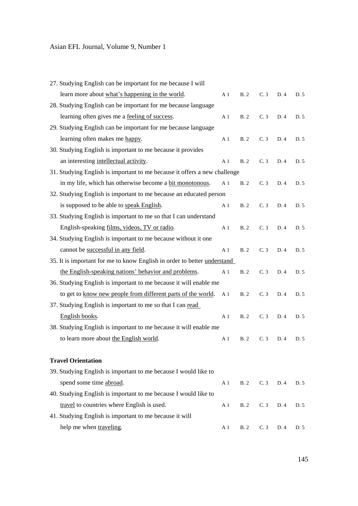# Asian EFL Journal, Volume 9, Number 1

| 27. Studying English can be important for me because I will               |                |            |     |      |      |
|---------------------------------------------------------------------------|----------------|------------|-----|------|------|
| learn more about what's happening in the world.                           | A <sub>1</sub> | B.2        | C.3 | D.4  | D. 5 |
| 28. Studying English can be important for me because language             |                |            |     |      |      |
| learning often gives me a <u>feeling of success</u> .                     | A <sub>1</sub> | B.2        | C.3 | D.4  | D.5  |
| 29. Studying English can be important for me because language             |                |            |     |      |      |
| learning often makes me happy.                                            | A <sub>1</sub> | <b>B.2</b> | C.3 | D.4  | D. 5 |
| 30. Studying English is important to me because it provides               |                |            |     |      |      |
| an interesting intellectual activity.                                     | A <sub>1</sub> | B.2        | C.3 | D. 4 | D. 5 |
| 31. Studying English is important to me because it offers a new challenge |                |            |     |      |      |
| in my life, which has otherwise become a bit monotonous.                  | A <sub>1</sub> | B.2        | C.3 | D. 4 | D. 5 |
| 32. Studying English is important to me because an educated person        |                |            |     |      |      |
| is supposed to be able to speak English.                                  | A <sub>1</sub> | B.2        | C.3 | D. 4 | D. 5 |
| 33. Studying English is important to me so that I can understand          |                |            |     |      |      |
| English-speaking films, videos, TV or radio.                              | A <sub>1</sub> | B.2        | C.3 | D.4  | D. 5 |
| 34. Studying English is important to me because without it one            |                |            |     |      |      |
| cannot be successful in any field.                                        | A <sub>1</sub> | <b>B.2</b> | C.3 | D.4  | D. 5 |
| 35. It is important for me to know English in order to better understand  |                |            |     |      |      |
| the English-speaking nations' behavior and problems.                      | A <sub>1</sub> | B.2        | C.3 | D.4  | D. 5 |
| 36. Studying English is important to me because it will enable me         |                |            |     |      |      |
| to get to know new people from different parts of the world.              | A <sub>1</sub> | B.2        | C.3 | D.4  | D. 5 |
| 37. Studying English is important to me so that I can read                |                |            |     |      |      |
| English books.                                                            | A <sub>1</sub> | B.2        | C.3 | D. 4 | D. 5 |
| 38. Studying English is important to me because it will enable me         |                |            |     |      |      |
| to learn more about the English world.                                    | A <sub>1</sub> | B.2        | C.3 | D.4  | D. 5 |
| <b>Travel Orientation</b>                                                 |                |            |     |      |      |
| 39. Studying English is important to me because I would like to           |                |            |     |      |      |
| spend some time abroad.                                                   | A <sub>1</sub> | <b>B.2</b> | C.3 | D. 4 | D. 5 |
| 40. Studying English is important to me because I would like to           |                |            |     |      |      |
| travel to countries where English is used.                                | $\mathbf{A}$ 1 | <b>B.2</b> | C.3 | D. 4 | D. 5 |
| 41. Studying English is important to me because it will                   |                |            |     |      |      |
| help me when traveling.                                                   | A <sub>1</sub> | <b>B.2</b> | C.3 | D. 4 | D. 5 |
|                                                                           |                |            |     |      |      |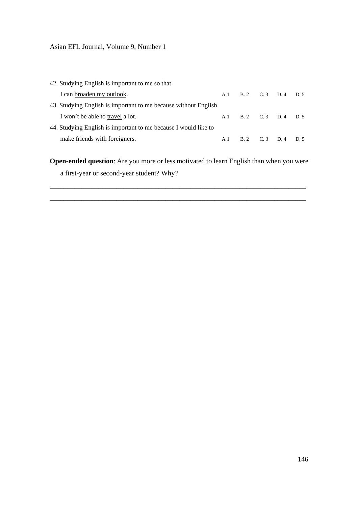Asian EFL Journal, Volume 9, Number 1

42. Studying English is important to me so that I can <u>broaden my outlook</u>. A 1 B. 2 C. 3 D. 4 D. 5 43. Studying English is important to me because without English I won't be able to <u>travel</u> a lot. A 1 B. 2 C. 3 D. 4 D. 5 44. Studying English is important to me because I would like to make friends with foreigners. A 1 B. 2 C. 3 D. 4 D. 5

**Open-ended question**: Are you more or less motivated to learn English than when you were a first-year or second-year student? Why?

\_\_\_\_\_\_\_\_\_\_\_\_\_\_\_\_\_\_\_\_\_\_\_\_\_\_\_\_\_\_\_\_\_\_\_\_\_\_\_\_\_\_\_\_\_\_\_\_\_\_\_\_\_\_\_\_\_\_\_\_\_\_\_\_\_\_\_\_\_\_\_\_\_

\_\_\_\_\_\_\_\_\_\_\_\_\_\_\_\_\_\_\_\_\_\_\_\_\_\_\_\_\_\_\_\_\_\_\_\_\_\_\_\_\_\_\_\_\_\_\_\_\_\_\_\_\_\_\_\_\_\_\_\_\_\_\_\_\_\_\_\_\_\_\_\_\_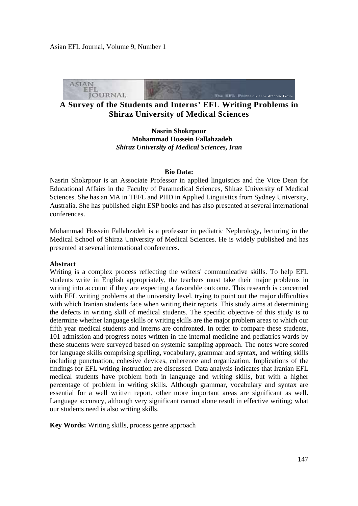

**A Survey of the Students and Interns' EFL Writing Problems in Shiraz University of Medical Sciences** 

**Nasrin Shokrpour Mohammad Hossein Fallahzadeh**  *Shiraz University of Medical Sciences, Iran* 

### **Bio Data:**

Nasrin Shokrpour is an Associate Professor in applied linguistics and the Vice Dean for Educational Affairs in the Faculty of Paramedical Sciences, Shiraz University of Medical Sciences. She has an MA in TEFL and PHD in Applied Linguistics from Sydney University, Australia. She has published eight ESP books and has also presented at several international conferences.

Mohammad Hossein Fallahzadeh is a professor in pediatric Nephrology, lecturing in the Medical School of Shiraz University of Medical Sciences. He is widely published and has presented at several international conferences.

# **Abstract**

Writing is a complex process reflecting the writers' communicative skills. To help EFL students write in English appropriately, the teachers must take their major problems in writing into account if they are expecting a favorable outcome. This research is concerned with EFL writing problems at the university level, trying to point out the major difficulties with which Iranian students face when writing their reports. This study aims at determining the defects in writing skill of medical students. The specific objective of this study is to determine whether language skills or writing skills are the major problem areas to which our fifth year medical students and interns are confronted. In order to compare these students, 101 admission and progress notes written in the internal medicine and pediatrics wards by these students were surveyed based on systemic sampling approach. The notes were scored for language skills comprising spelling, vocabulary, grammar and syntax, and writing skills including punctuation, cohesive devices, coherence and organization. Implications of the findings for EFL writing instruction are discussed. Data analysis indicates that Iranian EFL medical students have problem both in language and writing skills, but with a higher percentage of problem in writing skills. Although grammar, vocabulary and syntax are essential for a well written report, other more important areas are significant as well. Language accuracy, although very significant cannot alone result in effective writing; what our students need is also writing skills.

**Key Words:** Writing skills, process genre approach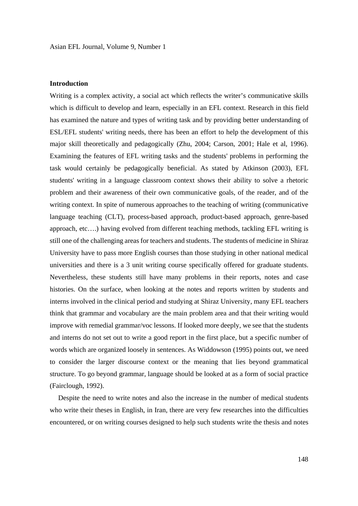# **Introduction**

Writing is a complex activity, a social act which reflects the writer's communicative skills which is difficult to develop and learn, especially in an EFL context. Research in this field has examined the nature and types of writing task and by providing better understanding of ESL/EFL students' writing needs, there has been an effort to help the development of this major skill theoretically and pedagogically (Zhu, 2004; Carson, 2001; Hale et al, 1996). Examining the features of EFL writing tasks and the students' problems in performing the task would certainly be pedagogically beneficial. As stated by Atkinson (2003), EFL students' writing in a language classroom context shows their ability to solve a rhetoric problem and their awareness of their own communicative goals, of the reader, and of the writing context. In spite of numerous approaches to the teaching of writing (communicative language teaching (CLT), process-based approach, product-based approach, genre-based approach, etc….) having evolved from different teaching methods, tackling EFL writing is still one of the challenging areas for teachers and students. The students of medicine in Shiraz University have to pass more English courses than those studying in other national medical universities and there is a 3 unit writing course specifically offered for graduate students. Nevertheless, these students still have many problems in their reports, notes and case histories. On the surface, when looking at the notes and reports written by students and interns involved in the clinical period and studying at Shiraz University, many EFL teachers think that grammar and vocabulary are the main problem area and that their writing would improve with remedial grammar/voc lessons. If looked more deeply, we see that the students and interns do not set out to write a good report in the first place, but a specific number of words which are organized loosely in sentences. As Widdowson (1995) points out, we need to consider the larger discourse context or the meaning that lies beyond grammatical structure. To go beyond grammar, language should be looked at as a form of social practice (Fairclough, 1992).

 Despite the need to write notes and also the increase in the number of medical students who write their theses in English, in Iran, there are very few researches into the difficulties encountered, or on writing courses designed to help such students write the thesis and notes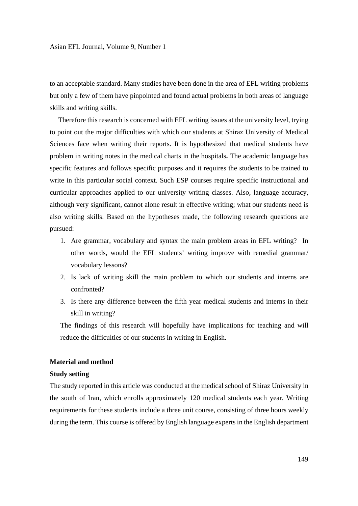to an acceptable standard. Many studies have been done in the area of EFL writing problems but only a few of them have pinpointed and found actual problems in both areas of language skills and writing skills.

 Therefore this research is concerned with EFL writing issues at the university level, trying to point out the major difficulties with which our students at Shiraz University of Medical Sciences face when writing their reports. It is hypothesized that medical students have problem in writing notes in the medical charts in the hospitals**.** The academic language has specific features and follows specific purposes and it requires the students to be trained to write in this particular social context. Such ESP courses require specific instructional and curricular approaches applied to our university writing classes. Also, language accuracy, although very significant, cannot alone result in effective writing; what our students need is also writing skills. Based on the hypotheses made, the following research questions are pursued:

- 1. Are grammar, vocabulary and syntax the main problem areas in EFL writing? In other words, would the EFL students' writing improve with remedial grammar/ vocabulary lessons?
- 2. Is lack of writing skill the main problem to which our students and interns are confronted?
- 3. Is there any difference between the fifth year medical students and interns in their skill in writing?

The findings of this research will hopefully have implications for teaching and will reduce the difficulties of our students in writing in English.

# **Material and method**

#### **Study setting**

The study reported in this article was conducted at the medical school of Shiraz University in the south of Iran, which enrolls approximately 120 medical students each year. Writing requirements for these students include a three unit course, consisting of three hours weekly during the term. This course is offered by English language experts in the English department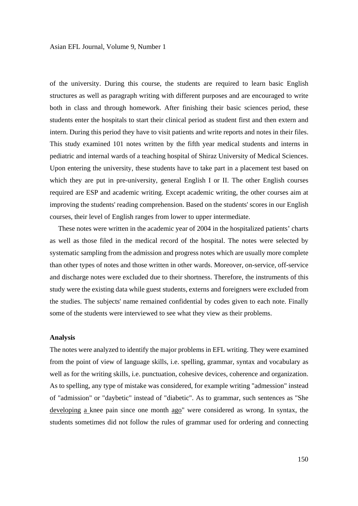of the university. During this course, the students are required to learn basic English structures as well as paragraph writing with different purposes and are encouraged to write both in class and through homework. After finishing their basic sciences period, these students enter the hospitals to start their clinical period as student first and then extern and intern. During this period they have to visit patients and write reports and notes in their files. This study examined 101 notes written by the fifth year medical students and interns in pediatric and internal wards of a teaching hospital of Shiraz University of Medical Sciences. Upon entering the university, these students have to take part in a placement test based on which they are put in pre-university, general English I or II. The other English courses required are ESP and academic writing. Except academic writing, the other courses aim at improving the students' reading comprehension. Based on the students' scores in our English courses, their level of English ranges from lower to upper intermediate.

 These notes were written in the academic year of 2004 in the hospitalized patients' charts as well as those filed in the medical record of the hospital. The notes were selected by systematic sampling from the admission and progress notes which are usually more complete than other types of notes and those written in other wards. Moreover, on-service, off-service and discharge notes were excluded due to their shortness. Therefore, the instruments of this study were the existing data while guest students, externs and foreigners were excluded from the studies. The subjects' name remained confidential by codes given to each note. Finally some of the students were interviewed to see what they view as their problems.

#### **Analysis**

The notes were analyzed to identify the major problems in EFL writing. They were examined from the point of view of language skills, i.e. spelling, grammar, syntax and vocabulary as well as for the writing skills, i.e. punctuation, cohesive devices, coherence and organization. As to spelling, any type of mistake was considered, for example writing "admession" instead of "admission" or "daybetic" instead of "diabetic". As to grammar, such sentences as "She developing a knee pain since one month ago" were considered as wrong. In syntax, the students sometimes did not follow the rules of grammar used for ordering and connecting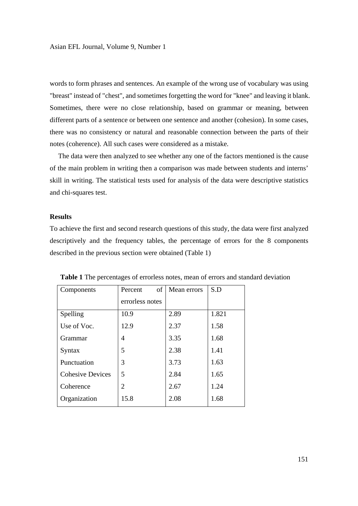words to form phrases and sentences. An example of the wrong use of vocabulary was using "breast" instead of "chest", and sometimes forgetting the word for "knee" and leaving it blank. Sometimes, there were no close relationship, based on grammar or meaning, between different parts of a sentence or between one sentence and another (cohesion). In some cases, there was no consistency or natural and reasonable connection between the parts of their notes (coherence). All such cases were considered as a mistake.

 The data were then analyzed to see whether any one of the factors mentioned is the cause of the main problem in writing then a comparison was made between students and interns' skill in writing. The statistical tests used for analysis of the data were descriptive statistics and chi-squares test.

# **Results**

To achieve the first and second research questions of this study, the data were first analyzed descriptively and the frequency tables, the percentage of errors for the 8 components described in the previous section were obtained (Table 1)

| Components              | of<br>Percent   | Mean errors | S.D   |
|-------------------------|-----------------|-------------|-------|
|                         | errorless notes |             |       |
| Spelling                | 10.9            | 2.89        | 1.821 |
| Use of Voc.             | 12.9            | 2.37        | 1.58  |
| <b>Grammar</b>          | 4               | 3.35        | 1.68  |
| Syntax                  | 5               | 2.38        | 1.41  |
| Punctuation             | 3               | 3.73        | 1.63  |
| <b>Cohesive Devices</b> | 5               | 2.84        | 1.65  |
| Coherence               | 2               | 2.67        | 1.24  |
| Organization            | 15.8            | 2.08        | 1.68  |

**Table 1** The percentages of errorless notes, mean of errors and standard deviation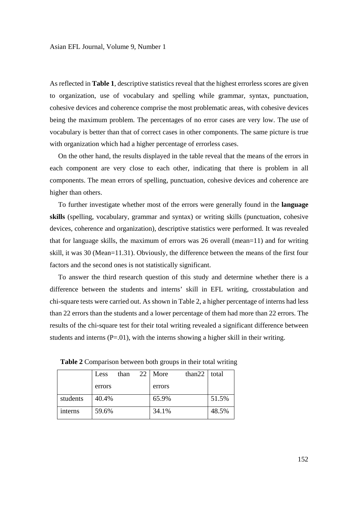As reflected in **Table 1**, descriptive statistics reveal that the highest errorless scores are given to organization, use of vocabulary and spelling while grammar, syntax, punctuation, cohesive devices and coherence comprise the most problematic areas, with cohesive devices being the maximum problem. The percentages of no error cases are very low. The use of vocabulary is better than that of correct cases in other components. The same picture is true with organization which had a higher percentage of errorless cases.

 On the other hand, the results displayed in the table reveal that the means of the errors in each component are very close to each other, indicating that there is problem in all components. The mean errors of spelling, punctuation, cohesive devices and coherence are higher than others.

 To further investigate whether most of the errors were generally found in the **language skills** (spelling, vocabulary, grammar and syntax) or writing skills (punctuation, cohesive devices, coherence and organization), descriptive statistics were performed. It was revealed that for language skills, the maximum of errors was 26 overall (mean=11) and for writing skill, it was 30 (Mean=11.31). Obviously, the difference between the means of the first four factors and the second ones is not statistically significant.

 To answer the third research question of this study and determine whether there is a difference between the students and interns' skill in EFL writing, crosstabulation and chi-square tests were carried out. As shown in Table 2, a higher percentage of interns had less than 22 errors than the students and a lower percentage of them had more than 22 errors. The results of the chi-square test for their total writing revealed a significant difference between students and interns  $(P=01)$ , with the interns showing a higher skill in their writing.

|          | Less   | than | 22 I | More   | than22 | total |
|----------|--------|------|------|--------|--------|-------|
|          | errors |      |      | errors |        |       |
| students | 40.4%  |      |      | 65.9%  |        | 51.5% |
| interns  | 59.6%  |      |      | 34.1%  |        | 48.5% |

**Table 2** Comparison between both groups in their total writing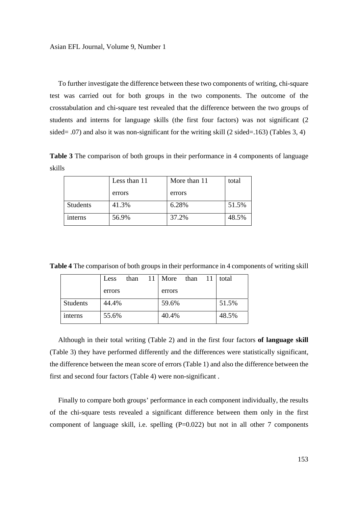To further investigate the difference between these two components of writing, chi-square test was carried out for both groups in the two components. The outcome of the crosstabulation and chi-square test revealed that the difference between the two groups of students and interns for language skills (the first four factors) was not significant (2 sided= .07) and also it was non-significant for the writing skill (2 sided=.163) (Tables 3, 4)

**Table 3** The comparison of both groups in their performance in 4 components of language skills

|                 | Less than 11 | More than 11 | total |
|-----------------|--------------|--------------|-------|
|                 | errors       | errors       |       |
| <b>Students</b> | 41.3%        | 6.28%        | 51.5% |
| interns         | 56.9%        | 37.2%        | 48.5% |

**Table 4** The comparison of both groups in their performance in 4 components of writing skill

|                 | Less   | than | 11 More | than | -11 | total |
|-----------------|--------|------|---------|------|-----|-------|
|                 | errors |      | errors  |      |     |       |
| <b>Students</b> | 44.4%  |      | 59.6%   |      |     | 51.5% |
| interns         | 55.6%  |      | 40.4%   |      |     | 48.5% |

 Although in their total writing (Table 2) and in the first four factors **of language skill** (Table 3) they have performed differently and the differences were statistically significant, the difference between the mean score of errors (Table 1) and also the difference between the first and second four factors (Table 4) were non-significant .

 Finally to compare both groups' performance in each component individually, the results of the chi-square tests revealed a significant difference between them only in the first component of language skill, i.e. spelling  $(P=0.022)$  but not in all other 7 components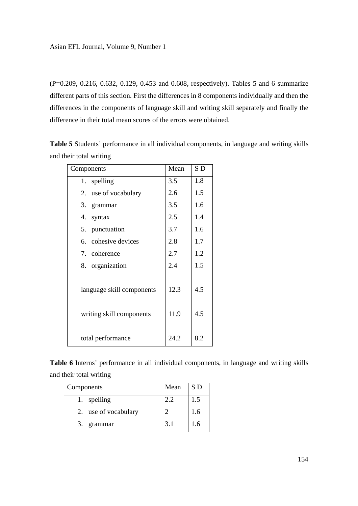(P=0.209, 0.216, 0.632, 0.129, 0.453 and 0.608, respectively). Tables 5 and 6 summarize different parts of this section. First the differences in 8 components individually and then the differences in the components of language skill and writing skill separately and finally the difference in their total mean scores of the errors were obtained.

**Table 5** Students' performance in all individual components, in language and writing skills and their total writing

| Components                                            | Mean         | SD         |
|-------------------------------------------------------|--------------|------------|
| 1. spelling                                           | 3.5          | 1.8        |
| 2. use of vocabulary                                  | 2.6          | 1.5        |
| 3. grammar                                            | 3.5          | 1.6        |
| 4. syntax                                             | 2.5          | 1.4        |
| 5. punctuation                                        | 3.7          | 1.6        |
| 6. cohesive devices                                   | 2.8          | 1.7        |
| 7. coherence                                          | 2.7          | 1.2        |
| 8. organization                                       | 2.4          | 1.5        |
| language skill components<br>writing skill components | 12.3<br>11.9 | 4.5<br>4.5 |
| total performance                                     | 24.2         | 8.2        |

**Table 6** Interns' performance in all individual components, in language and writing skills and their total writing

| Components |                      | Mean | S D |
|------------|----------------------|------|-----|
|            | spelling             | 2.2  | 1.5 |
|            | 2. use of vocabulary |      | 1.6 |
| 3.         | grammar              | 3.1  | 1.6 |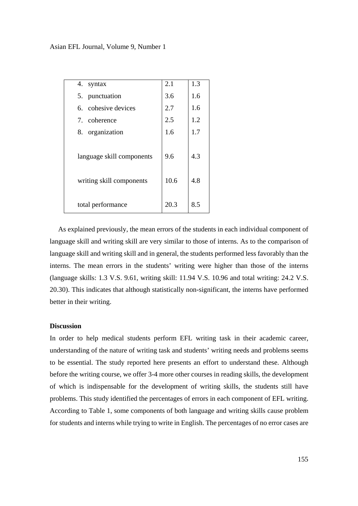Asian EFL Journal, Volume 9, Number 1

| 4.<br>syntax                                          | 2.1         | 1.3        |
|-------------------------------------------------------|-------------|------------|
|                                                       |             |            |
| 5. punctuation                                        | 3.6         | 1.6        |
| 6. cohesive devices                                   | 2.7         | 1.6        |
| 7. coherence                                          | 2.5         | 1.2        |
| organization<br>8.                                    | 1.6         | 1.7        |
| language skill components<br>writing skill components | 9.6<br>10.6 | 4.3<br>4.8 |
| total performance                                     | 20.3        | 8.5        |

 As explained previously, the mean errors of the students in each individual component of language skill and writing skill are very similar to those of interns. As to the comparison of language skill and writing skill and in general, the students performed less favorably than the interns. The mean errors in the students' writing were higher than those of the interns (language skills: 1.3 V.S. 9.61, writing skill: 11.94 V.S. 10.96 and total writing: 24.2 V.S. 20.30). This indicates that although statistically non-significant, the interns have performed better in their writing.

# **Discussion**

In order to help medical students perform EFL writing task in their academic career, understanding of the nature of writing task and students' writing needs and problems seems to be essential. The study reported here presents an effort to understand these. Although before the writing course, we offer 3-4 more other courses in reading skills, the development of which is indispensable for the development of writing skills, the students still have problems. This study identified the percentages of errors in each component of EFL writing. According to Table 1, some components of both language and writing skills cause problem for students and interns while trying to write in English. The percentages of no error cases are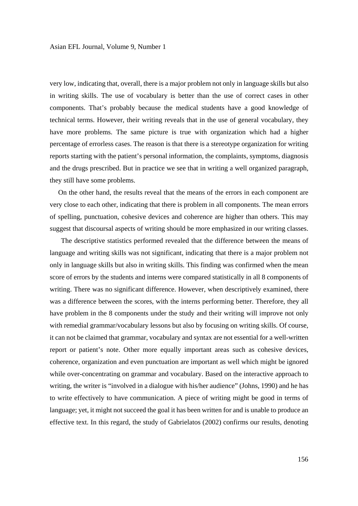very low, indicating that, overall, there is a major problem not only in language skills but also in writing skills. The use of vocabulary is better than the use of correct cases in other components. That's probably because the medical students have a good knowledge of technical terms. However, their writing reveals that in the use of general vocabulary, they have more problems. The same picture is true with organization which had a higher percentage of errorless cases. The reason is that there is a stereotype organization for writing reports starting with the patient's personal information, the complaints, symptoms, diagnosis and the drugs prescribed. But in practice we see that in writing a well organized paragraph, they still have some problems.

 On the other hand, the results reveal that the means of the errors in each component are very close to each other, indicating that there is problem in all components. The mean errors of spelling, punctuation, cohesive devices and coherence are higher than others. This may suggest that discoursal aspects of writing should be more emphasized in our writing classes.

 The descriptive statistics performed revealed that the difference between the means of language and writing skills was not significant, indicating that there is a major problem not only in language skills but also in writing skills. This finding was confirmed when the mean score of errors by the students and interns were compared statistically in all 8 components of writing. There was no significant difference. However, when descriptively examined, there was a difference between the scores, with the interns performing better. Therefore, they all have problem in the 8 components under the study and their writing will improve not only with remedial grammar/vocabulary lessons but also by focusing on writing skills. Of course, it can not be claimed that grammar, vocabulary and syntax are not essential for a well-written report or patient's note. Other more equally important areas such as cohesive devices, coherence, organization and even punctuation are important as well which might be ignored while over-concentrating on grammar and vocabulary. Based on the interactive approach to writing, the writer is "involved in a dialogue with his/her audience" (Johns, 1990) and he has to write effectively to have communication. A piece of writing might be good in terms of language; yet, it might not succeed the goal it has been written for and is unable to produce an effective text. In this regard, the study of Gabrielatos (2002) confirms our results, denoting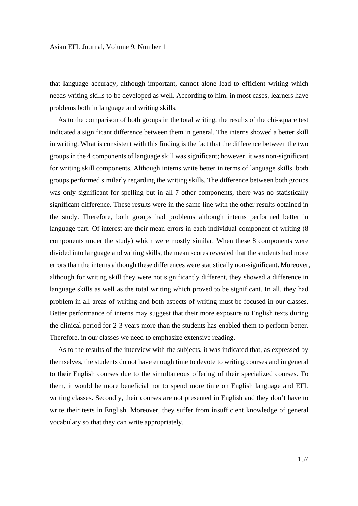that language accuracy, although important, cannot alone lead to efficient writing which needs writing skills to be developed as well. According to him, in most cases, learners have problems both in language and writing skills.

 As to the comparison of both groups in the total writing, the results of the chi-square test indicated a significant difference between them in general. The interns showed a better skill in writing. What is consistent with this finding is the fact that the difference between the two groups in the 4 components of language skill was significant; however, it was non-significant for writing skill components. Although interns write better in terms of language skills, both groups performed similarly regarding the writing skills. The difference between both groups was only significant for spelling but in all 7 other components, there was no statistically significant difference. These results were in the same line with the other results obtained in the study. Therefore, both groups had problems although interns performed better in language part. Of interest are their mean errors in each individual component of writing (8) components under the study) which were mostly similar. When these 8 components were divided into language and writing skills, the mean scores revealed that the students had more errors than the interns although these differences were statistically non-significant. Moreover, although for writing skill they were not significantly different, they showed a difference in language skills as well as the total writing which proved to be significant. In all, they had problem in all areas of writing and both aspects of writing must be focused in our classes. Better performance of interns may suggest that their more exposure to English texts during the clinical period for 2-3 years more than the students has enabled them to perform better. Therefore, in our classes we need to emphasize extensive reading.

 As to the results of the interview with the subjects, it was indicated that, as expressed by themselves, the students do not have enough time to devote to writing courses and in general to their English courses due to the simultaneous offering of their specialized courses. To them, it would be more beneficial not to spend more time on English language and EFL writing classes. Secondly, their courses are not presented in English and they don't have to write their tests in English. Moreover, they suffer from insufficient knowledge of general vocabulary so that they can write appropriately.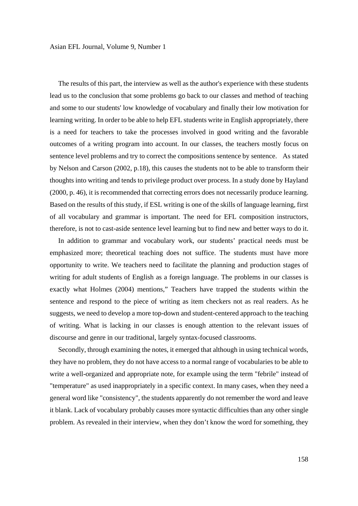The results of this part, the interview as well as the author's experience with these students lead us to the conclusion that some problems go back to our classes and method of teaching and some to our students' low knowledge of vocabulary and finally their low motivation for learning writing. In order to be able to help EFL students write in English appropriately, there is a need for teachers to take the processes involved in good writing and the favorable outcomes of a writing program into account. In our classes, the teachers mostly focus on sentence level problems and try to correct the compositions sentence by sentence. As stated by Nelson and Carson (2002, p.18), this causes the students not to be able to transform their thoughts into writing and tends to privilege product over process. In a study done by Hayland (2000, p. 46), it is recommended that correcting errors does not necessarily produce learning. Based on the results of this study, if ESL writing is one of the skills of language learning, first of all vocabulary and grammar is important. The need for EFL composition instructors, therefore, is not to cast-aside sentence level learning but to find new and better ways to do it.

 In addition to grammar and vocabulary work, our students' practical needs must be emphasized more; theoretical teaching does not suffice. The students must have more opportunity to write. We teachers need to facilitate the planning and production stages of writing for adult students of English as a foreign language. The problems in our classes is exactly what Holmes (2004) mentions," Teachers have trapped the students within the sentence and respond to the piece of writing as item checkers not as real readers. As he suggests, we need to develop a more top-down and student-centered approach to the teaching of writing. What is lacking in our classes is enough attention to the relevant issues of discourse and genre in our traditional, largely syntax-focused classrooms.

 Secondly, through examining the notes, it emerged that although in using technical words, they have no problem, they do not have access to a normal range of vocabularies to be able to write a well-organized and appropriate note, for example using the term "febrile" instead of "temperature" as used inappropriately in a specific context. In many cases, when they need a general word like "consistency", the students apparently do not remember the word and leave it blank. Lack of vocabulary probably causes more syntactic difficulties than any other single problem. As revealed in their interview, when they don't know the word for something, they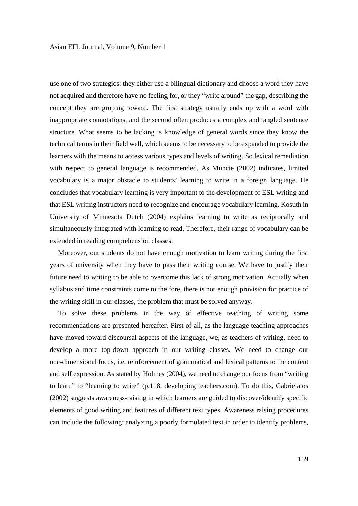use one of two strategies: they either use a bilingual dictionary and choose a word they have not acquired and therefore have no feeling for, or they "write around" the gap, describing the concept they are groping toward. The first strategy usually ends up with a word with inappropriate connotations, and the second often produces a complex and tangled sentence structure. What seems to be lacking is knowledge of general words since they know the technical terms in their field well, which seems to be necessary to be expanded to provide the learners with the means to access various types and levels of writing. So lexical remediation with respect to general language is recommended. As Muncie (2002) indicates, limited vocabulary is a major obstacle to students' learning to write in a foreign language. He concludes that vocabulary learning is very important to the development of ESL writing and that ESL writing instructors need to recognize and encourage vocabulary learning. Kosuth in University of Minnesota Dutch (2004) explains learning to write as reciprocally and simultaneously integrated with learning to read. Therefore, their range of vocabulary can be extended in reading comprehension classes.

 Moreover, our students do not have enough motivation to learn writing during the first years of university when they have to pass their writing course. We have to justify their future need to writing to be able to overcome this lack of strong motivation. Actually when syllabus and time constraints come to the fore, there is not enough provision for practice of the writing skill in our classes, the problem that must be solved anyway.

 To solve these problems in the way of effective teaching of writing some recommendations are presented hereafter. First of all, as the language teaching approaches have moved toward discoursal aspects of the language, we, as teachers of writing, need to develop a more top-down approach in our writing classes. We need to change our one-dimensional focus, i.e. reinforcement of grammatical and lexical patterns to the content and self expression. As stated by Holmes (2004), we need to change our focus from "writing to learn" to "learning to write" (p.118, developing teachers.com). To do this, Gabrielatos (2002) suggests awareness-raising in which learners are guided to discover/identify specific elements of good writing and features of different text types. Awareness raising procedures can include the following: analyzing a poorly formulated text in order to identify problems,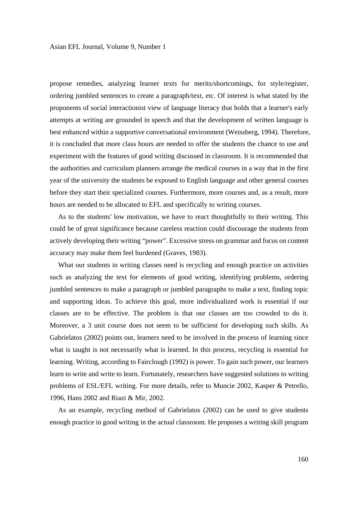propose remedies, analyzing learner texts for merits/shortcomings, for style/register, ordering jumbled sentences to create a paragraph/text, etc. Of interest is what stated by the proponents of social interactionist view of language literacy that holds that a learner's early attempts at writing are grounded in speech and that the development of written language is best enhanced within a supportive conversational environment (Weissberg, 1994). Therefore, it is concluded that more class hours are needed to offer the students the chance to use and experiment with the features of good writing discussed in classroom. It is recommended that the authorities and curriculum planners arrange the medical courses in a way that in the first year of the university the students be exposed to English language and other general courses before they start their specialized courses. Furthermore, more courses and, as a result, more hours are needed to be allocated to EFL and specifically to writing courses.

 As to the students' low motivation, we have to react thoughtfully to their writing. This could be of great significance because careless reaction could discourage the students from actively developing their writing "power". Excessive stress on grammar and focus on content accuracy may make them feel burdened (Graves, 1983).

What our students in writing classes need is recycling and enough practice on activities such as analyzing the text for elements of good writing, identifying problems, ordering jumbled sentences to make a paragraph or jumbled paragraphs to make a text, finding topic and supporting ideas. To achieve this goal, more individualized work is essential if our classes are to be effective. The problem is that our classes are too crowded to do it. Moreover, a 3 unit course does not seem to be sufficient for developing such skills. As Gabrielatos (2002) points out, learners need to be involved in the process of learning since what is taught is not necessarily what is learned. In this process, recycling is essential for learning. Writing, according to Fairclough (1992) is power. To gain such power, our learners learn to write and write to learn. Fortunately, researchers have suggested solutions to writing problems of ESL/EFL writing. For more details, refer to Muncie 2002, Kasper & Petrello, 1996, Hans 2002 and Riazi & Mir, 2002.

 As an example, recycling method of Gabrielatos (2002) can be used to give students enough practice in good writing in the actual classroom. He proposes a writing skill program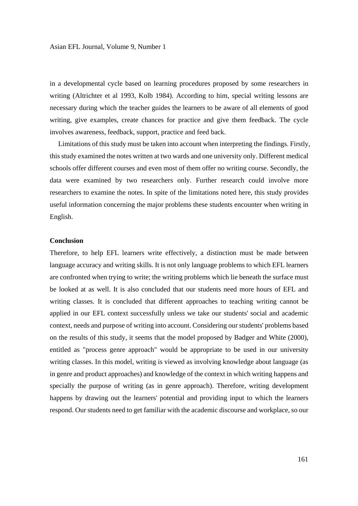in a developmental cycle based on learning procedures proposed by some researchers in writing (Altrichter et al 1993, Kolb 1984). According to him, special writing lessons are necessary during which the teacher guides the learners to be aware of all elements of good writing, give examples, create chances for practice and give them feedback. The cycle involves awareness, feedback, support, practice and feed back.

 Limitations of this study must be taken into account when interpreting the findings. Firstly, this study examined the notes written at two wards and one university only. Different medical schools offer different courses and even most of them offer no writing course. Secondly, the data were examined by two researchers only. Further research could involve more researchers to examine the notes. In spite of the limitations noted here, this study provides useful information concerning the major problems these students encounter when writing in English.

# **Conclusion**

Therefore, to help EFL learners write effectively, a distinction must be made between language accuracy and writing skills. It is not only language problems to which EFL learners are confronted when trying to write; the writing problems which lie beneath the surface must be looked at as well. It is also concluded that our students need more hours of EFL and writing classes. It is concluded that different approaches to teaching writing cannot be applied in our EFL context successfully unless we take our students' social and academic context, needs and purpose of writing into account. Considering our students' problems based on the results of this study, it seems that the model proposed by Badger and White (2000), entitled as "process genre approach" would be appropriate to be used in our university writing classes. In this model, writing is viewed as involving knowledge about language (as in genre and product approaches) and knowledge of the context in which writing happens and specially the purpose of writing (as in genre approach). Therefore, writing development happens by drawing out the learners' potential and providing input to which the learners respond. Our students need to get familiar with the academic discourse and workplace, so our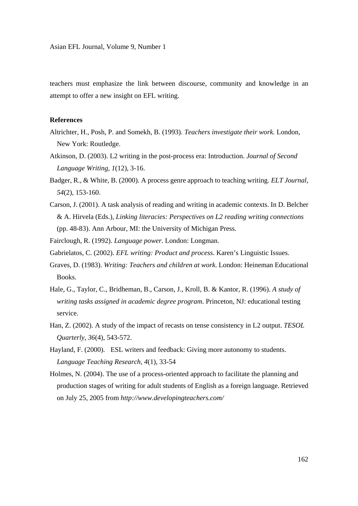teachers must emphasize the link between discourse, community and knowledge in an attempt to offer a new insight on EFL writing.

# **References**

- Altrichter, H., Posh, P. and Somekh, B. (1993). *Teachers investigate their work.* London, New York: Routledge.
- Atkinson, D. (2003). L2 writing in the post-process era: Introduction. *Journal of Second Language Writing, 1*(12), 3-16.
- Badger, R., & White, B. (2000). A process genre approach to teaching writing. *ELT Journal*, *54*(2), 153-160.
- Carson, J. (2001). A task analysis of reading and writing in academic contexts. In D. Belcher & A. Hirvela (Eds.), *Linking literacies: Perspectives on L2 reading writing connections*  (pp. 48-83). Ann Arbour, MI: the University of Michigan Press.

Fairclough, R. (1992). *Language power*. London: Longman.

Gabrielatos, C. (2002). *EFL writing: Product and process*. Karen's Linguistic Issues.

- Graves, D. (1983). *Writing: Teachers and children at work*. London: Heineman Educational Books.
- Hale, G., Taylor, C., Bridheman, B., Carson, J., Kroll, B. & Kantor, R. (1996). *A study of writing tasks assigned in academic degree program.* Princeton, NJ: educational testing service.
- Han, Z. (2002). A study of the impact of recasts on tense consistency in L2 output. *TESOL Quarterly*, *36*(4), 543-572.
- Hayland, F. (2000). ESL writers and feedback: Giving more autonomy to students. *Language Teaching Research, 4*(1), 33-54
- Holmes, N. (2004). The use of a process-oriented approach to facilitate the planning and production stages of writing for adult students of English as a foreign language. Retrieved on July 25, 2005 from *http://www.developingteachers.com/*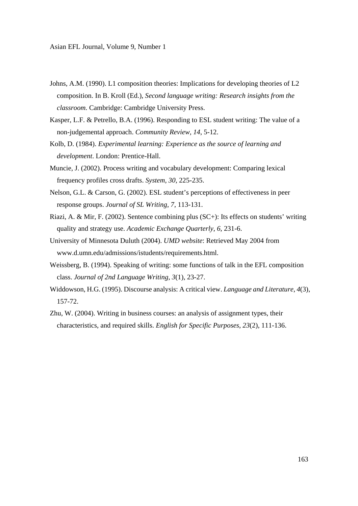- Johns, A.M. (1990). L1 composition theories: Implications for developing theories of L2 composition. In B. Kroll (Ed.), *Second language writing: Research insights from the classroom.* Cambridge: Cambridge University Press.
- Kasper, L.F. & Petrello, B.A. (1996). Responding to ESL student writing: The value of a non-judgemental approach. *Community Review, 14*, 5-12.
- Kolb, D. (1984). *Experimental learning: Experience as the source of learning and development*. London: Prentice-Hall.
- Muncie, J. (2002). Process writing and vocabulary development: Comparing lexical frequency profiles cross drafts. *System, 30*, 225-235.
- Nelson, G.L. & Carson, G. (2002). ESL student's perceptions of effectiveness in peer response groups. *Journal of SL Writing*, *7*, 113-131.
- Riazi, A. & Mir, F. (2002). Sentence combining plus (SC+): Its effects on students' writing quality and strategy use. *Academic Exchange Quarterly*, *6*, 231-6.
- University of Minnesota Duluth (2004). *UMD website*: Retrieved May 2004 from www.d.umn.edu/admissions/istudents/requirements.html.
- Weissberg, B. (1994). Speaking of writing: some functions of talk in the EFL composition class. *Journal of 2nd Language Writing*, *3*(1), 23-27.
- Widdowson, H.G. (1995). Discourse analysis: A critical view. *Language and Literature*, *4*(3), 157-72.
- Zhu, W. (2004). Writing in business courses: an analysis of assignment types, their characteristics, and required skills. *English for Specific Purposes*, *23*(2), 111-136.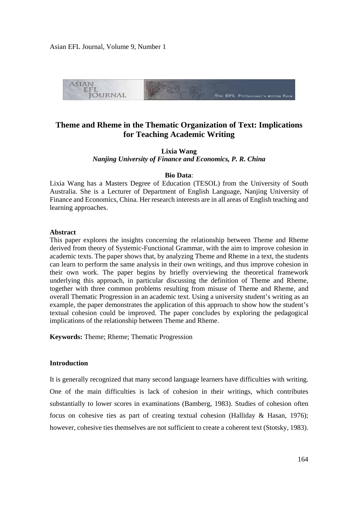

# **Theme and Rheme in the Thematic Organization of Text: Implications for Teaching Academic Writing**

**Lixia Wang**  *Nanjing University of Finance and Economics, P. R. China* 

### **Bio Data**:

Lixia Wang has a Masters Degree of Education (TESOL) from the University of South Australia. She is a Lecturer of Department of English Language, Nanjing University of Finance and Economics, China. Her research interests are in all areas of English teaching and learning approaches.

# **Abstract**

This paper explores the insights concerning the relationship between Theme and Rheme derived from theory of Systemic-Functional Grammar, with the aim to improve cohesion in academic texts. The paper shows that, by analyzing Theme and Rheme in a text, the students can learn to perform the same analysis in their own writings, and thus improve cohesion in their own work. The paper begins by briefly overviewing the theoretical framework underlying this approach, in particular discussing the definition of Theme and Rheme, together with three common problems resulting from misuse of Theme and Rheme, and overall Thematic Progression in an academic text. Using a university student's writing as an example, the paper demonstrates the application of this approach to show how the student's textual cohesion could be improved. The paper concludes by exploring the pedagogical implications of the relationship between Theme and Rheme.

**Keywords:** Theme; Rheme; Thematic Progression

# **Introduction**

It is generally recognized that many second language learners have difficulties with writing. One of the main difficulties is lack of cohesion in their writings, which contributes substantially to lower scores in examinations (Bamberg, 1983). Studies of cohesion often focus on cohesive ties as part of creating textual cohesion (Halliday & Hasan, 1976); however, cohesive ties themselves are not sufficient to create a coherent text (Stotsky, 1983).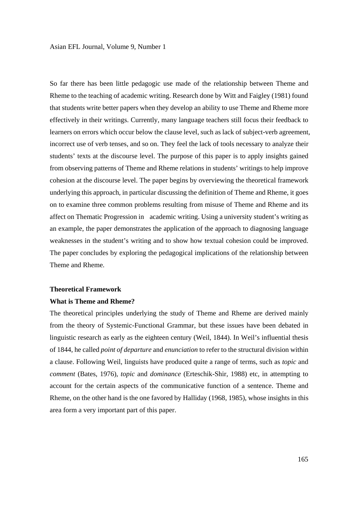So far there has been little pedagogic use made of the relationship between Theme and Rheme to the teaching of academic writing. Research done by Witt and Faigley (1981) found that students write better papers when they develop an ability to use Theme and Rheme more effectively in their writings. Currently, many language teachers still focus their feedback to learners on errors which occur below the clause level, such as lack of subject-verb agreement, incorrect use of verb tenses, and so on. They feel the lack of tools necessary to analyze their students' texts at the discourse level. The purpose of this paper is to apply insights gained from observing patterns of Theme and Rheme relations in students' writings to help improve cohesion at the discourse level. The paper begins by overviewing the theoretical framework underlying this approach, in particular discussing the definition of Theme and Rheme, it goes on to examine three common problems resulting from misuse of Theme and Rheme and its affect on Thematic Progression in academic writing. Using a university student's writing as an example, the paper demonstrates the application of the approach to diagnosing language weaknesses in the student's writing and to show how textual cohesion could be improved. The paper concludes by exploring the pedagogical implications of the relationship between Theme and Rheme.

# **Theoretical Framework**

#### **What is Theme and Rheme?**

The theoretical principles underlying the study of Theme and Rheme are derived mainly from the theory of Systemic-Functional Grammar, but these issues have been debated in linguistic research as early as the eighteen century (Weil, 1844). In Weil's influential thesis of 1844, he called *point of departure* and *enunciation* to refer to the structural division within a clause. Following Weil, linguists have produced quite a range of terms, such as *topic* and *comment* (Bates, 1976), *topic* and *dominance* (Erteschik-Shir, 1988) etc, in attempting to account for the certain aspects of the communicative function of a sentence. Theme and Rheme, on the other hand is the one favored by Halliday (1968, 1985), whose insights in this area form a very important part of this paper.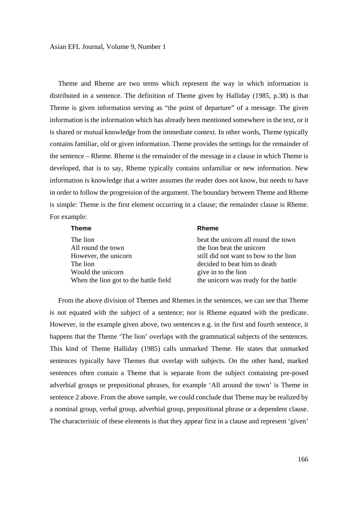Theme and Rheme are two terms which represent the way in which information is distributed in a sentence. The definition of Theme given by Halliday (1985, p.38) is that Theme is given information serving as "the point of departure" of a message. The given information is the information which has already been mentioned somewhere in the text, or it is shared or mutual knowledge from the immediate context. In other words, Theme typically contains familiar, old or given information. Theme provides the settings for the remainder of the sentence – Rheme. Rheme is the remainder of the message in a clause in which Theme is developed, that is to say, Rheme typically contains unfamiliar or new information. New information is knowledge that a writer assumes the reader does not know, but needs to have in order to follow the progression of the argument. The boundary between Theme and Rheme is simple: Theme is the first element occurring in a clause; the remainder clause is Rheme. For example:

| <b>Theme</b>                          | <b>Rheme</b>                          |
|---------------------------------------|---------------------------------------|
| The lion                              | beat the unicorn all round the town   |
| All round the town                    | the lion beat the unicorn             |
| However, the unicorn                  | still did not want to bow to the lion |
| The lion                              | decided to beat him to death          |
| Would the unicorn                     | give in to the lion                   |
| When the lion got to the battle field | the unicorn was ready for the battle  |

 From the above division of Themes and Rhemes in the sentences, we can see that Theme is not equated with the subject of a sentence; nor is Rheme equated with the predicate. However, in the example given above, two sentences e.g. in the first and fourth sentence, it happens that the Theme 'The lion' overlaps with the grammatical subjects of the sentences. This kind of Theme Halliday (1985) calls unmarked Theme. He states that unmarked sentences typically have Themes that overlap with subjects. On the other hand, marked sentences often contain a Theme that is separate from the subject containing pre-posed adverbial groups or prepositional phrases, for example 'All around the town' is Theme in sentence 2 above. From the above sample, we could conclude that Theme may be realized by a nominal group, verbal group, adverbial group, prepositional phrase or a dependent clause. The characteristic of these elements is that they appear first in a clause and represent 'given'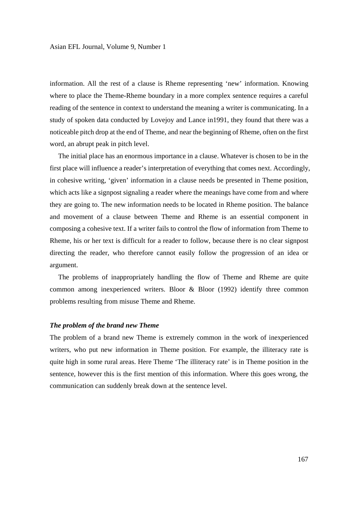information. All the rest of a clause is Rheme representing 'new' information. Knowing where to place the Theme-Rheme boundary in a more complex sentence requires a careful reading of the sentence in context to understand the meaning a writer is communicating. In a study of spoken data conducted by Lovejoy and Lance in1991, they found that there was a noticeable pitch drop at the end of Theme, and near the beginning of Rheme, often on the first word, an abrupt peak in pitch level.

 The initial place has an enormous importance in a clause. Whatever is chosen to be in the first place will influence a reader's interpretation of everything that comes next. Accordingly, in cohesive writing, 'given' information in a clause needs be presented in Theme position, which acts like a signpost signaling a reader where the meanings have come from and where they are going to. The new information needs to be located in Rheme position. The balance and movement of a clause between Theme and Rheme is an essential component in composing a cohesive text. If a writer fails to control the flow of information from Theme to Rheme, his or her text is difficult for a reader to follow, because there is no clear signpost directing the reader, who therefore cannot easily follow the progression of an idea or argument.

 The problems of inappropriately handling the flow of Theme and Rheme are quite common among inexperienced writers. Bloor & Bloor (1992) identify three common problems resulting from misuse Theme and Rheme.

### *The problem of the brand new Theme*

The problem of a brand new Theme is extremely common in the work of inexperienced writers, who put new information in Theme position. For example, the illiteracy rate is quite high in some rural areas. Here Theme 'The illiteracy rate' is in Theme position in the sentence, however this is the first mention of this information. Where this goes wrong, the communication can suddenly break down at the sentence level.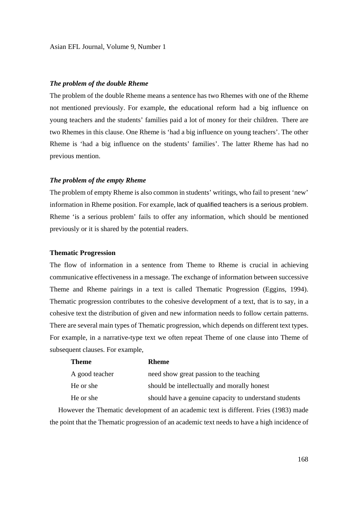# *The problem of the double Rheme*

The problem of the double Rheme means a sentence has two Rhemes with one of the Rheme not mentioned previously. For example, **t**he educational reform had a big influence on young teachers and the students' families paid a lot of money for their children. There are two Rhemes in this clause. One Rheme is 'had a big influence on young teachers'. The other Rheme is 'had a big influence on the students' families'. The latter Rheme has had no previous mention.

## *The problem of the empty Rheme*

The problem of empty Rheme is also common in students' writings, who fail to present 'new' information in Rheme position. For example, lack of qualified teachers is a serious problem. Rheme 'is a serious problem' fails to offer any information, which should be mentioned previously or it is shared by the potential readers.

# **Thematic Progression**

The flow of information in a sentence from Theme to Rheme is crucial in achieving communicative effectiveness in a message. The exchange of information between successive Theme and Rheme pairings in a text is called Thematic Progression (Eggins, 1994). Thematic progression contributes to the cohesive development of a text, that is to say, in a cohesive text the distribution of given and new information needs to follow certain patterns. There are several main types of Thematic progression, which depends on different text types. For example, in a narrative-type text we often repeat Theme of one clause into Theme of subsequent clauses. For example,

| <b>Theme</b>   | <b>Rheme</b>                                          |
|----------------|-------------------------------------------------------|
| A good teacher | need show great passion to the teaching               |
| He or she      | should be intellectually and morally honest           |
| He or she      | should have a genuine capacity to understand students |

 However the Thematic development of an academic text is different. Fries (1983) made the point that the Thematic progression of an academic text needs to have a high incidence of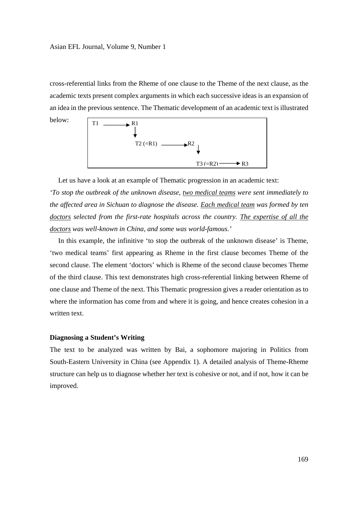below:

cross-referential links from the Rheme of one clause to the Theme of the next clause, as the academic texts present complex arguments in which each successive ideas is an expansion of an idea in the previous sentence. The Thematic development of an academic text is illustrated



 Let us have a look at an example of Thematic progression in an academic text: *'To stop the outbreak of the unknown disease, two medical teams were sent immediately to the affected area in Sichuan to diagnose the disease. Each medical team was formed by ten doctors selected from the first-rate hospitals across the country. The expertise of all the doctors was well-known in China, and some was world-famous.'* 

 In this example, the infinitive 'to stop the outbreak of the unknown disease' is Theme, 'two medical teams' first appearing as Rheme in the first clause becomes Theme of the second clause. The element 'doctors' which is Rheme of the second clause becomes Theme of the third clause. This text demonstrates high cross-referential linking between Rheme of one clause and Theme of the next. This Thematic progression gives a reader orientation as to where the information has come from and where it is going, and hence creates cohesion in a written text.

# **Diagnosing a Student's Writing**

The text to be analyzed was written by Bai, a sophomore majoring in Politics from South-Eastern University in China (see Appendix 1). A detailed analysis of Theme-Rheme structure can help us to diagnose whether her text is cohesive or not, and if not, how it can be improved.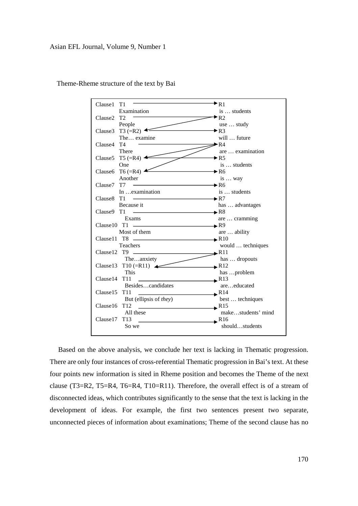

Theme-Rheme structure of the text by Bai

 Based on the above analysis, we conclude her text is lacking in Thematic progression. There are only four instances of cross-referential Thematic progression in Bai's text. At these four points new information is sited in Rheme position and becomes the Theme of the next clause (T3=R2, T5=R4, T6=R4, T10=R11). Therefore, the overall effect is of a stream of disconnected ideas, which contributes significantly to the sense that the text is lacking in the development of ideas. For example, the first two sentences present two separate, unconnected pieces of information about examinations; Theme of the second clause has no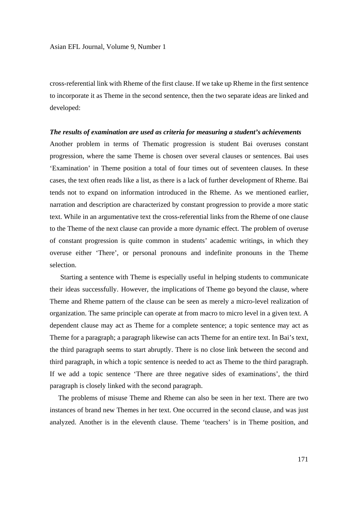cross-referential link with Rheme of the first clause. If we take up Rheme in the first sentence to incorporate it as Theme in the second sentence, then the two separate ideas are linked and developed:

#### *The results of examination are used as criteria for measuring a student's achievements*

Another problem in terms of Thematic progression is student Bai overuses constant progression, where the same Theme is chosen over several clauses or sentences. Bai uses 'Examination' in Theme position a total of four times out of seventeen clauses. In these cases, the text often reads like a list, as there is a lack of further development of Rheme. Bai tends not to expand on information introduced in the Rheme. As we mentioned earlier, narration and description are characterized by constant progression to provide a more static text. While in an argumentative text the cross-referential links from the Rheme of one clause to the Theme of the next clause can provide a more dynamic effect. The problem of overuse of constant progression is quite common in students' academic writings, in which they overuse either 'There', or personal pronouns and indefinite pronouns in the Theme selection.

 Starting a sentence with Theme is especially useful in helping students to communicate their ideas successfully. However, the implications of Theme go beyond the clause, where Theme and Rheme pattern of the clause can be seen as merely a micro-level realization of organization. The same principle can operate at from macro to micro level in a given text. A dependent clause may act as Theme for a complete sentence; a topic sentence may act as Theme for a paragraph; a paragraph likewise can acts Theme for an entire text. In Bai's text, the third paragraph seems to start abruptly. There is no close link between the second and third paragraph, in which a topic sentence is needed to act as Theme to the third paragraph. If we add a topic sentence 'There are three negative sides of examinations', the third paragraph is closely linked with the second paragraph.

 The problems of misuse Theme and Rheme can also be seen in her text. There are two instances of brand new Themes in her text. One occurred in the second clause, and was just analyzed. Another is in the eleventh clause. Theme 'teachers' is in Theme position, and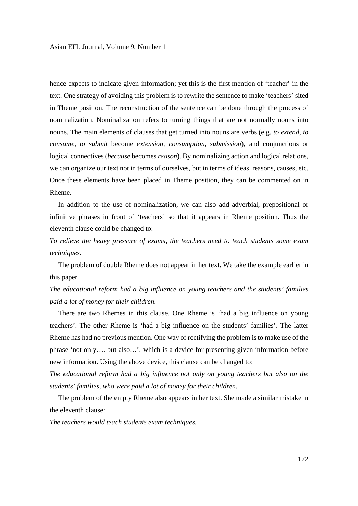hence expects to indicate given information; yet this is the first mention of 'teacher' in the text. One strategy of avoiding this problem is to rewrite the sentence to make 'teachers' sited in Theme position. The reconstruction of the sentence can be done through the process of nominalization. Nominalization refers to turning things that are not normally nouns into nouns. The main elements of clauses that get turned into nouns are verbs (e.g. *to extend, to consume, to submit* become *extension, consumption, submission*), and conjunctions or logical connectives (*because* becomes *reason*). By nominalizing action and logical relations, we can organize our text not in terms of ourselves, but in terms of ideas, reasons, causes, etc. Once these elements have been placed in Theme position, they can be commented on in Rheme.

 In addition to the use of nominalization, we can also add adverbial, prepositional or infinitive phrases in front of 'teachers' so that it appears in Rheme position. Thus the eleventh clause could be changed to:

*To relieve the heavy pressure of exams, the teachers need to teach students some exam techniques.* 

 The problem of double Rheme does not appear in her text. We take the example earlier in this paper.

*The educational reform had a big influence on young teachers and the students' families paid a lot of money for their children.* 

 There are two Rhemes in this clause. One Rheme is 'had a big influence on young teachers'. The other Rheme is 'had a big influence on the students' families'. The latter Rheme has had no previous mention. One way of rectifying the problem is to make use of the phrase 'not only…. but also…', which is a device for presenting given information before new information. Using the above device, this clause can be changed to:

*The educational reform had a big influence not only on young teachers but also on the students' families, who were paid a lot of money for their children.* 

 The problem of the empty Rheme also appears in her text. She made a similar mistake in the eleventh clause:

*The teachers would teach students exam techniques.*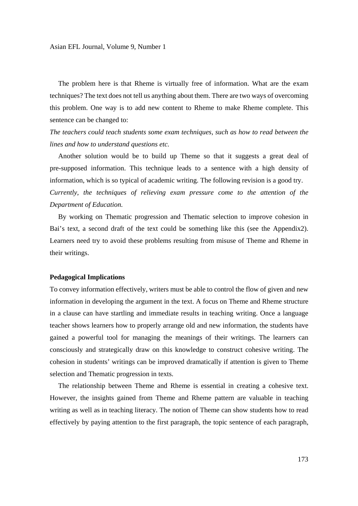The problem here is that Rheme is virtually free of information. What are the exam techniques? The text does not tell us anything about them. There are two ways of overcoming this problem. One way is to add new content to Rheme to make Rheme complete. This sentence can be changed to:

*The teachers could teach students some exam techniques, such as how to read between the lines and how to understand questions etc.* 

 Another solution would be to build up Theme so that it suggests a great deal of pre-supposed information. This technique leads to a sentence with a high density of information, which is so typical of academic writing. The following revision is a good try. *Currently, the techniques of relieving exam pressure come to the attention of the Department of Education.* 

 By working on Thematic progression and Thematic selection to improve cohesion in Bai's text, a second draft of the text could be something like this (see the Appendix2). Learners need try to avoid these problems resulting from misuse of Theme and Rheme in their writings.

#### **Pedagogical Implications**

To convey information effectively, writers must be able to control the flow of given and new information in developing the argument in the text. A focus on Theme and Rheme structure in a clause can have startling and immediate results in teaching writing. Once a language teacher shows learners how to properly arrange old and new information, the students have gained a powerful tool for managing the meanings of their writings. The learners can consciously and strategically draw on this knowledge to construct cohesive writing. The cohesion in students' writings can be improved dramatically if attention is given to Theme selection and Thematic progression in texts.

 The relationship between Theme and Rheme is essential in creating a cohesive text. However, the insights gained from Theme and Rheme pattern are valuable in teaching writing as well as in teaching literacy. The notion of Theme can show students how to read effectively by paying attention to the first paragraph, the topic sentence of each paragraph,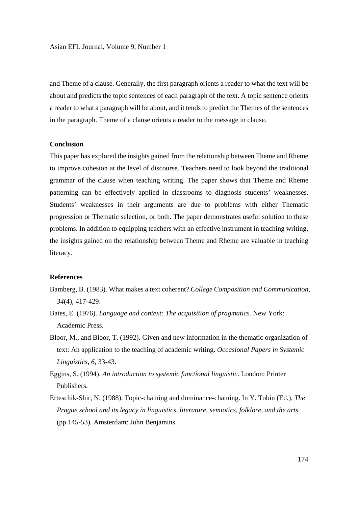and Theme of a clause. Generally, the first paragraph orients a reader to what the text will be about and predicts the topic sentences of each paragraph of the text. A topic sentence orients a reader to what a paragraph will be about, and it tends to predict the Themes of the sentences in the paragraph. Theme of a clause orients a reader to the message in clause.

# **Conclusion**

This paper has explored the insights gained from the relationship between Theme and Rheme to improve cohesion at the level of discourse. Teachers need to look beyond the traditional grammar of the clause when teaching writing. The paper shows that Theme and Rheme patterning can be effectively applied in classrooms to diagnosis students' weaknesses. Students' weaknesses in their arguments are due to problems with either Thematic progression or Thematic selection, or both. The paper demonstrates useful solution to these problems. In addition to equipping teachers with an effective instrument in teaching writing, the insights gained on the relationship between Theme and Rheme are valuable in teaching literacy.

# **References**

- Bamberg, B. (1983). What makes a text coherent? *College Composition and Communication*, *34*(4), 417-429.
- Bates, E. (1976). *Language and context: The acquisition of pragmatics.* New York: Academic Press.
- Bloor, M., and Bloor, T. (1992). Given and new information in the thematic organization of text: An application to the teaching of academic writing. *Occasional Papers in Systemic Linguistics, 6*, 33-43.
- Eggins, S. (1994). *An introduction to systemic functional linguistic*. London: Printer Publishers.
- Erteschik-Shir, N. (1988). Topic-chaining and dominance-chaining. In Y. Tobin (Ed.), *The Prague school and its legacy in linguistics, literature, semiotics, folklore, and the arts*  (pp.145-53). Amsterdam: John Benjamins.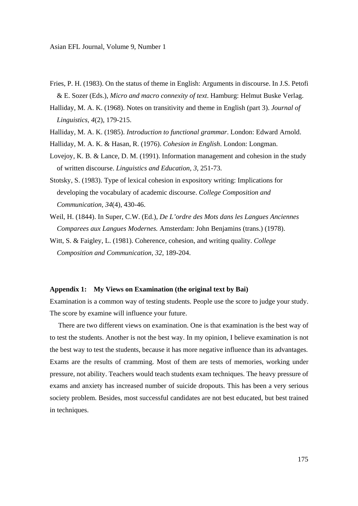- Fries, P. H. (1983). On the status of theme in English: Arguments in discourse. In J.S. Petofi & E. Sozer (Eds.), *Micro and macro connexity of text*. Hamburg: Helmut Buske Verlag.
- Halliday, M. A. K. (1968). Notes on transitivity and theme in English (part 3). *Journal of Linguistics, 4*(2), 179-215.
- Halliday, M. A. K. (1985). *Introduction to functional grammar*. London: Edward Arnold.
- Halliday, M. A. K. & Hasan, R. (1976). *Cohesion in English*. London: Longman.
- Lovejoy, K. B. & Lance, D. M. (1991). Information management and cohesion in the study of written discourse. *Linguistics and Education*, *3*, 251-73.
- Stotsky, S. (1983). Type of lexical cohesion in expository writing: Implications for developing the vocabulary of academic discourse. *College Composition and Communication, 34*(4), 430-46.
- Weil, H. (1844). In Super, C.W. (Ed.), *De L'ordre des Mots dans les Langues Anciennes Comparees aux Langues Modernes.* Amsterdam: John Benjamins (trans.) (1978).
- Witt, S. & Faigley, L. (1981). Coherence, cohesion, and writing quality. *College Composition and Communication, 32*, 189-204.

### **Appendix 1: My Views on Examination (the original text by Bai)**

Examination is a common way of testing students. People use the score to judge your study. The score by examine will influence your future.

 There are two different views on examination. One is that examination is the best way of to test the students. Another is not the best way. In my opinion, I believe examination is not the best way to test the students, because it has more negative influence than its advantages. Exams are the results of cramming. Most of them are tests of memories, working under pressure, not ability. Teachers would teach students exam techniques. The heavy pressure of exams and anxiety has increased number of suicide dropouts. This has been a very serious society problem. Besides, most successful candidates are not best educated, but best trained in techniques.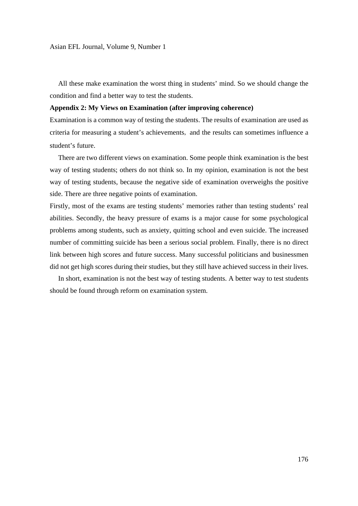All these make examination the worst thing in students' mind. So we should change the condition and find a better way to test the students.

### **Appendix 2: My Views on Examination (after improving coherence)**

Examination is a common way of testing the students. The results of examination are used as criteria for measuring a student's achievements, and the results can sometimes influence a student's future.

 There are two different views on examination. Some people think examination is the best way of testing students; others do not think so. In my opinion, examination is not the best way of testing students, because the negative side of examination overweighs the positive side. There are three negative points of examination.

Firstly, most of the exams are testing students' memories rather than testing students' real abilities. Secondly, the heavy pressure of exams is a major cause for some psychological problems among students, such as anxiety, quitting school and even suicide. The increased number of committing suicide has been a serious social problem. Finally, there is no direct link between high scores and future success. Many successful politicians and businessmen did not get high scores during their studies, but they still have achieved success in their lives.

 In short, examination is not the best way of testing students. A better way to test students should be found through reform on examination system.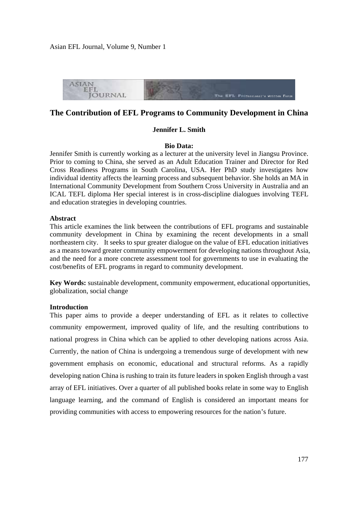

# **The Contribution of EFL Programs to Community Development in China**

## **Jennifer L. Smith**

#### **Bio Data:**

Jennifer Smith is currently working as a lecturer at the university level in Jiangsu Province. Prior to coming to China, she served as an Adult Education Trainer and Director for Red Cross Readiness Programs in South Carolina, USA. Her PhD study investigates how individual identity affects the learning process and subsequent behavior. She holds an MA in International Community Development from Southern Cross University in Australia and an ICAL TEFL diploma Her special interest is in cross-discipline dialogues involving TEFL and education strategies in developing countries.

# **Abstract**

This article examines the link between the contributions of EFL programs and sustainable community development in China by examining the recent developments in a small northeastern city. It seeks to spur greater dialogue on the value of EFL education initiatives as a means toward greater community empowerment for developing nations throughout Asia, and the need for a more concrete assessment tool for governments to use in evaluating the cost/benefits of EFL programs in regard to community development.

**Key Words:** sustainable development, community empowerment, educational opportunities, globalization, social change

# **Introduction**

This paper aims to provide a deeper understanding of EFL as it relates to collective community empowerment, improved quality of life, and the resulting contributions to national progress in China which can be applied to other developing nations across Asia. Currently, the nation of China is undergoing a tremendous surge of development with new government emphasis on economic, educational and structural reforms. As a rapidly developing nation China is rushing to train its future leaders in spoken English through a vast array of EFL initiatives. Over a quarter of all published books relate in some way to English language learning, and the command of English is considered an important means for providing communities with access to empowering resources for the nation's future.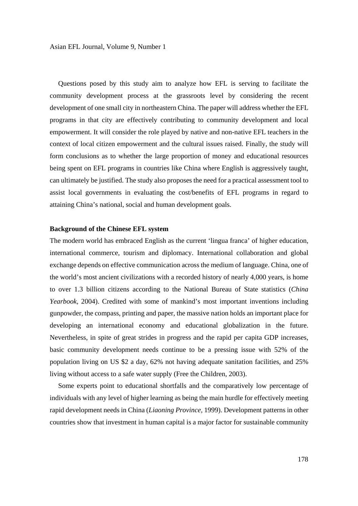Questions posed by this study aim to analyze how EFL is serving to facilitate the community development process at the grassroots level by considering the recent development of one small city in northeastern China. The paper will address whether the EFL programs in that city are effectively contributing to community development and local empowerment. It will consider the role played by native and non-native EFL teachers in the context of local citizen empowerment and the cultural issues raised. Finally, the study will form conclusions as to whether the large proportion of money and educational resources being spent on EFL programs in countries like China where English is aggressively taught, can ultimately be justified. The study also proposes the need for a practical assessment tool to assist local governments in evaluating the cost/benefits of EFL programs in regard to attaining China's national, social and human development goals.

# **Background of the Chinese EFL system**

The modern world has embraced English as the current 'lingua franca' of higher education, international commerce, tourism and diplomacy. International collaboration and global exchange depends on effective communication across the medium of language. China, one of the world's most ancient civilizations with a recorded history of nearly 4,000 years, is home to over 1.3 billion citizens according to the National Bureau of State statistics (*China Yearbook,* 2004). Credited with some of mankind's most important inventions including gunpowder, the compass, printing and paper, the massive nation holds an important place for developing an international economy and educational globalization in the future. Nevertheless, in spite of great strides in progress and the rapid per capita GDP increases, basic community development needs continue to be a pressing issue with 52% of the population living on US \$2 a day, 62% not having adequate sanitation facilities, and 25% living without access to a safe water supply (Free the Children, 2003).

 Some experts point to educational shortfalls and the comparatively low percentage of individuals with any level of higher learning as being the main hurdle for effectively meeting rapid development needs in China (*Liaoning Province,* 1999). Development patterns in other countries show that investment in human capital is a major factor for sustainable community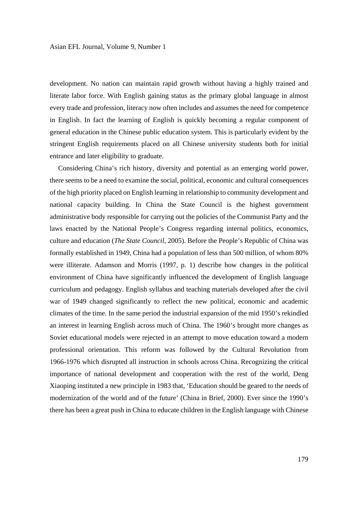development. No nation can maintain rapid growth without having a highly trained and literate labor force. With English gaining status as the primary global language in almost every trade and profession, literacy now often includes and assumes the need for competence in English. In fact the learning of English is quickly becoming a regular component of general education in the Chinese public education system. This is particularly evident by the stringent English requirements placed on all Chinese university students both for initial entrance and later eligibility to graduate.

 Considering China's rich history, diversity and potential as an emerging world power, there seems to be a need to examine the social, political, economic and cultural consequences of the high priority placed on English learning in relationship to community development and national capacity building. In China the State Council is the highest government administrative body responsible for carrying out the policies of the Communist Party and the laws enacted by the National People's Congress regarding internal politics, economics, culture and education (*The State Council,* 2005). Before the People's Republic of China was formally established in 1949, China had a population of less than 500 million, of whom 80% were illiterate. Adamson and Morris (1997, p. 1) describe how changes in the political environment of China have significantly influenced the development of English language curriculum and pedagogy. English syllabus and teaching materials developed after the civil war of 1949 changed significantly to reflect the new political, economic and academic climates of the time. In the same period the industrial expansion of the mid 1950's rekindled an interest in learning English across much of China. The 1960's brought more changes as Soviet educational models were rejected in an attempt to move education toward a modern professional orientation. This reform was followed by the Cultural Revolution from 1966-1976 which disrupted all instruction in schools across China. Recognizing the critical importance of national development and cooperation with the rest of the world, Deng Xiaoping instituted a new principle in 1983 that, 'Education should be geared to the needs of modernization of the world and of the future' (China in Brief, 2000). Ever since the 1990's there has been a great push in China to educate children in the English language with Chinese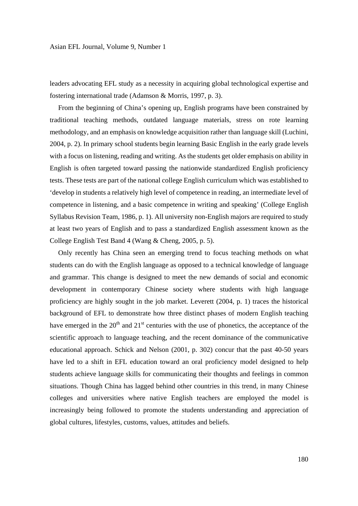leaders advocating EFL study as a necessity in acquiring global technological expertise and fostering international trade (Adamson & Morris, 1997, p. 3).

 From the beginning of China's opening up, English programs have been constrained by traditional teaching methods, outdated language materials, stress on rote learning methodology, and an emphasis on knowledge acquisition rather than language skill (Luchini, 2004, p. 2). In primary school students begin learning Basic English in the early grade levels with a focus on listening, reading and writing. As the students get older emphasis on ability in English is often targeted toward passing the nationwide standardized English proficiency tests. These tests are part of the national college English curriculum which was established to 'develop in students a relatively high level of competence in reading, an intermediate level of competence in listening, and a basic competence in writing and speaking' (College English Syllabus Revision Team, 1986, p. 1). All university non-English majors are required to study at least two years of English and to pass a standardized English assessment known as the College English Test Band 4 (Wang & Cheng, 2005, p. 5).

 Only recently has China seen an emerging trend to focus teaching methods on what students can do with the English language as opposed to a technical knowledge of language and grammar. This change is designed to meet the new demands of social and economic development in contemporary Chinese society where students with high language proficiency are highly sought in the job market. Leverett (2004, p. 1) traces the historical background of EFL to demonstrate how three distinct phases of modern English teaching have emerged in the  $20<sup>th</sup>$  and  $21<sup>st</sup>$  centuries with the use of phonetics, the acceptance of the scientific approach to language teaching, and the recent dominance of the communicative educational approach. Schick and Nelson (2001, p. 302) concur that the past 40-50 years have led to a shift in EFL education toward an oral proficiency model designed to help students achieve language skills for communicating their thoughts and feelings in common situations. Though China has lagged behind other countries in this trend, in many Chinese colleges and universities where native English teachers are employed the model is increasingly being followed to promote the students understanding and appreciation of global cultures, lifestyles, customs, values, attitudes and beliefs.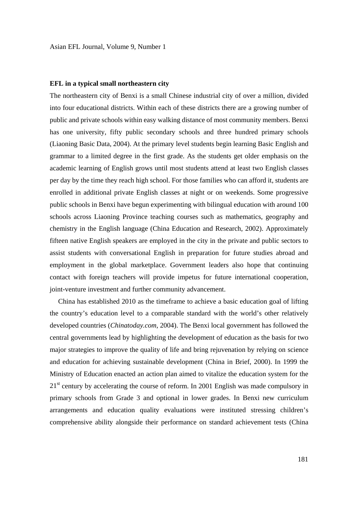## **EFL in a typical small northeastern city**

The northeastern city of Benxi is a small Chinese industrial city of over a million, divided into four educational districts. Within each of these districts there are a growing number of public and private schools within easy walking distance of most community members. Benxi has one university, fifty public secondary schools and three hundred primary schools (Liaoning Basic Data, 2004). At the primary level students begin learning Basic English and grammar to a limited degree in the first grade. As the students get older emphasis on the academic learning of English grows until most students attend at least two English classes per day by the time they reach high school. For those families who can afford it, students are enrolled in additional private English classes at night or on weekends. Some progressive public schools in Benxi have begun experimenting with bilingual education with around 100 schools across Liaoning Province teaching courses such as mathematics, geography and chemistry in the English language (China Education and Research, 2002). Approximately fifteen native English speakers are employed in the city in the private and public sectors to assist students with conversational English in preparation for future studies abroad and employment in the global marketplace. Government leaders also hope that continuing contact with foreign teachers will provide impetus for future international cooperation, joint-venture investment and further community advancement.

 China has established 2010 as the timeframe to achieve a basic education goal of lifting the country's education level to a comparable standard with the world's other relatively developed countries (*Chinatoday.com,* 2004). The Benxi local government has followed the central governments lead by highlighting the development of education as the basis for two major strategies to improve the quality of life and bring rejuvenation by relying on science and education for achieving sustainable development (China in Brief, 2000). In 1999 the Ministry of Education enacted an action plan aimed to vitalize the education system for the  $21<sup>st</sup>$  century by accelerating the course of reform. In 2001 English was made compulsory in primary schools from Grade 3 and optional in lower grades. In Benxi new curriculum arrangements and education quality evaluations were instituted stressing children's comprehensive ability alongside their performance on standard achievement tests (China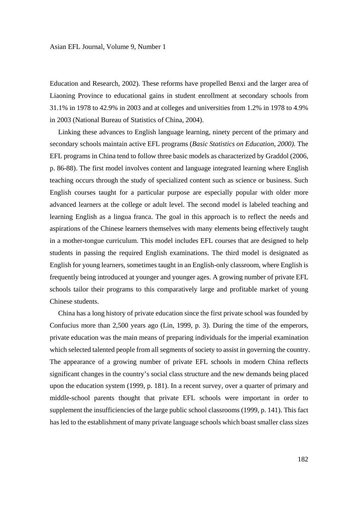Education and Research, 2002). These reforms have propelled Benxi and the larger area of Liaoning Province to educational gains in student enrollment at secondary schools from 31.1% in 1978 to 42.9% in 2003 and at colleges and universities from 1.2% in 1978 to 4.9% in 2003 (National Bureau of Statistics of China, 2004).

 Linking these advances to English language learning, ninety percent of the primary and secondary schools maintain active EFL programs (*Basic Statistics on Education, 2000).* The EFL programs in China tend to follow three basic models as characterized by Graddol (2006, p. 86-88). The first model involves content and language integrated learning where English teaching occurs through the study of specialized content such as science or business. Such English courses taught for a particular purpose are especially popular with older more advanced learners at the college or adult level. The second model is labeled teaching and learning English as a lingua franca. The goal in this approach is to reflect the needs and aspirations of the Chinese learners themselves with many elements being effectively taught in a mother-tongue curriculum. This model includes EFL courses that are designed to help students in passing the required English examinations. The third model is designated as English for young learners, sometimes taught in an English-only classroom, where English is frequently being introduced at younger and younger ages. A growing number of private EFL schools tailor their programs to this comparatively large and profitable market of young Chinese students.

 China has a long history of private education since the first private school was founded by Confucius more than 2,500 years ago (Lin, 1999, p. 3). During the time of the emperors, private education was the main means of preparing individuals for the imperial examination which selected talented people from all segments of society to assist in governing the country. The appearance of a growing number of private EFL schools in modern China reflects significant changes in the country's social class structure and the new demands being placed upon the education system (1999, p. 181). In a recent survey, over a quarter of primary and middle-school parents thought that private EFL schools were important in order to supplement the insufficiencies of the large public school classrooms (1999, p. 141). This fact has led to the establishment of many private language schools which boast smaller class sizes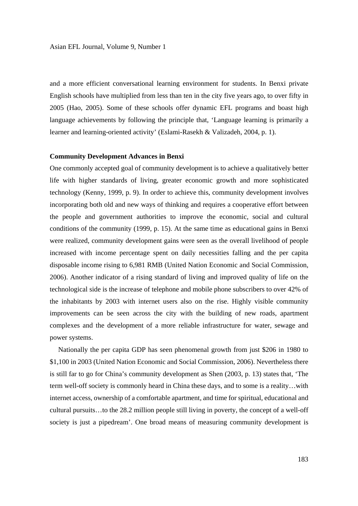and a more efficient conversational learning environment for students. In Benxi private English schools have multiplied from less than ten in the city five years ago, to over fifty in 2005 (Hao, 2005). Some of these schools offer dynamic EFL programs and boast high language achievements by following the principle that, 'Language learning is primarily a learner and learning-oriented activity' (Eslami-Rasekh & Valizadeh, 2004, p. 1).

### **Community Development Advances in Benxi**

One commonly accepted goal of community development is to achieve a qualitatively better life with higher standards of living, greater economic growth and more sophisticated technology (Kenny, 1999, p. 9). In order to achieve this, community development involves incorporating both old and new ways of thinking and requires a cooperative effort between the people and government authorities to improve the economic, social and cultural conditions of the community (1999, p. 15). At the same time as educational gains in Benxi were realized, community development gains were seen as the overall livelihood of people increased with income percentage spent on daily necessities falling and the per capita disposable income rising to 6,981 RMB (United Nation Economic and Social Commission, 2006). Another indicator of a rising standard of living and improved quality of life on the technological side is the increase of telephone and mobile phone subscribers to over 42% of the inhabitants by 2003 with internet users also on the rise. Highly visible community improvements can be seen across the city with the building of new roads, apartment complexes and the development of a more reliable infrastructure for water, sewage and power systems.

 Nationally the per capita GDP has seen phenomenal growth from just \$206 in 1980 to \$1,100 in 2003 (United Nation Economic and Social Commission, 2006). Nevertheless there is still far to go for China's community development as Shen (2003, p. 13) states that, 'The term well-off society is commonly heard in China these days, and to some is a reality…with internet access, ownership of a comfortable apartment, and time for spiritual, educational and cultural pursuits…to the 28.2 million people still living in poverty, the concept of a well-off society is just a pipedream'. One broad means of measuring community development is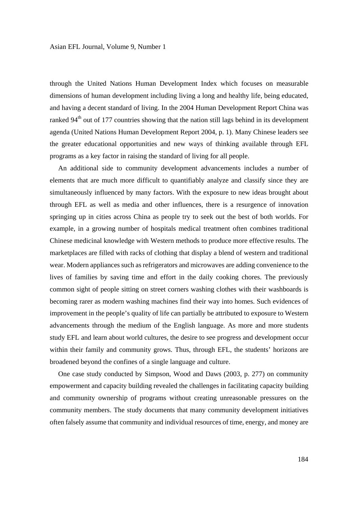through the United Nations Human Development Index which focuses on measurable dimensions of human development including living a long and healthy life, being educated, and having a decent standard of living. In the 2004 Human Development Report China was ranked 94<sup>th</sup> out of 177 countries showing that the nation still lags behind in its development agenda (United Nations Human Development Report 2004, p. 1). Many Chinese leaders see the greater educational opportunities and new ways of thinking available through EFL programs as a key factor in raising the standard of living for all people.

 An additional side to community development advancements includes a number of elements that are much more difficult to quantifiably analyze and classify since they are simultaneously influenced by many factors. With the exposure to new ideas brought about through EFL as well as media and other influences, there is a resurgence of innovation springing up in cities across China as people try to seek out the best of both worlds. For example, in a growing number of hospitals medical treatment often combines traditional Chinese medicinal knowledge with Western methods to produce more effective results. The marketplaces are filled with racks of clothing that display a blend of western and traditional wear. Modern appliances such as refrigerators and microwaves are adding convenience to the lives of families by saving time and effort in the daily cooking chores. The previously common sight of people sitting on street corners washing clothes with their washboards is becoming rarer as modern washing machines find their way into homes. Such evidences of improvement in the people's quality of life can partially be attributed to exposure to Western advancements through the medium of the English language. As more and more students study EFL and learn about world cultures, the desire to see progress and development occur within their family and community grows. Thus, through EFL, the students' horizons are broadened beyond the confines of a single language and culture.

 One case study conducted by Simpson, Wood and Daws (2003, p. 277) on community empowerment and capacity building revealed the challenges in facilitating capacity building and community ownership of programs without creating unreasonable pressures on the community members. The study documents that many community development initiatives often falsely assume that community and individual resources of time, energy, and money are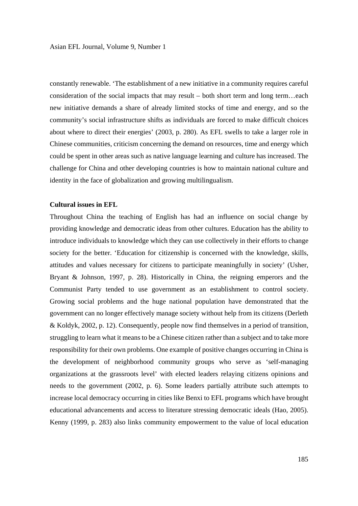constantly renewable. 'The establishment of a new initiative in a community requires careful consideration of the social impacts that may result – both short term and long term…each new initiative demands a share of already limited stocks of time and energy, and so the community's social infrastructure shifts as individuals are forced to make difficult choices about where to direct their energies' (2003, p. 280). As EFL swells to take a larger role in Chinese communities, criticism concerning the demand on resources, time and energy which could be spent in other areas such as native language learning and culture has increased. The challenge for China and other developing countries is how to maintain national culture and identity in the face of globalization and growing multilingualism.

### **Cultural issues in EFL**

Throughout China the teaching of English has had an influence on social change by providing knowledge and democratic ideas from other cultures. Education has the ability to introduce individuals to knowledge which they can use collectively in their efforts to change society for the better. 'Education for citizenship is concerned with the knowledge, skills, attitudes and values necessary for citizens to participate meaningfully in society' (Usher, Bryant & Johnson, 1997, p. 28). Historically in China, the reigning emperors and the Communist Party tended to use government as an establishment to control society. Growing social problems and the huge national population have demonstrated that the government can no longer effectively manage society without help from its citizens (Derleth & Koldyk, 2002, p. 12). Consequently, people now find themselves in a period of transition, struggling to learn what it means to be a Chinese citizen rather than a subject and to take more responsibility for their own problems. One example of positive changes occurring in China is the development of neighborhood community groups who serve as 'self-managing organizations at the grassroots level' with elected leaders relaying citizens opinions and needs to the government (2002, p. 6). Some leaders partially attribute such attempts to increase local democracy occurring in cities like Benxi to EFL programs which have brought educational advancements and access to literature stressing democratic ideals (Hao, 2005). Kenny (1999, p. 283) also links community empowerment to the value of local education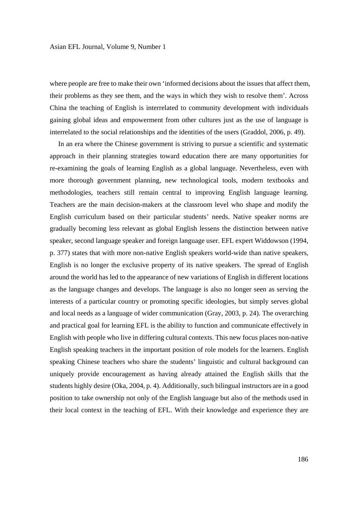where people are free to make their own 'informed decisions about the issues that affect them, their problems as they see them, and the ways in which they wish to resolve them'. Across China the teaching of English is interrelated to community development with individuals gaining global ideas and empowerment from other cultures just as the use of language is interrelated to the social relationships and the identities of the users (Graddol, 2006, p. 49).

 In an era where the Chinese government is striving to pursue a scientific and systematic approach in their planning strategies toward education there are many opportunities for re-examining the goals of learning English as a global language. Nevertheless, even with more thorough government planning, new technological tools, modern textbooks and methodologies, teachers still remain central to improving English language learning. Teachers are the main decision-makers at the classroom level who shape and modify the English curriculum based on their particular students' needs. Native speaker norms are gradually becoming less relevant as global English lessens the distinction between native speaker, second language speaker and foreign language user. EFL expert Widdowson (1994, p. 377) states that with more non-native English speakers world-wide than native speakers, English is no longer the exclusive property of its native speakers. The spread of English around the world has led to the appearance of new variations of English in different locations as the language changes and develops. The language is also no longer seen as serving the interests of a particular country or promoting specific ideologies, but simply serves global and local needs as a language of wider communication (Gray, 2003, p. 24). The overarching and practical goal for learning EFL is the ability to function and communicate effectively in English with people who live in differing cultural contexts. This new focus places non-native English speaking teachers in the important position of role models for the learners. English speaking Chinese teachers who share the students' linguistic and cultural background can uniquely provide encouragement as having already attained the English skills that the students highly desire (Oka, 2004, p. 4). Additionally, such bilingual instructors are in a good position to take ownership not only of the English language but also of the methods used in their local context in the teaching of EFL. With their knowledge and experience they are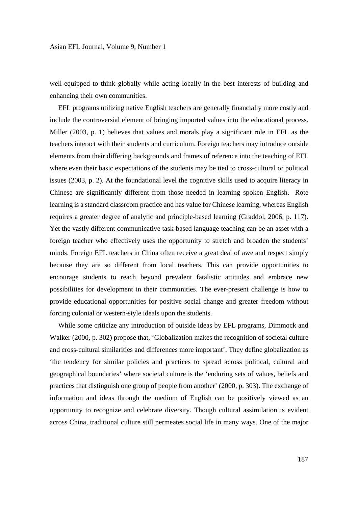well-equipped to think globally while acting locally in the best interests of building and enhancing their own communities.

 EFL programs utilizing native English teachers are generally financially more costly and include the controversial element of bringing imported values into the educational process. Miller (2003, p. 1) believes that values and morals play a significant role in EFL as the teachers interact with their students and curriculum. Foreign teachers may introduce outside elements from their differing backgrounds and frames of reference into the teaching of EFL where even their basic expectations of the students may be tied to cross-cultural or political issues (2003, p. 2). At the foundational level the cognitive skills used to acquire literacy in Chinese are significantly different from those needed in learning spoken English. Rote learning is a standard classroom practice and has value for Chinese learning, whereas English requires a greater degree of analytic and principle-based learning (Graddol, 2006, p. 117). Yet the vastly different communicative task-based language teaching can be an asset with a foreign teacher who effectively uses the opportunity to stretch and broaden the students' minds. Foreign EFL teachers in China often receive a great deal of awe and respect simply because they are so different from local teachers. This can provide opportunities to encourage students to reach beyond prevalent fatalistic attitudes and embrace new possibilities for development in their communities. The ever-present challenge is how to provide educational opportunities for positive social change and greater freedom without forcing colonial or western-style ideals upon the students.

 While some criticize any introduction of outside ideas by EFL programs, Dimmock and Walker (2000, p. 302) propose that, 'Globalization makes the recognition of societal culture and cross-cultural similarities and differences more important'. They define globalization as 'the tendency for similar policies and practices to spread across political, cultural and geographical boundaries' where societal culture is the 'enduring sets of values, beliefs and practices that distinguish one group of people from another' (2000, p. 303). The exchange of information and ideas through the medium of English can be positively viewed as an opportunity to recognize and celebrate diversity. Though cultural assimilation is evident across China, traditional culture still permeates social life in many ways. One of the major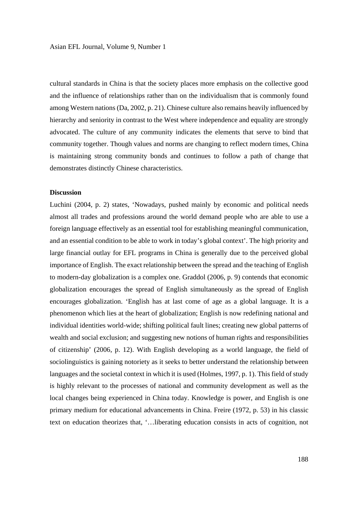cultural standards in China is that the society places more emphasis on the collective good and the influence of relationships rather than on the individualism that is commonly found among Western nations (Da, 2002, p. 21). Chinese culture also remains heavily influenced by hierarchy and seniority in contrast to the West where independence and equality are strongly advocated. The culture of any community indicates the elements that serve to bind that community together. Though values and norms are changing to reflect modern times, China is maintaining strong community bonds and continues to follow a path of change that demonstrates distinctly Chinese characteristics.

## **Discussion**

Luchini (2004, p. 2) states, 'Nowadays, pushed mainly by economic and political needs almost all trades and professions around the world demand people who are able to use a foreign language effectively as an essential tool for establishing meaningful communication, and an essential condition to be able to work in today's global context'. The high priority and large financial outlay for EFL programs in China is generally due to the perceived global importance of English. The exact relationship between the spread and the teaching of English to modern-day globalization is a complex one. Graddol (2006, p. 9) contends that economic globalization encourages the spread of English simultaneously as the spread of English encourages globalization. 'English has at last come of age as a global language. It is a phenomenon which lies at the heart of globalization; English is now redefining national and individual identities world-wide; shifting political fault lines; creating new global patterns of wealth and social exclusion; and suggesting new notions of human rights and responsibilities of citizenship' (2006, p. 12). With English developing as a world language, the field of sociolinguistics is gaining notoriety as it seeks to better understand the relationship between languages and the societal context in which it is used (Holmes, 1997, p. 1). This field of study is highly relevant to the processes of national and community development as well as the local changes being experienced in China today. Knowledge is power, and English is one primary medium for educational advancements in China. Freire (1972, p. 53) in his classic text on education theorizes that, '…liberating education consists in acts of cognition, not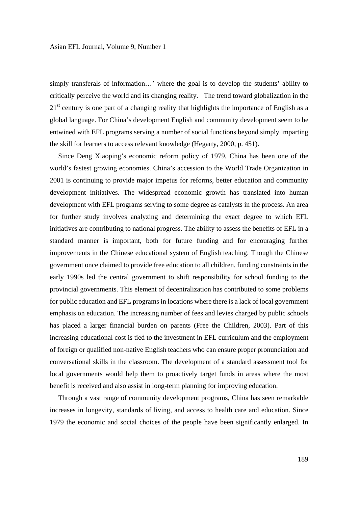simply transferals of information…' where the goal is to develop the students' ability to critically perceive the world and its changing reality. The trend toward globalization in the  $21<sup>st</sup>$  century is one part of a changing reality that highlights the importance of English as a global language. For China's development English and community development seem to be entwined with EFL programs serving a number of social functions beyond simply imparting the skill for learners to access relevant knowledge (Hegarty, 2000, p. 451).

 Since Deng Xiaoping's economic reform policy of 1979, China has been one of the world's fastest growing economies. China's accession to the World Trade Organization in 2001 is continuing to provide major impetus for reforms, better education and community development initiatives. The widespread economic growth has translated into human development with EFL programs serving to some degree as catalysts in the process. An area for further study involves analyzing and determining the exact degree to which EFL initiatives are contributing to national progress. The ability to assess the benefits of EFL in a standard manner is important, both for future funding and for encouraging further improvements in the Chinese educational system of English teaching. Though the Chinese government once claimed to provide free education to all children, funding constraints in the early 1990s led the central government to shift responsibility for school funding to the provincial governments. This element of decentralization has contributed to some problems for public education and EFL programs in locations where there is a lack of local government emphasis on education. The increasing number of fees and levies charged by public schools has placed a larger financial burden on parents (Free the Children, 2003). Part of this increasing educational cost is tied to the investment in EFL curriculum and the employment of foreign or qualified non-native English teachers who can ensure proper pronunciation and conversational skills in the classroom. The development of a standard assessment tool for local governments would help them to proactively target funds in areas where the most benefit is received and also assist in long-term planning for improving education.

 Through a vast range of community development programs, China has seen remarkable increases in longevity, standards of living, and access to health care and education. Since 1979 the economic and social choices of the people have been significantly enlarged. In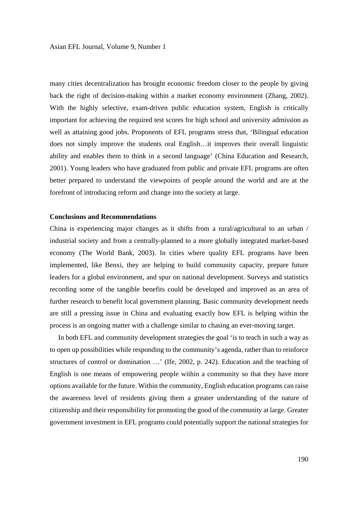many cities decentralization has brought economic freedom closer to the people by giving back the right of decision-making within a market economy environment (Zhang, 2002). With the highly selective, exam-driven public education system, English is critically important for achieving the required test scores for high school and university admission as well as attaining good jobs. Proponents of EFL programs stress that, 'Bilingual education does not simply improve the students oral English…it improves their overall linguistic ability and enables them to think in a second language' (China Education and Research, 2001). Young leaders who have graduated from public and private EFL programs are often better prepared to understand the viewpoints of people around the world and are at the forefront of introducing reform and change into the society at large.

### **Conclusions and Recommendations**

China is experiencing major changes as it shifts from a rural/agricultural to an urban / industrial society and from a centrally-planned to a more globally integrated market-based economy (The World Bank, 2003). In cities where quality EFL programs have been implemented, like Benxi, they are helping to build community capacity, prepare future leaders for a global environment, and spur on national development. Surveys and statistics recording some of the tangible benefits could be developed and improved as an area of further research to benefit local government planning. Basic community development needs are still a pressing issue in China and evaluating exactly how EFL is helping within the process is an ongoing matter with a challenge similar to chasing an ever-moving target.

 In both EFL and community development strategies the goal 'is to teach in such a way as to open up possibilities while responding to the community's agenda, rather than to reinforce structures of control or domination …' (Ife, 2002, p. 242). Education and the teaching of English is one means of empowering people within a community so that they have more options available for the future. Within the community, English education programs can raise the awareness level of residents giving them a greater understanding of the nature of citizenship and their responsibility for promoting the good of the community at large. Greater government investment in EFL programs could potentially support the national strategies for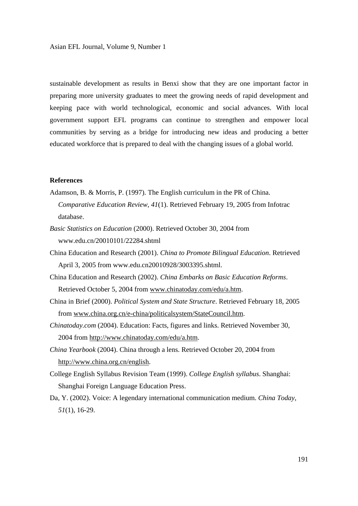sustainable development as results in Benxi show that they are one important factor in preparing more university graduates to meet the growing needs of rapid development and keeping pace with world technological, economic and social advances. With local government support EFL programs can continue to strengthen and empower local communities by serving as a bridge for introducing new ideas and producing a better educated workforce that is prepared to deal with the changing issues of a global world.

## **References**

- Adamson, B. & Morris, P. (1997). The English curriculum in the PR of China.  *Comparative Education Review*, *41*(1). Retrieved February 19, 2005 from Infotrac database.
- *Basic Statistics on Education* (2000). Retrieved October 30, 2004 from www.edu.cn/20010101/22284.shtml
- China Education and Research (2001). *China to Promote Bilingual Education*. Retrieved April 3, 2005 from www.edu.cn20010928/3003395.shtml.
- China Education and Research (2002). *China Embarks on Basic Education Reforms*. Retrieved October 5, 2004 from www.chinatoday.com/edu/a.htm.
- China in Brief (2000). *Political System and State Structure*. Retrieved February 18, 2005 from www.china.org.cn/e-china/politicalsystem/StateCouncil.htm.
- *Chinatoday.com* (2004). Education: Facts, figures and links. Retrieved November 30, 2004 from http://www.chinatoday.com/edu/a.htm.
- *China Yearbook* (2004). China through a lens. Retrieved October 20, 2004 from http://www.china.org.cn/english.
- College English Syllabus Revision Team (1999). *College English syllabus*. Shanghai: Shanghai Foreign Language Education Press.
- Da, Y. (2002). Voice: A legendary international communication medium. *China Today*, *51*(1), 16-29.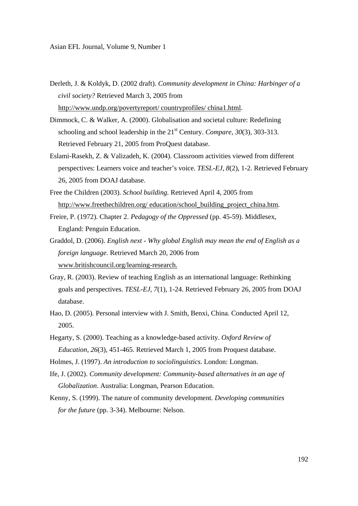- Derleth, J. & Koldyk, D. (2002 draft). *Community development in China: Harbinger of a civil society?* Retrieved March 3, 2005 from http://www.undp.org/povertyreport/ countryprofiles/ china1.html.
- Dimmock, C. & Walker, A. (2000). Globalisation and societal culture: Redefining schooling and school leadership in the 21<sup>st</sup> Century. *Compare*, 30(3), 303-313. Retrieved February 21, 2005 from ProQuest database.
- Eslami-Rasekh, Z. & Valizadeh, K. (2004). Classroom activities viewed from different perspectives: Learners voice and teacher's voice. *TESL-EJ, 8*(2), 1-2. Retrieved February 26, 2005 from DOAJ database.
- Free the Children (2003). *School building.* Retrieved April 4, 2005 from http://www.freethechildren.org/ education/school\_building\_project\_china.htm.
- Freire, P. (1972). Chapter 2. *Pedagogy of the Oppressed* (pp. 45-59). Middlesex, England: Penguin Education.
- Graddol, D. (2006). *English next Why global English may mean the end of English as a foreign language.* Retrieved March 20, 2006 from www.britishcouncil.org/learning-research.
- Gray, R. (2003). Review of teaching English as an international language: Rethinking goals and perspectives. *TESL-EJ*, *7*(1), 1-24. Retrieved February 26, 2005 from DOAJ database.
- Hao, D. (2005). Personal interview with J. Smith, Benxi, China. Conducted April 12, 2005.
- Hegarty, S. (2000). Teaching as a knowledge-based activity. *Oxford Review of Education*, *26*(3), 451-465. Retrieved March 1, 2005 from Proquest database.
- Holmes, J. (1997). *An introduction to sociolinguistics*. London: Longman.
- Ife, J. (2002). *Community development: Community-based alternatives in an age of Globalization*. Australia: Longman, Pearson Education.
- Kenny, S. (1999). The nature of community development. *Developing communities for the future* (pp. 3-34). Melbourne: Nelson.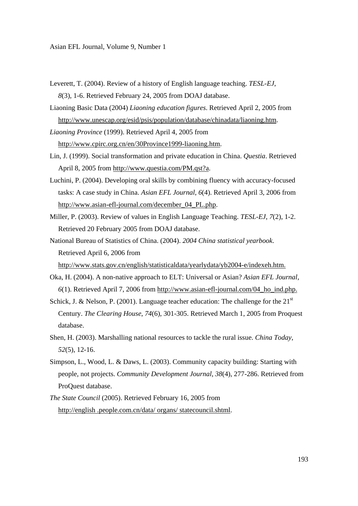- Leverett, T. (2004). Review of a history of English language teaching. *TESL-EJ*, *8*(3), 1-6. Retrieved February 24, 2005 from DOAJ database.
- Liaoning Basic Data (2004) *Liaoning education figures*. Retrieved April 2, 2005 from http://www.unescap.org/esid/psis/population/database/chinadata/liaoning.htm.
- *Liaoning Province* (1999). Retrieved April 4, 2005 from http://www.cpirc.org.cn/en/30Province1999-liaoning.htm.
- Lin, J. (1999). Social transformation and private education in China. *Questia*. Retrieved April 8, 2005 from http://www.questia.com/PM.qst?a.
- Luchini, P. (2004). Developing oral skills by combining fluency with accuracy-focused tasks: A case study in China. *Asian EFL Journal*, *6*(4). Retrieved April 3, 2006 from http://www.asian-efl-journal.com/december\_04\_PL.php.
- Miller, P. (2003). Review of values in English Language Teaching. *TESL-EJ*, *7*(2), 1-2. Retrieved 20 February 2005 from DOAJ database.
- National Bureau of Statistics of China. (2004). *2004 China statistical yearbook*. Retrieved April 6, 2006 from

http://www.stats.gov.cn/english/statisticaldata/yearlydata/yb2004-e/indexeh.htm.

- Oka, H. (2004). A non-native approach to ELT: Universal or Asian? *Asian EFL Journal*, *6*(1). Retrieved April 7, 2006 from http://www.asian-efl-journal.com/04\_ho\_ind.php.
- Schick, J. & Nelson, P. (2001). Language teacher education: The challenge for the  $21<sup>st</sup>$  Century. *The Clearing House*, *74*(6), 301-305. Retrieved March 1, 2005 from Proquest database.
- Shen, H. (2003). Marshalling national resources to tackle the rural issue. *China Today*, *52*(5), 12-16.
- Simpson, L., Wood, L. & Daws, L. (2003). Community capacity building: Starting with people, not projects. *Community Development Journal*, *38*(4), 277-286. Retrieved from ProQuest database.
- *The State Council* (2005). Retrieved February 16, 2005 from http://english .people.com.cn/data/ organs/ statecouncil.shtml.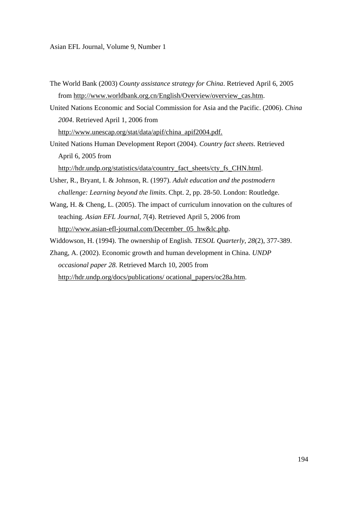- The World Bank (2003) *County assistance strategy for China*. Retrieved April 6, 2005 from http://www.worldbank.org.cn/English/Overview/overview\_cas.htm.
- United Nations Economic and Social Commission for Asia and the Pacific. (2006). *China 2004*. Retrieved April 1, 2006 from http://www.unescap.org/stat/data/apif/china\_apif2004.pdf.
- United Nations Human Development Report (2004). *Country fact sheets*. Retrieved April 6, 2005 from

http://hdr.undp.org/statistics/data/country\_fact\_sheets/cty\_fs\_CHN.html.

- Usher, R., Bryant, I. & Johnson, R. (1997). *Adult education and the postmodern challenge: Learning beyond the limits*. Chpt. 2, pp. 28-50. London: Routledge.
- Wang, H. & Cheng, L. (2005). The impact of curriculum innovation on the cultures of teaching. *Asian EFL Journal*, *7*(4). Retrieved April 5, 2006 from http://www.asian-efl-journal.com/December\_05\_hw&lc.php.
- Widdowson, H. (1994). The ownership of English*. TESOL Quarterly, 28*(2), 377-389.
- Zhang, A. (2002). Economic growth and human development in China. *UNDP occasional paper 28.* Retrieved March 10, 2005 from http://hdr.undp.org/docs/publications/ ocational\_papers/oc28a.htm.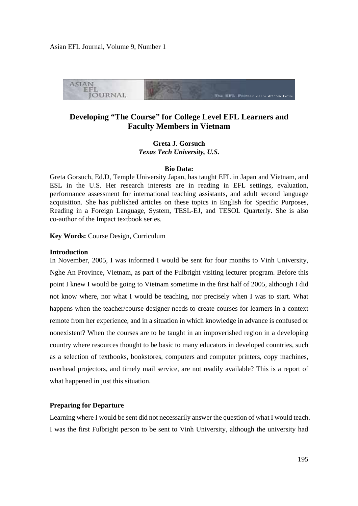

# **Developing "The Course" for College Level EFL Learners and Faculty Members in Vietnam**

**Greta J. Gorsuch**  *Texas Tech University, U.S.* 

### **Bio Data:**

Greta Gorsuch, Ed.D, Temple University Japan, has taught EFL in Japan and Vietnam, and ESL in the U.S. Her research interests are in reading in EFL settings, evaluation, performance assessment for international teaching assistants, and adult second language acquisition. She has published articles on these topics in English for Specific Purposes, Reading in a Foreign Language, System, TESL-EJ, and TESOL Quarterly. She is also co-author of the Impact textbook series.

**Key Words:** Course Design, Curriculum

#### **Introduction**

In November, 2005, I was informed I would be sent for four months to Vinh University, Nghe An Province, Vietnam, as part of the Fulbright visiting lecturer program. Before this point I knew I would be going to Vietnam sometime in the first half of 2005, although I did not know where, nor what I would be teaching, nor precisely when I was to start. What happens when the teacher/course designer needs to create courses for learners in a context remote from her experience, and in a situation in which knowledge in advance is confused or nonexistent? When the courses are to be taught in an impoverished region in a developing country where resources thought to be basic to many educators in developed countries, such as a selection of textbooks, bookstores, computers and computer printers, copy machines, overhead projectors, and timely mail service, are not readily available? This is a report of what happened in just this situation.

## **Preparing for Departure**

Learning where I would be sent did not necessarily answer the question of what I would teach. I was the first Fulbright person to be sent to Vinh University, although the university had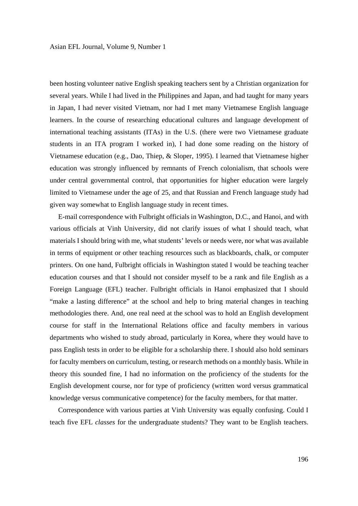been hosting volunteer native English speaking teachers sent by a Christian organization for several years. While I had lived in the Philippines and Japan, and had taught for many years in Japan, I had never visited Vietnam, nor had I met many Vietnamese English language learners. In the course of researching educational cultures and language development of international teaching assistants (ITAs) in the U.S. (there were two Vietnamese graduate students in an ITA program I worked in), I had done some reading on the history of Vietnamese education (e.g., Dao, Thiep, & Sloper, 1995). I learned that Vietnamese higher education was strongly influenced by remnants of French colonialism, that schools were under central governmental control, that opportunities for higher education were largely limited to Vietnamese under the age of 25, and that Russian and French language study had given way somewhat to English language study in recent times.

 E-mail correspondence with Fulbright officials in Washington, D.C., and Hanoi, and with various officials at Vinh University, did not clarify issues of what I should teach, what materials I should bring with me, what students' levels or needs were, nor what was available in terms of equipment or other teaching resources such as blackboards, chalk, or computer printers. On one hand, Fulbright officials in Washington stated I would be teaching teacher education courses and that I should not consider myself to be a rank and file English as a Foreign Language (EFL) teacher. Fulbright officials in Hanoi emphasized that I should "make a lasting difference" at the school and help to bring material changes in teaching methodologies there. And, one real need at the school was to hold an English development course for staff in the International Relations office and faculty members in various departments who wished to study abroad, particularly in Korea, where they would have to pass English tests in order to be eligible for a scholarship there. I should also hold seminars for faculty members on curriculum, testing, or research methods on a monthly basis. While in theory this sounded fine, I had no information on the proficiency of the students for the English development course, nor for type of proficiency (written word versus grammatical knowledge versus communicative competence) for the faculty members, for that matter.

 Correspondence with various parties at Vinh University was equally confusing. Could I teach five EFL *classes* for the undergraduate students? They want to be English teachers.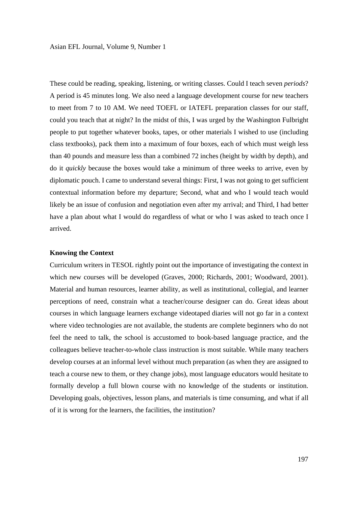These could be reading, speaking, listening, or writing classes. Could I teach seven *periods*? A period is 45 minutes long. We also need a language development course for new teachers to meet from 7 to 10 AM. We need TOEFL or IATEFL preparation classes for our staff, could you teach that at night? In the midst of this, I was urged by the Washington Fulbright people to put together whatever books, tapes, or other materials I wished to use (including class textbooks), pack them into a maximum of four boxes, each of which must weigh less than 40 pounds and measure less than a combined 72 inches (height by width by depth), and do it *quickly* because the boxes would take a minimum of three weeks to arrive, even by diplomatic pouch. I came to understand several things: First, I was not going to get sufficient contextual information before my departure; Second, what and who I would teach would likely be an issue of confusion and negotiation even after my arrival; and Third, I had better have a plan about what I would do regardless of what or who I was asked to teach once I arrived.

## **Knowing the Context**

Curriculum writers in TESOL rightly point out the importance of investigating the context in which new courses will be developed (Graves, 2000; Richards, 2001; Woodward, 2001). Material and human resources, learner ability, as well as institutional, collegial, and learner perceptions of need, constrain what a teacher/course designer can do. Great ideas about courses in which language learners exchange videotaped diaries will not go far in a context where video technologies are not available, the students are complete beginners who do not feel the need to talk, the school is accustomed to book-based language practice, and the colleagues believe teacher-to-whole class instruction is most suitable. While many teachers develop courses at an informal level without much preparation (as when they are assigned to teach a course new to them, or they change jobs), most language educators would hesitate to formally develop a full blown course with no knowledge of the students or institution. Developing goals, objectives, lesson plans, and materials is time consuming, and what if all of it is wrong for the learners, the facilities, the institution?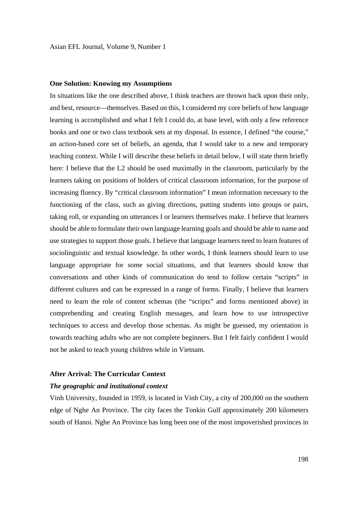## **One Solution: Knowing my Assumptions**

In situations like the one described above, I think teachers are thrown back upon their only, and best, resource—themselves. Based on this, I considered my core beliefs of how language learning is accomplished and what I felt I could do, at base level, with only a few reference books and one or two class textbook sets at my disposal. In essence, I defined "the course," an action-based core set of beliefs, an agenda, that I would take to a new and temporary teaching context. While I will describe these beliefs in detail below, I will state them briefly here: I believe that the L2 should be used maximally in the classroom, particularly by the learners taking on positions of holders of critical classroom information, for the purpose of increasing fluency. By "critical classroom information" I mean information necessary to the functioning of the class, such as giving directions, putting students into groups or pairs, taking roll, or expanding on utterances I or learners themselves make. I believe that learners should be able to formulate their own language learning goals and should be able to name and use strategies to support those goals. I believe that language learners need to learn features of sociolinguistic and textual knowledge. In other words, I think learners should learn to use language appropriate for some social situations, and that learners should know that conversations and other kinds of communication do tend to follow certain "scripts" in different cultures and can be expressed in a range of forms. Finally, I believe that learners need to learn the role of content schemas (the "scripts" and forms mentioned above) in comprehending and creating English messages, and learn how to use introspective techniques to access and develop those schemas. As might be guessed, my orientation is towards teaching adults who are not complete beginners. But I felt fairly confident I would not be asked to teach young children while in Vietnam.

### **After Arrival: The Curricular Context**

### *The geographic and institutional context*

Vinh University, founded in 1959, is located in Vinh City, a city of 200,000 on the southern edge of Nghe An Province. The city faces the Tonkin Gulf approximately 200 kilometers south of Hanoi. Nghe An Province has long been one of the most impoverished provinces in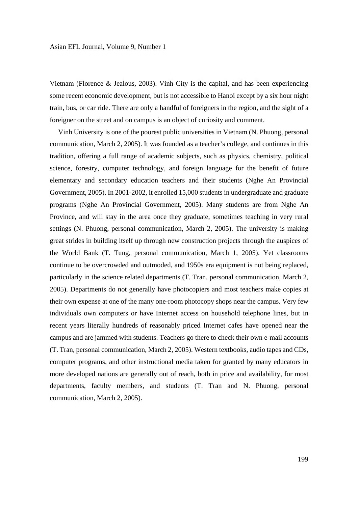Vietnam (Florence & Jealous, 2003). Vinh City is the capital, and has been experiencing some recent economic development, but is not accessible to Hanoi except by a six hour night train, bus, or car ride. There are only a handful of foreigners in the region, and the sight of a foreigner on the street and on campus is an object of curiosity and comment.

 Vinh University is one of the poorest public universities in Vietnam (N. Phuong, personal communication, March 2, 2005). It was founded as a teacher's college, and continues in this tradition, offering a full range of academic subjects, such as physics, chemistry, political science, forestry, computer technology, and foreign language for the benefit of future elementary and secondary education teachers and their students (Nghe An Provincial Government, 2005). In 2001-2002, it enrolled 15,000 students in undergraduate and graduate programs (Nghe An Provincial Government, 2005). Many students are from Nghe An Province, and will stay in the area once they graduate, sometimes teaching in very rural settings (N. Phuong, personal communication, March 2, 2005). The university is making great strides in building itself up through new construction projects through the auspices of the World Bank (T. Tung, personal communication, March 1, 2005). Yet classrooms continue to be overcrowded and outmoded, and 1950s era equipment is not being replaced, particularly in the science related departments (T. Tran, personal communication, March 2, 2005). Departments do not generally have photocopiers and most teachers make copies at their own expense at one of the many one-room photocopy shops near the campus. Very few individuals own computers or have Internet access on household telephone lines, but in recent years literally hundreds of reasonably priced Internet cafes have opened near the campus and are jammed with students. Teachers go there to check their own e-mail accounts (T. Tran, personal communication, March 2, 2005). Western textbooks, audio tapes and CDs, computer programs, and other instructional media taken for granted by many educators in more developed nations are generally out of reach, both in price and availability, for most departments, faculty members, and students (T. Tran and N. Phuong, personal communication, March 2, 2005).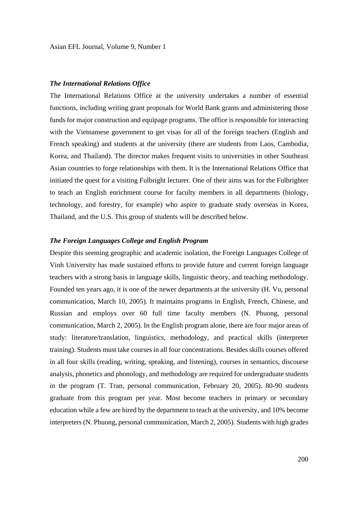## *The International Relations Office*

The International Relations Office at the university undertakes a number of essential functions, including writing grant proposals for World Bank grants and administering those funds for major construction and equipage programs. The office is responsible for interacting with the Vietnamese government to get visas for all of the foreign teachers (English and French speaking) and students at the university (there are students from Laos, Cambodia, Korea, and Thailand). The director makes frequent visits to universities in other Southeast Asian countries to forge relationships with them. It is the International Relations Office that initiated the quest for a visiting Fulbright lecturer. One of their aims was for the Fulbrighter to teach an English enrichment course for faculty members in all departments (biology, technology, and forestry, for example) who aspire to graduate study overseas in Korea, Thailand, and the U.S. This group of students will be described below.

## *The Foreign Languages College and English Program*

Despite this seeming geographic and academic isolation, the Foreign Languages College of Vinh University has made sustained efforts to provide future and current foreign language teachers with a strong basis in language skills, linguistic theory, and teaching methodology. Founded ten years ago, it is one of the newer departments at the university (H. Vu, personal communication, March 10, 2005). It maintains programs in English, French, Chinese, and Russian and employs over 60 full time faculty members (N. Phuong, personal communication, March 2, 2005). In the English program alone, there are four major areas of study: literature/translation, linguistics, methodology, and practical skills (interpreter training). Students must take courses in all four concentrations. Besides skills courses offered in all four skills (reading, writing, speaking, and listening), courses in semantics, discourse analysis, phonetics and phonology, and methodology are required for undergraduate students in the program (T. Tran, personal communication, February 20, 2005). 80-90 students graduate from this program per year. Most become teachers in primary or secondary education while a few are hired by the department to teach at the university, and 10% become interpreters (N. Phuong, personal communication, March 2, 2005). Students with high grades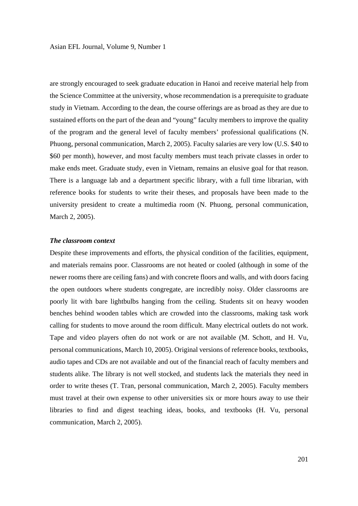are strongly encouraged to seek graduate education in Hanoi and receive material help from the Science Committee at the university, whose recommendation is a prerequisite to graduate study in Vietnam. According to the dean, the course offerings are as broad as they are due to sustained efforts on the part of the dean and "young" faculty members to improve the quality of the program and the general level of faculty members' professional qualifications (N. Phuong, personal communication, March 2, 2005). Faculty salaries are very low (U.S. \$40 to \$60 per month), however, and most faculty members must teach private classes in order to make ends meet. Graduate study, even in Vietnam, remains an elusive goal for that reason. There is a language lab and a department specific library, with a full time librarian, with reference books for students to write their theses, and proposals have been made to the university president to create a multimedia room (N. Phuong, personal communication, March 2, 2005).

## *The classroom context*

Despite these improvements and efforts, the physical condition of the facilities, equipment, and materials remains poor. Classrooms are not heated or cooled (although in some of the newer rooms there are ceiling fans) and with concrete floors and walls, and with doors facing the open outdoors where students congregate, are incredibly noisy. Older classrooms are poorly lit with bare lightbulbs hanging from the ceiling. Students sit on heavy wooden benches behind wooden tables which are crowded into the classrooms, making task work calling for students to move around the room difficult. Many electrical outlets do not work. Tape and video players often do not work or are not available (M. Schott, and H. Vu, personal communications, March 10, 2005). Original versions of reference books, textbooks, audio tapes and CDs are not available and out of the financial reach of faculty members and students alike. The library is not well stocked, and students lack the materials they need in order to write theses (T. Tran, personal communication, March 2, 2005). Faculty members must travel at their own expense to other universities six or more hours away to use their libraries to find and digest teaching ideas, books, and textbooks (H. Vu, personal communication, March 2, 2005).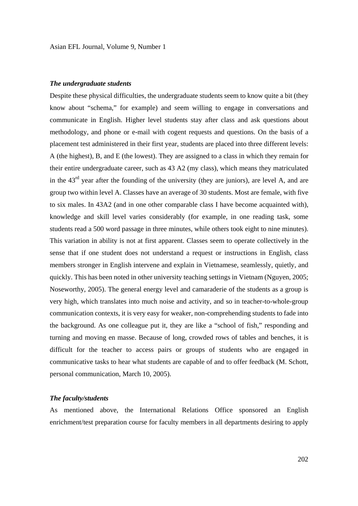## *The undergraduate students*

Despite these physical difficulties, the undergraduate students seem to know quite a bit (they know about "schema," for example) and seem willing to engage in conversations and communicate in English. Higher level students stay after class and ask questions about methodology, and phone or e-mail with cogent requests and questions. On the basis of a placement test administered in their first year, students are placed into three different levels: A (the highest), B, and E (the lowest). They are assigned to a class in which they remain for their entire undergraduate career, such as 43 A2 (my class), which means they matriculated in the  $43<sup>rd</sup>$  year after the founding of the university (they are juniors), are level A, and are group two within level A. Classes have an average of 30 students. Most are female, with five to six males. In 43A2 (and in one other comparable class I have become acquainted with), knowledge and skill level varies considerably (for example, in one reading task, some students read a 500 word passage in three minutes, while others took eight to nine minutes). This variation in ability is not at first apparent. Classes seem to operate collectively in the sense that if one student does not understand a request or instructions in English, class members stronger in English intervene and explain in Vietnamese, seamlessly, quietly, and quickly. This has been noted in other university teaching settings in Vietnam (Nguyen, 2005; Noseworthy, 2005). The general energy level and camaraderie of the students as a group is very high, which translates into much noise and activity, and so in teacher-to-whole-group communication contexts, it is very easy for weaker, non-comprehending students to fade into the background. As one colleague put it, they are like a "school of fish," responding and turning and moving en masse. Because of long, crowded rows of tables and benches, it is difficult for the teacher to access pairs or groups of students who are engaged in communicative tasks to hear what students are capable of and to offer feedback (M. Schott, personal communication, March 10, 2005).

## *The faculty/students*

As mentioned above, the International Relations Office sponsored an English enrichment/test preparation course for faculty members in all departments desiring to apply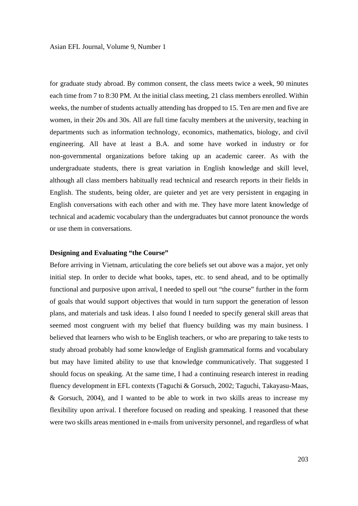for graduate study abroad. By common consent, the class meets twice a week, 90 minutes each time from 7 to 8:30 PM. At the initial class meeting, 21 class members enrolled. Within weeks, the number of students actually attending has dropped to 15. Ten are men and five are women, in their 20s and 30s. All are full time faculty members at the university, teaching in departments such as information technology, economics, mathematics, biology, and civil engineering. All have at least a B.A. and some have worked in industry or for non-governmental organizations before taking up an academic career. As with the undergraduate students, there is great variation in English knowledge and skill level, although all class members habitually read technical and research reports in their fields in English. The students, being older, are quieter and yet are very persistent in engaging in English conversations with each other and with me. They have more latent knowledge of technical and academic vocabulary than the undergraduates but cannot pronounce the words or use them in conversations.

### **Designing and Evaluating "the Course"**

Before arriving in Vietnam, articulating the core beliefs set out above was a major, yet only initial step. In order to decide what books, tapes, etc. to send ahead, and to be optimally functional and purposive upon arrival, I needed to spell out "the course" further in the form of goals that would support objectives that would in turn support the generation of lesson plans, and materials and task ideas. I also found I needed to specify general skill areas that seemed most congruent with my belief that fluency building was my main business. I believed that learners who wish to be English teachers, or who are preparing to take tests to study abroad probably had some knowledge of English grammatical forms and vocabulary but may have limited ability to use that knowledge communicatively. That suggested I should focus on speaking. At the same time, I had a continuing research interest in reading fluency development in EFL contexts (Taguchi & Gorsuch, 2002; Taguchi, Takayasu-Maas, & Gorsuch, 2004), and I wanted to be able to work in two skills areas to increase my flexibility upon arrival. I therefore focused on reading and speaking. I reasoned that these were two skills areas mentioned in e-mails from university personnel, and regardless of what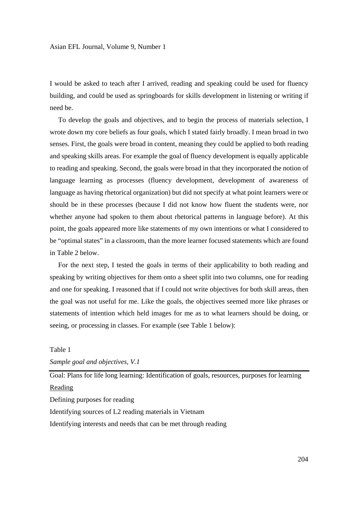I would be asked to teach after I arrived, reading and speaking could be used for fluency building, and could be used as springboards for skills development in listening or writing if need be.

 To develop the goals and objectives, and to begin the process of materials selection, I wrote down my core beliefs as four goals, which I stated fairly broadly. I mean broad in two senses. First, the goals were broad in content, meaning they could be applied to both reading and speaking skills areas. For example the goal of fluency development is equally applicable to reading and speaking. Second, the goals were broad in that they incorporated the notion of language learning as processes (fluency development, development of awareness of language as having rhetorical organization) but did not specify at what point learners were or should be in these processes (because I did not know how fluent the students were, nor whether anyone had spoken to them about rhetorical patterns in language before). At this point, the goals appeared more like statements of my own intentions or what I considered to be "optimal states" in a classroom, than the more learner focused statements which are found in Table 2 below.

 For the next step, I tested the goals in terms of their applicability to both reading and speaking by writing objectives for them onto a sheet split into two columns, one for reading and one for speaking. I reasoned that if I could not write objectives for both skill areas, then the goal was not useful for me. Like the goals, the objectives seemed more like phrases or statements of intention which held images for me as to what learners should be doing, or seeing, or processing in classes. For example (see Table 1 below):

## Table 1

*Sample goal and objectives, V.1*

Goal: Plans for life long learning: Identification of goals, resources, purposes for learning Reading

Defining purposes for reading

Identifying sources of L2 reading materials in Vietnam

Identifying interests and needs that can be met through reading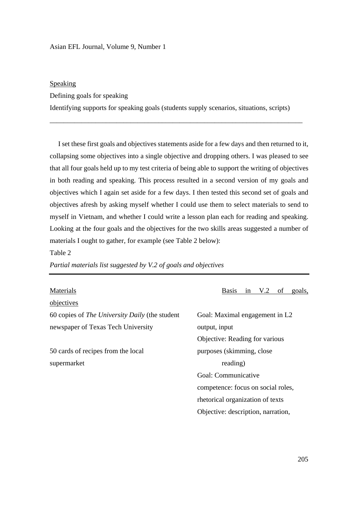## Asian EFL Journal, Volume 9, Number 1

## Speaking

Defining goals for speaking

Identifying supports for speaking goals (students supply scenarios, situations, scripts)

\_\_\_\_\_\_\_\_\_\_\_\_\_\_\_\_\_\_\_\_\_\_\_\_\_\_\_\_\_\_\_\_\_\_\_\_\_\_\_\_\_\_\_\_\_\_\_\_\_\_\_\_\_\_\_\_\_\_\_\_\_\_\_\_\_\_\_\_\_\_\_\_

 I set these first goals and objectives statements aside for a few days and then returned to it, collapsing some objectives into a single objective and dropping others. I was pleased to see that all four goals held up to my test criteria of being able to support the writing of objectives in both reading and speaking. This process resulted in a second version of my goals and objectives which I again set aside for a few days. I then tested this second set of goals and objectives afresh by asking myself whether I could use them to select materials to send to myself in Vietnam, and whether I could write a lesson plan each for reading and speaking. Looking at the four goals and the objectives for the two skills areas suggested a number of materials I ought to gather, for example (see Table 2 below):

Table 2

*Partial materials list suggested by V.2 of goals and objectives*

objectives

60 copies of *The University Daily* (the student Goal: Maximal engagement in L2 newspaper of Texas Tech University output, input

50 cards of recipes from the local purposes (skimming, close supermarket reading)

Materials Basis in V.2 of goals,

 Objective: Reading for various Goal: Communicative competence: focus on social roles, rhetorical organization of texts Objective: description, narration,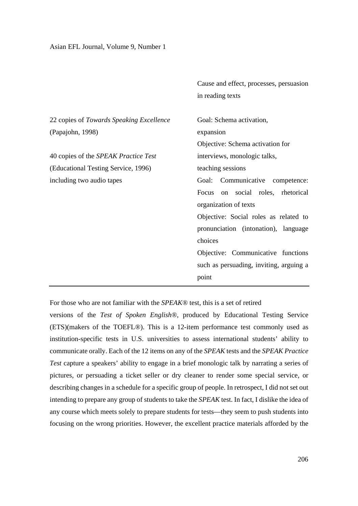|  | Asian EFL Journal, Volume 9, Number 1 |
|--|---------------------------------------|
|--|---------------------------------------|

|                                          | Cause and effect, processes, persuasion |  |  |  |
|------------------------------------------|-----------------------------------------|--|--|--|
|                                          | in reading texts                        |  |  |  |
|                                          |                                         |  |  |  |
| 22 copies of Towards Speaking Excellence | Goal: Schema activation,                |  |  |  |
| (Papajohn, 1998)                         | expansion                               |  |  |  |
|                                          | Objective: Schema activation for        |  |  |  |
| 40 copies of the SPEAK Practice Test     | interviews, monologic talks,            |  |  |  |
| (Educational Testing Service, 1996)      | teaching sessions                       |  |  |  |
| including two audio tapes                | Communicative<br>Goal:<br>competence:   |  |  |  |
|                                          | Focus on social roles, rhetorical       |  |  |  |
|                                          | organization of texts                   |  |  |  |
|                                          | Objective: Social roles as related to   |  |  |  |
|                                          | pronunciation (intonation), language    |  |  |  |
|                                          | choices                                 |  |  |  |
|                                          | Objective: Communicative functions      |  |  |  |
|                                          | such as persuading, inviting, arguing a |  |  |  |
|                                          | point                                   |  |  |  |

For those who are not familiar with the *SPEAK®* test, this is a set of retired

versions of the *Test of Spoken English®*, produced by Educational Testing Service (ETS)(makers of the TOEFL®). This is a 12-item performance test commonly used as institution-specific tests in U.S. universities to assess international students' ability to communicate orally. Each of the 12 items on any of the *SPEAK* tests and the *SPEAK Practice Test* capture a speakers' ability to engage in a brief monologic talk by narrating a series of pictures, or persuading a ticket seller or dry cleaner to render some special service, or describing changes in a schedule for a specific group of people. In retrospect, I did not set out intending to prepare any group of students to take the *SPEAK* test. In fact, I dislike the idea of any course which meets solely to prepare students for tests—they seem to push students into focusing on the wrong priorities. However, the excellent practice materials afforded by the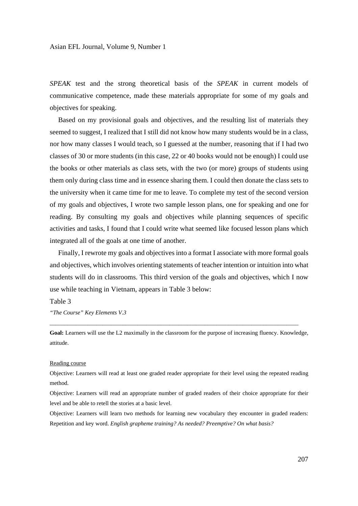*SPEAK* test and the strong theoretical basis of the *SPEAK* in current models of communicative competence, made these materials appropriate for some of my goals and objectives for speaking.

 Based on my provisional goals and objectives, and the resulting list of materials they seemed to suggest, I realized that I still did not know how many students would be in a class, nor how many classes I would teach, so I guessed at the number, reasoning that if I had two classes of 30 or more students (in this case, 22 or 40 books would not be enough) I could use the books or other materials as class sets, with the two (or more) groups of students using them only during class time and in essence sharing them. I could then donate the class sets to the university when it came time for me to leave. To complete my test of the second version of my goals and objectives, I wrote two sample lesson plans, one for speaking and one for reading. By consulting my goals and objectives while planning sequences of specific activities and tasks, I found that I could write what seemed like focused lesson plans which integrated all of the goals at one time of another.

 Finally, I rewrote my goals and objectives into a format I associate with more formal goals and objectives, which involves orienting statements of teacher intention or intuition into what students will do in classrooms. This third version of the goals and objectives, which I now use while teaching in Vietnam, appears in Table 3 below:

## Table 3

*"The Course" Key Elements V.3*

**Goal:** Learners will use the L2 maximally in the classroom for the purpose of increasing fluency. Knowledge, attitude.

\_\_\_\_\_\_\_\_\_\_\_\_\_\_\_\_\_\_\_\_\_\_\_\_\_\_\_\_\_\_\_\_\_\_\_\_\_\_\_\_\_\_\_\_\_\_\_\_\_\_\_\_\_\_\_\_\_\_\_\_\_\_\_\_\_\_\_\_\_\_\_\_\_\_\_\_\_\_\_\_\_\_\_\_\_

### Reading course

Objective: Learners will read at least one graded reader appropriate for their level using the repeated reading method.

Objective: Learners will read an appropriate number of graded readers of their choice appropriate for their level and be able to retell the stories at a basic level.

Objective: Learners will learn two methods for learning new vocabulary they encounter in graded readers: Repetition and key word. *English grapheme training? As needed? Preemptive? On what basis?*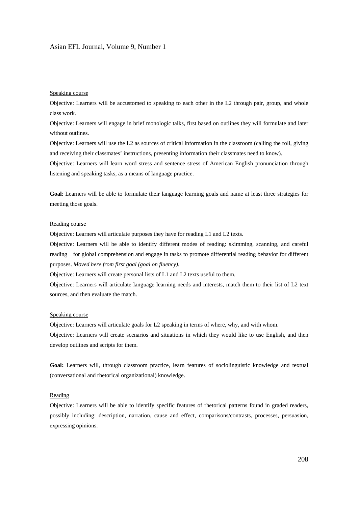#### Asian EFL Journal, Volume 9, Number 1

#### Speaking course

Objective: Learners will be accustomed to speaking to each other in the L2 through pair, group, and whole class work.

Objective: Learners will engage in brief monologic talks, first based on outlines they will formulate and later without outlines.

Objective: Learners will use the L2 as sources of critical information in the classroom (calling the roll, giving and receiving their classmates' instructions, presenting information their classmates need to know).

Objective: Learners will learn word stress and sentence stress of American English pronunciation through listening and speaking tasks, as a means of language practice.

**Goal**: Learners will be able to formulate their language learning goals and name at least three strategies for meeting those goals.

#### Reading course

Objective: Learners will articulate purposes they have for reading L1 and L2 texts.

Objective: Learners will be able to identify different modes of reading: skimming, scanning, and careful reading for global comprehension and engage in tasks to promote differential reading behavior for different purposes. *Moved here from first goal (goal on fluency)*.

Objective: Learners will create personal lists of L1 and L2 texts useful to them.

Objective: Learners will articulate language learning needs and interests, match them to their list of L2 text sources, and then evaluate the match.

#### Speaking course

Objective: Learners will articulate goals for L2 speaking in terms of where, why, and with whom. Objective: Learners will create scenarios and situations in which they would like to use English, and then develop outlines and scripts for them.

**Goal:** Learners will, through classroom practice, learn features of sociolinguistic knowledge and textual (conversational and rhetorical organizational) knowledge.

#### **Reading**

Objective: Learners will be able to identify specific features of rhetorical patterns found in graded readers, possibly including: description, narration, cause and effect, comparisons/contrasts, processes, persuasion, expressing opinions.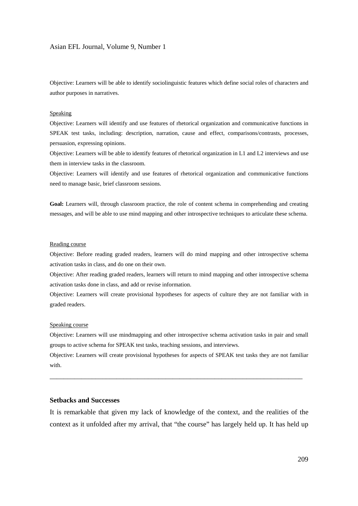#### Asian EFL Journal, Volume 9, Number 1

Objective: Learners will be able to identify sociolinguistic features which define social roles of characters and author purposes in narratives.

#### Speaking

Objective: Learners will identify and use features of rhetorical organization and communicative functions in SPEAK test tasks, including: description, narration, cause and effect, comparisons/contrasts, processes, persuasion, expressing opinions.

Objective: Learners will be able to identify features of rhetorical organization in L1 and L2 interviews and use them in interview tasks in the classroom.

Objective: Learners will identify and use features of rhetorical organization and communicative functions need to manage basic, brief classroom sessions.

**Goal:** Learners will, through classroom practice, the role of content schema in comprehending and creating messages, and will be able to use mind mapping and other introspective techniques to articulate these schema.

#### Reading course

Objective: Before reading graded readers, learners will do mind mapping and other introspective schema activation tasks in class, and do one on their own.

Objective: After reading graded readers, learners will return to mind mapping and other introspective schema activation tasks done in class, and add or revise information.

Objective: Learners will create provisional hypotheses for aspects of culture they are not familiar with in graded readers.

#### Speaking course

Objective: Learners will use mindmapping and other introspective schema activation tasks in pair and small groups to active schema for SPEAK test tasks, teaching sessions, and interviews.

Objective: Learners will create provisional hypotheses for aspects of SPEAK test tasks they are not familiar with.

\_\_\_\_\_\_\_\_\_\_\_\_\_\_\_\_\_\_\_\_\_\_\_\_\_\_\_\_\_\_\_\_\_\_\_\_\_\_\_\_\_\_\_\_\_\_\_\_\_\_\_\_\_\_\_\_\_\_\_\_\_\_\_\_\_\_\_\_\_\_\_\_

## **Setbacks and Successes**

It is remarkable that given my lack of knowledge of the context, and the realities of the context as it unfolded after my arrival, that "the course" has largely held up. It has held up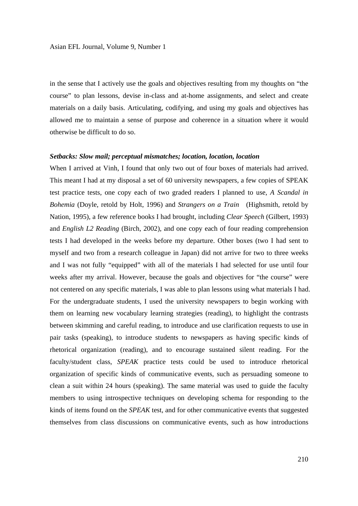in the sense that I actively use the goals and objectives resulting from my thoughts on "the course" to plan lessons, devise in-class and at-home assignments, and select and create materials on a daily basis. Articulating, codifying, and using my goals and objectives has allowed me to maintain a sense of purpose and coherence in a situation where it would otherwise be difficult to do so.

### *Setbacks: Slow mail; perceptual mismatches; location, location, location*

When I arrived at Vinh, I found that only two out of four boxes of materials had arrived. This meant I had at my disposal a set of 60 university newspapers, a few copies of SPEAK test practice tests, one copy each of two graded readers I planned to use, *A Scandal in Bohemia* (Doyle, retold by Holt, 1996) and *Strangers on a Train* (Highsmith, retold by Nation, 1995), a few reference books I had brought, including *Clear Speech* (Gilbert, 1993) and *English L2 Reading* (Birch, 2002), and one copy each of four reading comprehension tests I had developed in the weeks before my departure. Other boxes (two I had sent to myself and two from a research colleague in Japan) did not arrive for two to three weeks and I was not fully "equipped" with all of the materials I had selected for use until four weeks after my arrival. However, because the goals and objectives for "the course" were not centered on any specific materials, I was able to plan lessons using what materials I had. For the undergraduate students, I used the university newspapers to begin working with them on learning new vocabulary learning strategies (reading), to highlight the contrasts between skimming and careful reading, to introduce and use clarification requests to use in pair tasks (speaking), to introduce students to newspapers as having specific kinds of rhetorical organization (reading), and to encourage sustained silent reading. For the faculty/student class, *SPEAK* practice tests could be used to introduce rhetorical organization of specific kinds of communicative events, such as persuading someone to clean a suit within 24 hours (speaking). The same material was used to guide the faculty members to using introspective techniques on developing schema for responding to the kinds of items found on the *SPEAK* test, and for other communicative events that suggested themselves from class discussions on communicative events, such as how introductions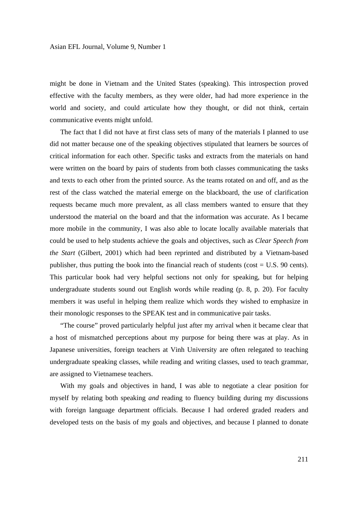might be done in Vietnam and the United States (speaking). This introspection proved effective with the faculty members, as they were older, had had more experience in the world and society, and could articulate how they thought, or did not think, certain communicative events might unfold.

 The fact that I did not have at first class sets of many of the materials I planned to use did not matter because one of the speaking objectives stipulated that learners be sources of critical information for each other. Specific tasks and extracts from the materials on hand were written on the board by pairs of students from both classes communicating the tasks and texts to each other from the printed source. As the teams rotated on and off, and as the rest of the class watched the material emerge on the blackboard, the use of clarification requests became much more prevalent, as all class members wanted to ensure that they understood the material on the board and that the information was accurate. As I became more mobile in the community, I was also able to locate locally available materials that could be used to help students achieve the goals and objectives, such as *Clear Speech from the Start* (Gilbert, 2001) which had been reprinted and distributed by a Vietnam-based publisher, thus putting the book into the financial reach of students (cost = U.S. 90 cents). This particular book had very helpful sections not only for speaking, but for helping undergraduate students sound out English words while reading (p. 8, p. 20). For faculty members it was useful in helping them realize which words they wished to emphasize in their monologic responses to the SPEAK test and in communicative pair tasks.

 "The course" proved particularly helpful just after my arrival when it became clear that a host of mismatched perceptions about my purpose for being there was at play. As in Japanese universities, foreign teachers at Vinh University are often relegated to teaching undergraduate speaking classes, while reading and writing classes, used to teach grammar, are assigned to Vietnamese teachers.

 With my goals and objectives in hand, I was able to negotiate a clear position for myself by relating both speaking *and* reading to fluency building during my discussions with foreign language department officials. Because I had ordered graded readers and developed tests on the basis of my goals and objectives, and because I planned to donate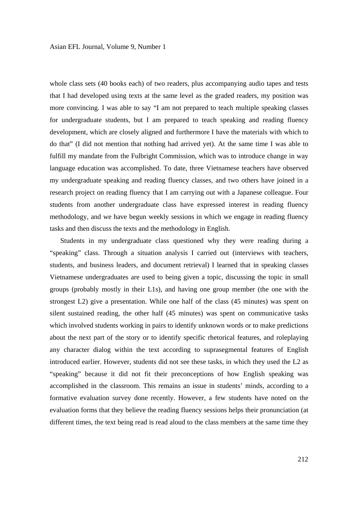whole class sets (40 books each) of two readers, plus accompanying audio tapes and tests that I had developed using texts at the same level as the graded readers, my position was more convincing. I was able to say "I am not prepared to teach multiple speaking classes for undergraduate students, but I am prepared to teach speaking and reading fluency development, which are closely aligned and furthermore I have the materials with which to do that" (I did not mention that nothing had arrived yet). At the same time I was able to fulfill my mandate from the Fulbright Commission, which was to introduce change in way language education was accomplished. To date, three Vietnamese teachers have observed my undergraduate speaking and reading fluency classes, and two others have joined in a research project on reading fluency that I am carrying out with a Japanese colleague. Four students from another undergraduate class have expressed interest in reading fluency methodology, and we have begun weekly sessions in which we engage in reading fluency tasks and then discuss the texts and the methodology in English.

 Students in my undergraduate class questioned why they were reading during a "speaking" class. Through a situation analysis I carried out (interviews with teachers, students, and business leaders, and document retrieval) I learned that in speaking classes Vietnamese undergraduates are used to being given a topic, discussing the topic in small groups (probably mostly in their L1s), and having one group member (the one with the strongest L2) give a presentation. While one half of the class (45 minutes) was spent on silent sustained reading, the other half (45 minutes) was spent on communicative tasks which involved students working in pairs to identify unknown words or to make predictions about the next part of the story or to identify specific rhetorical features, and roleplaying any character dialog within the text according to suprasegmental features of English introduced earlier. However, students did not see these tasks, in which they used the L2 as "speaking" because it did not fit their preconceptions of how English speaking was accomplished in the classroom. This remains an issue in students' minds, according to a formative evaluation survey done recently. However, a few students have noted on the evaluation forms that they believe the reading fluency sessions helps their pronunciation (at different times, the text being read is read aloud to the class members at the same time they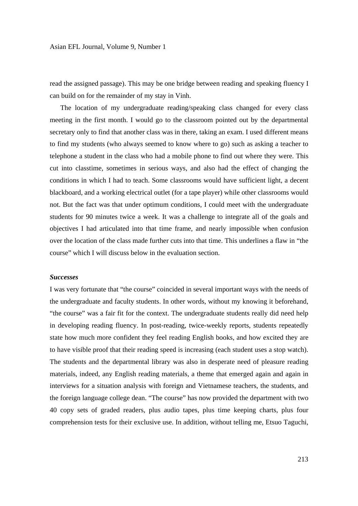read the assigned passage). This may be one bridge between reading and speaking fluency I can build on for the remainder of my stay in Vinh.

 The location of my undergraduate reading/speaking class changed for every class meeting in the first month. I would go to the classroom pointed out by the departmental secretary only to find that another class was in there, taking an exam. I used different means to find my students (who always seemed to know where to go) such as asking a teacher to telephone a student in the class who had a mobile phone to find out where they were. This cut into classtime, sometimes in serious ways, and also had the effect of changing the conditions in which I had to teach. Some classrooms would have sufficient light, a decent blackboard, and a working electrical outlet (for a tape player) while other classrooms would not. But the fact was that under optimum conditions, I could meet with the undergraduate students for 90 minutes twice a week. It was a challenge to integrate all of the goals and objectives I had articulated into that time frame, and nearly impossible when confusion over the location of the class made further cuts into that time. This underlines a flaw in "the course" which I will discuss below in the evaluation section.

## *Successes*

I was very fortunate that "the course" coincided in several important ways with the needs of the undergraduate and faculty students. In other words, without my knowing it beforehand, "the course" was a fair fit for the context. The undergraduate students really did need help in developing reading fluency. In post-reading, twice-weekly reports, students repeatedly state how much more confident they feel reading English books, and how excited they are to have visible proof that their reading speed is increasing (each student uses a stop watch). The students and the departmental library was also in desperate need of pleasure reading materials, indeed, any English reading materials, a theme that emerged again and again in interviews for a situation analysis with foreign and Vietnamese teachers, the students, and the foreign language college dean. "The course" has now provided the department with two 40 copy sets of graded readers, plus audio tapes, plus time keeping charts, plus four comprehension tests for their exclusive use. In addition, without telling me, Etsuo Taguchi,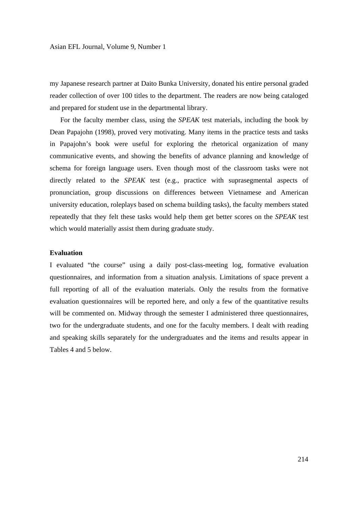my Japanese research partner at Daito Bunka University, donated his entire personal graded reader collection of over 100 titles to the department. The readers are now being cataloged and prepared for student use in the departmental library.

 For the faculty member class, using the *SPEAK* test materials, including the book by Dean Papajohn (1998), proved very motivating. Many items in the practice tests and tasks in Papajohn's book were useful for exploring the rhetorical organization of many communicative events, and showing the benefits of advance planning and knowledge of schema for foreign language users. Even though most of the classroom tasks were not directly related to the *SPEAK* test (e.g., practice with suprasegmental aspects of pronunciation, group discussions on differences between Vietnamese and American university education, roleplays based on schema building tasks), the faculty members stated repeatedly that they felt these tasks would help them get better scores on the *SPEAK* test which would materially assist them during graduate study.

## **Evaluation**

I evaluated "the course" using a daily post-class-meeting log, formative evaluation questionnaires, and information from a situation analysis. Limitations of space prevent a full reporting of all of the evaluation materials. Only the results from the formative evaluation questionnaires will be reported here, and only a few of the quantitative results will be commented on. Midway through the semester I administered three questionnaires, two for the undergraduate students, and one for the faculty members. I dealt with reading and speaking skills separately for the undergraduates and the items and results appear in Tables 4 and 5 below.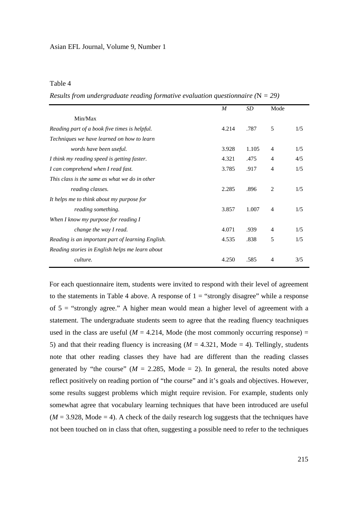## Table 4

*Results from undergraduate reading formative evaluation questionnaire (*N *= 29)* 

|                                                   | M     | SD    | Mode           |     |
|---------------------------------------------------|-------|-------|----------------|-----|
|                                                   |       |       |                |     |
| Min/Max                                           |       |       |                |     |
| Reading part of a book five times is helpful.     | 4.214 | .787  | 5              | 1/5 |
| Techniques we have learned on how to learn        |       |       |                |     |
| words have been useful.                           | 3.928 | 1.105 | $\overline{4}$ | 1/5 |
| I think my reading speed is getting faster.       | 4.321 | .475  | 4              | 4/5 |
| I can comprehend when I read fast.                | 3.785 | .917  | 4              | 1/5 |
| This class is the same as what we do in other     |       |       |                |     |
| reading classes.                                  | 2.285 | .896  | 2              | 1/5 |
| It helps me to think about my purpose for         |       |       |                |     |
| reading something.                                | 3.857 | 1.007 | 4              | 1/5 |
| When I know my purpose for reading I              |       |       |                |     |
| change the way I read.                            | 4.071 | .939  | 4              | 1/5 |
| Reading is an important part of learning English. | 4.535 | .838  | 5              | 1/5 |
| Reading stories in English helps me learn about   |       |       |                |     |
| culture.                                          | 4.250 | .585  | 4              | 3/5 |

For each questionnaire item, students were invited to respond with their level of agreement to the statements in Table 4 above. A response of  $1 =$  "strongly disagree" while a response of  $5 =$  "strongly agree." A higher mean would mean a higher level of agreement with a statement. The undergraduate students seem to agree that the reading fluency teachniques used in the class are useful ( $M = 4.214$ , Mode (the most commonly occurring response) = 5) and that their reading fluency is increasing  $(M = 4.321,$  Mode = 4). Tellingly, students note that other reading classes they have had are different than the reading classes generated by "the course" ( $M = 2.285$ , Mode = 2). In general, the results noted above reflect positively on reading portion of "the course" and it's goals and objectives. However, some results suggest problems which might require revision. For example, students only somewhat agree that vocabulary learning techniques that have been introduced are useful  $(M = 3.928, Mode = 4)$ . A check of the daily research log suggests that the techniques have not been touched on in class that often, suggesting a possible need to refer to the techniques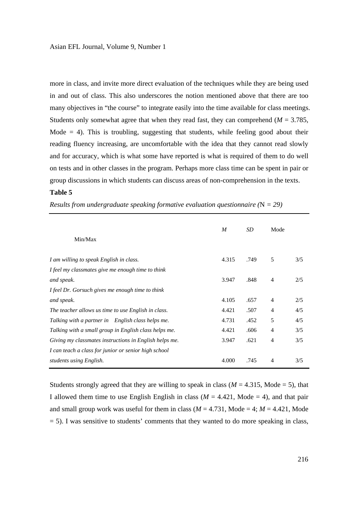more in class, and invite more direct evaluation of the techniques while they are being used in and out of class. This also underscores the notion mentioned above that there are too many objectives in "the course" to integrate easily into the time available for class meetings. Students only somewhat agree that when they read fast, they can comprehend ( $M = 3.785$ , Mode  $= 4$ ). This is troubling, suggesting that students, while feeling good about their reading fluency increasing, are uncomfortable with the idea that they cannot read slowly and for accuracy, which is what some have reported is what is required of them to do well on tests and in other classes in the program. Perhaps more class time can be spent in pair or group discussions in which students can discuss areas of non-comprehension in the texts.

#### **Table 5**

| Min/Max                                                | M     | SD   | Mode           |     |
|--------------------------------------------------------|-------|------|----------------|-----|
| I am willing to speak English in class.                | 4.315 | .749 | 5              | 3/5 |
| I feel my classmates give me enough time to think      |       |      |                |     |
| and speak.                                             | 3.947 | .848 | $\overline{4}$ | 2/5 |
| I feel Dr. Gorsuch gives me enough time to think       |       |      |                |     |
| and speak.                                             | 4.105 | .657 | $\overline{4}$ | 2/5 |
| The teacher allows us time to use English in class.    | 4.421 | .507 | $\overline{4}$ | 4/5 |
| Talking with a partner in English class helps me.      | 4.731 | .452 | 5              | 4/5 |
| Talking with a small group in English class helps me.  | 4.421 | .606 | $\overline{4}$ | 3/5 |
| Giving my classmates instructions in English helps me. | 3.947 | .621 | $\overline{4}$ | 3/5 |
| I can teach a class for junior or senior high school   |       |      |                |     |
| students using English.                                | 4.000 | .745 | $\overline{4}$ | 3/5 |

*Results from undergraduate speaking formative evaluation questionnaire (*N *= 29)* 

Students strongly agreed that they are willing to speak in class  $(M = 4.315, \text{ Mode} = 5)$ , that I allowed them time to use English English in class ( $M = 4.421$ , Mode = 4), and that pair and small group work was useful for them in class ( $M = 4.731$ , Mode = 4;  $M = 4.421$ , Mode = 5). I was sensitive to students' comments that they wanted to do more speaking in class,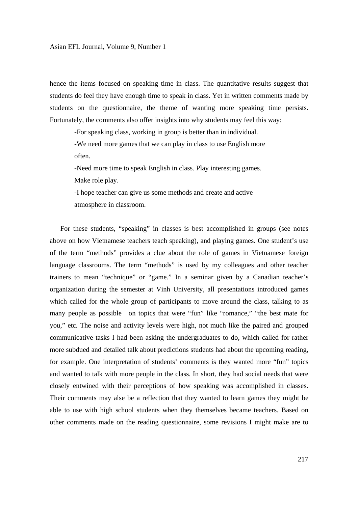hence the items focused on speaking time in class. The quantitative results suggest that students do feel they have enough time to speak in class. Yet in written comments made by students on the questionnaire, the theme of wanting more speaking time persists. Fortunately, the comments also offer insights into why students may feel this way:

-For speaking class, working in group is better than in individual.

 -We need more games that we can play in class to use English more often.

 -Need more time to speak English in class. Play interesting games. Make role play.

 -I hope teacher can give us some methods and create and active atmosphere in classroom.

 For these students, "speaking" in classes is best accomplished in groups (see notes above on how Vietnamese teachers teach speaking), and playing games. One student's use of the term "methods" provides a clue about the role of games in Vietnamese foreign language classrooms. The term "methods" is used by my colleagues and other teacher trainers to mean "technique" or "game." In a seminar given by a Canadian teacher's organization during the semester at Vinh University, all presentations introduced games which called for the whole group of participants to move around the class, talking to as many people as possible on topics that were "fun" like "romance," "the best mate for you," etc. The noise and activity levels were high, not much like the paired and grouped communicative tasks I had been asking the undergraduates to do, which called for rather more subdued and detailed talk about predictions students had about the upcoming reading, for example. One interpretation of students' comments is they wanted more "fun" topics and wanted to talk with more people in the class. In short, they had social needs that were closely entwined with their perceptions of how speaking was accomplished in classes. Their comments may alse be a reflection that they wanted to learn games they might be able to use with high school students when they themselves became teachers. Based on other comments made on the reading questionnaire, some revisions I might make are to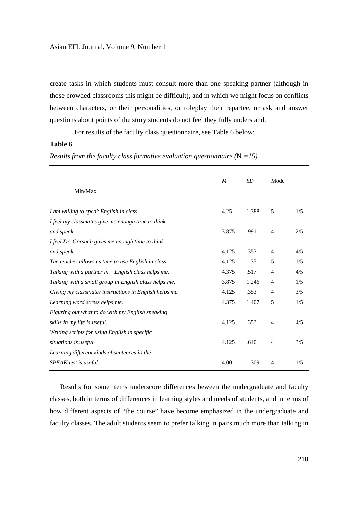create tasks in which students must consult more than one speaking partner (although in those crowded classrooms this might be difficult), and in which we might focus on conflicts between characters, or their personalities, or roleplay their repartee, or ask and answer questions about points of the story students do not feel they fully understand.

For results of the faculty class questionnaire, see Table 6 below:

## **Table 6**

|  |  |  | Results from the faculty class formative evaluation questionnaire $(N = 15)$ |  |
|--|--|--|------------------------------------------------------------------------------|--|
|  |  |  |                                                                              |  |

|                                                        | M     | <b>SD</b> | Mode           |     |
|--------------------------------------------------------|-------|-----------|----------------|-----|
| Min/Max                                                |       |           |                |     |
| I am willing to speak English in class.                | 4.25  | 1.388     | 5              | 1/5 |
| I feel my classmates give me enough time to think      |       |           |                |     |
| and speak.                                             | 3.875 | .991      | $\overline{4}$ | 2/5 |
| I feel Dr. Gorsuch gives me enough time to think       |       |           |                |     |
| and speak.                                             | 4.125 | .353      | $\overline{4}$ | 4/5 |
| The teacher allows us time to use English in class.    | 4.125 | 1.35      | 5              | 1/5 |
| Talking with a partner in English class helps me.      | 4.375 | .517      | $\overline{4}$ | 4/5 |
| Talking with a small group in English class helps me.  | 3.875 | 1.246     | 4              | 1/5 |
| Giving my classmates instructions in English helps me. | 4.125 | .353      | $\overline{4}$ | 3/5 |
| Learning word stress helps me.                         | 4.375 | 1.407     | 5              | 1/5 |
| Figuring out what to do with my English speaking       |       |           |                |     |
| skills in my life is useful.                           | 4.125 | .353      | 4              | 4/5 |
| Writing scripts for using English in specific          |       |           |                |     |
| situations is useful.                                  | 4.125 | .640      | $\overline{4}$ | 3/5 |
| Learning different kinds of sentences in the           |       |           |                |     |
| SPEAK test is useful.                                  | 4.00  | 1.309     | $\overline{4}$ | 1/5 |
|                                                        |       |           |                |     |

 Results for some items underscore differences beween the undergraduate and faculty classes, both in terms of differences in learning styles and needs of students, and in terms of how different aspects of "the course" have become emphasized in the undergraduate and faculty classes. The adult students seem to prefer talking in pairs much more than talking in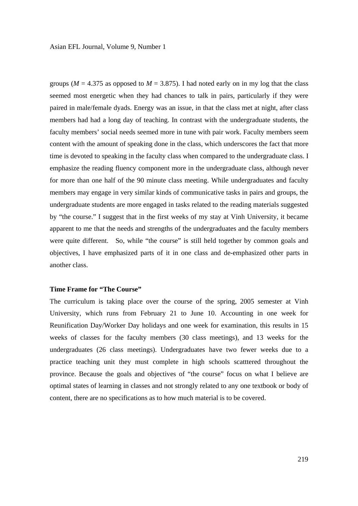groups ( $M = 4.375$  as opposed to  $M = 3.875$ ). I had noted early on in my log that the class seemed most energetic when they had chances to talk in pairs, particularly if they were paired in male/female dyads. Energy was an issue, in that the class met at night, after class members had had a long day of teaching. In contrast with the undergraduate students, the faculty members' social needs seemed more in tune with pair work. Faculty members seem content with the amount of speaking done in the class, which underscores the fact that more time is devoted to speaking in the faculty class when compared to the undergraduate class. I emphasize the reading fluency component more in the undergraduate class, although never for more than one half of the 90 minute class meeting. While undergraduates and faculty members may engage in very similar kinds of communicative tasks in pairs and groups, the undergraduate students are more engaged in tasks related to the reading materials suggested by "the course." I suggest that in the first weeks of my stay at Vinh University, it became apparent to me that the needs and strengths of the undergraduates and the faculty members were quite different. So, while "the course" is still held together by common goals and objectives, I have emphasized parts of it in one class and de-emphasized other parts in another class.

## **Time Frame for "The Course"**

The curriculum is taking place over the course of the spring, 2005 semester at Vinh University, which runs from February 21 to June 10. Accounting in one week for Reunification Day/Worker Day holidays and one week for examination, this results in 15 weeks of classes for the faculty members (30 class meetings), and 13 weeks for the undergraduates (26 class meetings). Undergraduates have two fewer weeks due to a practice teaching unit they must complete in high schools scatttered throughout the province. Because the goals and objectives of "the course" focus on what I believe are optimal states of learning in classes and not strongly related to any one textbook or body of content, there are no specifications as to how much material is to be covered.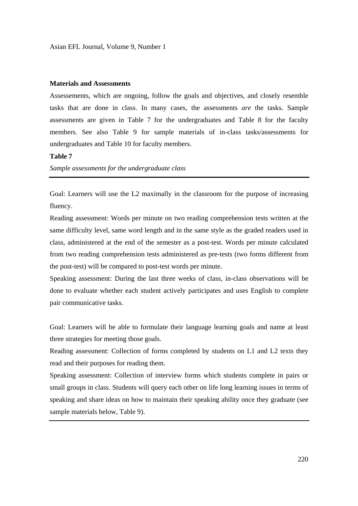### **Materials and Assessments**

Assessements, which are ongoing, follow the goals and objectives, and closely resemble tasks that are done in class. In many cases, the assessments *are* the tasks. Sample assessments are given in Table 7 for the undergraduates and Table 8 for the faculty members. See also Table 9 for sample materials of in-class tasks/assessments for undergraduates and Table 10 for faculty members.

### **Table 7**

*Sample assessments for the undergraduate class*

Goal: Learners will use the L2 maximally in the classroom for the purpose of increasing fluency.

Reading assessment: Words per minute on two reading comprehension tests written at the same difficulty level, same word length and in the same style as the graded readers used in class, administered at the end of the semester as a post-test. Words per minute calculated from two reading comprehension tests administered as pre-tests (two forms different from the post-test) will be compared to post-test words per minute.

Speaking assessment: During the last three weeks of class, in-class observations will be done to evaluate whether each student actively participates and uses English to complete pair communicative tasks.

Goal: Learners will be able to formulate their language learning goals and name at least three strategies for meeting those goals.

Reading assessment: Collection of forms completed by students on L1 and L2 texts they read and their purposes for reading them.

Speaking assessment: Collection of interview forms which students complete in pairs or small groups in class. Students will query each other on life long learning issues in terms of speaking and share ideas on how to maintain their speaking ability once they graduate (see sample materials below, Table 9).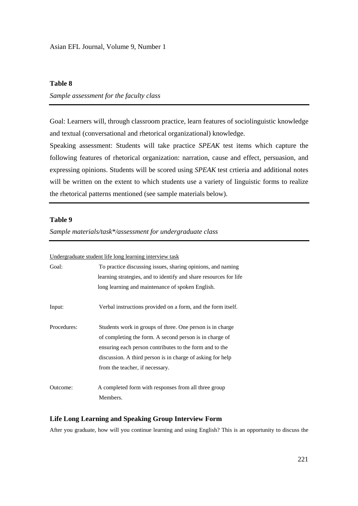## **Table 8**

## *Sample assessment for the faculty class*

Goal: Learners will, through classroom practice, learn features of sociolinguistic knowledge and textual (conversational and rhetorical organizational) knowledge.

Speaking assessment: Students will take practice *SPEAK* test items which capture the following features of rhetorical organization: narration, cause and effect, persuasion, and expressing opinions. Students will be scored using *SPEAK* test crtieria and additional notes will be written on the extent to which students use a variety of linguistic forms to realize the rhetorical patterns mentioned (see sample materials below).

#### **Table 9**

*Sample materials/task\*/assessment for undergraduate class*

Undergraduate student life long learning interview task

| Goal:       | To practice discussing issues, sharing opinions, and naming<br>learning strategies, and to identify and share resources for life<br>long learning and maintenance of spoken English.                                                                                             |
|-------------|----------------------------------------------------------------------------------------------------------------------------------------------------------------------------------------------------------------------------------------------------------------------------------|
| Input:      | Verbal instructions provided on a form, and the form itself.                                                                                                                                                                                                                     |
| Procedures: | Students work in groups of three. One person is in charge<br>of completing the form. A second person is in charge of<br>ensuring each person contributes to the form and to the<br>discussion. A third person is in charge of asking for help<br>from the teacher, if necessary. |
| Outcome:    | A completed form with responses from all three group<br>Members.                                                                                                                                                                                                                 |

#### **Life Long Learning and Speaking Group Interview Form**

After you graduate, how will you continue learning and using English? This is an opportunity to discuss the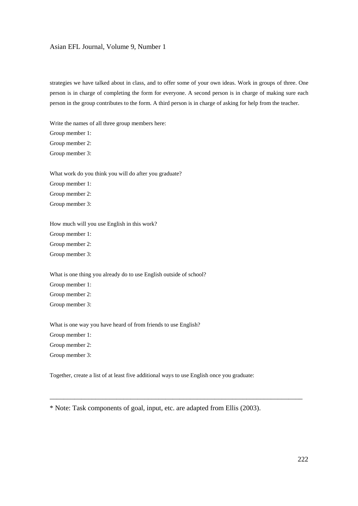strategies we have talked about in class, and to offer some of your own ideas. Work in groups of three. One person is in charge of completing the form for everyone. A second person is in charge of making sure each person in the group contributes to the form. A third person is in charge of asking for help from the teacher.

Write the names of all three group members here: Group member 1: Group member 2: Group member 3:

What work do you think you will do after you graduate?

Group member 1:

Group member 2:

Group member 3:

How much will you use English in this work? Group member 1: Group member 2: Group member 3:

What is one thing you already do to use English outside of school?

Group member 1: Group member 2: Group member 3:

What is one way you have heard of from friends to use English? Group member 1: Group member 2: Group member 3:

Together, create a list of at least five additional ways to use English once you graduate:

\_\_\_\_\_\_\_\_\_\_\_\_\_\_\_\_\_\_\_\_\_\_\_\_\_\_\_\_\_\_\_\_\_\_\_\_\_\_\_\_\_\_\_\_\_\_\_\_\_\_\_\_\_\_\_\_\_\_\_\_\_\_\_\_\_\_\_\_\_\_\_\_

<sup>\*</sup> Note: Task components of goal, input, etc. are adapted from Ellis (2003).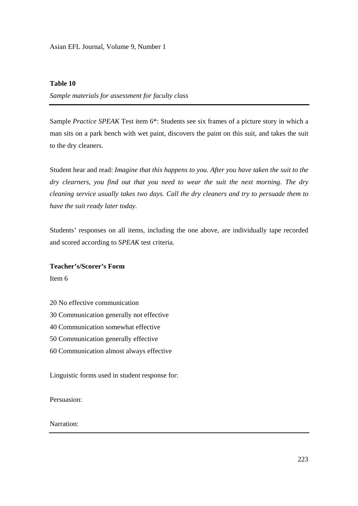## **Table 10**

*Sample materials for assessment for faculty class*

Sample *Practice SPEAK* Test item 6\*: Students see six frames of a picture story in which a man sits on a park bench with wet paint, discovers the paint on this suit, and takes the suit to the dry cleaners.

Student hear and read: *Imagine that this happens to you. After you have taken the suit to the dry clearners, you find out that you need to wear the suit the next morning. The dry cleaning service usually takes two days. Call the dry cleaners and try to persuade them to have the suit ready later today.*

Students' responses on all items, including the one above, are individually tape recorded and scored according to *SPEAK* test criteria.

## **Teacher's/Scorer's Form**

Item 6

- 20 No effective communication
- 30 Communication generally not effective
- 40 Communication somewhat effective
- 50 Communication generally effective
- 60 Communication almost always effective

Linguistic forms used in student response for:

Persuasion:

## Narration: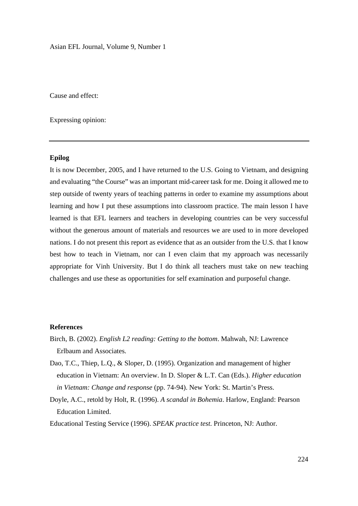Cause and effect:

Expressing opinion:

## **Epilog**

It is now December, 2005, and I have returned to the U.S. Going to Vietnam, and designing and evaluating "the Course" was an important mid-career task for me. Doing it allowed me to step outside of twenty years of teaching patterns in order to examine my assumptions about learning and how I put these assumptions into classroom practice. The main lesson I have learned is that EFL learners and teachers in developing countries can be very successful without the generous amount of materials and resources we are used to in more developed nations. I do not present this report as evidence that as an outsider from the U.S. that I know best how to teach in Vietnam, nor can I even claim that my approach was necessarily appropriate for Vinh University. But I do think all teachers must take on new teaching challenges and use these as opportunities for self examination and purposeful change.

#### **References**

- Birch, B. (2002). *English L2 reading: Getting to the bottom*. Mahwah, NJ: Lawrence Erlbaum and Associates.
- Dao, T.C., Thiep, L.Q., & Sloper, D. (1995). Organization and management of higher education in Vietnam: An overview. In D. Sloper & L.T. Can (Eds.). *Higher education in Vietnam: Change and response* (pp. 74-94). New York: St. Martin's Press.
- Doyle, A.C., retold by Holt, R. (1996). *A scandal in Bohemia*. Harlow, England: Pearson Education Limited.

Educational Testing Service (1996). *SPEAK practice test*. Princeton, NJ: Author.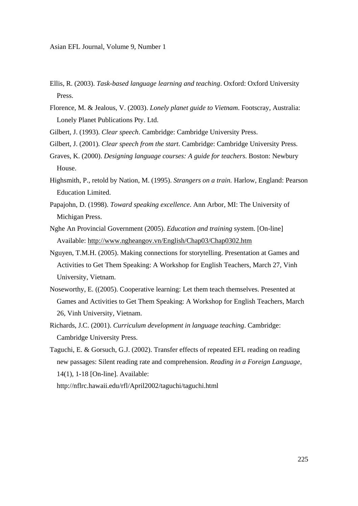- Ellis, R. (2003). *Task-based language learning and teaching*. Oxford: Oxford University Press.
- Florence, M. & Jealous, V. (2003). *Lonely planet guide to Vietnam*. Footscray, Australia: Lonely Planet Publications Pty. Ltd.
- Gilbert, J. (1993). *Clear speech*. Cambridge: Cambridge University Press.
- Gilbert, J. (2001). *Clear speech from the start*. Cambridge: Cambridge University Press.
- Graves, K. (2000). *Designing language courses: A guide for teachers*. Boston: Newbury House.
- Highsmith, P., retold by Nation, M. (1995). *Strangers on a train.* Harlow, England: Pearson Education Limited.
- Papajohn, D. (1998). *Toward speaking excellence*. Ann Arbor, MI: The University of Michigan Press.
- Nghe An Provincial Government (2005). *Education and training* system. [On-line] Available: http://www.ngheangov.vn/English/Chap03/Chap0302.htm
- Nguyen, T.M.H. (2005). Making connections for storytelling. Presentation at Games and Activities to Get Them Speaking: A Workshop for English Teachers, March 27, Vinh University, Vietnam.
- Noseworthy, E. ((2005). Cooperative learning: Let them teach themselves. Presented at Games and Activities to Get Them Speaking: A Workshop for English Teachers, March 26, Vinh University, Vietnam.
- Richards, J.C. (2001). *Curriculum development in language teaching*. Cambridge: Cambridge University Press.
- Taguchi, E. & Gorsuch, G.J. (2002). Transfer effects of repeated EFL reading on reading new passages: Silent reading rate and comprehension. *Reading in a Foreign Language*, 14(1), 1-18 [On-line]. Available:
	- http://nflrc.hawaii.edu/rfl/April2002/taguchi/taguchi.html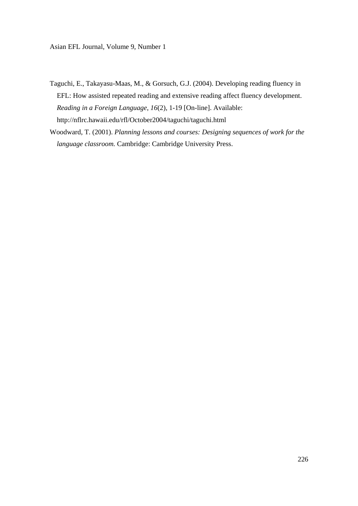- Taguchi, E., Takayasu-Maas, M., & Gorsuch, G.J. (2004). Developing reading fluency in EFL: How assisted repeated reading and extensive reading affect fluency development. *Reading in a Foreign Language*, *16*(2), 1-19 [On-line]. Available: http://nflrc.hawaii.edu/rfl/October2004/taguchi/taguchi.html
- Woodward, T. (2001). *Planning lessons and courses: Designing sequences of work for the language classroom.* Cambridge: Cambridge University Press.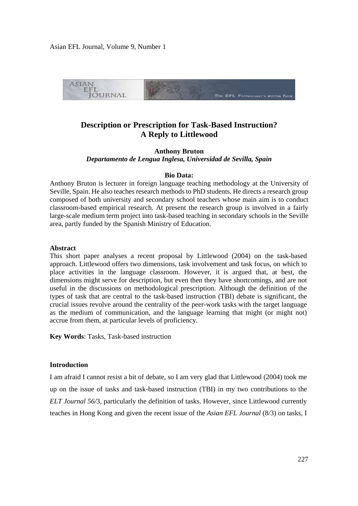

# **Description or Prescription for Task-Based Instruction? A Reply to Littlewood**

**Anthony Bruton**  *Departamento de Lengua Inglesa, Universidad de Sevilla, Spain* 

#### **Bio Data:**

Anthony Bruton is lecturer in foreign language teaching methodology at the University of Seville, Spain. He also teaches research methods to PhD students. He directs a research group composed of both university and secondary school teachers whose main aim is to conduct classroom-based empirical research. At present the research group is involved in a fairly large-scale medium term project into task-based teaching in secondary schools in the Seville area, partly funded by the Spanish Ministry of Education.

#### **Abstract**

This short paper analyses a recent proposal by Littlewood (2004) on the task-based approach. Littlewood offers two dimensions, task involvement and task focus, on which to place activities in the language classroom. However, it is argued that, at best, the dimensions might serve for description, but even then they have shortcomings, and are not useful in the discussions on methodological prescription. Although the definition of the types of task that are central to the task-based instruction (TBI) debate is significant, the crucial issues revolve around the centrality of the peer-work tasks with the target language as the medium of communication, and the language learning that might (or might not) accrue from them, at particular levels of proficiency.

**Key Words**: Tasks, Task-based instruction

## **Introduction**

I am afraid I cannot resist a bit of debate, so I am very glad that Littlewood (2004) took me up on the issue of tasks and task-based instruction (TBI) in my two contributions to the *ELT Journal 56/*3, particularly the definition of tasks. However, since Littlewood currently teaches in Hong Kong and given the recent issue of the *Asian EFL Journal* (8/3) on tasks, I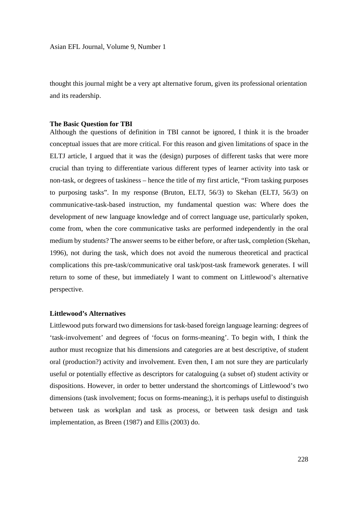thought this journal might be a very apt alternative forum, given its professional orientation and its readership.

#### **The Basic Question for TBI**

Although the questions of definition in TBI cannot be ignored, I think it is the broader conceptual issues that are more critical. For this reason and given limitations of space in the ELTJ article, I argued that it was the (design) purposes of different tasks that were more crucial than trying to differentiate various different types of learner activity into task or non-task, or degrees of taskiness – hence the title of my first article, "From tasking purposes to purposing tasks". In my response (Bruton, ELTJ, 56/3) to Skehan (ELTJ, 56/3) on communicative-task-based instruction, my fundamental question was: Where does the development of new language knowledge and of correct language use, particularly spoken, come from, when the core communicative tasks are performed independently in the oral medium by students? The answer seems to be either before, or after task, completion (Skehan, 1996), not during the task, which does not avoid the numerous theoretical and practical complications this pre-task/communicative oral task/post-task framework generates. I will return to some of these, but immediately I want to comment on Littlewood's alternative perspective.

#### **Littlewood's Alternatives**

Littlewood puts forward two dimensions for task-based foreign language learning: degrees of 'task-involvement' and degrees of 'focus on forms-meaning'. To begin with, I think the author must recognize that his dimensions and categories are at best descriptive, of student oral (production?) activity and involvement. Even then, I am not sure they are particularly useful or potentially effective as descriptors for cataloguing (a subset of) student activity or dispositions. However, in order to better understand the shortcomings of Littlewood's two dimensions (task involvement; focus on forms-meaning;), it is perhaps useful to distinguish between task as workplan and task as process, or between task design and task implementation, as Breen (1987) and Ellis (2003) do.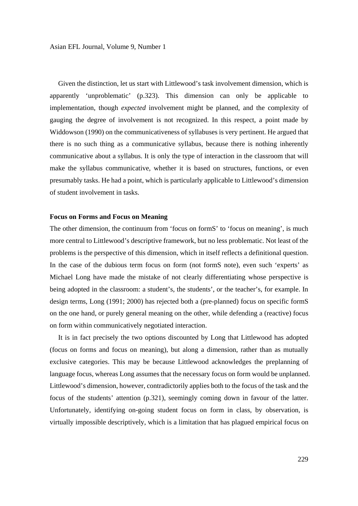Given the distinction, let us start with Littlewood's task involvement dimension, which is apparently 'unproblematic' (p.323). This dimension can only be applicable to implementation, though *expected* involvement might be planned, and the complexity of gauging the degree of involvement is not recognized. In this respect, a point made by Widdowson (1990) on the communicativeness of syllabuses is very pertinent. He argued that there is no such thing as a communicative syllabus, because there is nothing inherently communicative about a syllabus. It is only the type of interaction in the classroom that will make the syllabus communicative, whether it is based on structures, functions, or even presumably tasks. He had a point, which is particularly applicable to Littlewood's dimension of student involvement in tasks.

#### **Focus on Forms and Focus on Meaning**

The other dimension, the continuum from 'focus on formS' to 'focus on meaning', is much more central to Littlewood's descriptive framework, but no less problematic. Not least of the problems is the perspective of this dimension, which in itself reflects a definitional question. In the case of the dubious term focus on form (not formS note), even such 'experts' as Michael Long have made the mistake of not clearly differentiating whose perspective is being adopted in the classroom: a student's, the students', or the teacher's, for example. In design terms, Long (1991; 2000) has rejected both a (pre-planned) focus on specific formS on the one hand, or purely general meaning on the other, while defending a (reactive) focus on form within communicatively negotiated interaction.

 It is in fact precisely the two options discounted by Long that Littlewood has adopted (focus on forms and focus on meaning), but along a dimension, rather than as mutually exclusive categories. This may be because Littlewood acknowledges the preplanning of language focus, whereas Long assumes that the necessary focus on form would be unplanned. Littlewood's dimension, however, contradictorily applies both to the focus of the task and the focus of the students' attention (p.321), seemingly coming down in favour of the latter. Unfortunately, identifying on-going student focus on form in class, by observation, is virtually impossible descriptively, which is a limitation that has plagued empirical focus on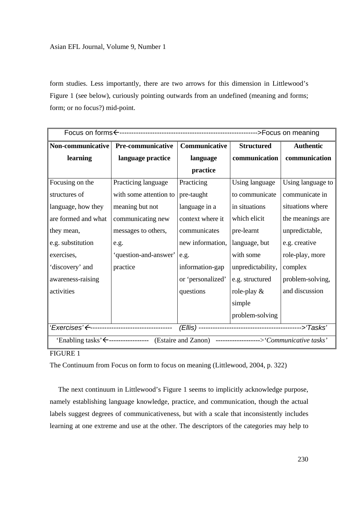form studies. Less importantly, there are two arrows for this dimension in Littlewood's Figure 1 (see below), curiously pointing outwards from an undefined (meaning and forms; form; or no focus?) mid-point.

| Non-communicative                                                                                               | Pre-communicative      | Communicative     | <b>Structured</b> | <b>Authentic</b>  |  |  |
|-----------------------------------------------------------------------------------------------------------------|------------------------|-------------------|-------------------|-------------------|--|--|
| learning                                                                                                        | language practice      | language          | communication     | communication     |  |  |
|                                                                                                                 |                        | practice          |                   |                   |  |  |
| Focusing on the                                                                                                 | Practicing language    | Practicing        | Using language    | Using language to |  |  |
| structures of                                                                                                   | with some attention to | pre-taught        | to communicate    | communicate in    |  |  |
| language, how they                                                                                              | meaning but not        | language in a     | in situations     | situations where  |  |  |
| are formed and what                                                                                             | communicating new      | context where it  | which elicit      | the meanings are  |  |  |
| they mean,                                                                                                      | messages to others,    | communicates      | pre-learnt        | unpredictable,    |  |  |
| e.g. substitution                                                                                               | e.g.                   | new information,  | language, but     | e.g. creative     |  |  |
| exercises,                                                                                                      | 'question-and-answer'  | e.g.              | with some         | role-play, more   |  |  |
| 'discovery' and                                                                                                 | practice               | information-gap   | unpredictability, | complex           |  |  |
| awareness-raising                                                                                               |                        | or 'personalized' | e.g. structured   | problem-solving,  |  |  |
| activities                                                                                                      |                        | questions         | role-play $\&$    | and discussion    |  |  |
|                                                                                                                 |                        |                   | simple            |                   |  |  |
|                                                                                                                 |                        |                   | problem-solving   |                   |  |  |
| 'Exercises' <-----------------------------------                                                                |                        |                   |                   |                   |  |  |
| 'Enabling tasks' $\leftarrow$ -------------------- (Estaire and Zanon) -----------------> 'Communicative tasks' |                        |                   |                   |                   |  |  |

# FIGURE 1

The Continuum from Focus on form to focus on meaning (Littlewood, 2004, p. 322)

 The next continuum in Littlewood's Figure 1 seems to implicitly acknowledge purpose, namely establishing language knowledge, practice, and communication, though the actual labels suggest degrees of communicativeness, but with a scale that inconsistently includes learning at one extreme and use at the other. The descriptors of the categories may help to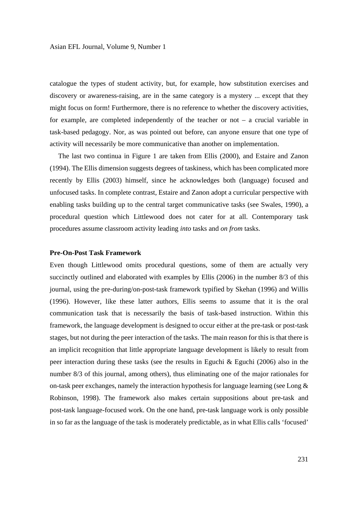catalogue the types of student activity, but, for example, how substitution exercises and discovery or awareness-raising, are in the same category is a mystery ... except that they might focus on form! Furthermore, there is no reference to whether the discovery activities, for example, are completed independently of the teacher or not – a crucial variable in task-based pedagogy. Nor, as was pointed out before, can anyone ensure that one type of activity will necessarily be more communicative than another on implementation.

 The last two continua in Figure 1 are taken from Ellis (2000), and Estaire and Zanon (1994). The Ellis dimension suggests degrees of taskiness, which has been complicated more recently by Ellis (2003) himself, since he acknowledges both (language) focused and unfocused tasks. In complete contrast, Estaire and Zanon adopt a curricular perspective with enabling tasks building up to the central target communicative tasks (see Swales, 1990), a procedural question which Littlewood does not cater for at all. Contemporary task procedures assume classroom activity leading *into* tasks and *on from* tasks.

#### **Pre-On-Post Task Framework**

Even though Littlewood omits procedural questions, some of them are actually very succinctly outlined and elaborated with examples by Ellis (2006) in the number 8/3 of this journal, using the pre-during/on-post-task framework typified by Skehan (1996) and Willis (1996). However, like these latter authors, Ellis seems to assume that it is the oral communication task that is necessarily the basis of task-based instruction. Within this framework, the language development is designed to occur either at the pre-task or post-task stages, but not during the peer interaction of the tasks. The main reason for this is that there is an implicit recognition that little appropriate language development is likely to result from peer interaction during these tasks (see the results in Eguchi & Eguchi (2006) also in the number 8/3 of this journal, among others), thus eliminating one of the major rationales for on-task peer exchanges, namely the interaction hypothesis for language learning (see Long  $\&$ Robinson, 1998). The framework also makes certain suppositions about pre-task and post-task language-focused work. On the one hand, pre-task language work is only possible in so far as the language of the task is moderately predictable, as in what Ellis calls 'focused'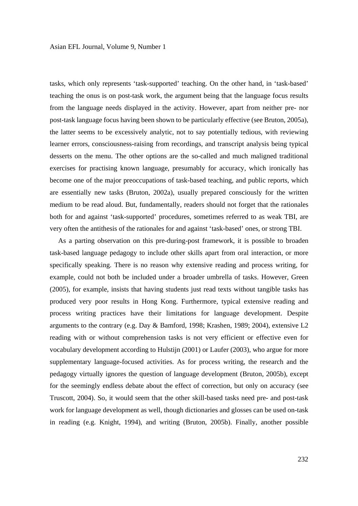tasks, which only represents 'task-supported' teaching. On the other hand, in 'task-based' teaching the onus is on post-task work, the argument being that the language focus results from the language needs displayed in the activity. However, apart from neither pre- nor post-task language focus having been shown to be particularly effective (see Bruton, 2005a), the latter seems to be excessively analytic, not to say potentially tedious, with reviewing learner errors, consciousness-raising from recordings, and transcript analysis being typical desserts on the menu. The other options are the so-called and much maligned traditional exercises for practising known language, presumably for accuracy, which ironically has become one of the major preoccupations of task-based teaching, and public reports, which are essentially new tasks (Bruton, 2002a), usually prepared consciously for the written medium to be read aloud. But, fundamentally, readers should not forget that the rationales both for and against 'task-supported' procedures, sometimes referred to as weak TBI, are very often the antithesis of the rationales for and against 'task-based' ones, or strong TBI.

 As a parting observation on this pre-during-post framework, it is possible to broaden task-based language pedagogy to include other skills apart from oral interaction, or more specifically speaking. There is no reason why extensive reading and process writing, for example, could not both be included under a broader umbrella of tasks. However, Green (2005), for example, insists that having students just read texts without tangible tasks has produced very poor results in Hong Kong. Furthermore, typical extensive reading and process writing practices have their limitations for language development. Despite arguments to the contrary (e.g. Day & Bamford, 1998; Krashen, 1989; 2004), extensive L2 reading with or without comprehension tasks is not very efficient or effective even for vocabulary development according to Hulstijn (2001) or Laufer (2003), who argue for more supplementary language-focused activities. As for process writing, the research and the pedagogy virtually ignores the question of language development (Bruton, 2005b), except for the seemingly endless debate about the effect of correction, but only on accuracy (see Truscott, 2004). So, it would seem that the other skill-based tasks need pre- and post-task work for language development as well, though dictionaries and glosses can be used on-task in reading (e.g. Knight, 1994), and writing (Bruton, 2005b). Finally, another possible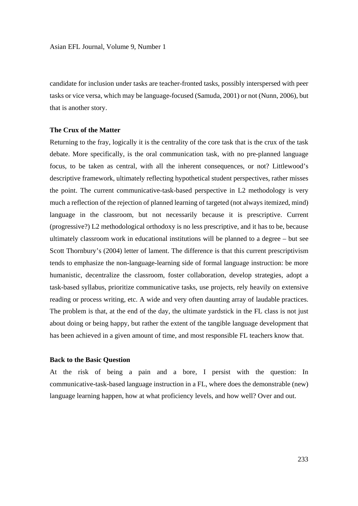candidate for inclusion under tasks are teacher-fronted tasks, possibly interspersed with peer tasks or vice versa, which may be language-focused (Samuda, 2001) or not (Nunn, 2006), but that is another story.

#### **The Crux of the Matter**

Returning to the fray, logically it is the centrality of the core task that is the crux of the task debate. More specifically, is the oral communication task, with no pre-planned language focus, to be taken as central, with all the inherent consequences, or not? Littlewood's descriptive framework, ultimately reflecting hypothetical student perspectives, rather misses the point. The current communicative-task-based perspective in L2 methodology is very much a reflection of the rejection of planned learning of targeted (not always itemized, mind) language in the classroom, but not necessarily because it is prescriptive. Current (progressive?) L2 methodological orthodoxy is no less prescriptive, and it has to be, because ultimately classroom work in educational institutions will be planned to a degree – but see Scott Thornbury's (2004) letter of lament. The difference is that this current prescriptivism tends to emphasize the non-language-learning side of formal language instruction: be more humanistic, decentralize the classroom, foster collaboration, develop strategies, adopt a task-based syllabus, prioritize communicative tasks, use projects, rely heavily on extensive reading or process writing, etc. A wide and very often daunting array of laudable practices. The problem is that, at the end of the day, the ultimate yardstick in the FL class is not just about doing or being happy, but rather the extent of the tangible language development that has been achieved in a given amount of time, and most responsible FL teachers know that.

#### **Back to the Basic Question**

At the risk of being a pain and a bore, I persist with the question: In communicative-task-based language instruction in a FL, where does the demonstrable (new) language learning happen, how at what proficiency levels, and how well? Over and out.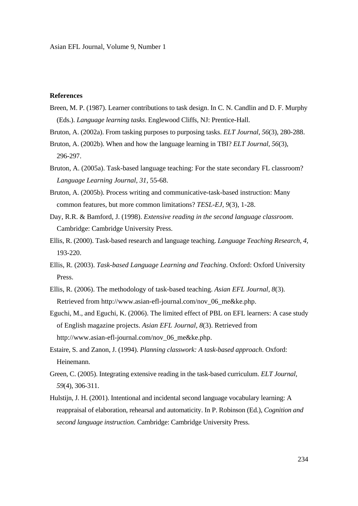### **References**

- Breen, M. P. (1987). Learner contributions to task design. In C. N. Candlin and D. F. Murphy (Eds.). *Language learning tasks*. Englewood Cliffs, NJ: Prentice-Hall.
- Bruton, A. (2002a). From tasking purposes to purposing tasks. *ELT Journal*, *56*(3), 280-288.
- Bruton, A. (2002b). When and how the language learning in TBI? *ELT Journal, 56*(3), 296-297.
- Bruton, A. (2005a). Task-based language teaching: For the state secondary FL classroom? *Language Learning Journal, 31*, 55-68.
- Bruton, A. (2005b). Process writing and communicative-task-based instruction: Many common features, but more common limitations? *TESL-EJ, 9*(3)*,* 1-28.
- Day, R.R. & Bamford, J. (1998). *Extensive reading in the second language classroom*. Cambridge: Cambridge University Press.
- Ellis, R. (2000). Task-based research and language teaching. *Language Teaching Research, 4,* 193-220.
- Ellis, R. (2003). *Task-based Language Learning and Teaching*. Oxford: Oxford University Press.
- Ellis, R. (2006). The methodology of task-based teaching. *Asian EFL Journal, 8*(3). Retrieved from http://www.asian-efl-journal.com/nov\_06\_me&ke.php.
- Eguchi, M., and Eguchi, K. (2006). The limited effect of PBL on EFL learners: A case study of English magazine projects. *Asian EFL Journal, 8*(3). Retrieved from http://www.asian-efl-journal.com/nov\_06\_me&ke.php.
- Estaire, S. and Zanon, J. (1994). *Planning classwork: A task-based approach*. Oxford: Heinemann.
- Green, C. (2005). Integrating extensive reading in the task-based curriculum. *ELT Journal, 59*(4), 306-311.
- Hulstijn, J. H. (2001). Intentional and incidental second language vocabulary learning: A reappraisal of elaboration, rehearsal and automaticity. In P. Robinson (Ed.), *Cognition and second language instruction*. Cambridge: Cambridge University Press.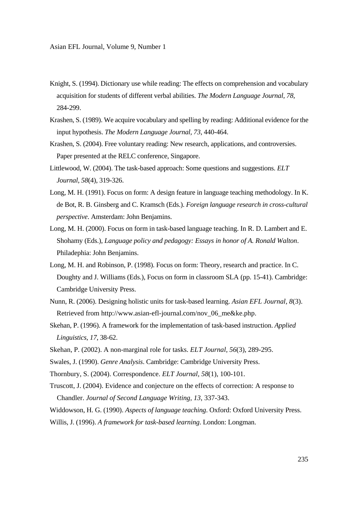- Knight, S. (1994). Dictionary use while reading: The effects on comprehension and vocabulary acquisition for students of different verbal abilities. *The Modern Language Journal, 78*, 284-299.
- Krashen, S. (1989). We acquire vocabulary and spelling by reading: Additional evidence for the input hypothesis. *The Modern Language Journal, 73*, 440-464.
- Krashen, S. (2004). Free voluntary reading: New research, applications, and controversies. Paper presented at the RELC conference, Singapore.
- Littlewood, W. (2004). The task-based approach: Some questions and suggestions. *ELT Journal*, *58*(4), 319-326.
- Long, M. H. (1991). Focus on form: A design feature in language teaching methodology. In K. de Bot, R. B. Ginsberg and C. Kramsch (Eds.). *Foreign language research in cross-cultural perspective*. Amsterdam: John Benjamins.
- Long, M. H. (2000). Focus on form in task-based language teaching. In R. D. Lambert and E. Shohamy (Eds.), *Language policy and pedagogy: Essays in honor of A. Ronald Walton*. Philadephia: John Benjamins.
- Long, M. H. and Robinson, P. (1998). Focus on form: Theory, research and practice. In C. Doughty and J. Williams (Eds.), Focus on form in classroom SLA (pp. 15-41). Cambridge: Cambridge University Press.
- Nunn, R. (2006). Designing holistic units for task-based learning. *Asian EFL Journal, 8*(3). Retrieved from http://www.asian-efl-journal.com/nov\_06\_me&ke.php.
- Skehan, P. (1996). A framework for the implementation of task-based instruction. *Applied Linguistics, 17*, 38-62.
- Skehan, P. (2002). A non-marginal role for tasks. *ELT Journal, 56*(3), 289-295.
- Swales, J. (1990). *Genre Analysis*. Cambridge: Cambridge University Press.
- Thornbury, S. (2004). Correspondence. *ELT Journal, 58*(1), 100-101.
- Truscott, J. (2004). Evidence and conjecture on the effects of correction: A response to Chandler. *Journal of Second Language Writing, 13*, 337-343.
- Widdowson, H. G. (1990). *Aspects of language teaching*. Oxford: Oxford University Press. Willis, J. (1996). *A framework for task-based learning*. London: Longman.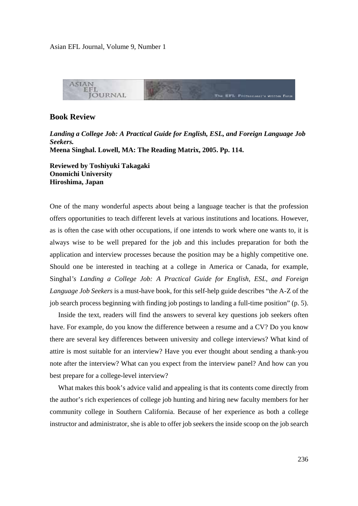

## **Book Review**

*Landing a College Job: A Practical Guide for English, ESL, and Foreign Language Job Seekers.* **Meena Singhal. Lowell, MA: The Reading Matrix, 2005. Pp. 114.** 

**Reviewed by Toshiyuki Takagaki Onomichi University Hiroshima, Japan** 

One of the many wonderful aspects about being a language teacher is that the profession offers opportunities to teach different levels at various institutions and locations. However, as is often the case with other occupations, if one intends to work where one wants to, it is always wise to be well prepared for the job and this includes preparation for both the application and interview processes because the position may be a highly competitive one. Should one be interested in teaching at a college in America or Canada, for example, Singhal*'s Landing a College Job: A Practical Guide for English, ESL, and Foreign Language Job Seekers* is a must-have book, for this self-help guide describes "the A-Z of the job search process beginning with finding job postings to landing a full-time position" (p. 5).

 Inside the text, readers will find the answers to several key questions job seekers often have. For example, do you know the difference between a resume and a CV? Do you know there are several key differences between university and college interviews? What kind of attire is most suitable for an interview? Have you ever thought about sending a thank-you note after the interview? What can you expect from the interview panel? And how can you best prepare for a college-level interview?

 What makes this book's advice valid and appealing is that its contents come directly from the author's rich experiences of college job hunting and hiring new faculty members for her community college in Southern California. Because of her experience as both a college instructor and administrator, she is able to offer job seekers the inside scoop on the job search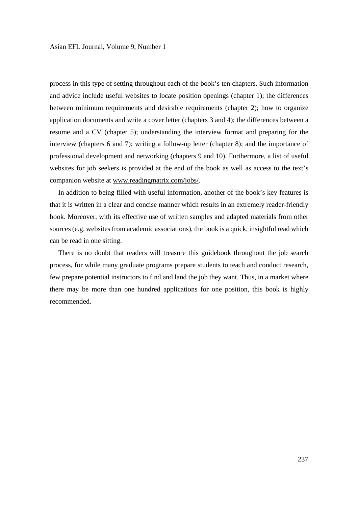process in this type of setting throughout each of the book's ten chapters. Such information and advice include useful websites to locate position openings (chapter 1); the differences between minimum requirements and desirable requirements (chapter 2); how to organize application documents and write a cover letter (chapters 3 and 4); the differences between a resume and a CV (chapter 5); understanding the interview format and preparing for the interview (chapters 6 and 7); writing a follow-up letter (chapter 8); and the importance of professional development and networking (chapters 9 and 10). Furthermore, a list of useful websites for job seekers is provided at the end of the book as well as access to the text's companion website at www.readingmatrix.com/jobs/.

 In addition to being filled with useful information, another of the book's key features is that it is written in a clear and concise manner which results in an extremely reader-friendly book. Moreover, with its effective use of written samples and adapted materials from other sources (e.g. websites from academic associations), the book is a quick, insightful read which can be read in one sitting.

 There is no doubt that readers will treasure this guidebook throughout the job search process, for while many graduate programs prepare students to teach and conduct research, few prepare potential instructors to find and land the job they want. Thus, in a market where there may be more than one hundred applications for one position, this book is highly recommended.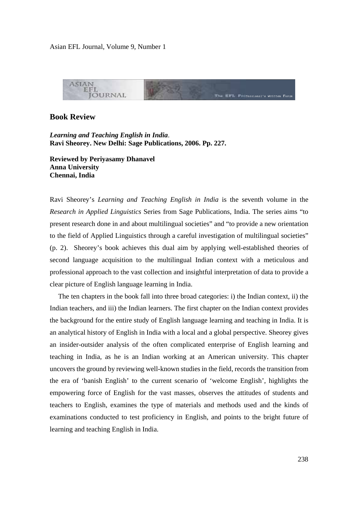

## **Book Review**

*Learning and Teaching English in India*. **Ravi Sheorey. New Delhi: Sage Publications, 2006. Pp. 227.** 

**Reviewed by Periyasamy Dhanavel Anna University Chennai, India** 

Ravi Sheorey's *Learning and Teaching English in India* is the seventh volume in the *Research in Applied Linguistics* Series from Sage Publications, India. The series aims "to present research done in and about multilingual societies" and "to provide a new orientation to the field of Applied Linguistics through a careful investigation of multilingual societies" (p. 2). Sheorey's book achieves this dual aim by applying well-established theories of second language acquisition to the multilingual Indian context with a meticulous and professional approach to the vast collection and insightful interpretation of data to provide a clear picture of English language learning in India.

 The ten chapters in the book fall into three broad categories: i) the Indian context, ii) the Indian teachers, and iii) the Indian learners. The first chapter on the Indian context provides the background for the entire study of English language learning and teaching in India. It is an analytical history of English in India with a local and a global perspective. Sheorey gives an insider-outsider analysis of the often complicated enterprise of English learning and teaching in India, as he is an Indian working at an American university. This chapter uncovers the ground by reviewing well-known studies in the field, records the transition from the era of 'banish English' to the current scenario of 'welcome English', highlights the empowering force of English for the vast masses, observes the attitudes of students and teachers to English, examines the type of materials and methods used and the kinds of examinations conducted to test proficiency in English, and points to the bright future of learning and teaching English in India.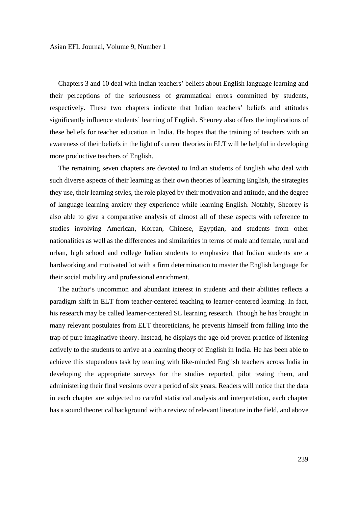Chapters 3 and 10 deal with Indian teachers' beliefs about English language learning and their perceptions of the seriousness of grammatical errors committed by students, respectively. These two chapters indicate that Indian teachers' beliefs and attitudes significantly influence students' learning of English. Sheorey also offers the implications of these beliefs for teacher education in India. He hopes that the training of teachers with an awareness of their beliefs in the light of current theories in ELT will be helpful in developing more productive teachers of English.

 The remaining seven chapters are devoted to Indian students of English who deal with such diverse aspects of their learning as their own theories of learning English, the strategies they use, their learning styles, the role played by their motivation and attitude, and the degree of language learning anxiety they experience while learning English. Notably, Sheorey is also able to give a comparative analysis of almost all of these aspects with reference to studies involving American, Korean, Chinese, Egyptian, and students from other nationalities as well as the differences and similarities in terms of male and female, rural and urban, high school and college Indian students to emphasize that Indian students are a hardworking and motivated lot with a firm determination to master the English language for their social mobility and professional enrichment.

 The author's uncommon and abundant interest in students and their abilities reflects a paradigm shift in ELT from teacher-centered teaching to learner-centered learning. In fact, his research may be called learner-centered SL learning research. Though he has brought in many relevant postulates from ELT theoreticians, he prevents himself from falling into the trap of pure imaginative theory. Instead, he displays the age-old proven practice of listening actively to the students to arrive at a learning theory of English in India. He has been able to achieve this stupendous task by teaming with like-minded English teachers across India in developing the appropriate surveys for the studies reported, pilot testing them, and administering their final versions over a period of six years. Readers will notice that the data in each chapter are subjected to careful statistical analysis and interpretation, each chapter has a sound theoretical background with a review of relevant literature in the field, and above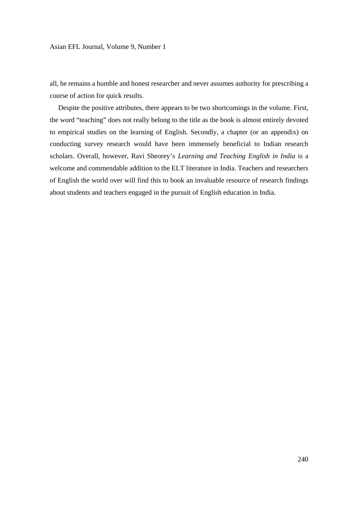all, he remains a humble and honest researcher and never assumes authority for prescribing a course of action for quick results.

 Despite the positive attributes, there appears to be two shortcomings in the volume. First, the word "teaching" does not really belong to the title as the book is almost entirely devoted to empirical studies on the learning of English. Secondly, a chapter (or an appendix) on conducting survey research would have been immensely beneficial to Indian research scholars. Overall, however, Ravi Sheorey's *Learning and Teaching English in India* is a welcome and commendable addition to the ELT literature in India. Teachers and researchers of English the world over will find this to book an invaluable resource of research findings about students and teachers engaged in the pursuit of English education in India.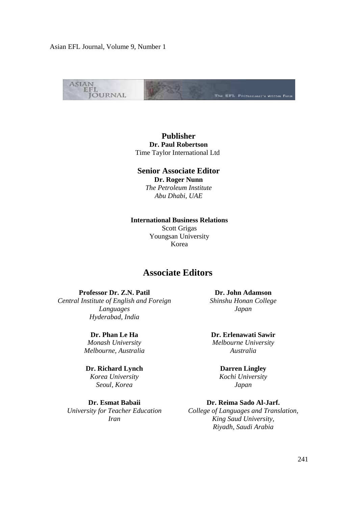

**Publisher Dr. Paul Robertson** Time Taylor International Ltd

### **Senior Associate Editor**

**Dr. Roger Nunn** *The Petroleum Institute Abu Dhabi, UAE*

**International Business Relations** 

Scott Grigas Youngsan University Korea

# **Associate Editors**

**Professor Dr. Z.N. Patil** *Central Institute of English and Foreign Languages Hyderabad, India*

> **Dr. Phan Le Ha** *Monash University Melbourne, Australia*

**Dr. Richard Lynch** *Korea University Seoul, Korea*

**Dr. Esmat Babaii** *University for Teacher Education Iran* 

**Dr. John Adamson** *Shinshu Honan College Japan* 

**Dr. Erlenawati Sawir** *Melbourne University Australia* 

> **Darren Lingley** *Kochi University Japan*

**Dr. Reima Sado Al-Jarf.** *College of Languages and Translation, King Saud University, Riyadh, Saudi Arabia*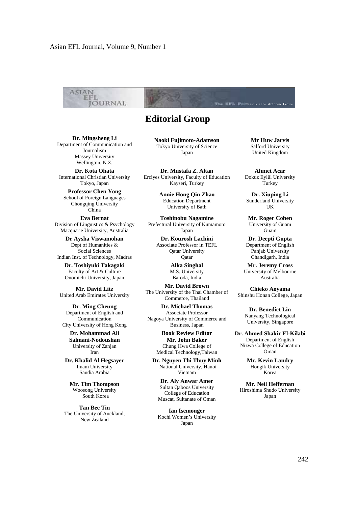

# **Editorial Group**

**Dr. Mingsheng Li** Department of Communication and Journalism Massey University Wellington, N.Z.

**Dr. Kota Ohata** International Christian University Tokyo, Japan

**Professor Chen Yong** School of Foreign Languages Chongqing University China

**Eva Bernat** Division of Linguistics & Psychology Macquarie University, Australia

**Dr Aysha Viswamohan** Dept of Humanities & Social Sciences Indian Inst. of Technology, Madras

**Dr. Toshiyuki Takagaki** Faculty of Art & Culture Onomichi University, Japan

**Mr. David Litz** United Arab Emirates University

**Dr. Ming Cheung** Department of English and Communication City University of Hong Kong

> **Dr. Mohammad Ali Salmani-Nodoushan**  University of Zanjan Iran

**Dr. Khalid Al Hegsayer** Imam University Saudia Arabia

**Mr. Tim Thompson** Woosong University South Korea

**Tan Bee Tin** The University of Auckland, New Zealand

**Naoki Fujimoto-Adamson** Tokyo University of Science Japan

**Dr. Mustafa Z. Altan** Erciyes University, Faculty of Education Kayseri, Turkey

> **Annie Hong Qin Zhao** Education Department University of Bath

**Toshinobu Nagamine** Prefectural University of Kumamoto Japan

**Dr. Kourosh Lachini** Associate Professor in TEFL Qatar University Qatar

> **Alka Singhal** M.S. University Baroda, India

**Mr. David Brown** The University of the Thai Chamber of Commerce, Thailand

**Dr. Michael Thomas** Associate Professor Nagoya University of Commerce and Business, Japan

> **Book Review Editor Mr. John Baker** Chung Hwa College of Medical Technology,Taiwan

**Dr. Nguyen Thi Thuy Minh**  National University, Hanoi Vietnam

**Dr. Aly Anwar Amer** Sultan Qaboos University College of Education Muscat, Sultanate of Oman

**Ian Isemonger**  Kochi Women's University Japan

**Mr Huw Jarvis** Salford University United Kingdom

**Ahmet Acar**  Dokuz Eylül University Turkey

**Dr. Xiuping Li** Sunderland University UK

**Mr. Roger Cohen** University of Guam Guam

**Dr. Deepti Gupta** Department of English Panjab University Chandigarh, India

**Mr. Jeremy Cross** University of Melbourne Australia

**Chieko Aoyama** Shinshu Honan College, Japan

> **Dr. Benedict Lin** Nanyang Technological University, Singapore

**Dr. Ahmed Shakir El-Kilabi** Department of English Nizwa College of Education Oman

> **Mr. Kevin Landry** Hongik University Korea

**Mr. Neil Heffernan** Hiroshima Shudo University Japan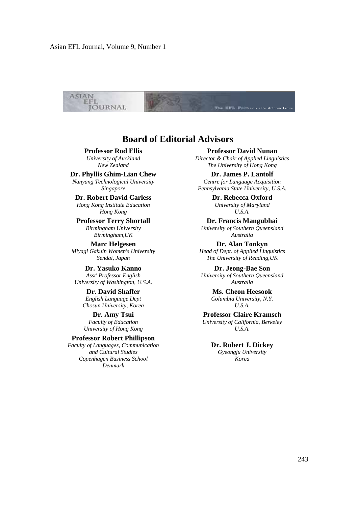

# **Board of Editorial Advisors**

#### **Professor Rod Ellis**

*University of Auckland New Zealand*

### **Dr. Phyllis Ghim-Lian Chew**

*Nanyang Technological University Singapore*

## **Dr. Robert David Carless**

*Hong Kong Institute Education Hong Kong* 

**Professor Terry Shortall** *Birmingham University Birmingham,UK* 

**Marc Helgesen** *Miyagi Gakuin Women's University Sendai, Japan*

**Dr. Yasuko Kanno** *Asst' Professor English University of Washington, U.S.A.*

> **Dr. David Shaffer** *English Language Dept Chosun University, Korea*

**Dr. Amy Tsui** *Faculty of Education University of Hong Kong*

#### **Professor Robert Phillipson**

*Faculty of Languages, Communication and Cultural Studies Copenhagen Business School Denmark*

#### **Professor David Nunan**

*Director & Chair of Applied Linguistics The University of Hong Kong*

**Dr. James P. Lantolf** *Centre for Language Acquisition Pennsylvania State University, U.S.A.* 

> **Dr. Rebecca Oxford** *University of Maryland U.S.A.*

**Dr. Francis Mangubhai** *University of Southern Queensland Australia*

**Dr. Alan Tonkyn** *Head of Dept. of Applied Linguistics The University of Reading,UK*

**Dr. Jeong-Bae Son** *University of Southern Queensland Australia*

> **Ms. Cheon Heesook** *Columbia University, N.Y. U.S.A.*

**Professor Claire Kramsch**  *University of California, Berkeley U.S.A.* 

**Dr. Robert J. Dickey** *Gyeongju University Korea*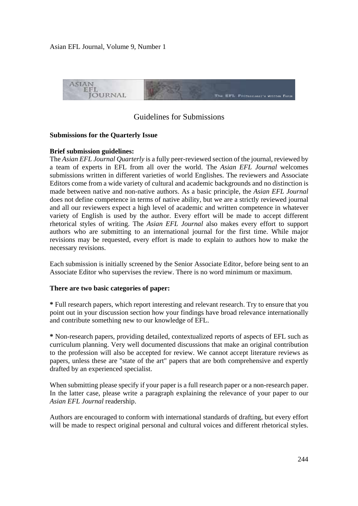

# Guidelines for Submissions

## **Submissions for the Quarterly Issue**

## **Brief submission guidelines:**

The *Asian EFL Journal Quarterly* is a fully peer-reviewed section of the journal, reviewed by a team of experts in EFL from all over the world. The *Asian EFL Journal* welcomes submissions written in different varieties of world Englishes. The reviewers and Associate Editors come from a wide variety of cultural and academic backgrounds and no distinction is made between native and non-native authors. As a basic principle, the *Asian EFL Journal*  does not define competence in terms of native ability, but we are a strictly reviewed journal and all our reviewers expect a high level of academic and written competence in whatever variety of English is used by the author. Every effort will be made to accept different rhetorical styles of writing. The *Asian EFL Journal* also makes every effort to support authors who are submitting to an international journal for the first time. While major revisions may be requested, every effort is made to explain to authors how to make the necessary revisions.

Each submission is initially screened by the Senior Associate Editor, before being sent to an Associate Editor who supervises the review. There is no word minimum or maximum.

#### **There are two basic categories of paper:**

**\*** Full research papers, which report interesting and relevant research. Try to ensure that you point out in your discussion section how your findings have broad relevance internationally and contribute something new to our knowledge of EFL.

**\*** Non-research papers, providing detailed, contextualized reports of aspects of EFL such as curriculum planning. Very well documented discussions that make an original contribution to the profession will also be accepted for review. We cannot accept literature reviews as papers, unless these are "state of the art" papers that are both comprehensive and expertly drafted by an experienced specialist.

When submitting please specify if your paper is a full research paper or a non-research paper. In the latter case, please write a paragraph explaining the relevance of your paper to our *Asian EFL Journal* readership.

Authors are encouraged to conform with international standards of drafting, but every effort will be made to respect original personal and cultural voices and different rhetorical styles.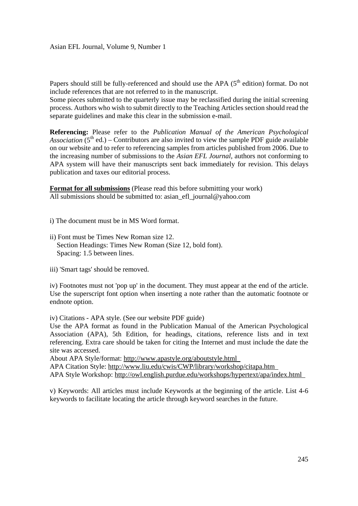Papers should still be fully-referenced and should use the APA  $(5<sup>th</sup>$  edition) format. Do not include references that are not referred to in the manuscript.

Some pieces submitted to the quarterly issue may be reclassified during the initial screening process. Authors who wish to submit directly to the Teaching Articles section should read the separate guidelines and make this clear in the submission e-mail.

**Referencing:** Please refer to the *Publication Manual of the American Psychological Association*  $(5<sup>th</sup>$  ed.) – Contributors are also invited to view the sample PDF guide available on our website and to refer to referencing samples from articles published from 2006. Due to the increasing number of submissions to the *Asian EFL Journal*, authors not conforming to APA system will have their manuscripts sent back immediately for revision. This delays publication and taxes our editorial process.

**Format for all submissions** (Please read this before submitting your work) All submissions should be submitted to: asian\_efl\_journal@yahoo.com

i) The document must be in MS Word format.

- ii) Font must be Times New Roman size 12. Section Headings: Times New Roman (Size 12, bold font). Spacing: 1.5 between lines.
- iii) 'Smart tags' should be removed.

iv) Footnotes must not 'pop up' in the document. They must appear at the end of the article. Use the superscript font option when inserting a note rather than the automatic footnote or endnote option.

iv) Citations - APA style. (See our website PDF guide)

Use the APA format as found in the Publication Manual of the American Psychological Association (APA), 5th Edition, for headings, citations, reference lists and in text referencing. Extra care should be taken for citing the Internet and must include the date the site was accessed.

About APA Style/format: http://www.apastyle.org/aboutstyle.html

APA Citation Style: http://www.liu.edu/cwis/CWP/library/workshop/citapa.htm APA Style Workshop: http://owl.english.purdue.edu/workshops/hypertext/apa/index.html

v) Keywords: All articles must include Keywords at the beginning of the article. List 4-6 keywords to facilitate locating the article through keyword searches in the future.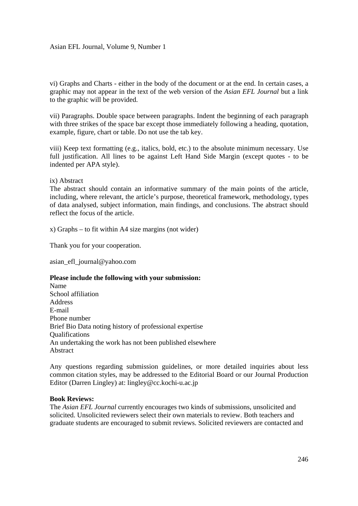vi) Graphs and Charts - either in the body of the document or at the end. In certain cases, a graphic may not appear in the text of the web version of the *Asian EFL Journal* but a link to the graphic will be provided.

vii) Paragraphs. Double space between paragraphs. Indent the beginning of each paragraph with three strikes of the space bar except those immediately following a heading, quotation, example, figure, chart or table. Do not use the tab key.

viii) Keep text formatting (e.g., italics, bold, etc.) to the absolute minimum necessary. Use full justification. All lines to be against Left Hand Side Margin (except quotes - to be indented per APA style).

## ix) Abstract

The abstract should contain an informative summary of the main points of the article, including, where relevant, the article's purpose, theoretical framework, methodology, types of data analysed, subject information, main findings, and conclusions. The abstract should reflect the focus of the article.

x) Graphs – to fit within A4 size margins (not wider)

Thank you for your cooperation.

asian\_efl\_journal@yahoo.com

#### **Please include the following with your submission:**

Name School affiliation Address E-mail Phone number Brief Bio Data noting history of professional expertise **Oualifications** An undertaking the work has not been published elsewhere Abstract

Any questions regarding submission guidelines, or more detailed inquiries about less common citation styles, may be addressed to the Editorial Board or our Journal Production Editor (Darren Lingley) at: lingley@cc.kochi-u.ac.jp

#### **Book Reviews:**

The *Asian EFL Journal* currently encourages two kinds of submissions, unsolicited and solicited. Unsolicited reviewers select their own materials to review. Both teachers and graduate students are encouraged to submit reviews. Solicited reviewers are contacted and